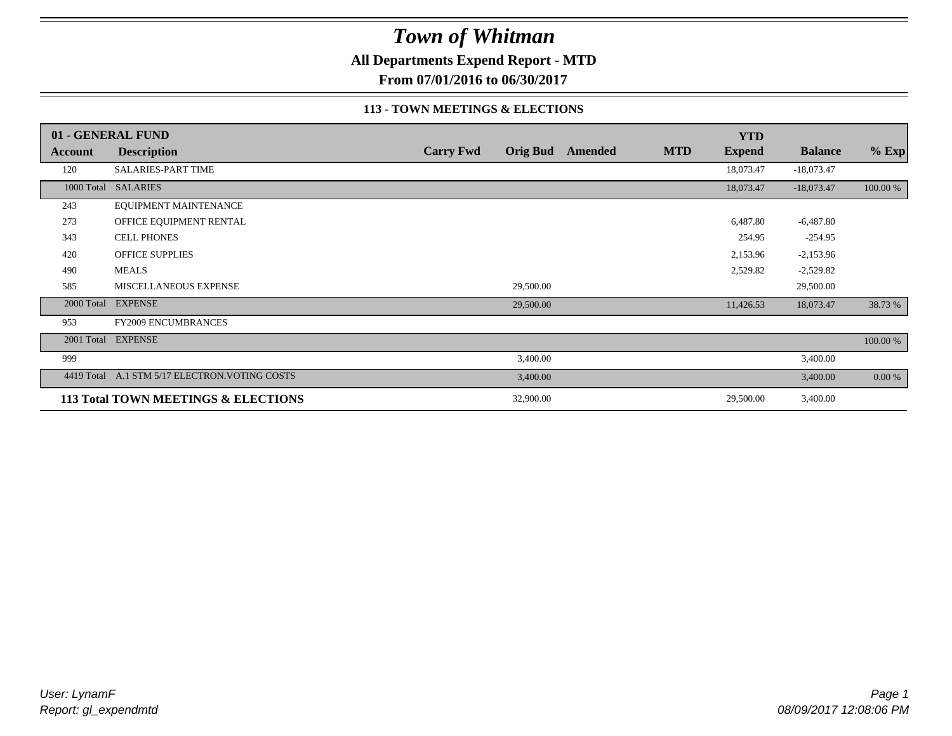### **All Departments Expend Report - MTD**

**From 07/01/2016 to 06/30/2017**

#### **113 - TOWN MEETINGS & ELECTIONS**

|            | 01 - GENERAL FUND                              |                  |                 |         |            | <b>YTD</b>    |                |          |
|------------|------------------------------------------------|------------------|-----------------|---------|------------|---------------|----------------|----------|
| Account    | <b>Description</b>                             | <b>Carry Fwd</b> | <b>Orig Bud</b> | Amended | <b>MTD</b> | <b>Expend</b> | <b>Balance</b> | $%$ Exp  |
| 120        | <b>SALARIES-PART TIME</b>                      |                  |                 |         |            | 18,073.47     | $-18,073.47$   |          |
| 1000 Total | <b>SALARIES</b>                                |                  |                 |         |            | 18,073.47     | $-18,073.47$   | 100.00 % |
| 243        | EQUIPMENT MAINTENANCE                          |                  |                 |         |            |               |                |          |
| 273        | OFFICE EQUIPMENT RENTAL                        |                  |                 |         |            | 6,487.80      | $-6,487.80$    |          |
| 343        | <b>CELL PHONES</b>                             |                  |                 |         |            | 254.95        | $-254.95$      |          |
| 420        | <b>OFFICE SUPPLIES</b>                         |                  |                 |         |            | 2,153.96      | $-2,153.96$    |          |
| 490        | <b>MEALS</b>                                   |                  |                 |         |            | 2,529.82      | $-2,529.82$    |          |
| 585        | MISCELLANEOUS EXPENSE                          |                  | 29,500.00       |         |            |               | 29,500.00      |          |
|            | 2000 Total EXPENSE                             |                  | 29,500.00       |         |            | 11,426.53     | 18,073.47      | 38.73 %  |
| 953        | <b>FY2009 ENCUMBRANCES</b>                     |                  |                 |         |            |               |                |          |
| 2001 Total | <b>EXPENSE</b>                                 |                  |                 |         |            |               |                | 100.00 % |
| 999        |                                                |                  | 3,400.00        |         |            |               | 3,400.00       |          |
|            | 4419 Total A.1 STM 5/17 ELECTRON. VOTING COSTS |                  | 3,400.00        |         |            |               | 3,400.00       | 0.00 %   |
|            | 113 Total TOWN MEETINGS & ELECTIONS            |                  | 32,900.00       |         |            | 29,500.00     | 3,400.00       |          |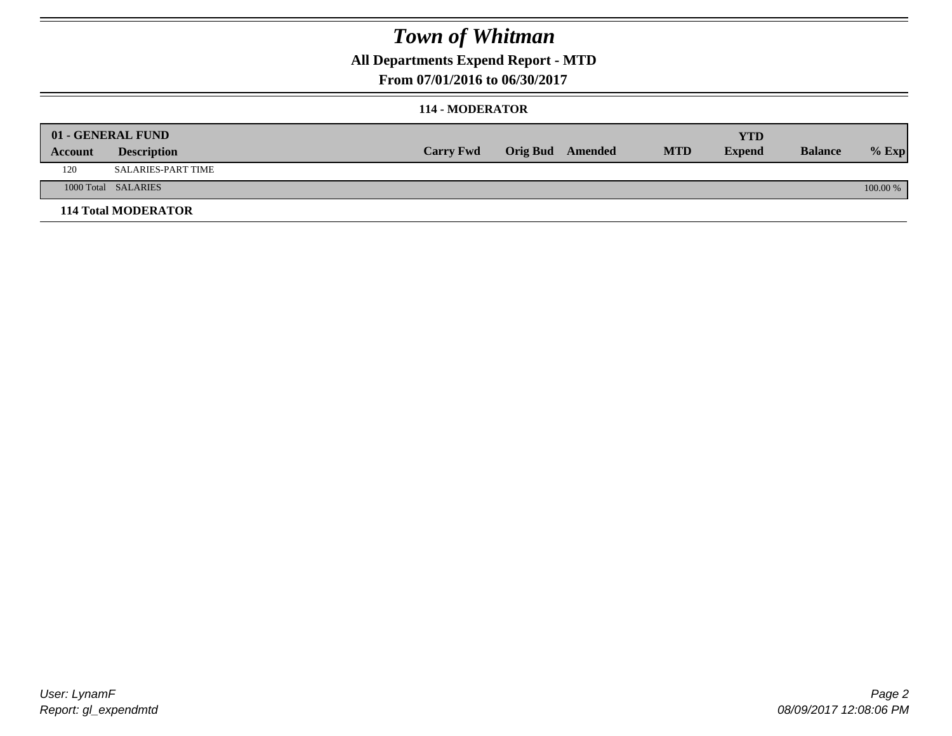### **All Departments Expend Report - MTD**

**From 07/01/2016 to 06/30/2017**

#### **114 - MODERATOR**

|         | 01 - GENERAL FUND          | <b>Carry Fwd</b> | <b>Orig Bud</b> Amended | <b>MTD</b> | <b>YTD</b><br><b>Expend</b> | <b>Balance</b> | $%$ Exp  |
|---------|----------------------------|------------------|-------------------------|------------|-----------------------------|----------------|----------|
| Account | <b>Description</b>         |                  |                         |            |                             |                |          |
| 120     | SALARIES-PART TIME         |                  |                         |            |                             |                |          |
|         | 1000 Total SALARIES        |                  |                         |            |                             |                | 100.00 % |
|         | <b>114 Total MODERATOR</b> |                  |                         |            |                             |                |          |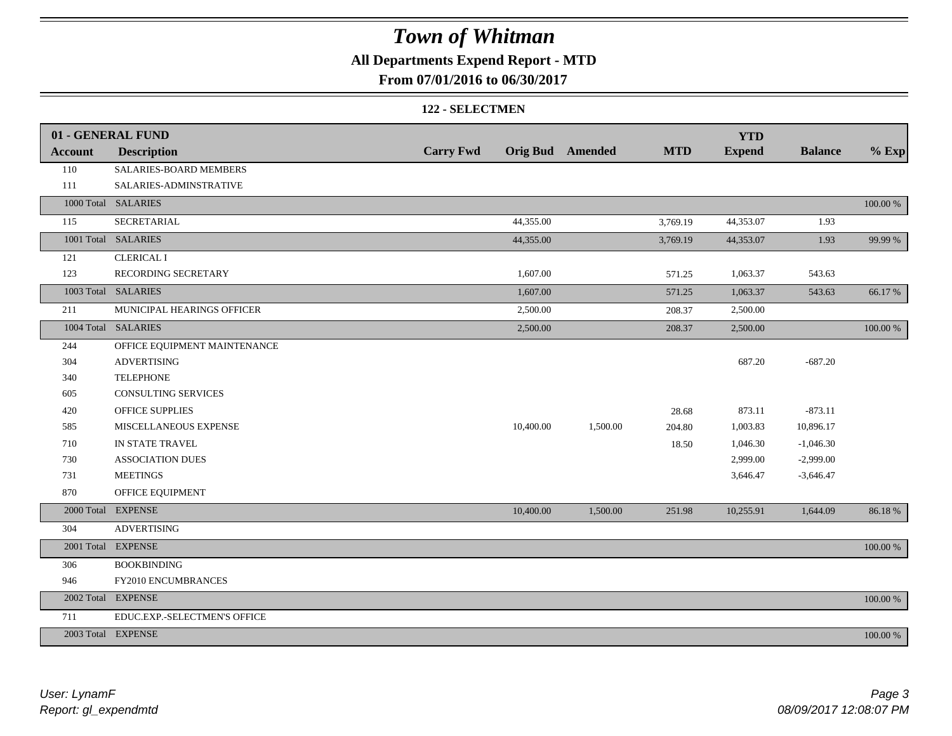### **All Departments Expend Report - MTD**

**From 07/01/2016 to 06/30/2017**

#### **122 - SELECTMEN**

|                | 01 - GENERAL FUND            |                  |           |                         |            | <b>YTD</b>    |                |          |
|----------------|------------------------------|------------------|-----------|-------------------------|------------|---------------|----------------|----------|
| <b>Account</b> | <b>Description</b>           | <b>Carry Fwd</b> |           | <b>Orig Bud</b> Amended | <b>MTD</b> | <b>Expend</b> | <b>Balance</b> | $%$ Exp  |
| 110            | SALARIES-BOARD MEMBERS       |                  |           |                         |            |               |                |          |
| 111            | SALARIES-ADMINSTRATIVE       |                  |           |                         |            |               |                |          |
|                | 1000 Total SALARIES          |                  |           |                         |            |               |                | 100.00 % |
| 115            | <b>SECRETARIAL</b>           |                  | 44,355.00 |                         | 3,769.19   | 44,353.07     | 1.93           |          |
|                | 1001 Total SALARIES          |                  | 44,355.00 |                         | 3,769.19   | 44,353.07     | 1.93           | 99.99 %  |
| 121            | <b>CLERICAL I</b>            |                  |           |                         |            |               |                |          |
| 123            | RECORDING SECRETARY          |                  | 1,607.00  |                         | 571.25     | 1,063.37      | 543.63         |          |
|                | 1003 Total SALARIES          |                  | 1,607.00  |                         | 571.25     | 1,063.37      | 543.63         | 66.17%   |
| 211            | MUNICIPAL HEARINGS OFFICER   |                  | 2,500.00  |                         | 208.37     | 2,500.00      |                |          |
|                | 1004 Total SALARIES          |                  | 2,500.00  |                         | 208.37     | 2,500.00      |                | 100.00 % |
| 244            | OFFICE EQUIPMENT MAINTENANCE |                  |           |                         |            |               |                |          |
| 304            | <b>ADVERTISING</b>           |                  |           |                         |            | 687.20        | $-687.20$      |          |
| 340            | <b>TELEPHONE</b>             |                  |           |                         |            |               |                |          |
| 605            | <b>CONSULTING SERVICES</b>   |                  |           |                         |            |               |                |          |
| 420            | OFFICE SUPPLIES              |                  |           |                         | 28.68      | 873.11        | $-873.11$      |          |
| 585            | MISCELLANEOUS EXPENSE        |                  | 10,400.00 | 1,500.00                | 204.80     | 1,003.83      | 10,896.17      |          |
| 710            | IN STATE TRAVEL              |                  |           |                         | 18.50      | 1,046.30      | $-1,046.30$    |          |
| 730            | <b>ASSOCIATION DUES</b>      |                  |           |                         |            | 2,999.00      | $-2,999.00$    |          |
| 731            | <b>MEETINGS</b>              |                  |           |                         |            | 3,646.47      | $-3,646.47$    |          |
| 870            | OFFICE EQUIPMENT             |                  |           |                         |            |               |                |          |
| 2000 Total     | <b>EXPENSE</b>               |                  | 10,400.00 | 1,500.00                | 251.98     | 10,255.91     | 1,644.09       | 86.18%   |
| 304            | <b>ADVERTISING</b>           |                  |           |                         |            |               |                |          |
|                | 2001 Total EXPENSE           |                  |           |                         |            |               |                | 100.00 % |
| 306            | <b>BOOKBINDING</b>           |                  |           |                         |            |               |                |          |
| 946            | FY2010 ENCUMBRANCES          |                  |           |                         |            |               |                |          |
| 2002 Total     | <b>EXPENSE</b>               |                  |           |                         |            |               |                | 100.00 % |
| 711            | EDUC.EXP.-SELECTMEN'S OFFICE |                  |           |                         |            |               |                |          |
|                | 2003 Total EXPENSE           |                  |           |                         |            |               |                | 100.00 % |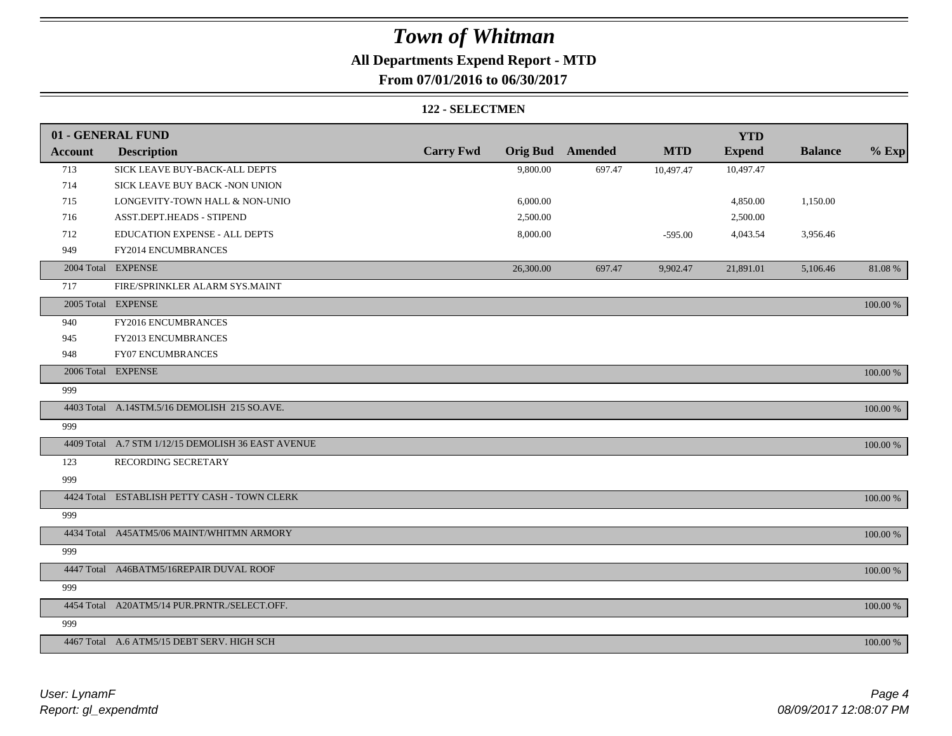### **All Departments Expend Report - MTD**

**From 07/01/2016 to 06/30/2017**

#### **122 - SELECTMEN**

|                | 01 - GENERAL FUND                                  |                  |           |                         |            | <b>YTD</b>    |                |          |
|----------------|----------------------------------------------------|------------------|-----------|-------------------------|------------|---------------|----------------|----------|
| <b>Account</b> | <b>Description</b>                                 | <b>Carry Fwd</b> |           | <b>Orig Bud</b> Amended | <b>MTD</b> | <b>Expend</b> | <b>Balance</b> | $%$ Exp  |
| 713            | SICK LEAVE BUY-BACK-ALL DEPTS                      |                  | 9,800.00  | 697.47                  | 10,497.47  | 10,497.47     |                |          |
| 714            | SICK LEAVE BUY BACK -NON UNION                     |                  |           |                         |            |               |                |          |
| 715            | LONGEVITY-TOWN HALL & NON-UNIO                     |                  | 6,000.00  |                         |            | 4,850.00      | 1,150.00       |          |
| 716            | ASST.DEPT.HEADS - STIPEND                          |                  | 2,500.00  |                         |            | 2,500.00      |                |          |
| 712            | EDUCATION EXPENSE - ALL DEPTS                      |                  | 8,000.00  |                         | $-595.00$  | 4,043.54      | 3,956.46       |          |
| 949            | FY2014 ENCUMBRANCES                                |                  |           |                         |            |               |                |          |
|                | 2004 Total EXPENSE                                 |                  | 26,300.00 | 697.47                  | 9,902.47   | 21,891.01     | 5,106.46       | 81.08%   |
| 717            | FIRE/SPRINKLER ALARM SYS.MAINT                     |                  |           |                         |            |               |                |          |
|                | 2005 Total EXPENSE                                 |                  |           |                         |            |               |                | 100.00 % |
| 940            | FY2016 ENCUMBRANCES                                |                  |           |                         |            |               |                |          |
| 945            | FY2013 ENCUMBRANCES                                |                  |           |                         |            |               |                |          |
| 948            | <b>FY07 ENCUMBRANCES</b>                           |                  |           |                         |            |               |                |          |
|                | 2006 Total EXPENSE                                 |                  |           |                         |            |               |                | 100.00 % |
| 999            |                                                    |                  |           |                         |            |               |                |          |
|                | 4403 Total A.14STM.5/16 DEMOLISH 215 SO.AVE.       |                  |           |                         |            |               |                | 100.00 % |
| 999            |                                                    |                  |           |                         |            |               |                |          |
|                | 4409 Total A.7 STM 1/12/15 DEMOLISH 36 EAST AVENUE |                  |           |                         |            |               |                | 100.00 % |
| 123            | RECORDING SECRETARY                                |                  |           |                         |            |               |                |          |
| 999            |                                                    |                  |           |                         |            |               |                |          |
|                | 4424 Total ESTABLISH PETTY CASH - TOWN CLERK       |                  |           |                         |            |               |                | 100.00 % |
| 999            |                                                    |                  |           |                         |            |               |                |          |
|                | 4434 Total A45ATM5/06 MAINT/WHITMN ARMORY          |                  |           |                         |            |               |                | 100.00 % |
| 999            |                                                    |                  |           |                         |            |               |                |          |
|                | 4447 Total A46BATM5/16REPAIR DUVAL ROOF            |                  |           |                         |            |               |                | 100.00 % |
| 999            |                                                    |                  |           |                         |            |               |                |          |
|                | 4454 Total A20ATM5/14 PUR.PRNTR./SELECT.OFF.       |                  |           |                         |            |               |                | 100.00 % |
| 999            |                                                    |                  |           |                         |            |               |                |          |
|                | 4467 Total A.6 ATM5/15 DEBT SERV. HIGH SCH         |                  |           |                         |            |               |                | 100.00 % |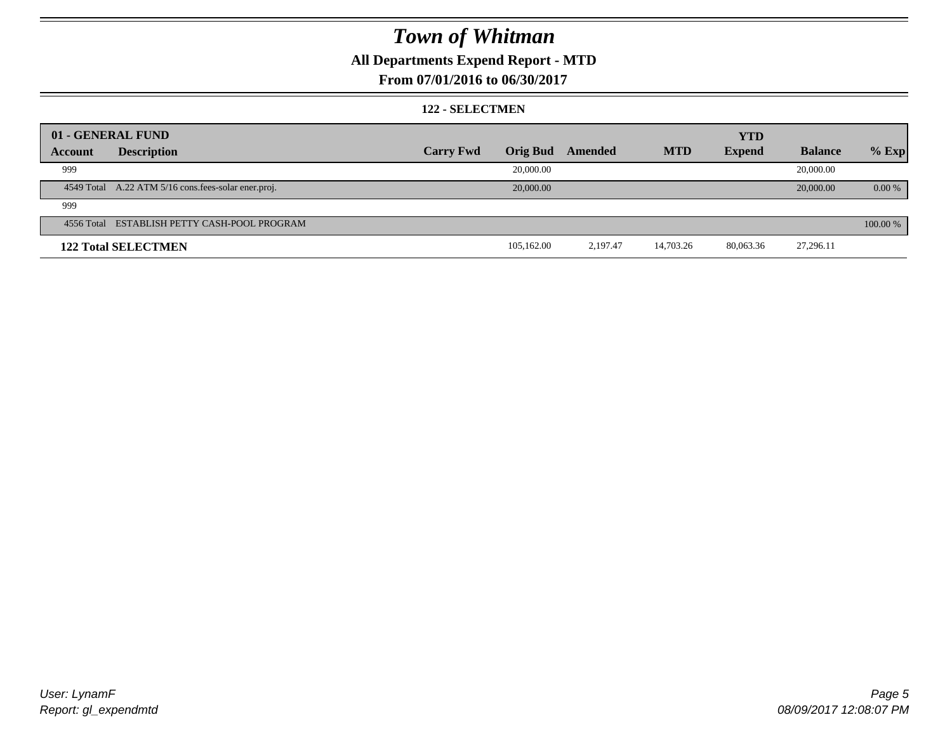### **All Departments Expend Report - MTD**

### **From 07/01/2016 to 06/30/2017**

#### **122 - SELECTMEN**

|         | 01 - GENERAL FUND                                     |                  |                 |          |            | <b>YTD</b>    |                |          |
|---------|-------------------------------------------------------|------------------|-----------------|----------|------------|---------------|----------------|----------|
| Account | <b>Description</b>                                    | <b>Carry Fwd</b> | <b>Orig Bud</b> | Amended  | <b>MTD</b> | <b>Expend</b> | <b>Balance</b> | $%$ Exp  |
| 999     |                                                       |                  | 20,000.00       |          |            |               | 20,000.00      |          |
|         | 4549 Total A.22 ATM 5/16 cons. fees-solar ener. proj. |                  | 20,000.00       |          |            |               | 20,000.00      | $0.00\%$ |
| 999     |                                                       |                  |                 |          |            |               |                |          |
|         | 4556 Total ESTABLISH PETTY CASH-POOL PROGRAM          |                  |                 |          |            |               |                | 100.00 % |
|         | <b>122 Total SELECTMEN</b>                            |                  | 105.162.00      | 2.197.47 | 14,703.26  | 80,063.36     | 27,296.11      |          |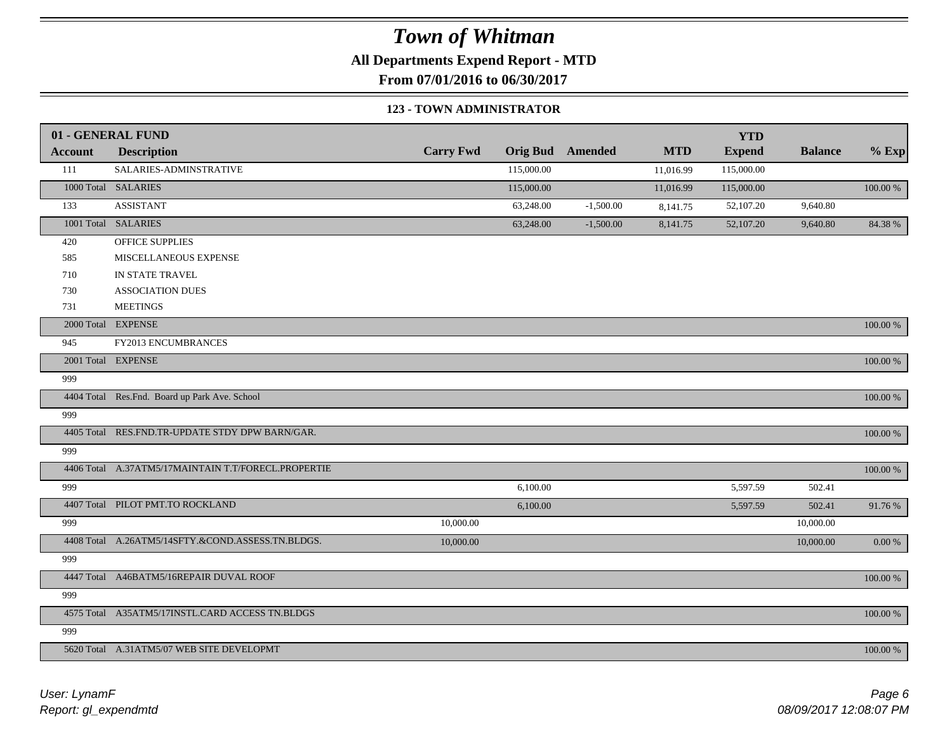**All Departments Expend Report - MTD**

**From 07/01/2016 to 06/30/2017**

#### **123 - TOWN ADMINISTRATOR**

|                | 01 - GENERAL FUND                                   |                  |            |                         |            | <b>YTD</b>    |                |            |
|----------------|-----------------------------------------------------|------------------|------------|-------------------------|------------|---------------|----------------|------------|
| <b>Account</b> | <b>Description</b>                                  | <b>Carry Fwd</b> |            | <b>Orig Bud</b> Amended | <b>MTD</b> | <b>Expend</b> | <b>Balance</b> | $%$ Exp    |
| 111            | SALARIES-ADMINSTRATIVE                              |                  | 115,000.00 |                         | 11,016.99  | 115,000.00    |                |            |
|                | 1000 Total SALARIES                                 |                  | 115,000.00 |                         | 11,016.99  | 115,000.00    |                | 100.00 %   |
| 133            | <b>ASSISTANT</b>                                    |                  | 63,248.00  | $-1,500.00$             | 8,141.75   | 52,107.20     | 9,640.80       |            |
|                | 1001 Total SALARIES                                 |                  | 63,248.00  | $-1,500.00$             | 8,141.75   | 52,107.20     | 9,640.80       | 84.38%     |
| 420            | OFFICE SUPPLIES                                     |                  |            |                         |            |               |                |            |
| 585            | MISCELLANEOUS EXPENSE                               |                  |            |                         |            |               |                |            |
| 710            | IN STATE TRAVEL                                     |                  |            |                         |            |               |                |            |
| 730            | <b>ASSOCIATION DUES</b>                             |                  |            |                         |            |               |                |            |
| 731            | <b>MEETINGS</b>                                     |                  |            |                         |            |               |                |            |
|                | 2000 Total EXPENSE                                  |                  |            |                         |            |               |                | 100.00 %   |
| 945            | FY2013 ENCUMBRANCES                                 |                  |            |                         |            |               |                |            |
|                | 2001 Total EXPENSE                                  |                  |            |                         |            |               |                | 100.00 %   |
| 999            |                                                     |                  |            |                         |            |               |                |            |
|                | 4404 Total Res.Fnd. Board up Park Ave. School       |                  |            |                         |            |               |                | 100.00 %   |
| 999            |                                                     |                  |            |                         |            |               |                |            |
|                | 4405 Total RES.FND.TR-UPDATE STDY DPW BARN/GAR.     |                  |            |                         |            |               |                | 100.00 %   |
| 999            |                                                     |                  |            |                         |            |               |                |            |
|                | 4406 Total A.37ATM5/17MAINTAIN T.T/FORECL.PROPERTIE |                  |            |                         |            |               |                | 100.00 %   |
| 999            |                                                     |                  | 6,100.00   |                         |            | 5,597.59      | 502.41         |            |
|                | 4407 Total PILOT PMT.TO ROCKLAND                    |                  | 6,100.00   |                         |            | 5,597.59      | 502.41         | 91.76%     |
| 999            |                                                     | 10,000.00        |            |                         |            |               | 10,000.00      |            |
|                | 4408 Total A.26ATM5/14SFTY.&COND.ASSESS.TN.BLDGS.   | 10,000.00        |            |                         |            |               | 10,000.00      | $0.00\ \%$ |
| 999            |                                                     |                  |            |                         |            |               |                |            |
|                | 4447 Total A46BATM5/16REPAIR DUVAL ROOF             |                  |            |                         |            |               |                | 100.00 %   |
| 999            |                                                     |                  |            |                         |            |               |                |            |
|                | 4575 Total A35ATM5/17INSTL.CARD ACCESS TN.BLDGS     |                  |            |                         |            |               |                | 100.00 %   |
| 999            |                                                     |                  |            |                         |            |               |                |            |
|                | 5620 Total A.31ATM5/07 WEB SITE DEVELOPMT           |                  |            |                         |            |               |                | 100.00 %   |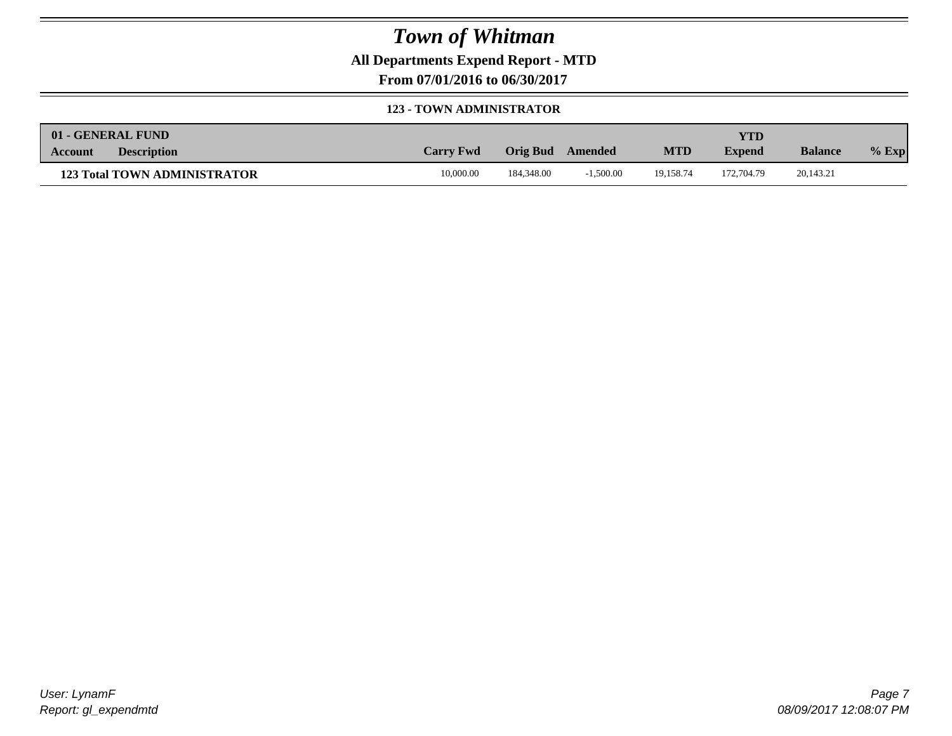**All Departments Expend Report - MTD**

**From 07/01/2016 to 06/30/2017**

#### **123 - TOWN ADMINISTRATOR**

|         | 01 - GENERAL FUND                   |                  |            |             |            | <b>YTD</b>    |                |         |
|---------|-------------------------------------|------------------|------------|-------------|------------|---------------|----------------|---------|
| Account | <b>Description</b>                  | <b>Carry Fwd</b> | Orig Bud   | Amended     | <b>MTD</b> | <b>Expend</b> | <b>Balance</b> | $%$ Exp |
|         | <b>123 Total TOWN ADMINISTRATOR</b> | 10,000.00        | 184,348.00 | $-1.500.00$ | 19.158.74  | 172,704.79    | 20,143.21      |         |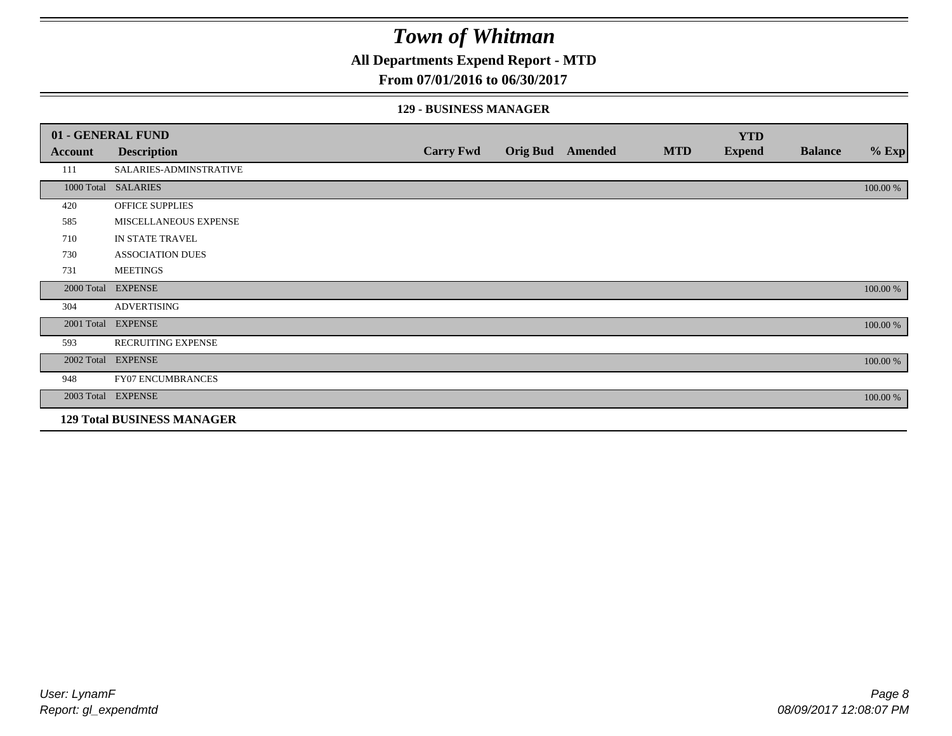### **All Departments Expend Report - MTD**

#### **From 07/01/2016 to 06/30/2017**

#### **129 - BUSINESS MANAGER**

|            | 01 - GENERAL FUND                 |                  |                  |            | <b>YTD</b>    |                |          |
|------------|-----------------------------------|------------------|------------------|------------|---------------|----------------|----------|
| Account    | <b>Description</b>                | <b>Carry Fwd</b> | Orig Bud Amended | <b>MTD</b> | <b>Expend</b> | <b>Balance</b> | $%$ Exp  |
| 111        | SALARIES-ADMINSTRATIVE            |                  |                  |            |               |                |          |
|            | 1000 Total SALARIES               |                  |                  |            |               |                | 100.00 % |
| 420        | OFFICE SUPPLIES                   |                  |                  |            |               |                |          |
| 585        | MISCELLANEOUS EXPENSE             |                  |                  |            |               |                |          |
| 710        | IN STATE TRAVEL                   |                  |                  |            |               |                |          |
| 730        | <b>ASSOCIATION DUES</b>           |                  |                  |            |               |                |          |
| 731        | <b>MEETINGS</b>                   |                  |                  |            |               |                |          |
| 2000 Total | <b>EXPENSE</b>                    |                  |                  |            |               |                | 100.00 % |
| 304        | <b>ADVERTISING</b>                |                  |                  |            |               |                |          |
| 2001 Total | <b>EXPENSE</b>                    |                  |                  |            |               |                | 100.00 % |
| 593        | RECRUITING EXPENSE                |                  |                  |            |               |                |          |
|            | 2002 Total EXPENSE                |                  |                  |            |               |                | 100.00 % |
| 948        | <b>FY07 ENCUMBRANCES</b>          |                  |                  |            |               |                |          |
|            | 2003 Total EXPENSE                |                  |                  |            |               |                | 100.00 % |
|            | <b>129 Total BUSINESS MANAGER</b> |                  |                  |            |               |                |          |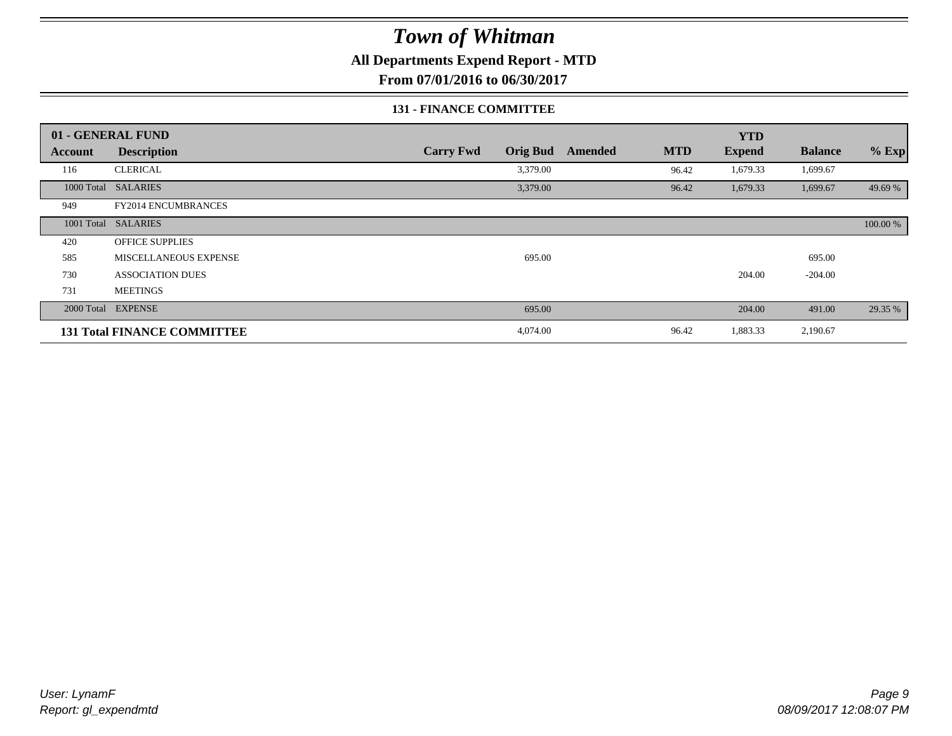### **All Departments Expend Report - MTD**

**From 07/01/2016 to 06/30/2017**

#### **131 - FINANCE COMMITTEE**

|            | 01 - GENERAL FUND                  |                  |                 |         |            | <b>YTD</b>    |                |          |
|------------|------------------------------------|------------------|-----------------|---------|------------|---------------|----------------|----------|
| Account    | <b>Description</b>                 | <b>Carry Fwd</b> | <b>Orig Bud</b> | Amended | <b>MTD</b> | <b>Expend</b> | <b>Balance</b> | $%$ Exp  |
| 116        | <b>CLERICAL</b>                    |                  | 3,379.00        |         | 96.42      | 1,679.33      | 1,699.67       |          |
| 1000 Total | <b>SALARIES</b>                    |                  | 3,379.00        |         | 96.42      | 1,679.33      | 1,699.67       | 49.69 %  |
| 949        | FY2014 ENCUMBRANCES                |                  |                 |         |            |               |                |          |
|            | 1001 Total SALARIES                |                  |                 |         |            |               |                | 100.00 % |
| 420        | <b>OFFICE SUPPLIES</b>             |                  |                 |         |            |               |                |          |
| 585        | MISCELLANEOUS EXPENSE              |                  | 695.00          |         |            |               | 695.00         |          |
| 730        | <b>ASSOCIATION DUES</b>            |                  |                 |         |            | 204.00        | $-204.00$      |          |
| 731        | <b>MEETINGS</b>                    |                  |                 |         |            |               |                |          |
| 2000 Total | <b>EXPENSE</b>                     |                  | 695.00          |         |            | 204.00        | 491.00         | 29.35 %  |
|            | <b>131 Total FINANCE COMMITTEE</b> |                  | 4,074.00        |         | 96.42      | 1,883.33      | 2,190.67       |          |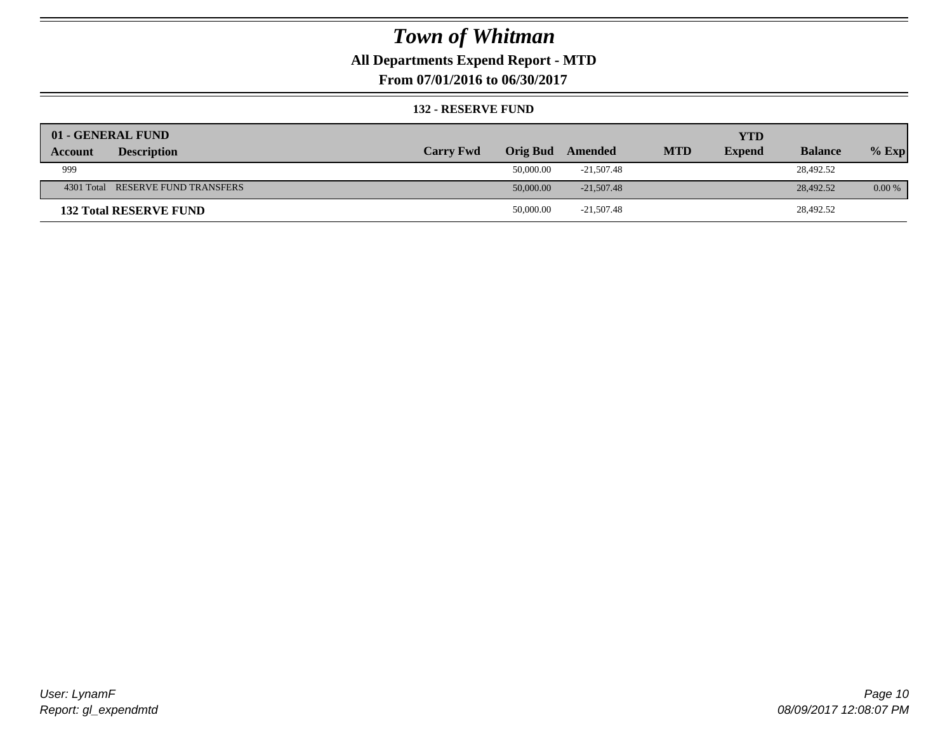### **All Departments Expend Report - MTD**

**From 07/01/2016 to 06/30/2017**

#### **132 - RESERVE FUND**

| 01 - GENERAL FUND                 |                  |                 |              |            | <b>YTD</b>    |                |          |
|-----------------------------------|------------------|-----------------|--------------|------------|---------------|----------------|----------|
| <b>Description</b><br>Account     | <b>Carry Fwd</b> | <b>Orig Bud</b> | Amended      | <b>MTD</b> | <b>Expend</b> | <b>Balance</b> | $%$ Exp  |
| 999                               |                  | 50,000.00       | -21.507.48   |            |               | 28,492.52      |          |
| 4301 Total RESERVE FUND TRANSFERS |                  | 50,000.00       | $-21.507.48$ |            |               | 28,492.52      | $0.00\%$ |
| <b>132 Total RESERVE FUND</b>     |                  | 50,000.00       | $-21,507.48$ |            |               | 28,492.52      |          |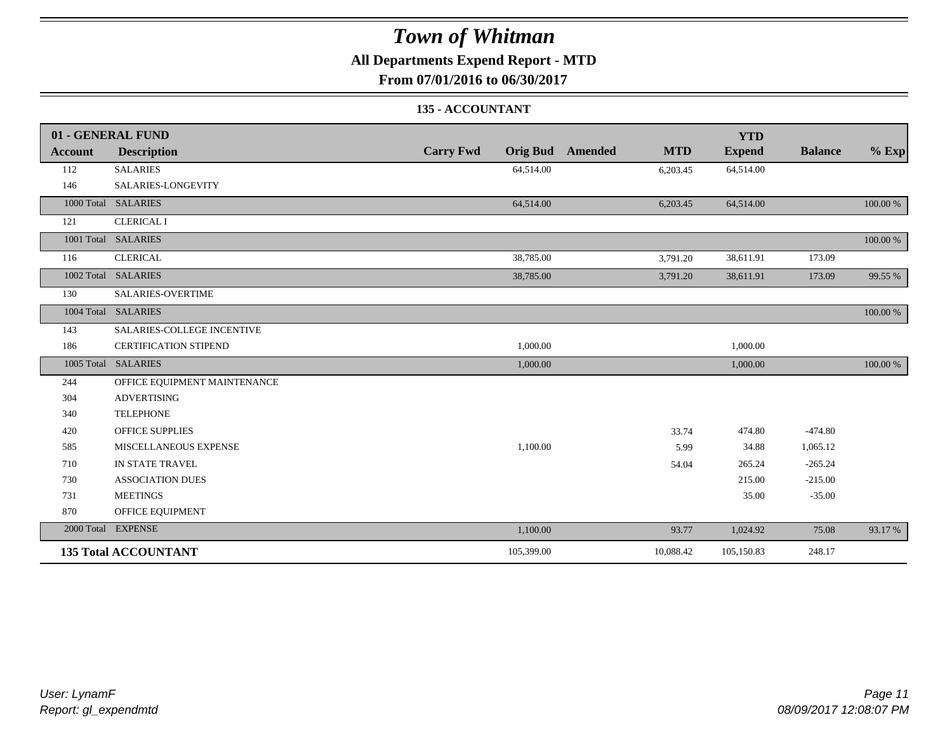### **All Departments Expend Report - MTD**

**From 07/01/2016 to 06/30/2017**

### **135 - ACCOUNTANT**

|         | 01 - GENERAL FUND            |                  |                                       | <b>YTD</b>    |                |          |
|---------|------------------------------|------------------|---------------------------------------|---------------|----------------|----------|
| Account | <b>Description</b>           | <b>Carry Fwd</b> | <b>MTD</b><br><b>Orig Bud</b> Amended | <b>Expend</b> | <b>Balance</b> | $%$ Exp  |
| 112     | <b>SALARIES</b>              | 64,514.00        | 6,203.45                              | 64,514.00     |                |          |
| 146     | SALARIES-LONGEVITY           |                  |                                       |               |                |          |
|         | 1000 Total SALARIES          | 64,514.00        | 6,203.45                              | 64,514.00     |                | 100.00 % |
| 121     | <b>CLERICAL I</b>            |                  |                                       |               |                |          |
|         | 1001 Total SALARIES          |                  |                                       |               |                | 100.00 % |
| 116     | <b>CLERICAL</b>              | 38,785.00        | 3,791.20                              | 38,611.91     | 173.09         |          |
|         | 1002 Total SALARIES          | 38,785.00        | 3,791.20                              | 38,611.91     | 173.09         | 99.55 %  |
| 130     | <b>SALARIES-OVERTIME</b>     |                  |                                       |               |                |          |
|         | 1004 Total SALARIES          |                  |                                       |               |                | 100.00 % |
| 143     | SALARIES-COLLEGE INCENTIVE   |                  |                                       |               |                |          |
| 186     | <b>CERTIFICATION STIPEND</b> | 1,000.00         |                                       | 1,000.00      |                |          |
|         | 1005 Total SALARIES          | 1,000.00         |                                       | 1,000.00      |                | 100.00 % |
| 244     | OFFICE EQUIPMENT MAINTENANCE |                  |                                       |               |                |          |
| 304     | <b>ADVERTISING</b>           |                  |                                       |               |                |          |
| 340     | <b>TELEPHONE</b>             |                  |                                       |               |                |          |
| 420     | <b>OFFICE SUPPLIES</b>       |                  | 33.74                                 | 474.80        | $-474.80$      |          |
| 585     | MISCELLANEOUS EXPENSE        | 1,100.00         | 5.99                                  | 34.88         | 1,065.12       |          |
| 710     | IN STATE TRAVEL              |                  | 54.04                                 | 265.24        | $-265.24$      |          |
| 730     | <b>ASSOCIATION DUES</b>      |                  |                                       | 215.00        | $-215.00$      |          |
| 731     | <b>MEETINGS</b>              |                  |                                       | 35.00         | $-35.00$       |          |
| 870     | OFFICE EQUIPMENT             |                  |                                       |               |                |          |
|         | 2000 Total EXPENSE           | 1,100.00         | 93.77                                 | 1,024.92      | 75.08          | 93.17 %  |
|         | <b>135 Total ACCOUNTANT</b>  | 105,399.00       | 10,088.42                             | 105,150.83    | 248.17         |          |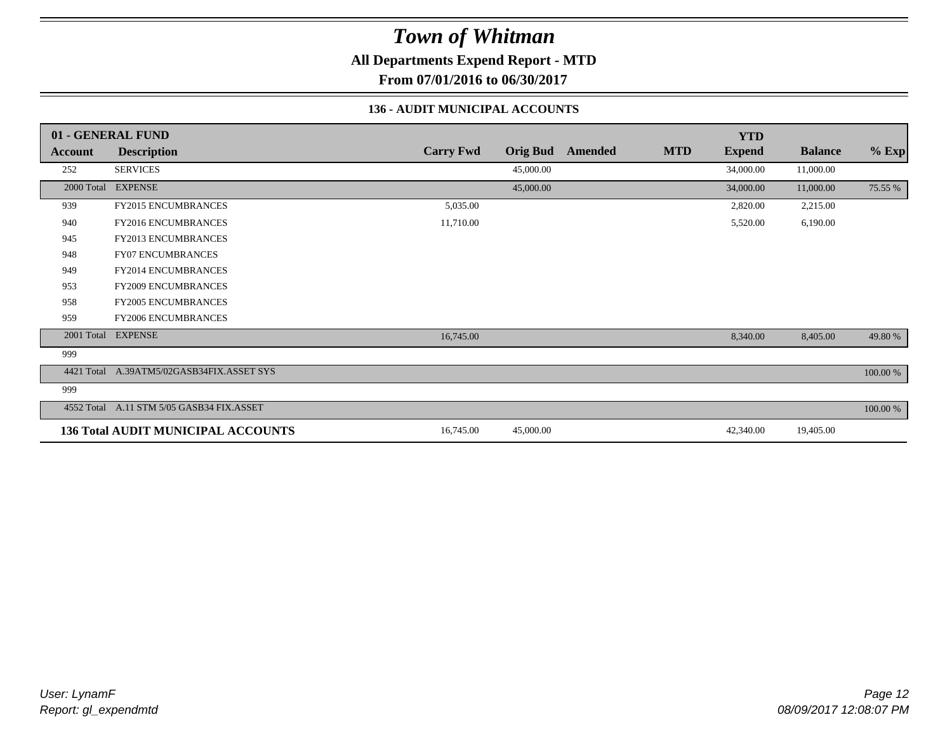**All Departments Expend Report - MTD**

**From 07/01/2016 to 06/30/2017**

#### **136 - AUDIT MUNICIPAL ACCOUNTS**

|                | 01 - GENERAL FUND                         |                  |                 |                |            | <b>YTD</b>    |                |          |
|----------------|-------------------------------------------|------------------|-----------------|----------------|------------|---------------|----------------|----------|
| <b>Account</b> | <b>Description</b>                        | <b>Carry Fwd</b> | <b>Orig Bud</b> | <b>Amended</b> | <b>MTD</b> | <b>Expend</b> | <b>Balance</b> | $%$ Exp  |
| 252            | <b>SERVICES</b>                           |                  | 45,000.00       |                |            | 34,000.00     | 11,000.00      |          |
| 2000 Total     | <b>EXPENSE</b>                            |                  | 45,000.00       |                |            | 34,000.00     | 11,000.00      | 75.55 %  |
| 939            | FY2015 ENCUMBRANCES                       | 5,035.00         |                 |                |            | 2,820.00      | 2,215.00       |          |
| 940            | FY2016 ENCUMBRANCES                       | 11,710.00        |                 |                |            | 5,520.00      | 6,190.00       |          |
| 945            | FY2013 ENCUMBRANCES                       |                  |                 |                |            |               |                |          |
| 948            | <b>FY07 ENCUMBRANCES</b>                  |                  |                 |                |            |               |                |          |
| 949            | FY2014 ENCUMBRANCES                       |                  |                 |                |            |               |                |          |
| 953            | <b>FY2009 ENCUMBRANCES</b>                |                  |                 |                |            |               |                |          |
| 958            | <b>FY2005 ENCUMBRANCES</b>                |                  |                 |                |            |               |                |          |
| 959            | <b>FY2006 ENCUMBRANCES</b>                |                  |                 |                |            |               |                |          |
| 2001 Total     | <b>EXPENSE</b>                            | 16,745.00        |                 |                |            | 8,340.00      | 8,405.00       | 49.80 %  |
| 999            |                                           |                  |                 |                |            |               |                |          |
| 4421 Total     | A.39ATM5/02GASB34FIX.ASSET SYS            |                  |                 |                |            |               |                | 100.00 % |
| 999            |                                           |                  |                 |                |            |               |                |          |
|                | 4552 Total A.11 STM 5/05 GASB34 FIX.ASSET |                  |                 |                |            |               |                | 100.00 % |
|                | <b>136 Total AUDIT MUNICIPAL ACCOUNTS</b> | 16,745.00        | 45,000.00       |                |            | 42,340.00     | 19,405.00      |          |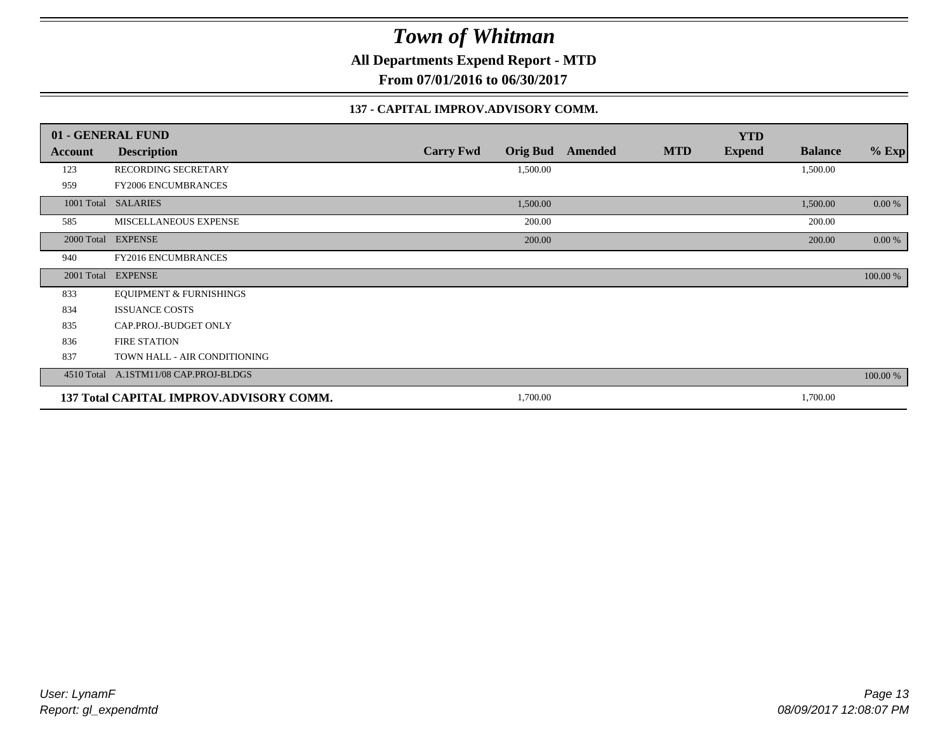**All Departments Expend Report - MTD**

**From 07/01/2016 to 06/30/2017**

#### **137 - CAPITAL IMPROV.ADVISORY COMM.**

|         | 01 - GENERAL FUND                       |                                     |         |            | <b>YTD</b>    |                |          |
|---------|-----------------------------------------|-------------------------------------|---------|------------|---------------|----------------|----------|
| Account | <b>Description</b>                      | <b>Carry Fwd</b><br><b>Orig Bud</b> | Amended | <b>MTD</b> | <b>Expend</b> | <b>Balance</b> | $%$ Exp  |
| 123     | RECORDING SECRETARY                     | 1,500.00                            |         |            |               | 1,500.00       |          |
| 959     | <b>FY2006 ENCUMBRANCES</b>              |                                     |         |            |               |                |          |
|         | 1001 Total SALARIES                     | 1,500.00                            |         |            |               | 1,500.00       | $0.00\%$ |
| 585     | MISCELLANEOUS EXPENSE                   | 200.00                              |         |            |               | 200.00         |          |
|         | 2000 Total EXPENSE                      | 200.00                              |         |            |               | 200.00         | $0.00\%$ |
| 940     | FY2016 ENCUMBRANCES                     |                                     |         |            |               |                |          |
|         | 2001 Total EXPENSE                      |                                     |         |            |               |                | 100.00 % |
| 833     | <b>EQUIPMENT &amp; FURNISHINGS</b>      |                                     |         |            |               |                |          |
| 834     | <b>ISSUANCE COSTS</b>                   |                                     |         |            |               |                |          |
| 835     | CAP.PROJ.-BUDGET ONLY                   |                                     |         |            |               |                |          |
| 836     | <b>FIRE STATION</b>                     |                                     |         |            |               |                |          |
| 837     | TOWN HALL - AIR CONDITIONING            |                                     |         |            |               |                |          |
|         | 4510 Total A.1STM11/08 CAP.PROJ-BLDGS   |                                     |         |            |               |                | 100.00 % |
|         | 137 Total CAPITAL IMPROV.ADVISORY COMM. | 1,700.00                            |         |            |               | 1,700.00       |          |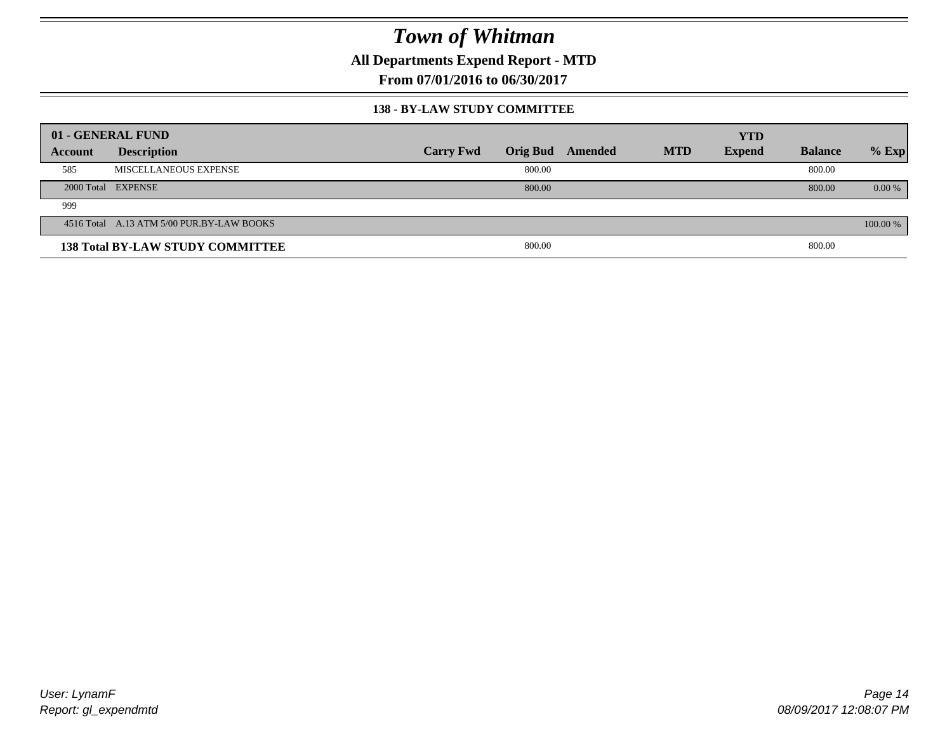**All Departments Expend Report - MTD**

**From 07/01/2016 to 06/30/2017**

#### **138 - BY-LAW STUDY COMMITTEE**

|         | 01 - GENERAL FUND                         |                  |                 |         |            | <b>YTD</b>    |                |          |
|---------|-------------------------------------------|------------------|-----------------|---------|------------|---------------|----------------|----------|
| Account | <b>Description</b>                        | <b>Carry Fwd</b> | <b>Orig Bud</b> | Amended | <b>MTD</b> | <b>Expend</b> | <b>Balance</b> | $%$ Exp  |
| 585     | MISCELLANEOUS EXPENSE                     |                  | 800.00          |         |            |               | 800.00         |          |
|         | 2000 Total EXPENSE                        |                  | 800.00          |         |            |               | 800.00         | $0.00\%$ |
| 999     |                                           |                  |                 |         |            |               |                |          |
|         | 4516 Total A.13 ATM 5/00 PUR.BY-LAW BOOKS |                  |                 |         |            |               |                | 100.00 % |
|         | <b>138 Total BY-LAW STUDY COMMITTEE</b>   |                  | 800.00          |         |            |               | 800.00         |          |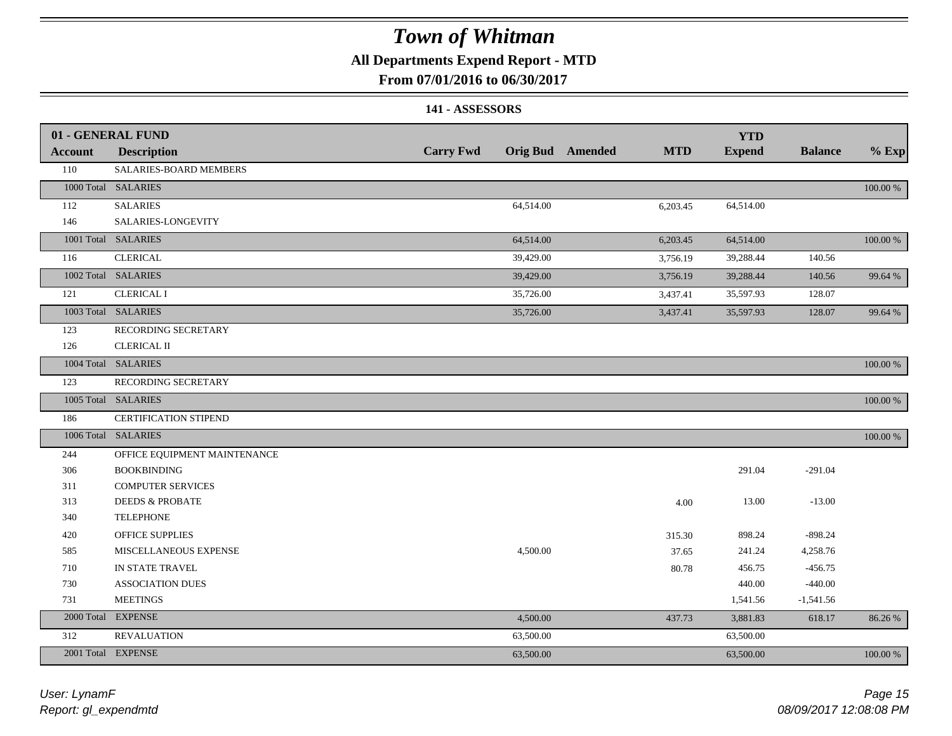### **All Departments Expend Report - MTD**

### **From 07/01/2016 to 06/30/2017**

#### **141 - ASSESSORS**

|                | 01 - GENERAL FUND            |                  |           |                  |            | <b>YTD</b>    |                |          |
|----------------|------------------------------|------------------|-----------|------------------|------------|---------------|----------------|----------|
| <b>Account</b> | <b>Description</b>           | <b>Carry Fwd</b> |           | Orig Bud Amended | <b>MTD</b> | <b>Expend</b> | <b>Balance</b> | $%$ Exp  |
| 110            | SALARIES-BOARD MEMBERS       |                  |           |                  |            |               |                |          |
|                | 1000 Total SALARIES          |                  |           |                  |            |               |                | 100.00 % |
| 112            | <b>SALARIES</b>              |                  | 64,514.00 |                  | 6,203.45   | 64,514.00     |                |          |
| 146            | SALARIES-LONGEVITY           |                  |           |                  |            |               |                |          |
|                | 1001 Total SALARIES          |                  | 64,514.00 |                  | 6,203.45   | 64,514.00     |                | 100.00 % |
| 116            | <b>CLERICAL</b>              |                  | 39,429.00 |                  | 3,756.19   | 39,288.44     | 140.56         |          |
|                | 1002 Total SALARIES          |                  | 39,429.00 |                  | 3,756.19   | 39,288.44     | 140.56         | 99.64 %  |
| 121            | <b>CLERICAL I</b>            |                  | 35,726.00 |                  | 3,437.41   | 35,597.93     | 128.07         |          |
|                | 1003 Total SALARIES          |                  | 35,726.00 |                  | 3,437.41   | 35,597.93     | 128.07         | 99.64 %  |
| 123            | RECORDING SECRETARY          |                  |           |                  |            |               |                |          |
| 126            | <b>CLERICAL II</b>           |                  |           |                  |            |               |                |          |
|                | 1004 Total SALARIES          |                  |           |                  |            |               |                | 100.00 % |
| 123            | RECORDING SECRETARY          |                  |           |                  |            |               |                |          |
|                | 1005 Total SALARIES          |                  |           |                  |            |               |                | 100.00 % |
| 186            | CERTIFICATION STIPEND        |                  |           |                  |            |               |                |          |
|                | 1006 Total SALARIES          |                  |           |                  |            |               |                | 100.00 % |
| 244            | OFFICE EQUIPMENT MAINTENANCE |                  |           |                  |            |               |                |          |
| 306            | <b>BOOKBINDING</b>           |                  |           |                  |            | 291.04        | $-291.04$      |          |
| 311            | <b>COMPUTER SERVICES</b>     |                  |           |                  |            |               |                |          |
| 313            | <b>DEEDS &amp; PROBATE</b>   |                  |           |                  | 4.00       | 13.00         | $-13.00$       |          |
| 340            | <b>TELEPHONE</b>             |                  |           |                  |            |               |                |          |
| 420            | <b>OFFICE SUPPLIES</b>       |                  |           |                  | 315.30     | 898.24        | $-898.24$      |          |
| 585            | MISCELLANEOUS EXPENSE        |                  | 4,500.00  |                  | 37.65      | 241.24        | 4,258.76       |          |
| 710            | IN STATE TRAVEL              |                  |           |                  | 80.78      | 456.75        | $-456.75$      |          |
| 730            | <b>ASSOCIATION DUES</b>      |                  |           |                  |            | 440.00        | $-440.00$      |          |
| 731            | <b>MEETINGS</b>              |                  |           |                  |            | 1,541.56      | $-1,541.56$    |          |
| 2000 Total     | <b>EXPENSE</b>               |                  | 4,500.00  |                  | 437.73     | 3,881.83      | 618.17         | 86.26 %  |
| 312            | <b>REVALUATION</b>           |                  | 63,500.00 |                  |            | 63,500.00     |                |          |
|                | 2001 Total EXPENSE           |                  | 63,500.00 |                  |            | 63,500.00     |                | 100.00 % |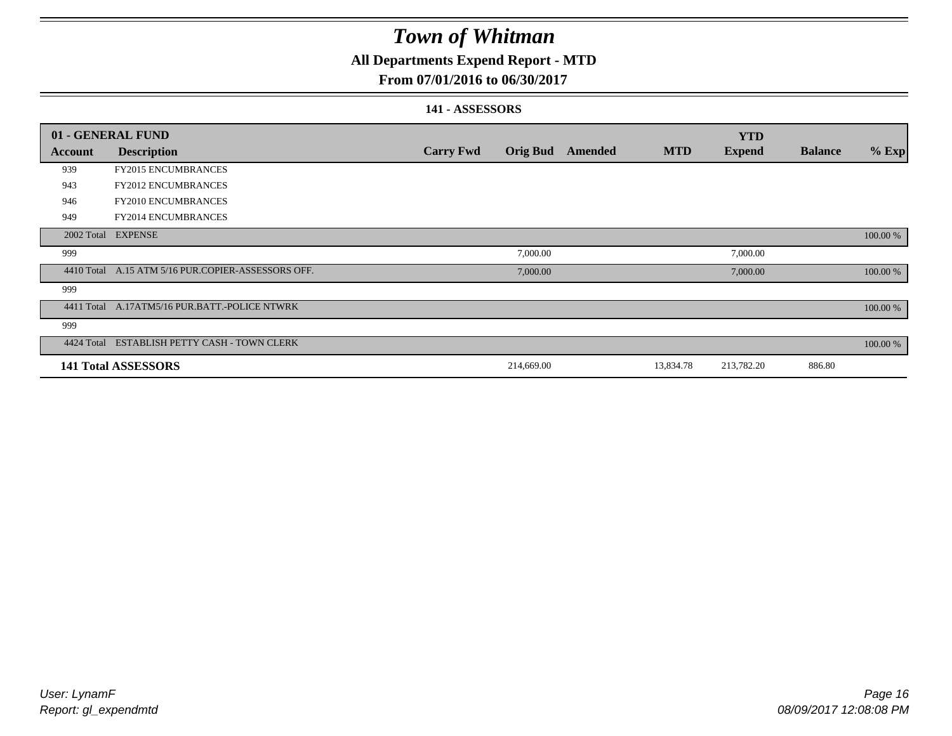### **All Departments Expend Report - MTD**

### **From 07/01/2016 to 06/30/2017**

#### **141 - ASSESSORS**

|            | 01 - GENERAL FUND                                  |                  |                 |         |            | <b>YTD</b>    |                |          |
|------------|----------------------------------------------------|------------------|-----------------|---------|------------|---------------|----------------|----------|
| Account    | <b>Description</b>                                 | <b>Carry Fwd</b> | <b>Orig Bud</b> | Amended | <b>MTD</b> | <b>Expend</b> | <b>Balance</b> | $%$ Exp  |
| 939        | <b>FY2015 ENCUMBRANCES</b>                         |                  |                 |         |            |               |                |          |
| 943        | <b>FY2012 ENCUMBRANCES</b>                         |                  |                 |         |            |               |                |          |
| 946        | <b>FY2010 ENCUMBRANCES</b>                         |                  |                 |         |            |               |                |          |
| 949        | <b>FY2014 ENCUMBRANCES</b>                         |                  |                 |         |            |               |                |          |
| 2002 Total | <b>EXPENSE</b>                                     |                  |                 |         |            |               |                | 100.00 % |
| 999        |                                                    |                  | 7,000.00        |         |            | 7,000.00      |                |          |
|            | 4410 Total A.15 ATM 5/16 PUR.COPIER-ASSESSORS OFF. |                  | 7,000.00        |         |            | 7,000.00      |                | 100.00 % |
| 999        |                                                    |                  |                 |         |            |               |                |          |
|            | 4411 Total A.17ATM5/16 PUR.BATT.-POLICE NTWRK      |                  |                 |         |            |               |                | 100.00 % |
| 999        |                                                    |                  |                 |         |            |               |                |          |
| 4424 Total | ESTABLISH PETTY CASH - TOWN CLERK                  |                  |                 |         |            |               |                | 100.00 % |
|            | <b>141 Total ASSESSORS</b>                         |                  | 214,669.00      |         | 13,834.78  | 213,782.20    | 886.80         |          |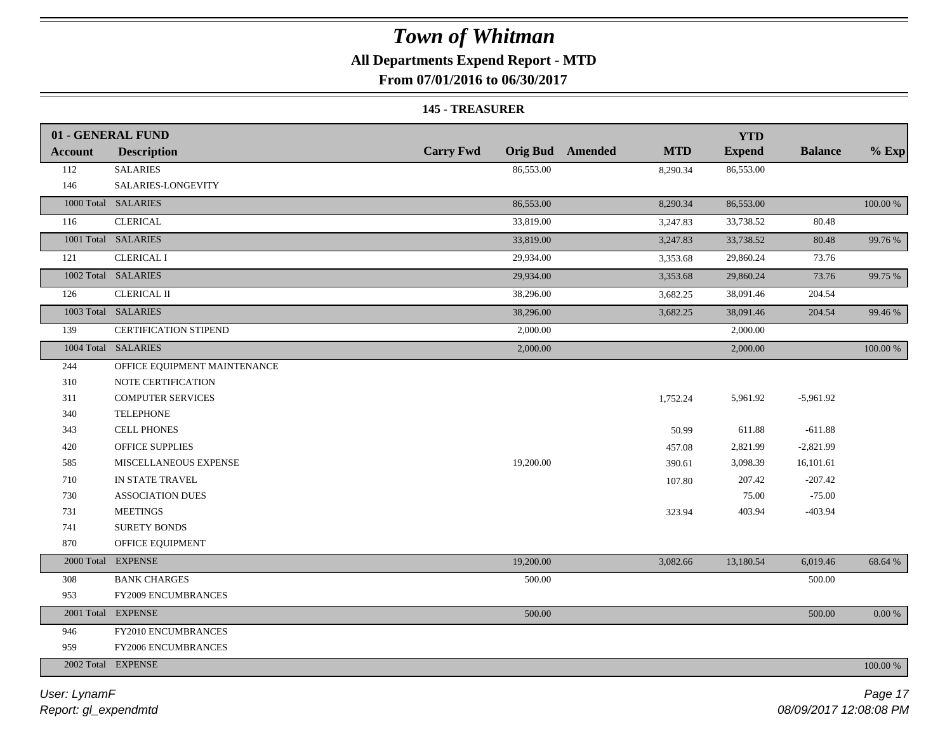### **All Departments Expend Report - MTD**

**From 07/01/2016 to 06/30/2017**

#### **145 - TREASURER**

|                | 01 - GENERAL FUND            |                  |                                       | <b>YTD</b>    |                |             |
|----------------|------------------------------|------------------|---------------------------------------|---------------|----------------|-------------|
| <b>Account</b> | <b>Description</b>           | <b>Carry Fwd</b> | <b>Orig Bud</b> Amended<br><b>MTD</b> | <b>Expend</b> | <b>Balance</b> | $%$ Exp     |
| 112            | <b>SALARIES</b>              | 86,553.00        | 8,290.34                              | 86,553.00     |                |             |
| 146            | SALARIES-LONGEVITY           |                  |                                       |               |                |             |
|                | 1000 Total SALARIES          | 86,553.00        | 8,290.34                              | 86,553.00     |                | 100.00 %    |
| 116            | <b>CLERICAL</b>              | 33,819.00        | 3,247.83                              | 33,738.52     | 80.48          |             |
|                | 1001 Total SALARIES          | 33,819.00        | 3,247.83                              | 33,738.52     | 80.48          | 99.76 %     |
| 121            | <b>CLERICAL I</b>            | 29,934.00        | 3,353.68                              | 29,860.24     | 73.76          |             |
|                | 1002 Total SALARIES          | 29,934.00        | 3,353.68                              | 29,860.24     | 73.76          | 99.75 %     |
| 126            | <b>CLERICAL II</b>           | 38,296.00        | 3,682.25                              | 38,091.46     | 204.54         |             |
|                | 1003 Total SALARIES          | 38,296.00        | 3,682.25                              | 38,091.46     | 204.54         | 99.46 %     |
| 139            | CERTIFICATION STIPEND        | 2,000.00         |                                       | 2,000.00      |                |             |
|                | 1004 Total SALARIES          | 2,000.00         |                                       | 2,000.00      |                | $100.00~\%$ |
| 244            | OFFICE EQUIPMENT MAINTENANCE |                  |                                       |               |                |             |
| 310            | NOTE CERTIFICATION           |                  |                                       |               |                |             |
| 311            | <b>COMPUTER SERVICES</b>     |                  | 1,752.24                              | 5,961.92      | $-5,961.92$    |             |
| 340            | <b>TELEPHONE</b>             |                  |                                       |               |                |             |
| 343            | <b>CELL PHONES</b>           |                  | 50.99                                 | 611.88        | $-611.88$      |             |
| 420            | OFFICE SUPPLIES              |                  | 457.08                                | 2,821.99      | $-2,821.99$    |             |
| 585            | MISCELLANEOUS EXPENSE        | 19,200.00        | 390.61                                | 3,098.39      | 16,101.61      |             |
| 710            | IN STATE TRAVEL              |                  | 107.80                                | 207.42        | $-207.42$      |             |
| 730            | <b>ASSOCIATION DUES</b>      |                  |                                       | 75.00         | $-75.00$       |             |
| 731            | <b>MEETINGS</b>              |                  | 323.94                                | 403.94        | $-403.94$      |             |
| 741            | <b>SURETY BONDS</b>          |                  |                                       |               |                |             |
| 870            | OFFICE EQUIPMENT             |                  |                                       |               |                |             |
|                | 2000 Total EXPENSE           | 19,200.00        | 3,082.66                              | 13,180.54     | 6,019.46       | 68.64 %     |
| 308            | <b>BANK CHARGES</b>          | 500.00           |                                       |               | 500.00         |             |
| 953            | FY2009 ENCUMBRANCES          |                  |                                       |               |                |             |
|                | 2001 Total EXPENSE           | 500.00           |                                       |               | 500.00         | $0.00\ \%$  |
| 946            | FY2010 ENCUMBRANCES          |                  |                                       |               |                |             |
| 959            | FY2006 ENCUMBRANCES          |                  |                                       |               |                |             |
|                | 2002 Total EXPENSE           |                  |                                       |               |                | 100.00 %    |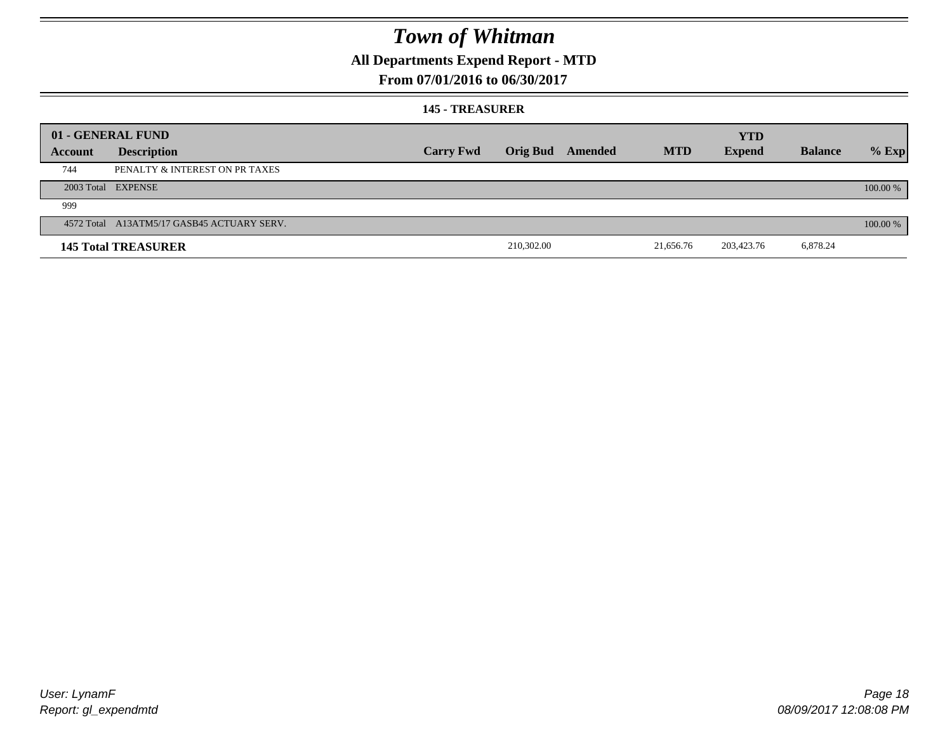### **All Departments Expend Report - MTD**

### **From 07/01/2016 to 06/30/2017**

#### **145 - TREASURER**

|         | 01 - GENERAL FUND                          |                  |            |                  |            | <b>YTD</b>    |                |          |
|---------|--------------------------------------------|------------------|------------|------------------|------------|---------------|----------------|----------|
| Account | <b>Description</b>                         | <b>Carry Fwd</b> |            | Orig Bud Amended | <b>MTD</b> | <b>Expend</b> | <b>Balance</b> | $%$ Exp  |
| 744     | PENALTY & INTEREST ON PR TAXES             |                  |            |                  |            |               |                |          |
|         | 2003 Total EXPENSE                         |                  |            |                  |            |               |                | 100.00 % |
| 999     |                                            |                  |            |                  |            |               |                |          |
|         | 4572 Total A13ATM5/17 GASB45 ACTUARY SERV. |                  |            |                  |            |               |                | 100.00 % |
|         | <b>145 Total TREASURER</b>                 |                  | 210,302.00 |                  | 21,656.76  | 203,423.76    | 6,878.24       |          |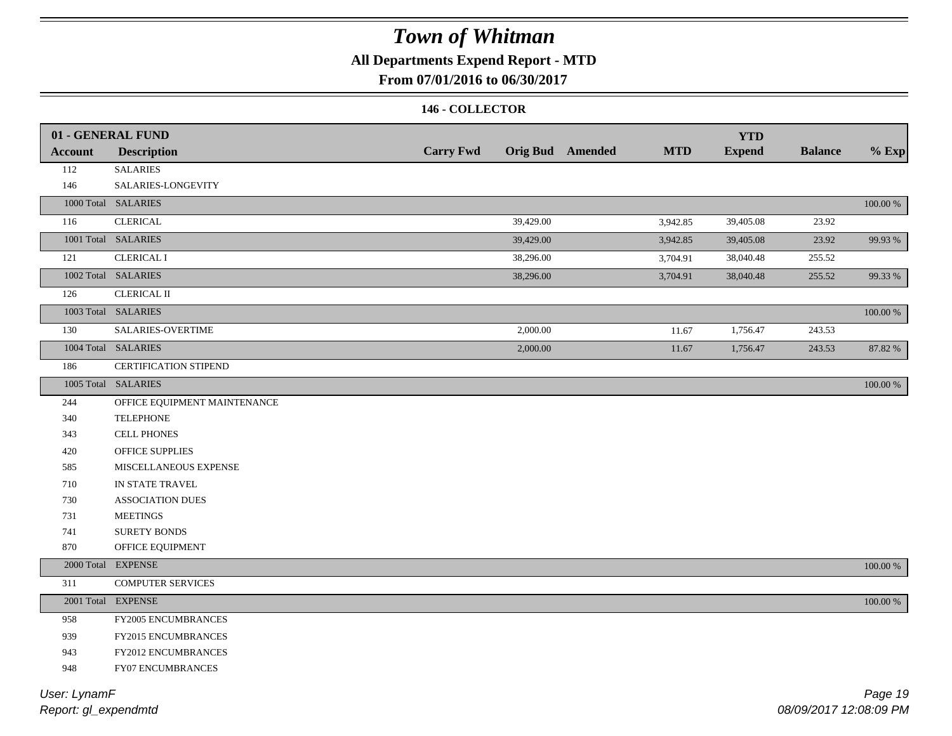### **All Departments Expend Report - MTD**

### **From 07/01/2016 to 06/30/2017**

#### **146 - COLLECTOR**

|                | 01 - GENERAL FUND<br><b>Description</b> | <b>Carry Fwd</b> |           | <b>Orig Bud</b> Amended | <b>MTD</b> | <b>YTD</b><br><b>Expend</b> | <b>Balance</b> | $%$ Exp     |
|----------------|-----------------------------------------|------------------|-----------|-------------------------|------------|-----------------------------|----------------|-------------|
| <b>Account</b> | <b>SALARIES</b>                         |                  |           |                         |            |                             |                |             |
| 112<br>146     | SALARIES-LONGEVITY                      |                  |           |                         |            |                             |                |             |
|                | 1000 Total SALARIES                     |                  |           |                         |            |                             |                | $100.00~\%$ |
| 116            | <b>CLERICAL</b>                         |                  | 39,429.00 |                         |            |                             | 23.92          |             |
|                | 1001 Total SALARIES                     |                  |           |                         | 3,942.85   | 39,405.08                   |                |             |
|                |                                         |                  | 39,429.00 |                         | 3,942.85   | 39,405.08                   | 23.92          | 99.93%      |
| 121            | <b>CLERICAL I</b>                       |                  | 38,296.00 |                         | 3,704.91   | 38,040.48                   | 255.52         |             |
|                | 1002 Total SALARIES                     |                  | 38,296.00 |                         | 3,704.91   | 38,040.48                   | 255.52         | 99.33 %     |
| 126            | <b>CLERICAL II</b>                      |                  |           |                         |            |                             |                |             |
|                | 1003 Total SALARIES                     |                  |           |                         |            |                             |                | 100.00 %    |
| 130            | SALARIES-OVERTIME                       |                  | 2,000.00  |                         | 11.67      | 1,756.47                    | 243.53         |             |
|                | 1004 Total SALARIES                     |                  | 2,000.00  |                         | 11.67      | 1,756.47                    | 243.53         | 87.82 %     |
| 186            | <b>CERTIFICATION STIPEND</b>            |                  |           |                         |            |                             |                |             |
|                | 1005 Total SALARIES                     |                  |           |                         |            |                             |                | 100.00 %    |
| 244            | OFFICE EQUIPMENT MAINTENANCE            |                  |           |                         |            |                             |                |             |
| 340            | <b>TELEPHONE</b>                        |                  |           |                         |            |                             |                |             |
| 343            | <b>CELL PHONES</b>                      |                  |           |                         |            |                             |                |             |
| 420            | OFFICE SUPPLIES                         |                  |           |                         |            |                             |                |             |
| 585            | MISCELLANEOUS EXPENSE                   |                  |           |                         |            |                             |                |             |
| 710            | IN STATE TRAVEL                         |                  |           |                         |            |                             |                |             |
| 730            | <b>ASSOCIATION DUES</b>                 |                  |           |                         |            |                             |                |             |
| 731            | <b>MEETINGS</b>                         |                  |           |                         |            |                             |                |             |
| 741            | <b>SURETY BONDS</b>                     |                  |           |                         |            |                             |                |             |
| 870            | OFFICE EQUIPMENT                        |                  |           |                         |            |                             |                |             |
|                | 2000 Total EXPENSE                      |                  |           |                         |            |                             |                | 100.00 %    |
| 311            | <b>COMPUTER SERVICES</b>                |                  |           |                         |            |                             |                |             |
|                | 2001 Total EXPENSE                      |                  |           |                         |            |                             |                | $100.00~\%$ |
| 958            | FY2005 ENCUMBRANCES                     |                  |           |                         |            |                             |                |             |
| 939            | FY2015 ENCUMBRANCES                     |                  |           |                         |            |                             |                |             |
| 943            | <b>FY2012 ENCUMBRANCES</b>              |                  |           |                         |            |                             |                |             |
| 948            | FY07 ENCUMBRANCES                       |                  |           |                         |            |                             |                |             |
|                |                                         |                  |           |                         |            |                             |                |             |

*Report: gl\_expendmtd User: LynamF*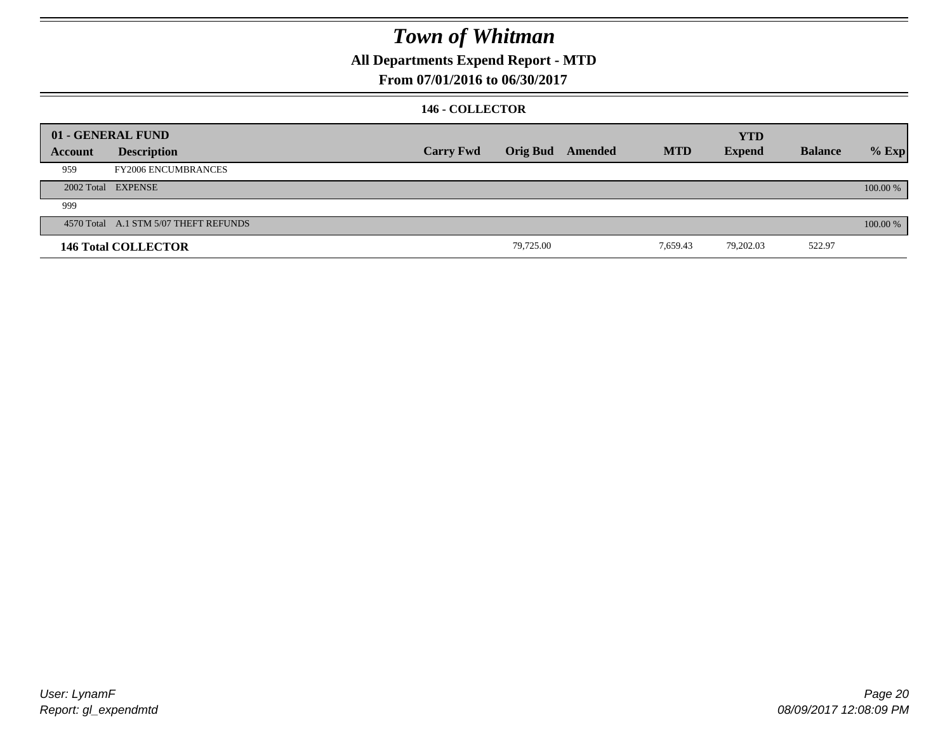### **All Departments Expend Report - MTD**

**From 07/01/2016 to 06/30/2017**

#### **146 - COLLECTOR**

|         | 01 - GENERAL FUND                     |                  |                 |         |            | <b>YTD</b>    |                |          |
|---------|---------------------------------------|------------------|-----------------|---------|------------|---------------|----------------|----------|
| Account | <b>Description</b>                    | <b>Carry Fwd</b> | <b>Orig Bud</b> | Amended | <b>MTD</b> | <b>Expend</b> | <b>Balance</b> | $%$ Exp  |
| 959     | <b>FY2006 ENCUMBRANCES</b>            |                  |                 |         |            |               |                |          |
|         | 2002 Total EXPENSE                    |                  |                 |         |            |               |                | 100.00 % |
| 999     |                                       |                  |                 |         |            |               |                |          |
|         | 4570 Total A.1 STM 5/07 THEFT REFUNDS |                  |                 |         |            |               |                | 100.00 % |
|         | <b>146 Total COLLECTOR</b>            |                  | 79,725.00       |         | 7,659.43   | 79,202.03     | 522.97         |          |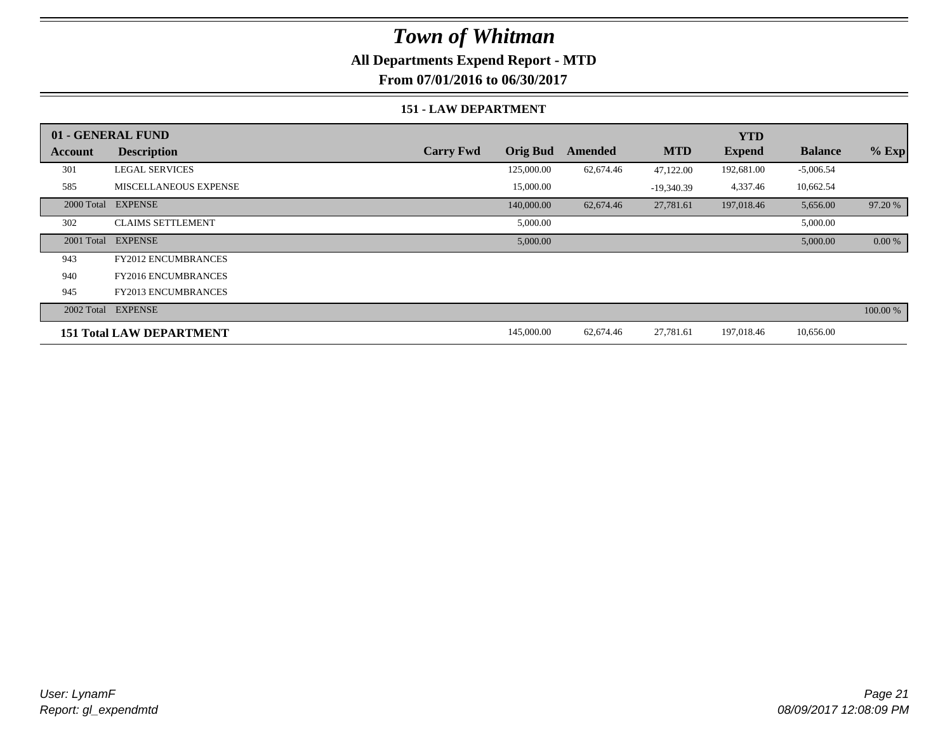### **All Departments Expend Report - MTD**

**From 07/01/2016 to 06/30/2017**

#### **151 - LAW DEPARTMENT**

|            | 01 - GENERAL FUND               |                  |                 |           |              | <b>YTD</b>    |                |          |
|------------|---------------------------------|------------------|-----------------|-----------|--------------|---------------|----------------|----------|
| Account    | <b>Description</b>              | <b>Carry Fwd</b> | <b>Orig Bud</b> | Amended   | <b>MTD</b>   | <b>Expend</b> | <b>Balance</b> | $%$ Exp  |
| 301        | <b>LEGAL SERVICES</b>           |                  | 125,000.00      | 62,674.46 | 47,122.00    | 192,681.00    | $-5,006.54$    |          |
| 585        | <b>MISCELLANEOUS EXPENSE</b>    |                  | 15,000.00       |           | $-19,340.39$ | 4,337.46      | 10,662.54      |          |
| 2000 Total | <b>EXPENSE</b>                  |                  | 140,000.00      | 62,674.46 | 27,781.61    | 197,018.46    | 5,656.00       | 97.20 %  |
| 302        | <b>CLAIMS SETTLEMENT</b>        |                  | 5,000.00        |           |              |               | 5,000.00       |          |
| 2001 Total | <b>EXPENSE</b>                  |                  | 5,000.00        |           |              |               | 5,000.00       | 0.00 %   |
| 943        | FY2012 ENCUMBRANCES             |                  |                 |           |              |               |                |          |
| 940        | <b>FY2016 ENCUMBRANCES</b>      |                  |                 |           |              |               |                |          |
| 945        | <b>FY2013 ENCUMBRANCES</b>      |                  |                 |           |              |               |                |          |
|            | 2002 Total EXPENSE              |                  |                 |           |              |               |                | 100.00 % |
|            | <b>151 Total LAW DEPARTMENT</b> |                  | 145,000.00      | 62,674.46 | 27,781.61    | 197,018.46    | 10,656.00      |          |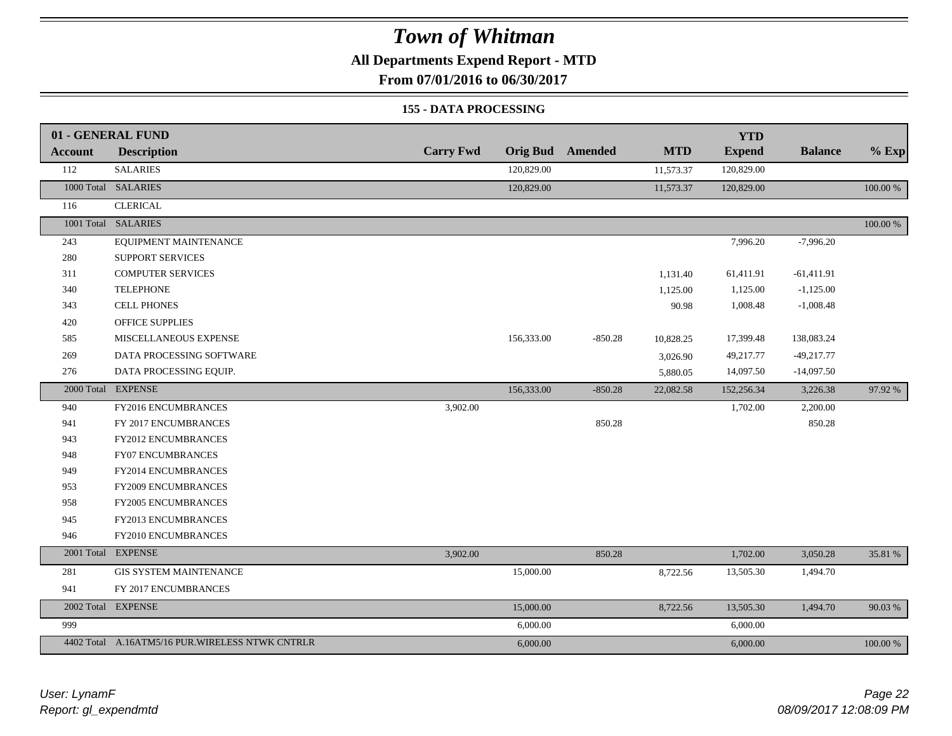### **All Departments Expend Report - MTD**

**From 07/01/2016 to 06/30/2017**

#### **155 - DATA PROCESSING**

|         | 01 - GENERAL FUND                               |                  |                 |                |            | <b>YTD</b>    |                |             |
|---------|-------------------------------------------------|------------------|-----------------|----------------|------------|---------------|----------------|-------------|
| Account | <b>Description</b>                              | <b>Carry Fwd</b> | <b>Orig Bud</b> | <b>Amended</b> | <b>MTD</b> | <b>Expend</b> | <b>Balance</b> | $%$ Exp     |
| 112     | <b>SALARIES</b>                                 |                  | 120,829.00      |                | 11,573.37  | 120,829.00    |                |             |
|         | 1000 Total SALARIES                             |                  | 120,829.00      |                | 11,573.37  | 120,829.00    |                | 100.00 %    |
| 116     | <b>CLERICAL</b>                                 |                  |                 |                |            |               |                |             |
|         | 1001 Total SALARIES                             |                  |                 |                |            |               |                | $100.00~\%$ |
| 243     | EQUIPMENT MAINTENANCE                           |                  |                 |                |            | 7,996.20      | $-7,996.20$    |             |
| 280     | <b>SUPPORT SERVICES</b>                         |                  |                 |                |            |               |                |             |
| 311     | <b>COMPUTER SERVICES</b>                        |                  |                 |                | 1,131.40   | 61,411.91     | $-61,411.91$   |             |
| 340     | <b>TELEPHONE</b>                                |                  |                 |                | 1,125.00   | 1,125.00      | $-1,125.00$    |             |
| 343     | <b>CELL PHONES</b>                              |                  |                 |                | 90.98      | 1,008.48      | $-1,008.48$    |             |
| 420     | OFFICE SUPPLIES                                 |                  |                 |                |            |               |                |             |
| 585     | MISCELLANEOUS EXPENSE                           |                  | 156,333.00      | $-850.28$      | 10,828.25  | 17,399.48     | 138,083.24     |             |
| 269     | DATA PROCESSING SOFTWARE                        |                  |                 |                | 3,026.90   | 49,217.77     | $-49,217.77$   |             |
| 276     | DATA PROCESSING EQUIP.                          |                  |                 |                | 5,880.05   | 14,097.50     | $-14,097.50$   |             |
|         | 2000 Total EXPENSE                              |                  | 156,333.00      | $-850.28$      | 22,082.58  | 152,256.34    | 3,226.38       | 97.92 %     |
| 940     | FY2016 ENCUMBRANCES                             | 3,902.00         |                 |                |            | 1,702.00      | 2,200.00       |             |
| 941     | FY 2017 ENCUMBRANCES                            |                  |                 | 850.28         |            |               | 850.28         |             |
| 943     | FY2012 ENCUMBRANCES                             |                  |                 |                |            |               |                |             |
| 948     | FY07 ENCUMBRANCES                               |                  |                 |                |            |               |                |             |
| 949     | FY2014 ENCUMBRANCES                             |                  |                 |                |            |               |                |             |
| 953     | FY2009 ENCUMBRANCES                             |                  |                 |                |            |               |                |             |
| 958     | <b>FY2005 ENCUMBRANCES</b>                      |                  |                 |                |            |               |                |             |
| 945     | FY2013 ENCUMBRANCES                             |                  |                 |                |            |               |                |             |
| 946     | FY2010 ENCUMBRANCES                             |                  |                 |                |            |               |                |             |
|         | 2001 Total EXPENSE                              | 3,902.00         |                 | 850.28         |            | 1,702.00      | 3,050.28       | 35.81 %     |
| 281     | <b>GIS SYSTEM MAINTENANCE</b>                   |                  | 15,000.00       |                | 8,722.56   | 13,505.30     | 1,494.70       |             |
| 941     | FY 2017 ENCUMBRANCES                            |                  |                 |                |            |               |                |             |
|         | 2002 Total EXPENSE                              |                  | 15,000.00       |                | 8,722.56   | 13,505.30     | 1,494.70       | 90.03 %     |
| 999     |                                                 |                  | 6,000.00        |                |            | 6,000.00      |                |             |
|         | 4402 Total A.16ATM5/16 PUR.WIRELESS NTWK CNTRLR |                  | 6,000.00        |                |            | 6,000.00      |                | 100.00 %    |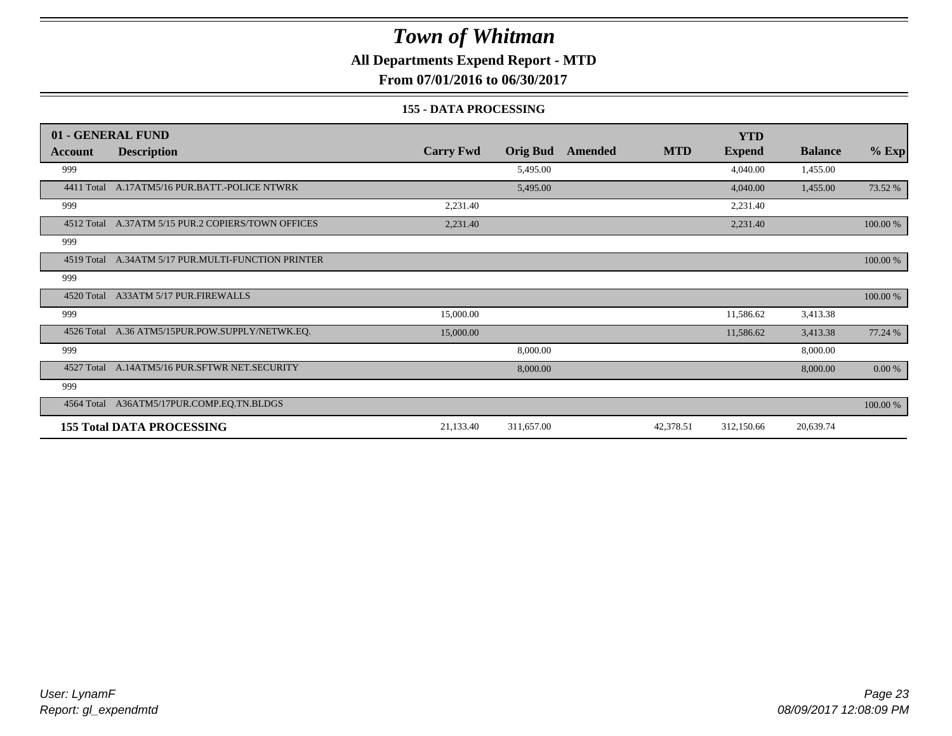### **All Departments Expend Report - MTD**

**From 07/01/2016 to 06/30/2017**

#### **155 - DATA PROCESSING**

|                | 01 - GENERAL FUND                                  |                  |                 |                |            | <b>YTD</b>    |                |          |
|----------------|----------------------------------------------------|------------------|-----------------|----------------|------------|---------------|----------------|----------|
| <b>Account</b> | <b>Description</b>                                 | <b>Carry Fwd</b> | <b>Orig Bud</b> | <b>Amended</b> | <b>MTD</b> | <b>Expend</b> | <b>Balance</b> | $%$ Exp  |
| 999            |                                                    |                  | 5,495.00        |                |            | 4,040.00      | 1,455.00       |          |
| 4411 Total     | A.17ATM5/16 PUR.BATT.-POLICE NTWRK                 |                  | 5,495.00        |                |            | 4,040.00      | 1,455.00       | 73.52 %  |
| 999            |                                                    | 2,231.40         |                 |                |            | 2,231.40      |                |          |
|                | 4512 Total A.37ATM 5/15 PUR.2 COPIERS/TOWN OFFICES | 2,231.40         |                 |                |            | 2,231.40      |                | 100.00 % |
| 999            |                                                    |                  |                 |                |            |               |                |          |
| 4519 Total     | A.34ATM 5/17 PUR.MULTI-FUNCTION PRINTER            |                  |                 |                |            |               |                | 100.00 % |
| 999            |                                                    |                  |                 |                |            |               |                |          |
| 4520 Total     | A33ATM 5/17 PUR.FIREWALLS                          |                  |                 |                |            |               |                | 100.00 % |
| 999            |                                                    | 15,000.00        |                 |                |            | 11,586.62     | 3,413.38       |          |
|                | 4526 Total A.36 ATM5/15PUR.POW.SUPPLY/NETWK.EQ.    | 15,000.00        |                 |                |            | 11,586.62     | 3,413.38       | 77.24 %  |
| 999            |                                                    |                  | 8,000.00        |                |            |               | 8,000.00       |          |
| 4527 Total     | A.14ATM5/16 PUR.SFTWR NET.SECURITY                 |                  | 8,000.00        |                |            |               | 8,000.00       | 0.00 %   |
| 999            |                                                    |                  |                 |                |            |               |                |          |
| 4564 Total     | A36ATM5/17PUR.COMP.EQ.TN.BLDGS                     |                  |                 |                |            |               |                | 100.00 % |
|                | <b>155 Total DATA PROCESSING</b>                   | 21,133.40        | 311,657.00      |                | 42,378.51  | 312,150.66    | 20,639.74      |          |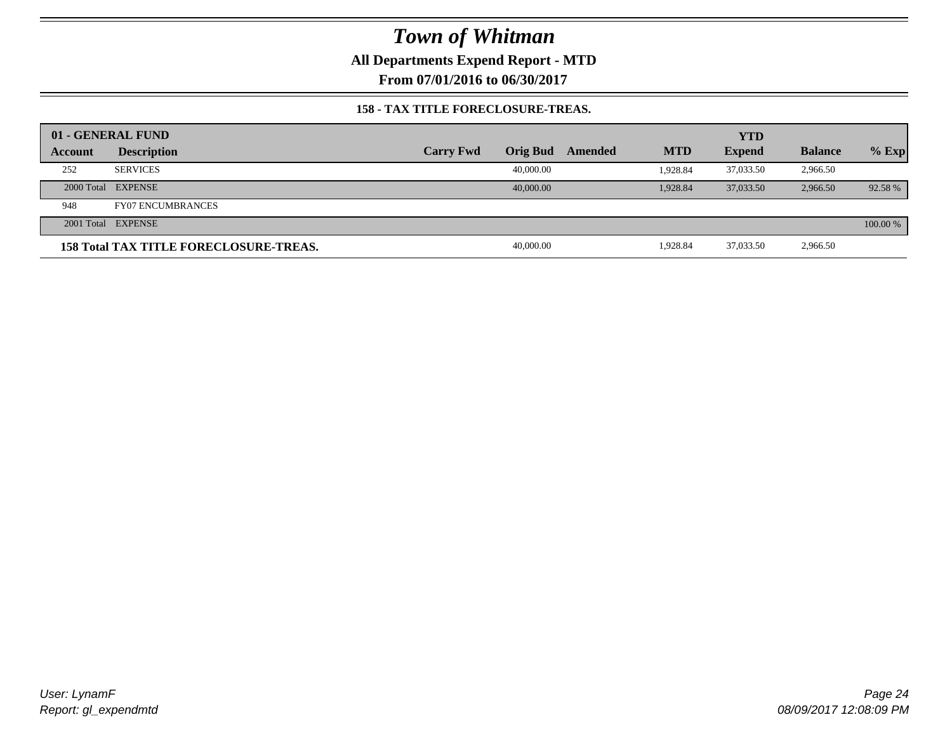**All Departments Expend Report - MTD**

**From 07/01/2016 to 06/30/2017**

#### **158 - TAX TITLE FORECLOSURE-TREAS.**

|         | 01 - GENERAL FUND                             |                  |           |         |            | <b>YTD</b>    |                |          |
|---------|-----------------------------------------------|------------------|-----------|---------|------------|---------------|----------------|----------|
| Account | <b>Description</b>                            | <b>Carry Fwd</b> | Orig Bud  | Amended | <b>MTD</b> | <b>Expend</b> | <b>Balance</b> | $%$ Exp  |
| 252     | <b>SERVICES</b>                               |                  | 40,000.00 |         | 1.928.84   | 37,033.50     | 2,966.50       |          |
|         | 2000 Total EXPENSE                            |                  | 40,000,00 |         | 1.928.84   | 37,033.50     | 2,966.50       | 92.58 %  |
| 948     | <b>FY07 ENCUMBRANCES</b>                      |                  |           |         |            |               |                |          |
|         | 2001 Total EXPENSE                            |                  |           |         |            |               |                | 100.00 % |
|         | <b>158 Total TAX TITLE FORECLOSURE-TREAS.</b> |                  | 40,000.00 |         | 1.928.84   | 37,033.50     | 2,966.50       |          |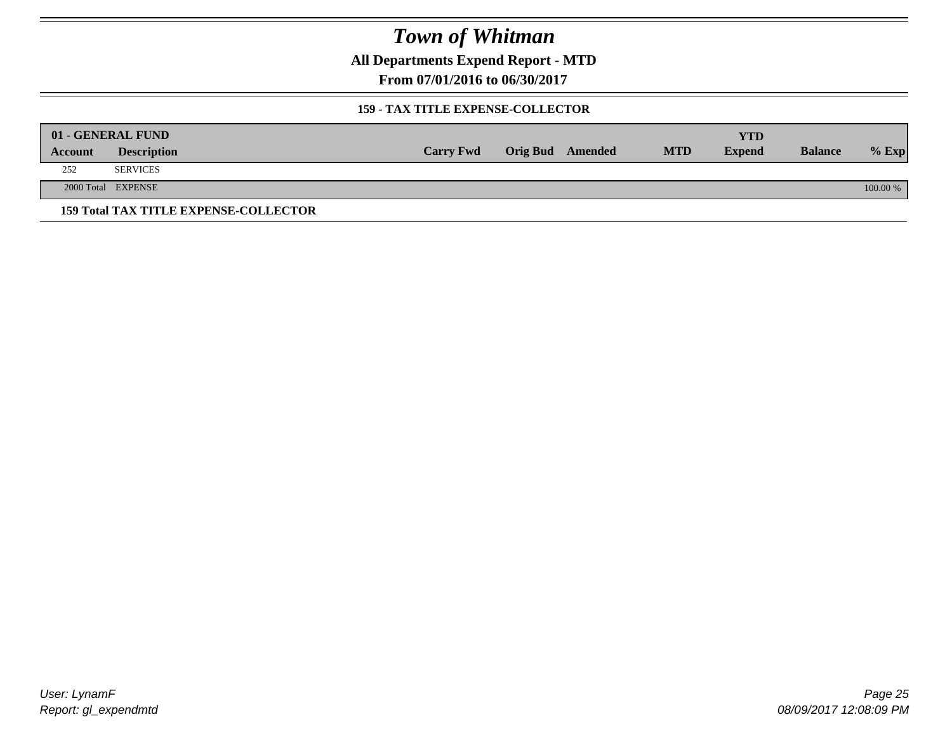**All Departments Expend Report - MTD**

**From 07/01/2016 to 06/30/2017**

#### **159 - TAX TITLE EXPENSE-COLLECTOR**

|         | 01 - GENERAL FUND                            |                  |                         |            | YTD           |                |          |
|---------|----------------------------------------------|------------------|-------------------------|------------|---------------|----------------|----------|
| Account | <b>Description</b>                           | <b>Carry Fwd</b> | <b>Orig Bud</b> Amended | <b>MTD</b> | <b>Expend</b> | <b>Balance</b> | $%$ Exp  |
| 252     | <b>SERVICES</b>                              |                  |                         |            |               |                |          |
|         | 2000 Total EXPENSE                           |                  |                         |            |               |                | 100.00 % |
|         | <b>159 Total TAX TITLE EXPENSE-COLLECTOR</b> |                  |                         |            |               |                |          |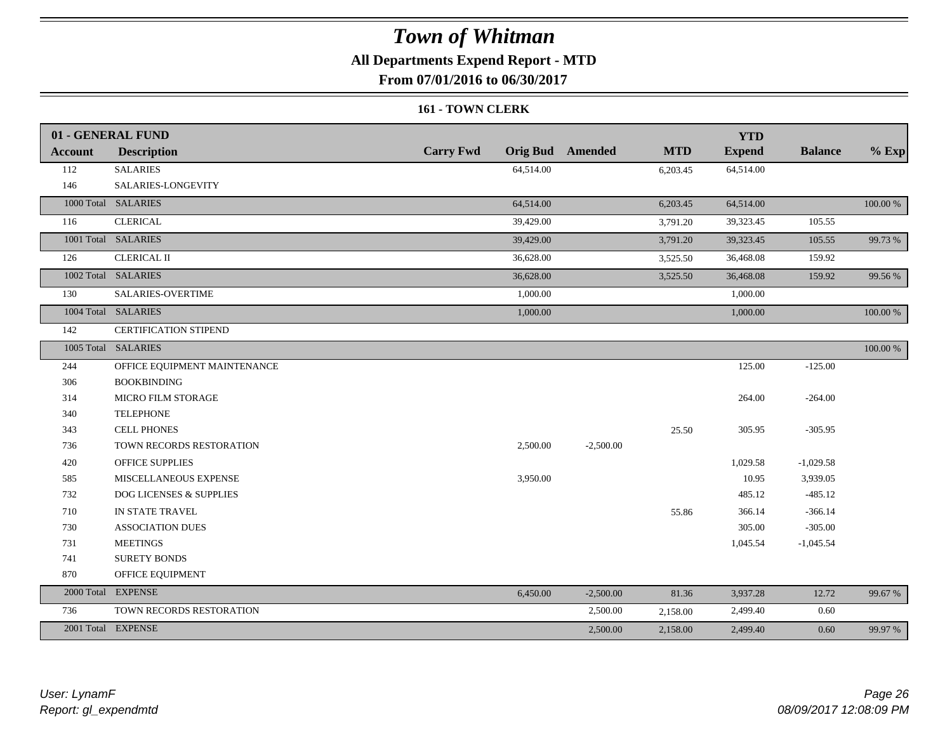### **All Departments Expend Report - MTD**

**From 07/01/2016 to 06/30/2017**

#### **161 - TOWN CLERK**

|                | 01 - GENERAL FUND            |                  |           |                         |            | <b>YTD</b>    |                |          |
|----------------|------------------------------|------------------|-----------|-------------------------|------------|---------------|----------------|----------|
| <b>Account</b> | <b>Description</b>           | <b>Carry Fwd</b> |           | <b>Orig Bud</b> Amended | <b>MTD</b> | <b>Expend</b> | <b>Balance</b> | $%$ Exp  |
| 112            | <b>SALARIES</b>              |                  | 64,514.00 |                         | 6,203.45   | 64,514.00     |                |          |
| 146            | SALARIES-LONGEVITY           |                  |           |                         |            |               |                |          |
|                | 1000 Total SALARIES          |                  | 64,514.00 |                         | 6,203.45   | 64,514.00     |                | 100.00 % |
| 116            | <b>CLERICAL</b>              |                  | 39,429.00 |                         | 3,791.20   | 39,323.45     | 105.55         |          |
|                | 1001 Total SALARIES          |                  | 39,429.00 |                         | 3,791.20   | 39,323.45     | 105.55         | 99.73 %  |
| 126            | <b>CLERICAL II</b>           |                  | 36,628.00 |                         | 3,525.50   | 36,468.08     | 159.92         |          |
|                | 1002 Total SALARIES          |                  | 36,628.00 |                         | 3,525.50   | 36,468.08     | 159.92         | 99.56%   |
| 130            | SALARIES-OVERTIME            |                  | 1,000.00  |                         |            | 1,000.00      |                |          |
|                | 1004 Total SALARIES          |                  | 1,000.00  |                         |            | 1,000.00      |                | 100.00 % |
| 142            | <b>CERTIFICATION STIPEND</b> |                  |           |                         |            |               |                |          |
|                | 1005 Total SALARIES          |                  |           |                         |            |               |                | 100.00 % |
| 244            | OFFICE EQUIPMENT MAINTENANCE |                  |           |                         |            | 125.00        | $-125.00$      |          |
| 306            | <b>BOOKBINDING</b>           |                  |           |                         |            |               |                |          |
| 314            | MICRO FILM STORAGE           |                  |           |                         |            | 264.00        | $-264.00$      |          |
| 340            | <b>TELEPHONE</b>             |                  |           |                         |            |               |                |          |
| 343            | <b>CELL PHONES</b>           |                  |           |                         | 25.50      | 305.95        | $-305.95$      |          |
| 736            | TOWN RECORDS RESTORATION     |                  | 2,500.00  | $-2,500.00$             |            |               |                |          |
| 420            | <b>OFFICE SUPPLIES</b>       |                  |           |                         |            | 1,029.58      | $-1,029.58$    |          |
| 585            | MISCELLANEOUS EXPENSE        |                  | 3,950.00  |                         |            | 10.95         | 3,939.05       |          |
| 732            | DOG LICENSES & SUPPLIES      |                  |           |                         |            | 485.12        | $-485.12$      |          |
| 710            | IN STATE TRAVEL              |                  |           |                         | 55.86      | 366.14        | $-366.14$      |          |
| 730            | <b>ASSOCIATION DUES</b>      |                  |           |                         |            | 305.00        | $-305.00$      |          |
| 731            | <b>MEETINGS</b>              |                  |           |                         |            | 1,045.54      | $-1,045.54$    |          |
| 741            | <b>SURETY BONDS</b>          |                  |           |                         |            |               |                |          |
| 870            | OFFICE EQUIPMENT             |                  |           |                         |            |               |                |          |
|                | 2000 Total EXPENSE           |                  | 6,450.00  | $-2,500.00$             | 81.36      | 3,937.28      | 12.72          | 99.67 %  |
| 736            | TOWN RECORDS RESTORATION     |                  |           | 2,500.00                | 2,158.00   | 2,499.40      | 0.60           |          |
|                | 2001 Total EXPENSE           |                  |           | 2,500.00                | 2,158.00   | 2,499.40      | 0.60           | 99.97 %  |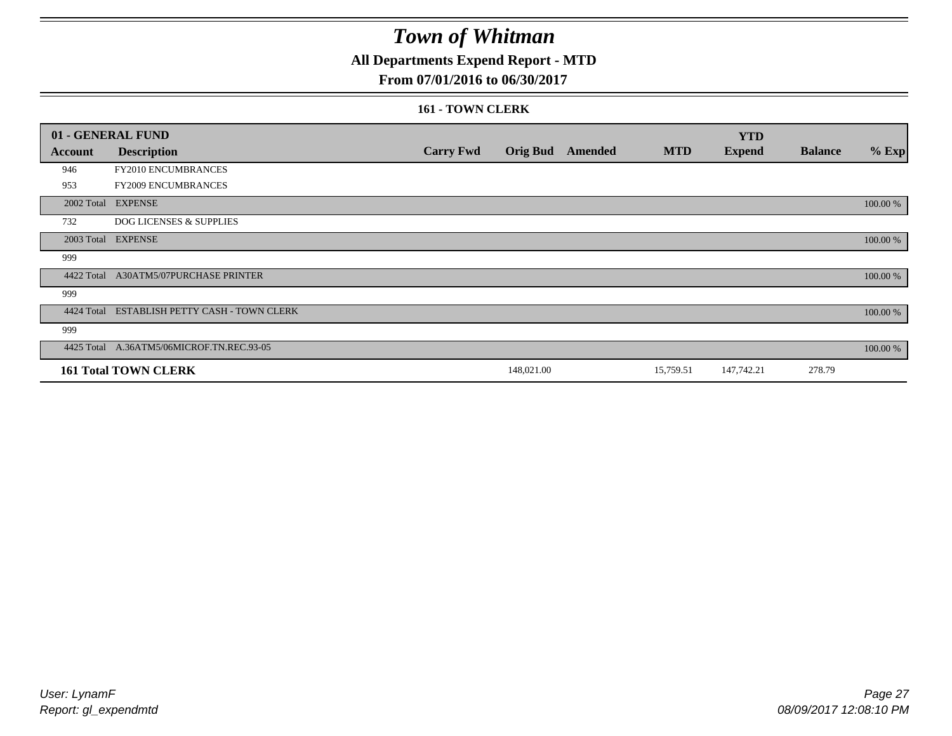### **All Departments Expend Report - MTD**

### **From 07/01/2016 to 06/30/2017**

#### **161 - TOWN CLERK**

|            | 01 - GENERAL FUND                            |                  |                 |         |            | <b>YTD</b>    |                |          |
|------------|----------------------------------------------|------------------|-----------------|---------|------------|---------------|----------------|----------|
| Account    | <b>Description</b>                           | <b>Carry Fwd</b> | <b>Orig Bud</b> | Amended | <b>MTD</b> | <b>Expend</b> | <b>Balance</b> | $%$ Exp  |
| 946        | FY2010 ENCUMBRANCES                          |                  |                 |         |            |               |                |          |
| 953        | FY2009 ENCUMBRANCES                          |                  |                 |         |            |               |                |          |
|            | 2002 Total EXPENSE                           |                  |                 |         |            |               |                | 100.00 % |
| 732        | DOG LICENSES & SUPPLIES                      |                  |                 |         |            |               |                |          |
|            | 2003 Total EXPENSE                           |                  |                 |         |            |               |                | 100.00 % |
| 999        |                                              |                  |                 |         |            |               |                |          |
| 4422 Total | <b>A30ATM5/07PURCHASE PRINTER</b>            |                  |                 |         |            |               |                | 100.00 % |
| 999        |                                              |                  |                 |         |            |               |                |          |
|            | 4424 Total ESTABLISH PETTY CASH - TOWN CLERK |                  |                 |         |            |               |                | 100.00 % |
| 999        |                                              |                  |                 |         |            |               |                |          |
|            | 4425 Total A.36ATM5/06MICROF.TN.REC.93-05    |                  |                 |         |            |               |                | 100.00 % |
|            | <b>161 Total TOWN CLERK</b>                  |                  | 148,021.00      |         | 15,759.51  | 147,742.21    | 278.79         |          |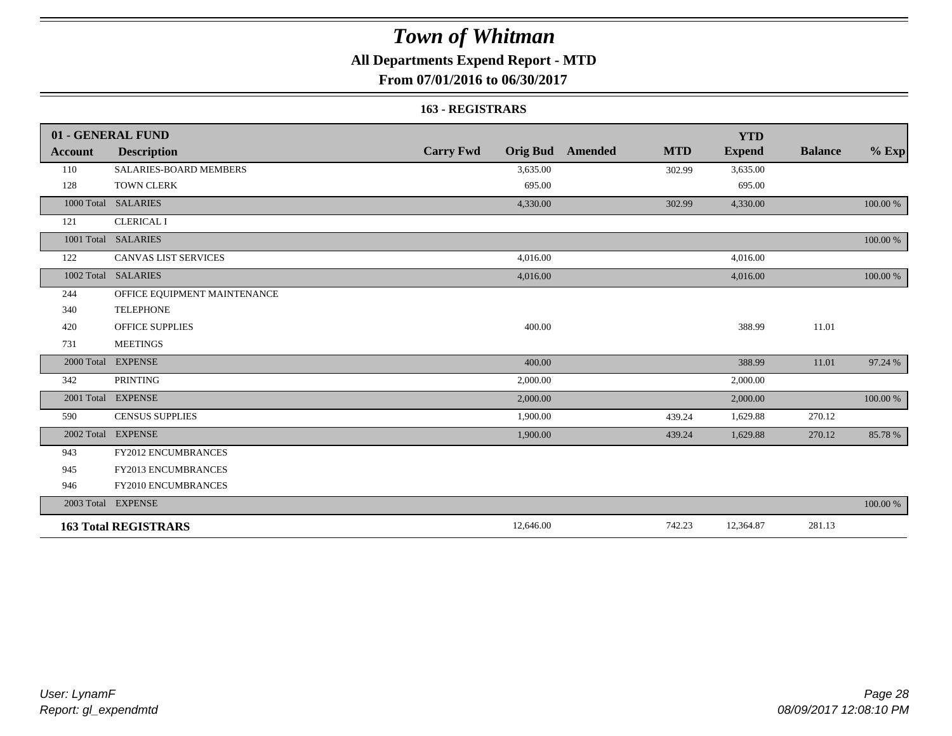### **All Departments Expend Report - MTD**

**From 07/01/2016 to 06/30/2017**

#### **163 - REGISTRARS**

|                | 01 - GENERAL FUND            |                                     |                              | <b>YTD</b>    |                |          |
|----------------|------------------------------|-------------------------------------|------------------------------|---------------|----------------|----------|
| <b>Account</b> | <b>Description</b>           | <b>Carry Fwd</b><br><b>Orig Bud</b> | <b>MTD</b><br><b>Amended</b> | <b>Expend</b> | <b>Balance</b> | $%$ Exp  |
| 110            | SALARIES-BOARD MEMBERS       | 3,635.00                            | 302.99                       | 3,635.00      |                |          |
| 128            | <b>TOWN CLERK</b>            | 695.00                              |                              | 695.00        |                |          |
| 1000 Total     | <b>SALARIES</b>              | 4,330.00                            | 302.99                       | 4,330.00      |                | 100.00 % |
| 121            | <b>CLERICAL I</b>            |                                     |                              |               |                |          |
|                | 1001 Total SALARIES          |                                     |                              |               |                | 100.00 % |
| 122            | <b>CANVAS LIST SERVICES</b>  | 4,016.00                            |                              | 4,016.00      |                |          |
| 1002 Total     | <b>SALARIES</b>              | 4,016.00                            |                              | 4,016.00      |                | 100.00 % |
| 244            | OFFICE EQUIPMENT MAINTENANCE |                                     |                              |               |                |          |
| 340            | <b>TELEPHONE</b>             |                                     |                              |               |                |          |
| 420            | <b>OFFICE SUPPLIES</b>       | 400.00                              |                              | 388.99        | 11.01          |          |
| 731            | <b>MEETINGS</b>              |                                     |                              |               |                |          |
| 2000 Total     | <b>EXPENSE</b>               | 400.00                              |                              | 388.99        | 11.01          | 97.24 %  |
| 342            | <b>PRINTING</b>              | 2,000.00                            |                              | 2,000.00      |                |          |
|                | 2001 Total EXPENSE           | 2,000.00                            |                              | 2,000.00      |                | 100.00 % |
| 590            | <b>CENSUS SUPPLIES</b>       | 1,900.00                            | 439.24                       | 1,629.88      | 270.12         |          |
| 2002 Total     | <b>EXPENSE</b>               | 1,900.00                            | 439.24                       | 1,629.88      | 270.12         | 85.78%   |
| 943            | FY2012 ENCUMBRANCES          |                                     |                              |               |                |          |
| 945            | <b>FY2013 ENCUMBRANCES</b>   |                                     |                              |               |                |          |
| 946            | FY2010 ENCUMBRANCES          |                                     |                              |               |                |          |
|                | 2003 Total EXPENSE           |                                     |                              |               |                | 100.00 % |
|                | <b>163 Total REGISTRARS</b>  | 12,646.00                           | 742.23                       | 12,364.87     | 281.13         |          |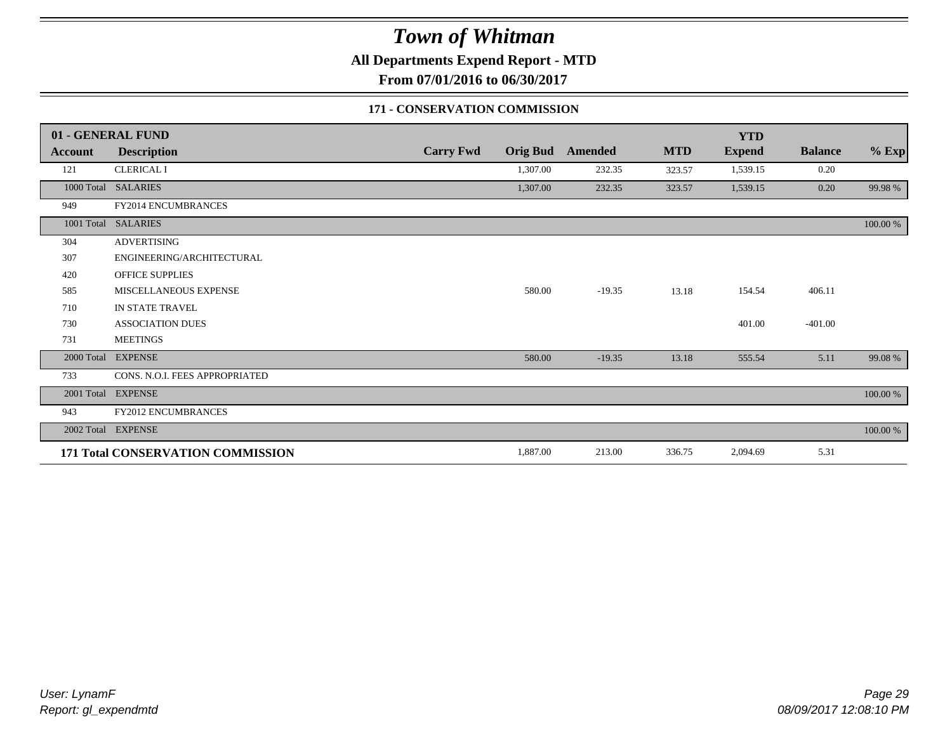**All Departments Expend Report - MTD**

**From 07/01/2016 to 06/30/2017**

#### **171 - CONSERVATION COMMISSION**

|            | 01 - GENERAL FUND                        |                  |                 |                |            | <b>YTD</b>    |                |          |
|------------|------------------------------------------|------------------|-----------------|----------------|------------|---------------|----------------|----------|
| Account    | <b>Description</b>                       | <b>Carry Fwd</b> | <b>Orig Bud</b> | <b>Amended</b> | <b>MTD</b> | <b>Expend</b> | <b>Balance</b> | $%$ Exp  |
| 121        | <b>CLERICAL I</b>                        |                  | 1,307.00        | 232.35         | 323.57     | 1,539.15      | 0.20           |          |
|            | 1000 Total SALARIES                      |                  | 1,307.00        | 232.35         | 323.57     | 1,539.15      | 0.20           | 99.98%   |
| 949        | <b>FY2014 ENCUMBRANCES</b>               |                  |                 |                |            |               |                |          |
|            | 1001 Total SALARIES                      |                  |                 |                |            |               |                | 100.00 % |
| 304        | <b>ADVERTISING</b>                       |                  |                 |                |            |               |                |          |
| 307        | ENGINEERING/ARCHITECTURAL                |                  |                 |                |            |               |                |          |
| 420        | <b>OFFICE SUPPLIES</b>                   |                  |                 |                |            |               |                |          |
| 585        | MISCELLANEOUS EXPENSE                    |                  | 580.00          | $-19.35$       | 13.18      | 154.54        | 406.11         |          |
| 710        | IN STATE TRAVEL                          |                  |                 |                |            |               |                |          |
| 730        | <b>ASSOCIATION DUES</b>                  |                  |                 |                |            | 401.00        | $-401.00$      |          |
| 731        | <b>MEETINGS</b>                          |                  |                 |                |            |               |                |          |
| 2000 Total | <b>EXPENSE</b>                           |                  | 580.00          | $-19.35$       | 13.18      | 555.54        | 5.11           | 99.08 %  |
| 733        | CONS. N.O.I. FEES APPROPRIATED           |                  |                 |                |            |               |                |          |
| 2001 Total | <b>EXPENSE</b>                           |                  |                 |                |            |               |                | 100.00 % |
| 943        | FY2012 ENCUMBRANCES                      |                  |                 |                |            |               |                |          |
|            | 2002 Total EXPENSE                       |                  |                 |                |            |               |                | 100.00 % |
|            | <b>171 Total CONSERVATION COMMISSION</b> |                  | 1,887.00        | 213.00         | 336.75     | 2,094.69      | 5.31           |          |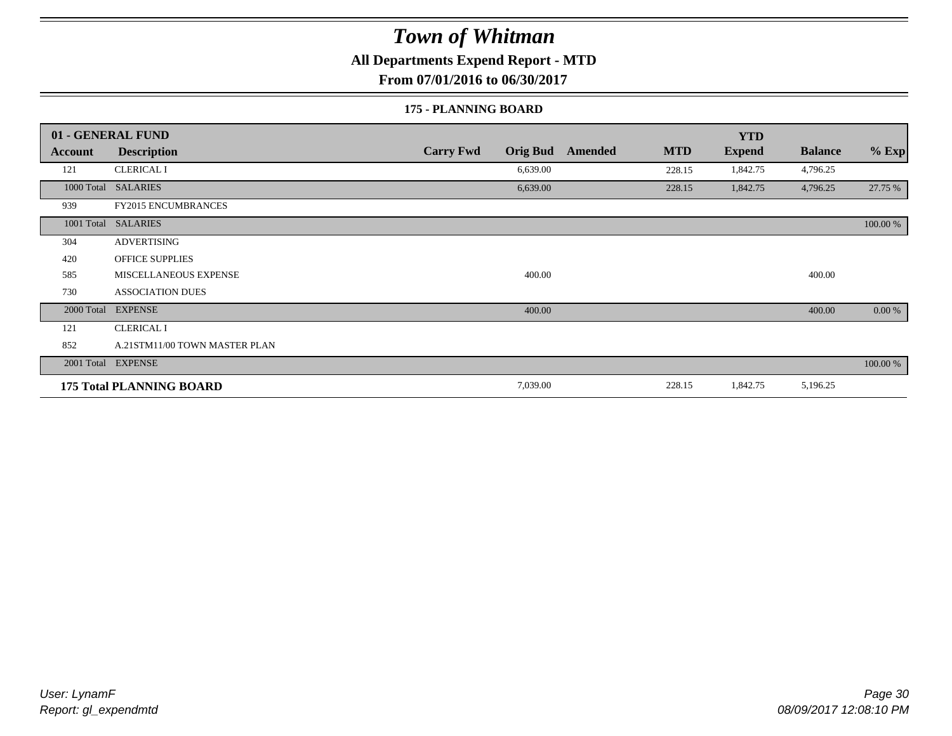### **All Departments Expend Report - MTD**

**From 07/01/2016 to 06/30/2017**

#### **175 - PLANNING BOARD**

|            | 01 - GENERAL FUND               |                                     |                              | <b>YTD</b>    |                |          |
|------------|---------------------------------|-------------------------------------|------------------------------|---------------|----------------|----------|
| Account    | <b>Description</b>              | <b>Carry Fwd</b><br><b>Orig Bud</b> | <b>MTD</b><br><b>Amended</b> | <b>Expend</b> | <b>Balance</b> | $%$ Exp  |
| 121        | <b>CLERICAL I</b>               | 6,639.00                            | 228.15                       | 1,842.75      | 4,796.25       |          |
|            | 1000 Total SALARIES             | 6,639.00                            | 228.15                       | 1,842.75      | 4,796.25       | 27.75 %  |
| 939        | <b>FY2015 ENCUMBRANCES</b>      |                                     |                              |               |                |          |
|            | 1001 Total SALARIES             |                                     |                              |               |                | 100.00 % |
| 304        | <b>ADVERTISING</b>              |                                     |                              |               |                |          |
| 420        | <b>OFFICE SUPPLIES</b>          |                                     |                              |               |                |          |
| 585        | MISCELLANEOUS EXPENSE           | 400.00                              |                              |               | 400.00         |          |
| 730        | <b>ASSOCIATION DUES</b>         |                                     |                              |               |                |          |
| 2000 Total | <b>EXPENSE</b>                  | 400.00                              |                              |               | 400.00         | 0.00 %   |
| 121        | <b>CLERICAL I</b>               |                                     |                              |               |                |          |
| 852        | A.21STM11/00 TOWN MASTER PLAN   |                                     |                              |               |                |          |
|            | 2001 Total EXPENSE              |                                     |                              |               |                | 100.00 % |
|            | <b>175 Total PLANNING BOARD</b> | 7,039.00                            | 228.15                       | 1,842.75      | 5,196.25       |          |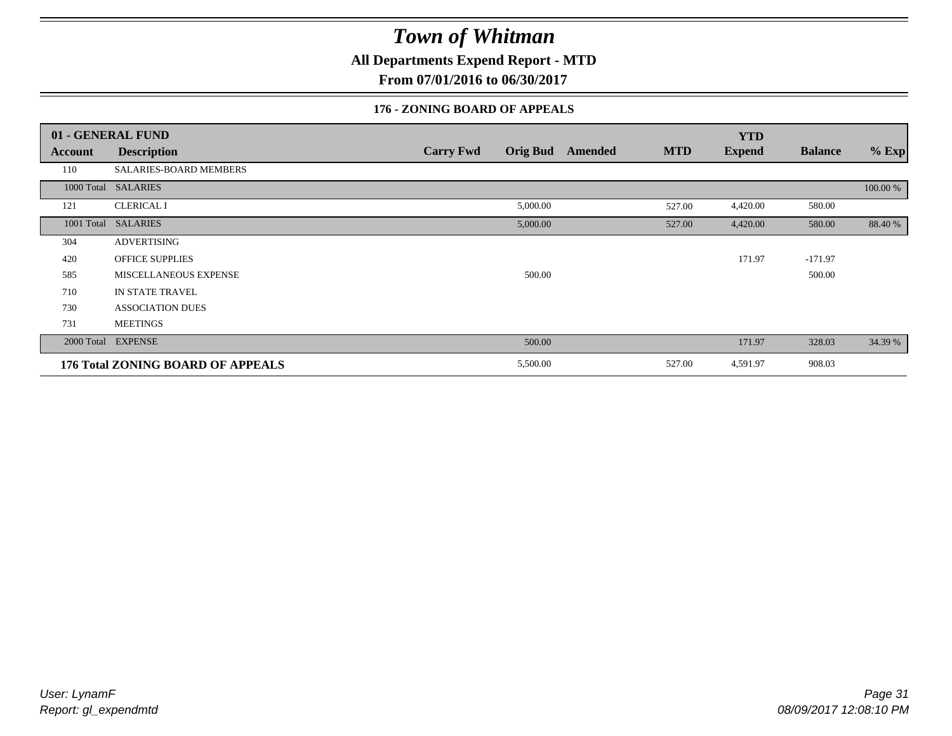**All Departments Expend Report - MTD**

**From 07/01/2016 to 06/30/2017**

### **176 - ZONING BOARD OF APPEALS**

|            | 01 - GENERAL FUND                        |                                     |                              | <b>YTD</b>    |                |          |
|------------|------------------------------------------|-------------------------------------|------------------------------|---------------|----------------|----------|
| Account    | <b>Description</b>                       | <b>Orig Bud</b><br><b>Carry Fwd</b> | <b>MTD</b><br><b>Amended</b> | <b>Expend</b> | <b>Balance</b> | $%$ Exp  |
| 110        | SALARIES-BOARD MEMBERS                   |                                     |                              |               |                |          |
|            | 1000 Total SALARIES                      |                                     |                              |               |                | 100.00 % |
| 121        | <b>CLERICAL I</b>                        | 5,000.00                            | 527.00                       | 4,420.00      | 580.00         |          |
| 1001 Total | <b>SALARIES</b>                          | 5,000.00                            | 527.00                       | 4,420.00      | 580.00         | 88.40 %  |
| 304        | <b>ADVERTISING</b>                       |                                     |                              |               |                |          |
| 420        | <b>OFFICE SUPPLIES</b>                   |                                     |                              | 171.97        | $-171.97$      |          |
| 585        | MISCELLANEOUS EXPENSE                    | 500.00                              |                              |               | 500.00         |          |
| 710        | IN STATE TRAVEL                          |                                     |                              |               |                |          |
| 730        | <b>ASSOCIATION DUES</b>                  |                                     |                              |               |                |          |
| 731        | <b>MEETINGS</b>                          |                                     |                              |               |                |          |
| 2000 Total | <b>EXPENSE</b>                           | 500.00                              |                              | 171.97        | 328.03         | 34.39 %  |
|            | <b>176 Total ZONING BOARD OF APPEALS</b> | 5,500.00                            | 527.00                       | 4,591.97      | 908.03         |          |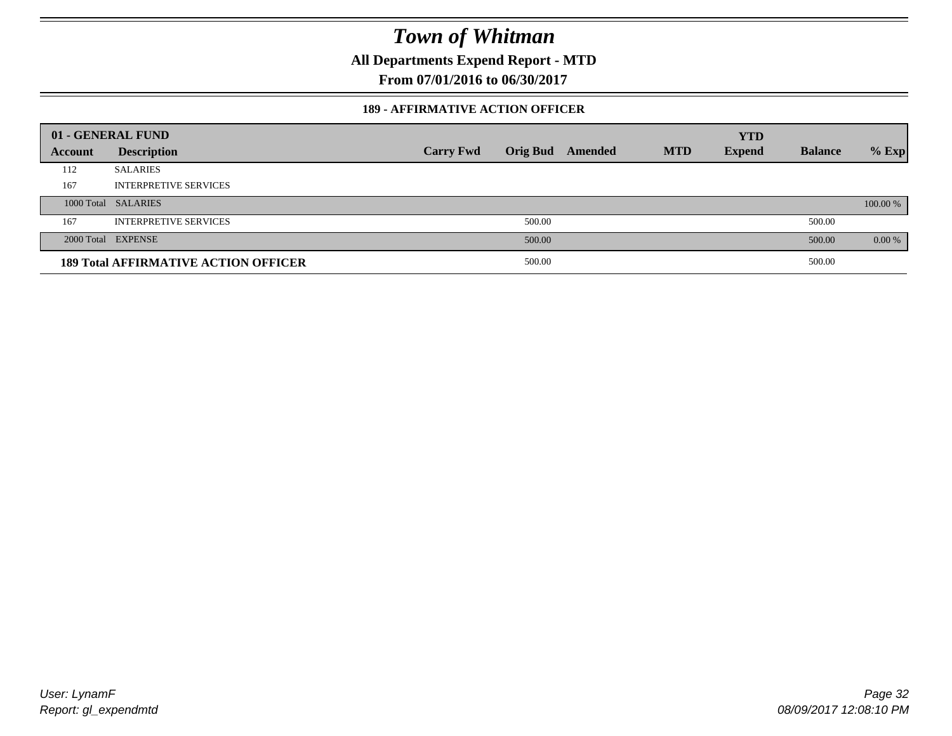**All Departments Expend Report - MTD**

**From 07/01/2016 to 06/30/2017**

#### **189 - AFFIRMATIVE ACTION OFFICER**

|         | 01 - GENERAL FUND                           |                  |                 |         |            | <b>YTD</b>    |                |          |
|---------|---------------------------------------------|------------------|-----------------|---------|------------|---------------|----------------|----------|
| Account | <b>Description</b>                          | <b>Carry Fwd</b> | <b>Orig Bud</b> | Amended | <b>MTD</b> | <b>Expend</b> | <b>Balance</b> | $%$ Exp  |
| 112     | <b>SALARIES</b>                             |                  |                 |         |            |               |                |          |
| 167     | <b>INTERPRETIVE SERVICES</b>                |                  |                 |         |            |               |                |          |
|         | 1000 Total SALARIES                         |                  |                 |         |            |               |                | 100.00 % |
| 167     | <b>INTERPRETIVE SERVICES</b>                |                  | 500.00          |         |            |               | 500.00         |          |
|         | 2000 Total EXPENSE                          |                  | 500.00          |         |            |               | 500.00         | 0.00 %   |
|         | <b>189 Total AFFIRMATIVE ACTION OFFICER</b> |                  | 500.00          |         |            |               | 500.00         |          |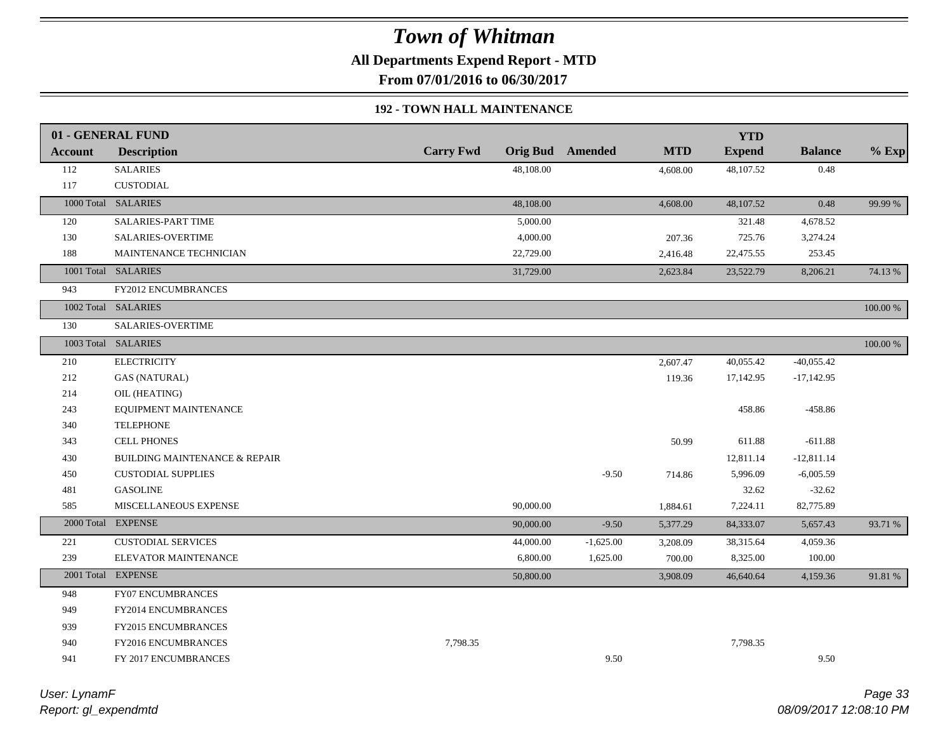**All Departments Expend Report - MTD**

**From 07/01/2016 to 06/30/2017**

#### **192 - TOWN HALL MAINTENANCE**

|         | 01 - GENERAL FUND                        |                  |           |                         |            | <b>YTD</b>    |                |          |
|---------|------------------------------------------|------------------|-----------|-------------------------|------------|---------------|----------------|----------|
| Account | <b>Description</b>                       | <b>Carry Fwd</b> |           | <b>Orig Bud</b> Amended | <b>MTD</b> | <b>Expend</b> | <b>Balance</b> | $%$ Exp  |
| 112     | <b>SALARIES</b>                          |                  | 48,108.00 |                         | 4,608.00   | 48,107.52     | 0.48           |          |
| 117     | <b>CUSTODIAL</b>                         |                  |           |                         |            |               |                |          |
|         | 1000 Total SALARIES                      |                  | 48,108.00 |                         | 4,608.00   | 48,107.52     | 0.48           | 99.99 %  |
| 120     | <b>SALARIES-PART TIME</b>                |                  | 5,000.00  |                         |            | 321.48        | 4,678.52       |          |
| 130     | <b>SALARIES-OVERTIME</b>                 |                  | 4,000.00  |                         | 207.36     | 725.76        | 3,274.24       |          |
| 188     | MAINTENANCE TECHNICIAN                   |                  | 22,729.00 |                         | 2,416.48   | 22,475.55     | 253.45         |          |
|         | 1001 Total SALARIES                      |                  | 31,729.00 |                         | 2,623.84   | 23,522.79     | 8,206.21       | 74.13 %  |
| 943     | <b>FY2012 ENCUMBRANCES</b>               |                  |           |                         |            |               |                |          |
|         | 1002 Total SALARIES                      |                  |           |                         |            |               |                | 100.00 % |
| 130     | SALARIES-OVERTIME                        |                  |           |                         |            |               |                |          |
|         | 1003 Total SALARIES                      |                  |           |                         |            |               |                | 100.00 % |
| 210     | <b>ELECTRICITY</b>                       |                  |           |                         | 2,607.47   | 40,055.42     | $-40,055.42$   |          |
| 212     | <b>GAS (NATURAL)</b>                     |                  |           |                         | 119.36     | 17,142.95     | $-17,142.95$   |          |
| 214     | OIL (HEATING)                            |                  |           |                         |            |               |                |          |
| 243     | EQUIPMENT MAINTENANCE                    |                  |           |                         |            | 458.86        | $-458.86$      |          |
| 340     | <b>TELEPHONE</b>                         |                  |           |                         |            |               |                |          |
| 343     | <b>CELL PHONES</b>                       |                  |           |                         | 50.99      | 611.88        | $-611.88$      |          |
| 430     | <b>BUILDING MAINTENANCE &amp; REPAIR</b> |                  |           |                         |            | 12,811.14     | $-12,811.14$   |          |
| 450     | <b>CUSTODIAL SUPPLIES</b>                |                  |           | $-9.50$                 | 714.86     | 5,996.09      | $-6,005.59$    |          |
| 481     | <b>GASOLINE</b>                          |                  |           |                         |            | 32.62         | $-32.62$       |          |
| 585     | MISCELLANEOUS EXPENSE                    |                  | 90,000.00 |                         | 1,884.61   | 7,224.11      | 82,775.89      |          |
|         | 2000 Total EXPENSE                       |                  | 90,000.00 | $-9.50$                 | 5,377.29   | 84,333.07     | 5,657.43       | 93.71 %  |
| 221     | <b>CUSTODIAL SERVICES</b>                |                  | 44,000.00 | $-1,625.00$             | 3,208.09   | 38,315.64     | 4,059.36       |          |
| 239     | ELEVATOR MAINTENANCE                     |                  | 6,800.00  | 1,625.00                | 700.00     | 8,325.00      | 100.00         |          |
|         | 2001 Total EXPENSE                       |                  | 50,800.00 |                         | 3,908.09   | 46,640.64     | 4,159.36       | 91.81 %  |
| 948     | FY07 ENCUMBRANCES                        |                  |           |                         |            |               |                |          |
| 949     | FY2014 ENCUMBRANCES                      |                  |           |                         |            |               |                |          |
| 939     | FY2015 ENCUMBRANCES                      |                  |           |                         |            |               |                |          |
| 940     | FY2016 ENCUMBRANCES                      | 7,798.35         |           |                         |            | 7,798.35      |                |          |
| 941     | FY 2017 ENCUMBRANCES                     |                  |           | 9.50                    |            |               | 9.50           |          |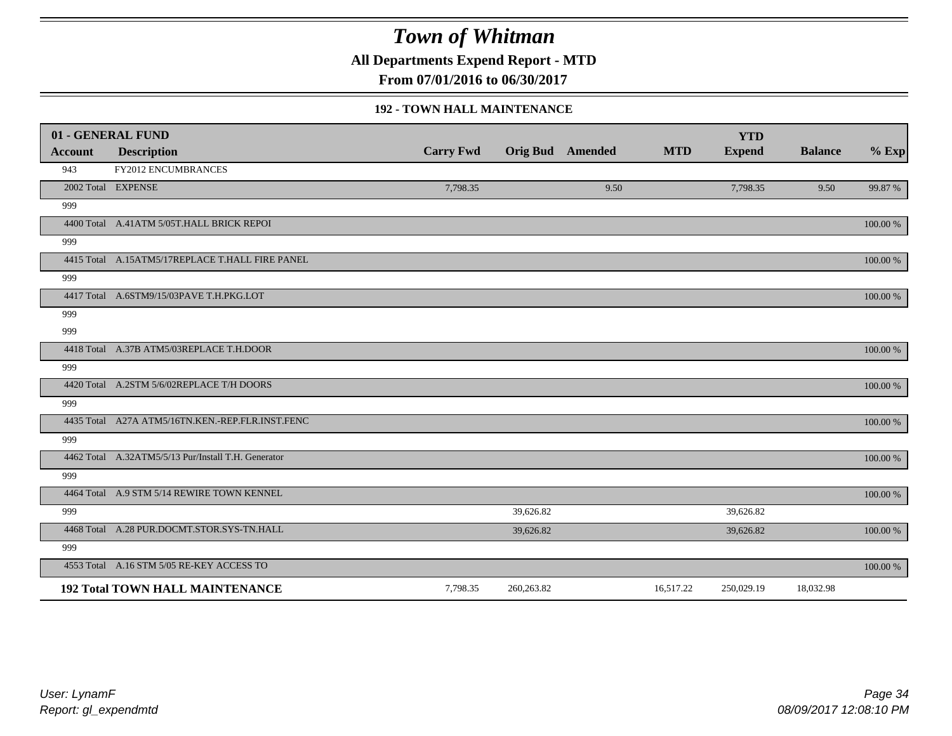**All Departments Expend Report - MTD**

**From 07/01/2016 to 06/30/2017**

#### **192 - TOWN HALL MAINTENANCE**

|                | 01 - GENERAL FUND                                   |                  |                  |      |            | <b>YTD</b>    |                |             |
|----------------|-----------------------------------------------------|------------------|------------------|------|------------|---------------|----------------|-------------|
| <b>Account</b> | <b>Description</b>                                  | <b>Carry Fwd</b> | Orig Bud Amended |      | <b>MTD</b> | <b>Expend</b> | <b>Balance</b> | $%$ Exp     |
| 943            | FY2012 ENCUMBRANCES                                 |                  |                  |      |            |               |                |             |
|                | 2002 Total EXPENSE                                  | 7,798.35         |                  | 9.50 |            | 7,798.35      | 9.50           | 99.87 %     |
| 999            |                                                     |                  |                  |      |            |               |                |             |
|                | 4400 Total A.41ATM 5/05T.HALL BRICK REPOI           |                  |                  |      |            |               |                | $100.00\%$  |
| 999            |                                                     |                  |                  |      |            |               |                |             |
|                | 4415 Total A.15ATM5/17REPLACE T.HALL FIRE PANEL     |                  |                  |      |            |               |                | 100.00 %    |
| 999            |                                                     |                  |                  |      |            |               |                |             |
|                | 4417 Total A.6STM9/15/03PAVE T.H.PKG.LOT            |                  |                  |      |            |               |                | $100.00\%$  |
| 999            |                                                     |                  |                  |      |            |               |                |             |
| 999            |                                                     |                  |                  |      |            |               |                |             |
|                | 4418 Total A.37B ATM5/03REPLACE T.H.DOOR            |                  |                  |      |            |               |                | $100.00~\%$ |
| 999            |                                                     |                  |                  |      |            |               |                |             |
|                | 4420 Total A.2STM 5/6/02REPLACE T/H DOORS           |                  |                  |      |            |               |                | 100.00 %    |
| 999            |                                                     |                  |                  |      |            |               |                |             |
|                | 4435 Total A27A ATM5/16TN.KEN.-REP.FLR.INST.FENC    |                  |                  |      |            |               |                | 100.00 %    |
| 999            |                                                     |                  |                  |      |            |               |                |             |
|                | 4462 Total A.32ATM5/5/13 Pur/Install T.H. Generator |                  |                  |      |            |               |                | $100.00~\%$ |
| 999            |                                                     |                  |                  |      |            |               |                |             |
|                | 4464 Total A.9 STM 5/14 REWIRE TOWN KENNEL          |                  |                  |      |            |               |                | 100.00 %    |
| 999            |                                                     |                  | 39,626.82        |      |            | 39,626.82     |                |             |
|                | 4468 Total A.28 PUR.DOCMT.STOR.SYS-TN.HALL          |                  | 39,626.82        |      |            | 39,626.82     |                | 100.00 %    |
| 999            |                                                     |                  |                  |      |            |               |                |             |
|                | 4553 Total A.16 STM 5/05 RE-KEY ACCESS TO           |                  |                  |      |            |               |                | 100.00 %    |
|                | <b>192 Total TOWN HALL MAINTENANCE</b>              | 7,798.35         | 260,263.82       |      | 16,517.22  | 250,029.19    | 18,032.98      |             |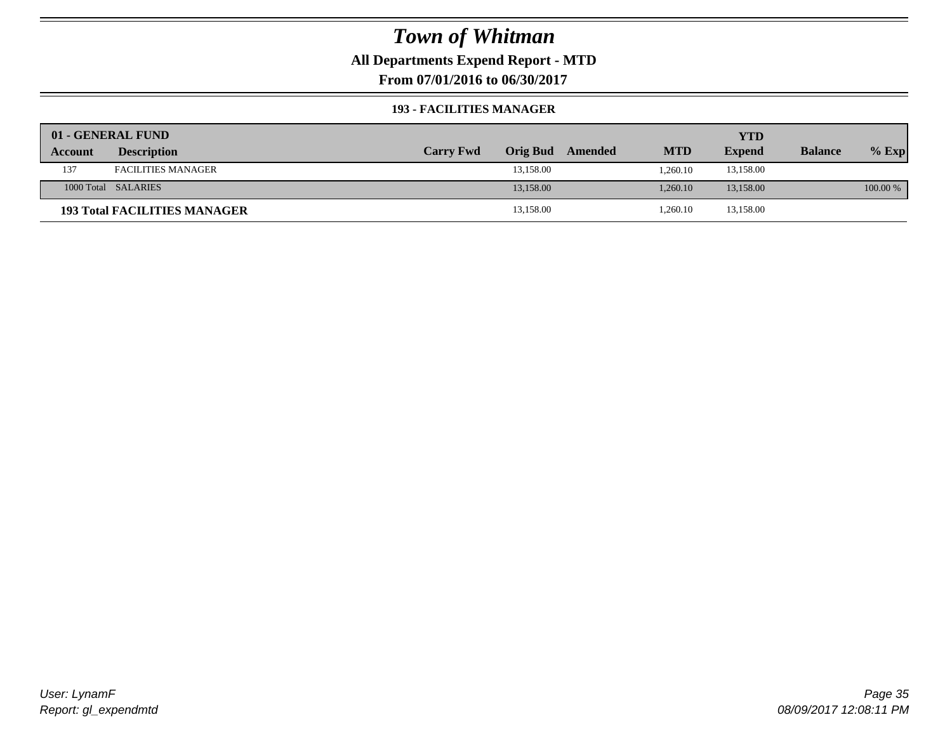### **All Departments Expend Report - MTD**

**From 07/01/2016 to 06/30/2017**

#### **193 - FACILITIES MANAGER**

|         | 01 - GENERAL FUND                   |                  |                 |         |            | YTD           |                |          |
|---------|-------------------------------------|------------------|-----------------|---------|------------|---------------|----------------|----------|
| Account | <b>Description</b>                  | <b>Carry Fwd</b> | <b>Orig Bud</b> | Amended | <b>MTD</b> | <b>Expend</b> | <b>Balance</b> | $%$ Exp  |
| 137     | <b>FACILITIES MANAGER</b>           |                  | 13,158.00       |         | 1.260.10   | 13,158.00     |                |          |
|         | 1000 Total SALARIES                 |                  | 13.158.00       |         | 1.260.10   | 13.158.00     |                | 100.00 % |
|         | <b>193 Total FACILITIES MANAGER</b> |                  | 13,158.00       |         | 1,260.10   | 13,158.00     |                |          |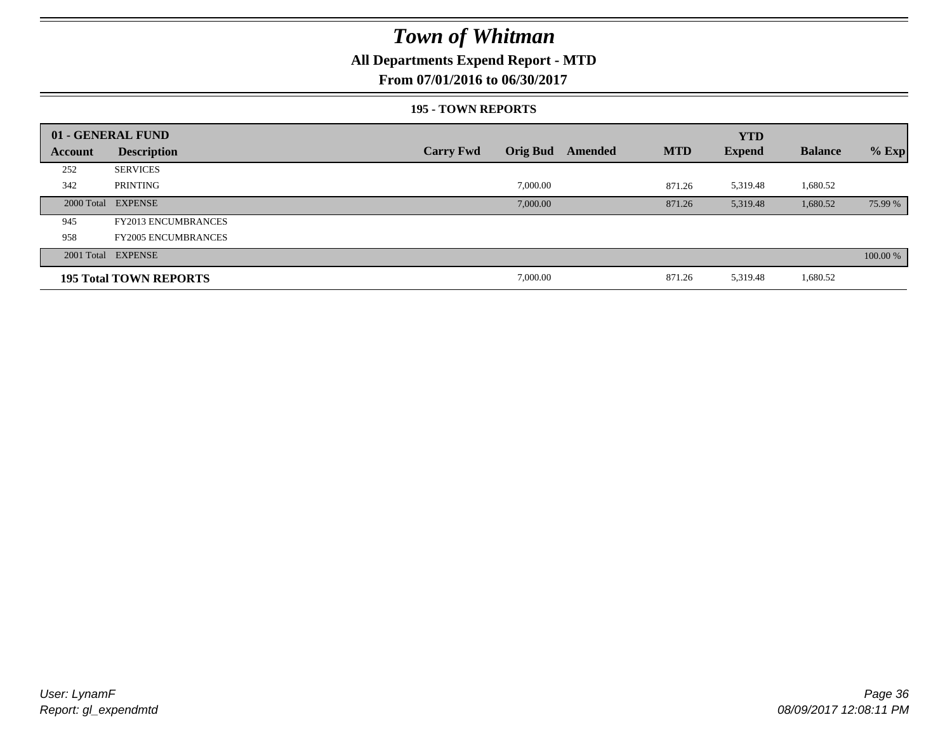### **All Departments Expend Report - MTD**

### **From 07/01/2016 to 06/30/2017**

#### **195 - TOWN REPORTS**

|         | 01 - GENERAL FUND             |                  |                 |         |            | <b>YTD</b>    |                |          |
|---------|-------------------------------|------------------|-----------------|---------|------------|---------------|----------------|----------|
| Account | <b>Description</b>            | <b>Carry Fwd</b> | <b>Orig Bud</b> | Amended | <b>MTD</b> | <b>Expend</b> | <b>Balance</b> | $%$ Exp  |
| 252     | <b>SERVICES</b>               |                  |                 |         |            |               |                |          |
| 342     | PRINTING                      |                  | 7,000.00        |         | 871.26     | 5,319.48      | 1,680.52       |          |
|         | 2000 Total EXPENSE            |                  | 7,000.00        |         | 871.26     | 5,319.48      | 1,680.52       | 75.99 %  |
| 945     | <b>FY2013 ENCUMBRANCES</b>    |                  |                 |         |            |               |                |          |
| 958     | <b>FY2005 ENCUMBRANCES</b>    |                  |                 |         |            |               |                |          |
|         | 2001 Total EXPENSE            |                  |                 |         |            |               |                | 100.00 % |
|         | <b>195 Total TOWN REPORTS</b> |                  | 7,000.00        |         | 871.26     | 5,319.48      | 1,680.52       |          |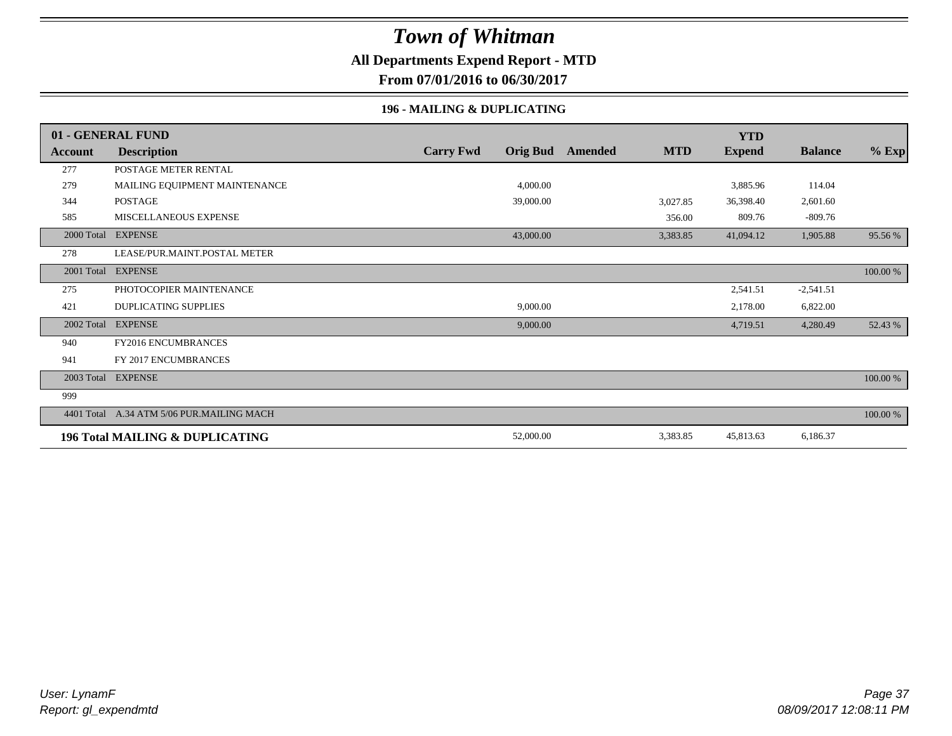### **All Departments Expend Report - MTD**

**From 07/01/2016 to 06/30/2017**

#### **196 - MAILING & DUPLICATING**

|            | 01 - GENERAL FUND                          |                  |                 |         |            | <b>YTD</b>    |                |          |
|------------|--------------------------------------------|------------------|-----------------|---------|------------|---------------|----------------|----------|
| Account    | <b>Description</b>                         | <b>Carry Fwd</b> | <b>Orig Bud</b> | Amended | <b>MTD</b> | <b>Expend</b> | <b>Balance</b> | $%$ Exp  |
| 277        | POSTAGE METER RENTAL                       |                  |                 |         |            |               |                |          |
| 279        | MAILING EQUIPMENT MAINTENANCE              |                  | 4,000.00        |         |            | 3,885.96      | 114.04         |          |
| 344        | <b>POSTAGE</b>                             |                  | 39,000.00       |         | 3,027.85   | 36,398.40     | 2,601.60       |          |
| 585        | MISCELLANEOUS EXPENSE                      |                  |                 |         | 356.00     | 809.76        | $-809.76$      |          |
| 2000 Total | <b>EXPENSE</b>                             |                  | 43,000.00       |         | 3,383.85   | 41,094.12     | 1,905.88       | 95.56 %  |
| 278        | LEASE/PUR.MAINT.POSTAL METER               |                  |                 |         |            |               |                |          |
| 2001 Total | <b>EXPENSE</b>                             |                  |                 |         |            |               |                | 100.00 % |
| 275        | PHOTOCOPIER MAINTENANCE                    |                  |                 |         |            | 2,541.51      | $-2,541.51$    |          |
| 421        | <b>DUPLICATING SUPPLIES</b>                |                  | 9,000.00        |         |            | 2,178.00      | 6,822.00       |          |
| 2002 Total | <b>EXPENSE</b>                             |                  | 9,000.00        |         |            | 4,719.51      | 4,280.49       | 52.43 %  |
| 940        | FY2016 ENCUMBRANCES                        |                  |                 |         |            |               |                |          |
| 941        | FY 2017 ENCUMBRANCES                       |                  |                 |         |            |               |                |          |
|            | 2003 Total EXPENSE                         |                  |                 |         |            |               |                | 100.00 % |
| 999        |                                            |                  |                 |         |            |               |                |          |
|            | 4401 Total A.34 ATM 5/06 PUR.MAILING MACH  |                  |                 |         |            |               |                | 100.00 % |
|            | <b>196 Total MAILING &amp; DUPLICATING</b> |                  | 52,000.00       |         | 3,383.85   | 45,813.63     | 6,186.37       |          |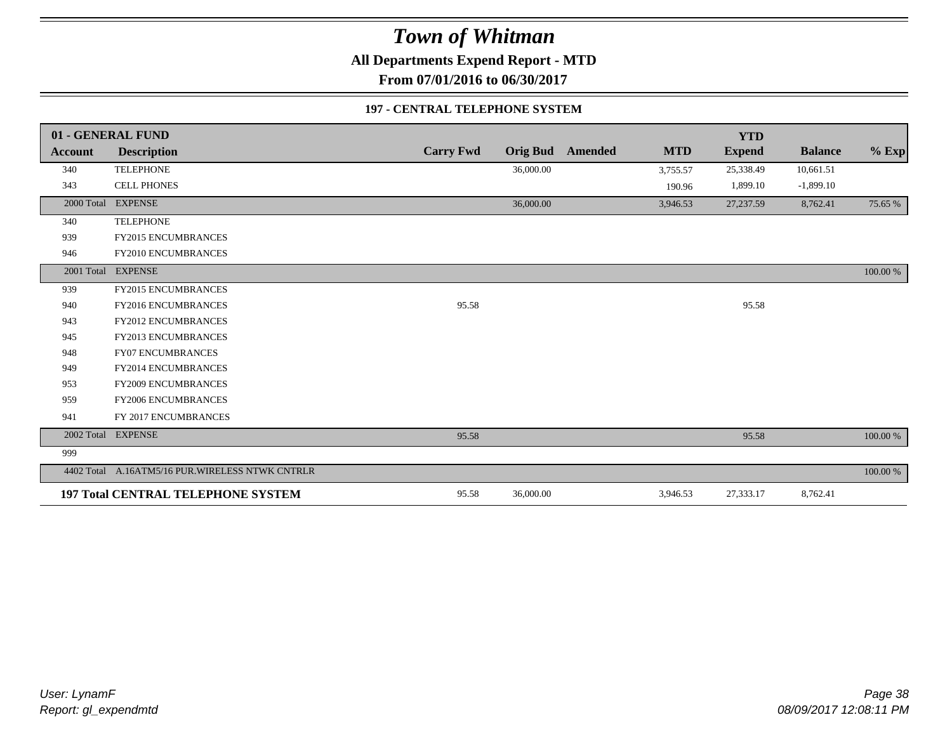**All Departments Expend Report - MTD**

**From 07/01/2016 to 06/30/2017**

#### **197 - CENTRAL TELEPHONE SYSTEM**

|                | 01 - GENERAL FUND                               |                  |                 |                |            | <b>YTD</b>    |                |             |
|----------------|-------------------------------------------------|------------------|-----------------|----------------|------------|---------------|----------------|-------------|
| <b>Account</b> | <b>Description</b>                              | <b>Carry Fwd</b> | <b>Orig Bud</b> | <b>Amended</b> | <b>MTD</b> | <b>Expend</b> | <b>Balance</b> | $%$ Exp     |
| 340            | <b>TELEPHONE</b>                                |                  | 36,000.00       |                | 3,755.57   | 25,338.49     | 10,661.51      |             |
| 343            | <b>CELL PHONES</b>                              |                  |                 |                | 190.96     | 1,899.10      | $-1,899.10$    |             |
| 2000 Total     | <b>EXPENSE</b>                                  |                  | 36,000.00       |                | 3,946.53   | 27,237.59     | 8,762.41       | 75.65 %     |
| 340            | <b>TELEPHONE</b>                                |                  |                 |                |            |               |                |             |
| 939            | FY2015 ENCUMBRANCES                             |                  |                 |                |            |               |                |             |
| 946            | FY2010 ENCUMBRANCES                             |                  |                 |                |            |               |                |             |
| 2001 Total     | <b>EXPENSE</b>                                  |                  |                 |                |            |               |                | $100.00~\%$ |
| 939            | <b>FY2015 ENCUMBRANCES</b>                      |                  |                 |                |            |               |                |             |
| 940            | FY2016 ENCUMBRANCES                             | 95.58            |                 |                |            | 95.58         |                |             |
| 943            | <b>FY2012 ENCUMBRANCES</b>                      |                  |                 |                |            |               |                |             |
| 945            | <b>FY2013 ENCUMBRANCES</b>                      |                  |                 |                |            |               |                |             |
| 948            | <b>FY07 ENCUMBRANCES</b>                        |                  |                 |                |            |               |                |             |
| 949            | <b>FY2014 ENCUMBRANCES</b>                      |                  |                 |                |            |               |                |             |
| 953            | FY2009 ENCUMBRANCES                             |                  |                 |                |            |               |                |             |
| 959            | <b>FY2006 ENCUMBRANCES</b>                      |                  |                 |                |            |               |                |             |
| 941            | FY 2017 ENCUMBRANCES                            |                  |                 |                |            |               |                |             |
|                | 2002 Total EXPENSE                              | 95.58            |                 |                |            | 95.58         |                | 100.00 %    |
| 999            |                                                 |                  |                 |                |            |               |                |             |
|                | 4402 Total A.16ATM5/16 PUR.WIRELESS NTWK CNTRLR |                  |                 |                |            |               |                | $100.00~\%$ |
|                | <b>197 Total CENTRAL TELEPHONE SYSTEM</b>       | 95.58            | 36,000.00       |                | 3,946.53   | 27,333.17     | 8,762.41       |             |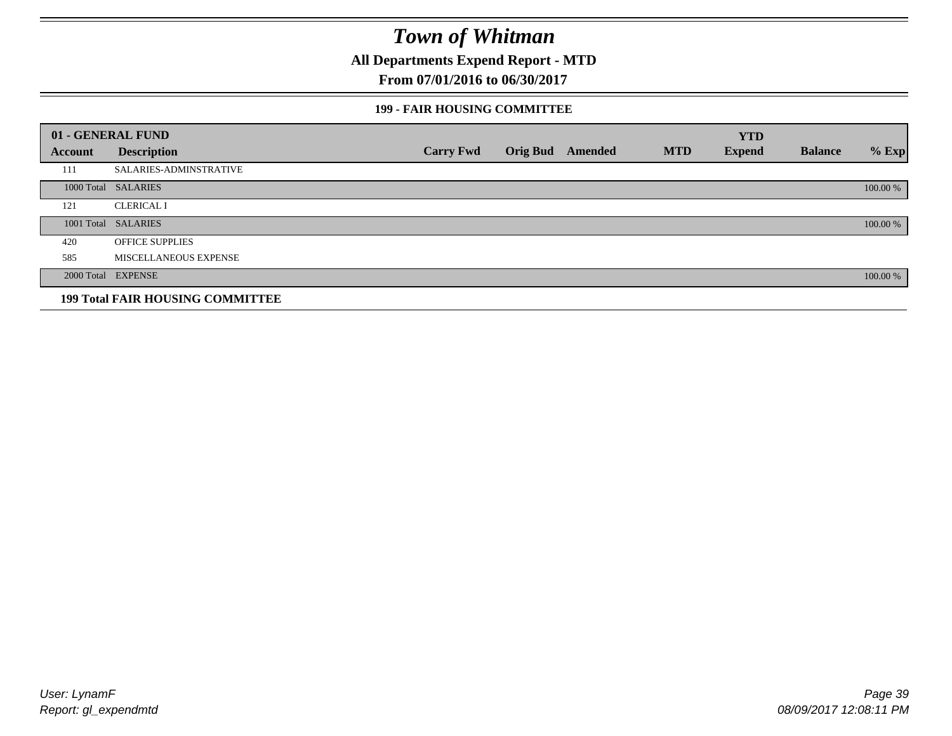**All Departments Expend Report - MTD**

**From 07/01/2016 to 06/30/2017**

#### **199 - FAIR HOUSING COMMITTEE**

|         | 01 - GENERAL FUND                       |                  |                         |            | <b>YTD</b>    |                |          |
|---------|-----------------------------------------|------------------|-------------------------|------------|---------------|----------------|----------|
| Account | <b>Description</b>                      | <b>Carry Fwd</b> | <b>Orig Bud</b> Amended | <b>MTD</b> | <b>Expend</b> | <b>Balance</b> | $%$ Exp  |
| 111     | SALARIES-ADMINSTRATIVE                  |                  |                         |            |               |                |          |
|         | 1000 Total SALARIES                     |                  |                         |            |               |                | 100.00 % |
| 121     | <b>CLERICAL I</b>                       |                  |                         |            |               |                |          |
|         | 1001 Total SALARIES                     |                  |                         |            |               |                | 100.00 % |
| 420     | <b>OFFICE SUPPLIES</b>                  |                  |                         |            |               |                |          |
| 585     | MISCELLANEOUS EXPENSE                   |                  |                         |            |               |                |          |
|         | 2000 Total EXPENSE                      |                  |                         |            |               |                | 100.00 % |
|         | <b>199 Total FAIR HOUSING COMMITTEE</b> |                  |                         |            |               |                |          |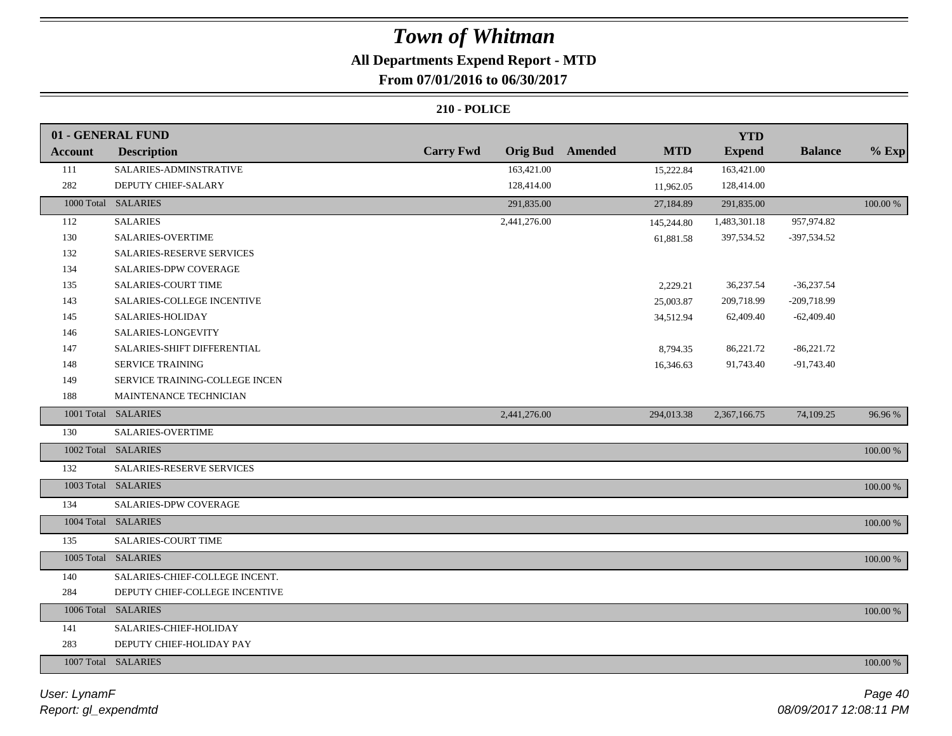### **All Departments Expend Report - MTD**

### **From 07/01/2016 to 06/30/2017**

|                | 01 - GENERAL FUND              |                  |                 |                |            | <b>YTD</b>    |                |          |
|----------------|--------------------------------|------------------|-----------------|----------------|------------|---------------|----------------|----------|
| <b>Account</b> | <b>Description</b>             | <b>Carry Fwd</b> | <b>Orig Bud</b> | <b>Amended</b> | <b>MTD</b> | <b>Expend</b> | <b>Balance</b> | $%$ Exp  |
| 111            | SALARIES-ADMINSTRATIVE         |                  | 163,421.00      |                | 15,222.84  | 163,421.00    |                |          |
| 282            | DEPUTY CHIEF-SALARY            |                  | 128,414.00      |                | 11,962.05  | 128,414.00    |                |          |
|                | 1000 Total SALARIES            |                  | 291,835.00      |                | 27,184.89  | 291,835.00    |                | 100.00 % |
| 112            | <b>SALARIES</b>                |                  | 2,441,276.00    |                | 145,244.80 | 1,483,301.18  | 957,974.82     |          |
| 130            | SALARIES-OVERTIME              |                  |                 |                | 61,881.58  | 397,534.52    | -397,534.52    |          |
| 132            | SALARIES-RESERVE SERVICES      |                  |                 |                |            |               |                |          |
| 134            | SALARIES-DPW COVERAGE          |                  |                 |                |            |               |                |          |
| 135            | SALARIES-COURT TIME            |                  |                 |                | 2,229.21   | 36,237.54     | $-36,237.54$   |          |
| 143            | SALARIES-COLLEGE INCENTIVE     |                  |                 |                | 25,003.87  | 209,718.99    | -209,718.99    |          |
| 145            | SALARIES-HOLIDAY               |                  |                 |                | 34,512.94  | 62,409.40     | $-62,409.40$   |          |
| 146            | SALARIES-LONGEVITY             |                  |                 |                |            |               |                |          |
| 147            | SALARIES-SHIFT DIFFERENTIAL    |                  |                 |                | 8,794.35   | 86,221.72     | $-86,221.72$   |          |
| 148            | SERVICE TRAINING               |                  |                 |                | 16,346.63  | 91,743.40     | $-91,743.40$   |          |
| 149            | SERVICE TRAINING-COLLEGE INCEN |                  |                 |                |            |               |                |          |
| 188            | MAINTENANCE TECHNICIAN         |                  |                 |                |            |               |                |          |
|                | 1001 Total SALARIES            |                  | 2,441,276.00    |                | 294,013.38 | 2,367,166.75  | 74,109.25      | 96.96 %  |
| 130            | SALARIES-OVERTIME              |                  |                 |                |            |               |                |          |
|                | 1002 Total SALARIES            |                  |                 |                |            |               |                | 100.00 % |
| 132            | SALARIES-RESERVE SERVICES      |                  |                 |                |            |               |                |          |
|                | 1003 Total SALARIES            |                  |                 |                |            |               |                | 100.00 % |
| 134            | SALARIES-DPW COVERAGE          |                  |                 |                |            |               |                |          |
|                | 1004 Total SALARIES            |                  |                 |                |            |               |                | 100.00 % |
| 135            | <b>SALARIES-COURT TIME</b>     |                  |                 |                |            |               |                |          |
|                | 1005 Total SALARIES            |                  |                 |                |            |               |                | 100.00 % |
| 140            | SALARIES-CHIEF-COLLEGE INCENT. |                  |                 |                |            |               |                |          |
| 284            | DEPUTY CHIEF-COLLEGE INCENTIVE |                  |                 |                |            |               |                |          |
|                | 1006 Total SALARIES            |                  |                 |                |            |               |                | 100.00 % |
| 141            | SALARIES-CHIEF-HOLIDAY         |                  |                 |                |            |               |                |          |
| 283            | DEPUTY CHIEF-HOLIDAY PAY       |                  |                 |                |            |               |                |          |
|                | 1007 Total SALARIES            |                  |                 |                |            |               |                | 100.00 % |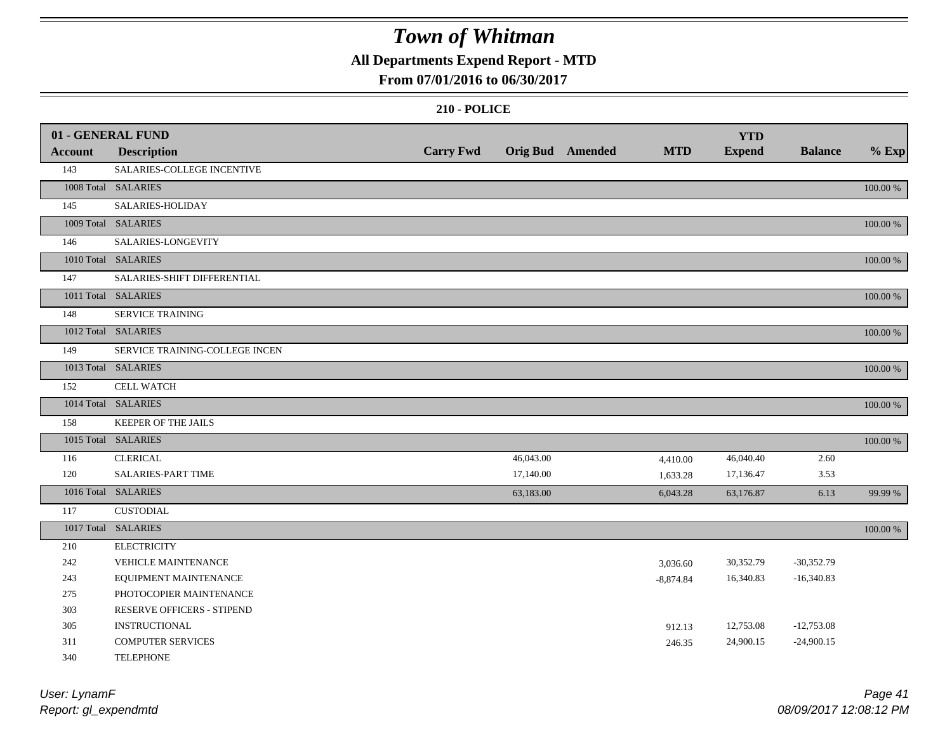### **All Departments Expend Report - MTD**

### **From 07/01/2016 to 06/30/2017**

|                | 01 - GENERAL FUND              |                  |           |                         |             | <b>YTD</b>    |                |          |
|----------------|--------------------------------|------------------|-----------|-------------------------|-------------|---------------|----------------|----------|
| <b>Account</b> | <b>Description</b>             | <b>Carry Fwd</b> |           | <b>Orig Bud</b> Amended | <b>MTD</b>  | <b>Expend</b> | <b>Balance</b> | $%$ Exp  |
| 143            | SALARIES-COLLEGE INCENTIVE     |                  |           |                         |             |               |                |          |
|                | 1008 Total SALARIES            |                  |           |                         |             |               |                | 100.00 % |
| 145            | SALARIES-HOLIDAY               |                  |           |                         |             |               |                |          |
|                | 1009 Total SALARIES            |                  |           |                         |             |               |                | 100.00 % |
| 146            | SALARIES-LONGEVITY             |                  |           |                         |             |               |                |          |
|                | 1010 Total SALARIES            |                  |           |                         |             |               |                | 100.00 % |
| 147            | SALARIES-SHIFT DIFFERENTIAL    |                  |           |                         |             |               |                |          |
|                | 1011 Total SALARIES            |                  |           |                         |             |               |                | 100.00 % |
| 148            | <b>SERVICE TRAINING</b>        |                  |           |                         |             |               |                |          |
|                | 1012 Total SALARIES            |                  |           |                         |             |               |                | 100.00 % |
| 149            | SERVICE TRAINING-COLLEGE INCEN |                  |           |                         |             |               |                |          |
|                | 1013 Total SALARIES            |                  |           |                         |             |               |                | 100.00 % |
| 152            | <b>CELL WATCH</b>              |                  |           |                         |             |               |                |          |
|                | 1014 Total SALARIES            |                  |           |                         |             |               |                | 100.00 % |
| 158            | KEEPER OF THE JAILS            |                  |           |                         |             |               |                |          |
|                | 1015 Total SALARIES            |                  |           |                         |             |               |                | 100.00 % |
| 116            | <b>CLERICAL</b>                |                  | 46,043.00 |                         | 4,410.00    | 46,040.40     | 2.60           |          |
| 120            | SALARIES-PART TIME             |                  | 17,140.00 |                         | 1,633.28    | 17,136.47     | 3.53           |          |
|                | 1016 Total SALARIES            |                  | 63,183.00 |                         | 6,043.28    | 63,176.87     | 6.13           | 99.99 %  |
| 117            | <b>CUSTODIAL</b>               |                  |           |                         |             |               |                |          |
|                | 1017 Total SALARIES            |                  |           |                         |             |               |                | 100.00 % |
| 210            | <b>ELECTRICITY</b>             |                  |           |                         |             |               |                |          |
| 242            | VEHICLE MAINTENANCE            |                  |           |                         | 3,036.60    | 30,352.79     | $-30,352.79$   |          |
| 243            | EQUIPMENT MAINTENANCE          |                  |           |                         | $-8,874.84$ | 16,340.83     | $-16,340.83$   |          |
| 275            | PHOTOCOPIER MAINTENANCE        |                  |           |                         |             |               |                |          |
| 303            | RESERVE OFFICERS - STIPEND     |                  |           |                         |             |               |                |          |
| 305            | <b>INSTRUCTIONAL</b>           |                  |           |                         | 912.13      | 12,753.08     | $-12,753.08$   |          |
| 311            | <b>COMPUTER SERVICES</b>       |                  |           |                         | 246.35      | 24,900.15     | $-24,900.15$   |          |
| 340            | <b>TELEPHONE</b>               |                  |           |                         |             |               |                |          |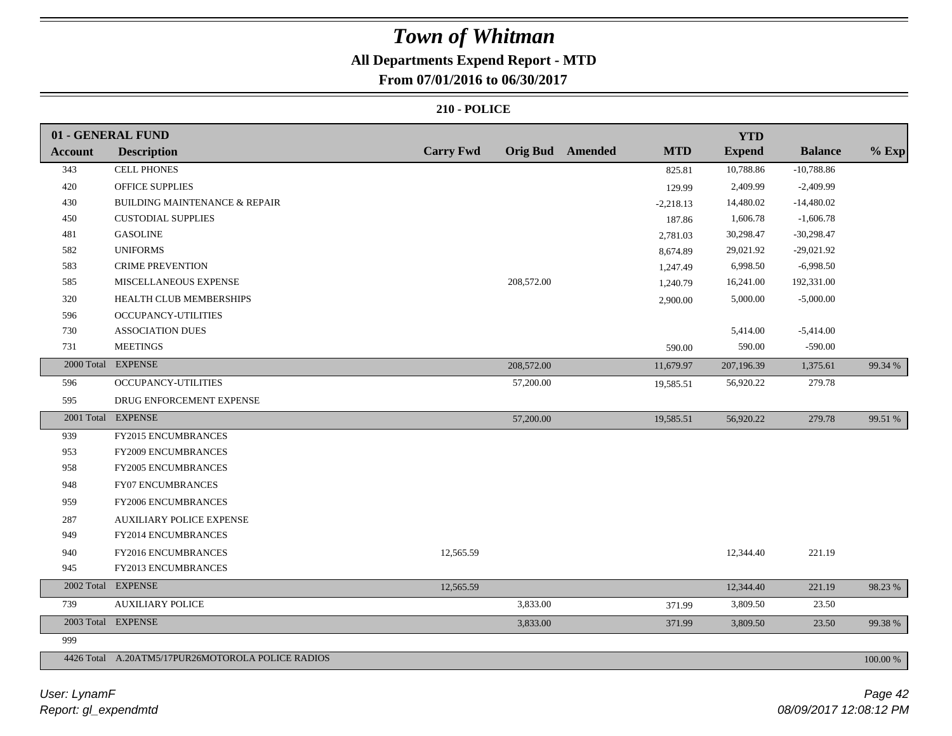### **All Departments Expend Report - MTD**

**From 07/01/2016 to 06/30/2017**

|                | 01 - GENERAL FUND                                 |                  |            |                         |             | <b>YTD</b>    |                |          |
|----------------|---------------------------------------------------|------------------|------------|-------------------------|-------------|---------------|----------------|----------|
| <b>Account</b> | <b>Description</b>                                | <b>Carry Fwd</b> |            | <b>Orig Bud</b> Amended | <b>MTD</b>  | <b>Expend</b> | <b>Balance</b> | $%$ Exp  |
| 343            | <b>CELL PHONES</b>                                |                  |            |                         | 825.81      | 10,788.86     | $-10,788.86$   |          |
| 420            | <b>OFFICE SUPPLIES</b>                            |                  |            |                         | 129.99      | 2,409.99      | $-2,409.99$    |          |
| 430            | <b>BUILDING MAINTENANCE &amp; REPAIR</b>          |                  |            |                         | $-2,218.13$ | 14,480.02     | $-14,480.02$   |          |
| 450            | <b>CUSTODIAL SUPPLIES</b>                         |                  |            |                         | 187.86      | 1,606.78      | $-1,606.78$    |          |
| 481            | <b>GASOLINE</b>                                   |                  |            |                         | 2,781.03    | 30,298.47     | $-30,298.47$   |          |
| 582            | <b>UNIFORMS</b>                                   |                  |            |                         | 8,674.89    | 29,021.92     | $-29,021.92$   |          |
| 583            | <b>CRIME PREVENTION</b>                           |                  |            |                         | 1,247.49    | 6,998.50      | $-6,998.50$    |          |
| 585            | MISCELLANEOUS EXPENSE                             |                  | 208,572.00 |                         | 1,240.79    | 16,241.00     | 192,331.00     |          |
| 320            | HEALTH CLUB MEMBERSHIPS                           |                  |            |                         | 2,900.00    | 5,000.00      | $-5,000.00$    |          |
| 596            | OCCUPANCY-UTILITIES                               |                  |            |                         |             |               |                |          |
| 730            | <b>ASSOCIATION DUES</b>                           |                  |            |                         |             | 5,414.00      | $-5,414.00$    |          |
| 731            | <b>MEETINGS</b>                                   |                  |            |                         | 590.00      | 590.00        | $-590.00$      |          |
|                | 2000 Total EXPENSE                                |                  | 208,572.00 |                         | 11,679.97   | 207,196.39    | 1,375.61       | 99.34 %  |
| 596            | <b>OCCUPANCY-UTILITIES</b>                        |                  | 57,200.00  |                         | 19,585.51   | 56,920.22     | 279.78         |          |
| 595            | DRUG ENFORCEMENT EXPENSE                          |                  |            |                         |             |               |                |          |
| 2001 Total     | <b>EXPENSE</b>                                    |                  | 57,200.00  |                         | 19,585.51   | 56,920.22     | 279.78         | 99.51 %  |
| 939            | FY2015 ENCUMBRANCES                               |                  |            |                         |             |               |                |          |
| 953            | <b>FY2009 ENCUMBRANCES</b>                        |                  |            |                         |             |               |                |          |
| 958            | <b>FY2005 ENCUMBRANCES</b>                        |                  |            |                         |             |               |                |          |
| 948            | <b>FY07 ENCUMBRANCES</b>                          |                  |            |                         |             |               |                |          |
| 959            | FY2006 ENCUMBRANCES                               |                  |            |                         |             |               |                |          |
| 287            | <b>AUXILIARY POLICE EXPENSE</b>                   |                  |            |                         |             |               |                |          |
| 949            | <b>FY2014 ENCUMBRANCES</b>                        |                  |            |                         |             |               |                |          |
| 940            | FY2016 ENCUMBRANCES                               | 12,565.59        |            |                         |             | 12,344.40     | 221.19         |          |
| 945            | FY2013 ENCUMBRANCES                               |                  |            |                         |             |               |                |          |
| 2002 Total     | <b>EXPENSE</b>                                    | 12,565.59        |            |                         |             | 12,344.40     | 221.19         | 98.23%   |
| 739            | <b>AUXILIARY POLICE</b>                           |                  | 3,833.00   |                         | 371.99      | 3,809.50      | 23.50          |          |
|                | 2003 Total EXPENSE                                |                  | 3,833.00   |                         | 371.99      | 3,809.50      | 23.50          | 99.38%   |
| 999            |                                                   |                  |            |                         |             |               |                |          |
|                | 4426 Total A.20ATM5/17PUR26MOTOROLA POLICE RADIOS |                  |            |                         |             |               |                | 100.00 % |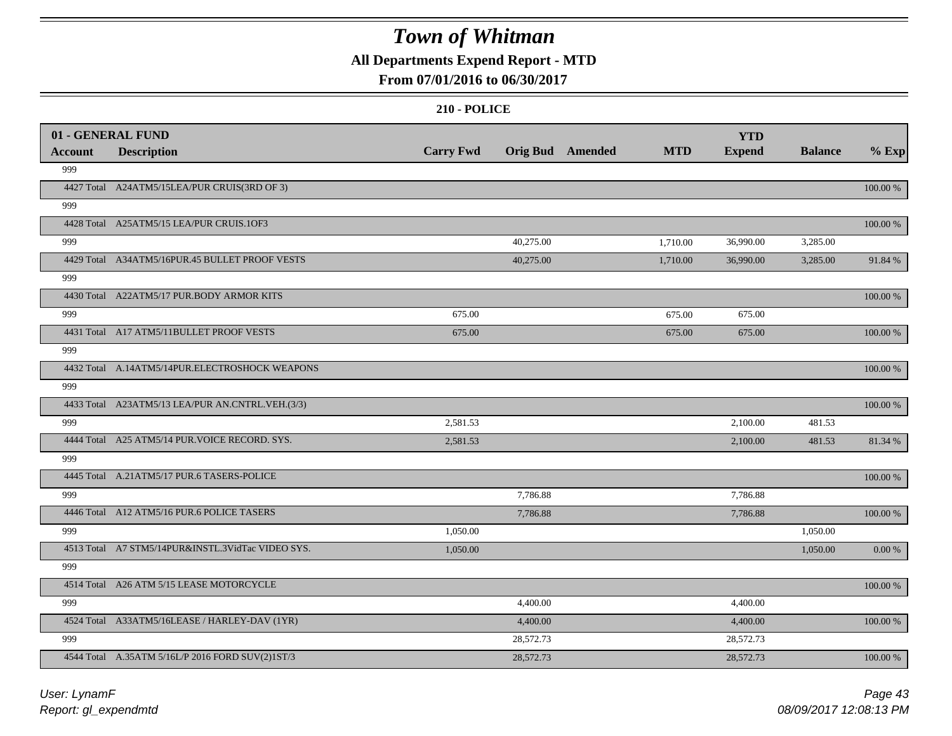### **All Departments Expend Report - MTD**

### **From 07/01/2016 to 06/30/2017**

|                | 01 - GENERAL FUND                                 |                  |           |                         |            | <b>YTD</b>    |                |             |
|----------------|---------------------------------------------------|------------------|-----------|-------------------------|------------|---------------|----------------|-------------|
| <b>Account</b> | <b>Description</b>                                | <b>Carry Fwd</b> |           | <b>Orig Bud</b> Amended | <b>MTD</b> | <b>Expend</b> | <b>Balance</b> | $%$ Exp     |
| 999            |                                                   |                  |           |                         |            |               |                |             |
|                | 4427 Total A24ATM5/15LEA/PUR CRUIS(3RD OF 3)      |                  |           |                         |            |               |                | 100.00 %    |
| 999            |                                                   |                  |           |                         |            |               |                |             |
|                | 4428 Total A25ATM5/15 LEA/PUR CRUIS.1OF3          |                  |           |                         |            |               |                | 100.00 %    |
| 999            |                                                   |                  | 40,275.00 |                         | 1,710.00   | 36,990.00     | 3,285.00       |             |
|                | 4429 Total A34ATM5/16PUR.45 BULLET PROOF VESTS    |                  | 40,275.00 |                         | 1,710.00   | 36,990.00     | 3,285.00       | 91.84 %     |
| 999            |                                                   |                  |           |                         |            |               |                |             |
|                | 4430 Total A22ATM5/17 PUR.BODY ARMOR KITS         |                  |           |                         |            |               |                | 100.00 %    |
| 999            |                                                   | 675.00           |           |                         | 675.00     | 675.00        |                |             |
|                | 4431 Total A17 ATM5/11BULLET PROOF VESTS          | 675.00           |           |                         | 675.00     | 675.00        |                | 100.00 %    |
| 999            |                                                   |                  |           |                         |            |               |                |             |
|                | 4432 Total A.14ATM5/14PUR.ELECTROSHOCK WEAPONS    |                  |           |                         |            |               |                | 100.00 %    |
| 999            |                                                   |                  |           |                         |            |               |                |             |
|                | 4433 Total A23ATM5/13 LEA/PUR AN.CNTRL.VEH.(3/3)  |                  |           |                         |            |               |                | 100.00 %    |
| 999            |                                                   | 2,581.53         |           |                         |            | 2,100.00      | 481.53         |             |
|                | 4444 Total A25 ATM5/14 PUR. VOICE RECORD. SYS.    | 2,581.53         |           |                         |            | 2,100.00      | 481.53         | 81.34 %     |
| 999            |                                                   |                  |           |                         |            |               |                |             |
|                | 4445 Total A.21ATM5/17 PUR.6 TASERS-POLICE        |                  |           |                         |            |               |                | 100.00 %    |
| 999            |                                                   |                  | 7,786.88  |                         |            | 7,786.88      |                |             |
|                | 4446 Total A12 ATM5/16 PUR.6 POLICE TASERS        |                  | 7,786.88  |                         |            | 7,786.88      |                | $100.00~\%$ |
| 999            |                                                   | 1,050.00         |           |                         |            |               | 1,050.00       |             |
|                | 4513 Total A7 STM5/14PUR&INSTL.3VidTac VIDEO SYS. | 1,050.00         |           |                         |            |               | 1,050.00       | $0.00\ \%$  |
| 999            |                                                   |                  |           |                         |            |               |                |             |
|                | 4514 Total A26 ATM 5/15 LEASE MOTORCYCLE          |                  |           |                         |            |               |                | 100.00 %    |
| 999            |                                                   |                  | 4,400.00  |                         |            | 4,400.00      |                |             |
|                | 4524 Total A33ATM5/16LEASE / HARLEY-DAV (1YR)     |                  | 4,400.00  |                         |            | 4,400.00      |                | 100.00 %    |
| 999            |                                                   |                  | 28,572.73 |                         |            | 28,572.73     |                |             |
|                | 4544 Total A.35ATM 5/16L/P 2016 FORD SUV(2)1ST/3  |                  | 28,572.73 |                         |            | 28,572.73     |                | 100.00 %    |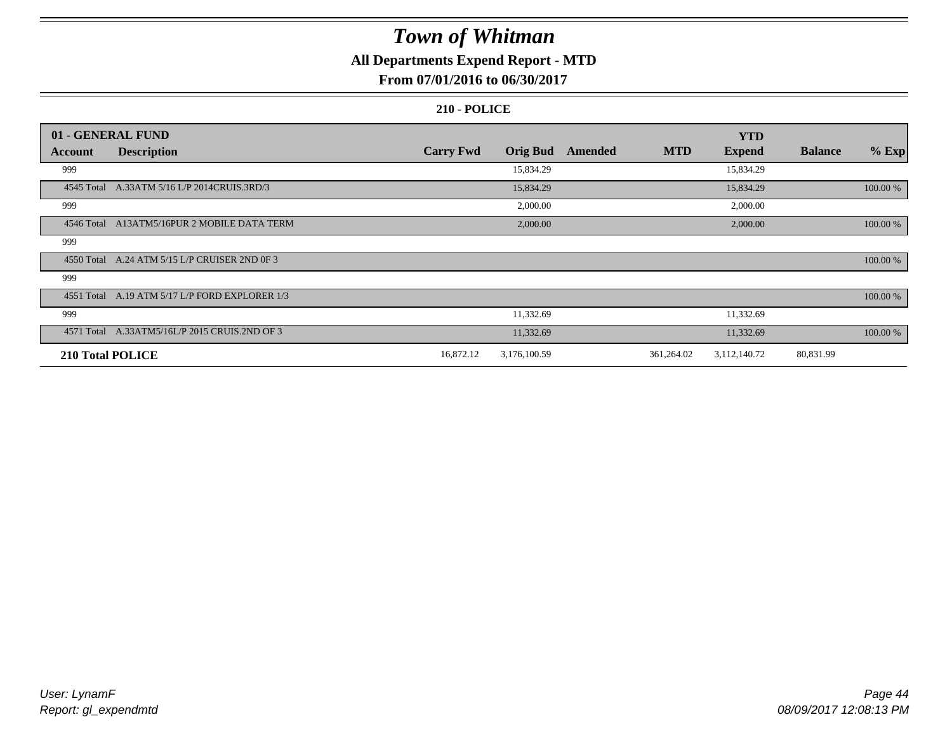### **All Departments Expend Report - MTD**

### **From 07/01/2016 to 06/30/2017**

|                  | 01 - GENERAL FUND                              |                  |                 |         |            | <b>YTD</b>    |                |          |
|------------------|------------------------------------------------|------------------|-----------------|---------|------------|---------------|----------------|----------|
| Account          | <b>Description</b>                             | <b>Carry Fwd</b> | <b>Orig Bud</b> | Amended | <b>MTD</b> | <b>Expend</b> | <b>Balance</b> | $%$ Exp  |
| 999              |                                                |                  | 15,834.29       |         |            | 15,834.29     |                |          |
| 4545 Total       | A.33ATM 5/16 L/P 2014CRUIS.3RD/3               |                  | 15,834.29       |         |            | 15,834.29     |                | 100.00 % |
| 999              |                                                |                  | 2,000.00        |         |            | 2,000.00      |                |          |
| 4546 Total       | A13ATM5/16PUR 2 MOBILE DATA TERM               |                  | 2,000.00        |         |            | 2,000.00      |                | 100.00 % |
| 999              |                                                |                  |                 |         |            |               |                |          |
| 4550 Total       | A.24 ATM 5/15 L/P CRUISER 2ND 0F 3             |                  |                 |         |            |               |                | 100.00 % |
| 999              |                                                |                  |                 |         |            |               |                |          |
|                  | 4551 Total A.19 ATM 5/17 L/P FORD EXPLORER 1/3 |                  |                 |         |            |               |                | 100.00 % |
| 999              |                                                |                  | 11,332.69       |         |            | 11,332.69     |                |          |
| 4571 Total       | A.33ATM5/16L/P 2015 CRUIS.2ND OF 3             |                  | 11,332.69       |         |            | 11,332.69     |                | 100.00 % |
| 210 Total POLICE |                                                | 16,872.12        | 3,176,100.59    |         | 361,264.02 | 3,112,140.72  | 80,831.99      |          |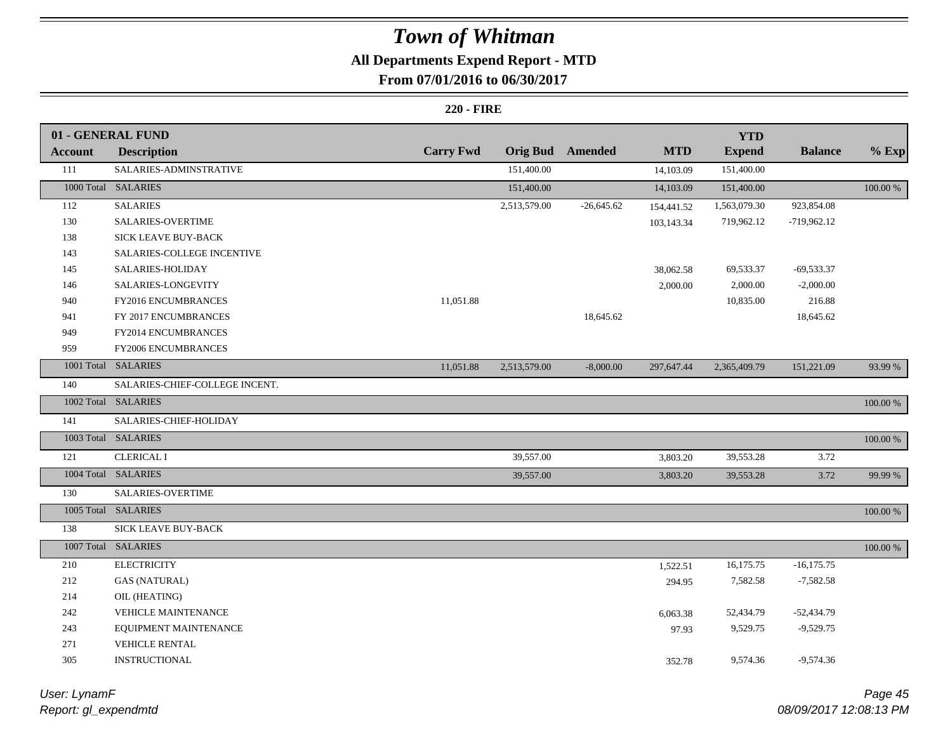### **All Departments Expend Report - MTD**

### **From 07/01/2016 to 06/30/2017**

#### **220 - FIRE**

|                | 01 - GENERAL FUND              |                  |                 |                |            | <b>YTD</b>    |                |             |
|----------------|--------------------------------|------------------|-----------------|----------------|------------|---------------|----------------|-------------|
| <b>Account</b> | <b>Description</b>             | <b>Carry Fwd</b> | <b>Orig Bud</b> | <b>Amended</b> | <b>MTD</b> | <b>Expend</b> | <b>Balance</b> | $%$ Exp     |
| 111            | SALARIES-ADMINSTRATIVE         |                  | 151,400.00      |                | 14,103.09  | 151,400.00    |                |             |
|                | 1000 Total SALARIES            |                  | 151,400.00      |                | 14,103.09  | 151,400.00    |                | 100.00 %    |
| 112            | <b>SALARIES</b>                |                  | 2,513,579.00    | $-26,645.62$   | 154,441.52 | 1,563,079.30  | 923,854.08     |             |
| 130            | SALARIES-OVERTIME              |                  |                 |                | 103,143.34 | 719,962.12    | $-719,962.12$  |             |
| 138            | SICK LEAVE BUY-BACK            |                  |                 |                |            |               |                |             |
| 143            | SALARIES-COLLEGE INCENTIVE     |                  |                 |                |            |               |                |             |
| 145            | SALARIES-HOLIDAY               |                  |                 |                | 38,062.58  | 69,533.37     | $-69,533.37$   |             |
| 146            | SALARIES-LONGEVITY             |                  |                 |                | 2,000.00   | 2,000.00      | $-2,000.00$    |             |
| 940            | FY2016 ENCUMBRANCES            | 11,051.88        |                 |                |            | 10,835.00     | 216.88         |             |
| 941            | FY 2017 ENCUMBRANCES           |                  |                 | 18,645.62      |            |               | 18,645.62      |             |
| 949            | FY2014 ENCUMBRANCES            |                  |                 |                |            |               |                |             |
| 959            | <b>FY2006 ENCUMBRANCES</b>     |                  |                 |                |            |               |                |             |
|                | 1001 Total SALARIES            | 11,051.88        | 2,513,579.00    | $-8,000.00$    | 297,647.44 | 2,365,409.79  | 151,221.09     | 93.99 %     |
| 140            | SALARIES-CHIEF-COLLEGE INCENT. |                  |                 |                |            |               |                |             |
|                | 1002 Total SALARIES            |                  |                 |                |            |               |                | 100.00 %    |
| 141            | SALARIES-CHIEF-HOLIDAY         |                  |                 |                |            |               |                |             |
|                | 1003 Total SALARIES            |                  |                 |                |            |               |                | 100.00 %    |
| 121            | <b>CLERICAL I</b>              |                  | 39,557.00       |                | 3,803.20   | 39,553.28     | 3.72           |             |
|                | 1004 Total SALARIES            |                  | 39,557.00       |                | 3,803.20   | 39,553.28     | 3.72           | 99.99 %     |
| 130            | SALARIES-OVERTIME              |                  |                 |                |            |               |                |             |
|                | 1005 Total SALARIES            |                  |                 |                |            |               |                | 100.00 %    |
| 138            | SICK LEAVE BUY-BACK            |                  |                 |                |            |               |                |             |
| 1007 Total     | <b>SALARIES</b>                |                  |                 |                |            |               |                | $100.00~\%$ |
| 210            | <b>ELECTRICITY</b>             |                  |                 |                | 1,522.51   | 16,175.75     | $-16,175.75$   |             |
| 212            | <b>GAS (NATURAL)</b>           |                  |                 |                | 294.95     | 7,582.58      | $-7,582.58$    |             |
| 214            | OIL (HEATING)                  |                  |                 |                |            |               |                |             |
| 242            | <b>VEHICLE MAINTENANCE</b>     |                  |                 |                | 6,063.38   | 52,434.79     | $-52,434.79$   |             |
| 243            | EQUIPMENT MAINTENANCE          |                  |                 |                | 97.93      | 9,529.75      | $-9,529.75$    |             |
| 271            | <b>VEHICLE RENTAL</b>          |                  |                 |                |            |               |                |             |
| 305            | <b>INSTRUCTIONAL</b>           |                  |                 |                | 352.78     | 9,574.36      | $-9,574.36$    |             |
|                |                                |                  |                 |                |            |               |                |             |

*Report: gl\_expendmtd User: LynamF*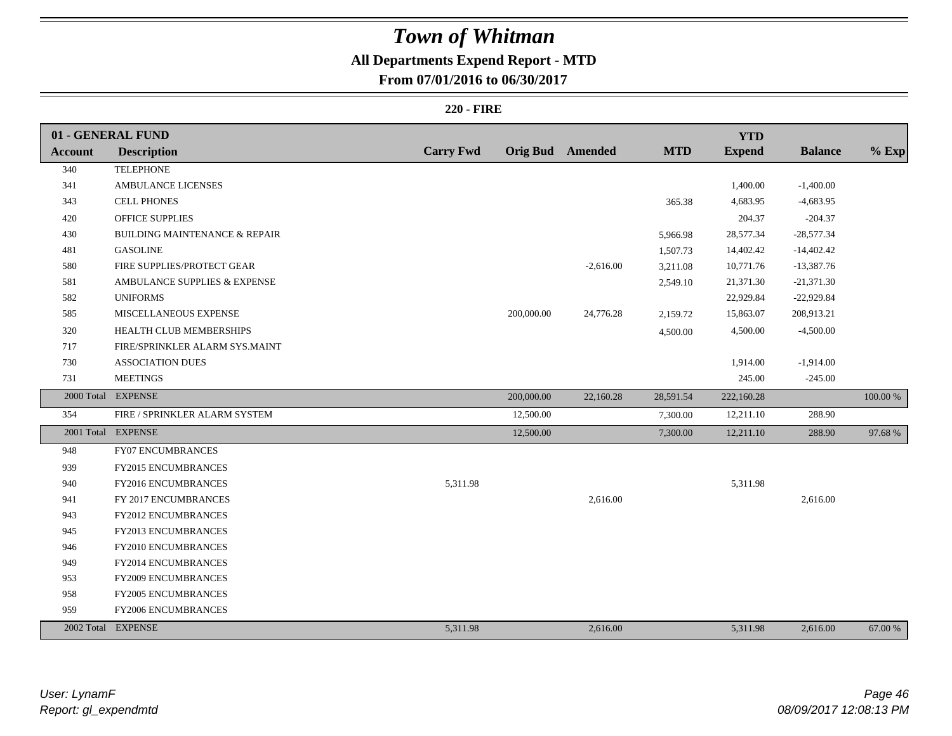### **All Departments Expend Report - MTD**

### **From 07/01/2016 to 06/30/2017**

#### **220 - FIRE**

|                | 01 - GENERAL FUND                        |                  |            |                         |            | <b>YTD</b>    |                |          |
|----------------|------------------------------------------|------------------|------------|-------------------------|------------|---------------|----------------|----------|
| <b>Account</b> | <b>Description</b>                       | <b>Carry Fwd</b> |            | <b>Orig Bud</b> Amended | <b>MTD</b> | <b>Expend</b> | <b>Balance</b> | $%$ Exp  |
| 340            | <b>TELEPHONE</b>                         |                  |            |                         |            |               |                |          |
| 341            | AMBULANCE LICENSES                       |                  |            |                         |            | 1,400.00      | $-1,400.00$    |          |
| 343            | <b>CELL PHONES</b>                       |                  |            |                         | 365.38     | 4,683.95      | $-4,683.95$    |          |
| 420            | OFFICE SUPPLIES                          |                  |            |                         |            | 204.37        | $-204.37$      |          |
| 430            | <b>BUILDING MAINTENANCE &amp; REPAIR</b> |                  |            |                         | 5,966.98   | 28,577.34     | $-28,577.34$   |          |
| 481            | <b>GASOLINE</b>                          |                  |            |                         | 1,507.73   | 14,402.42     | $-14,402.42$   |          |
| 580            | FIRE SUPPLIES/PROTECT GEAR               |                  |            | $-2,616.00$             | 3,211.08   | 10,771.76     | $-13,387.76$   |          |
| 581            | AMBULANCE SUPPLIES & EXPENSE             |                  |            |                         | 2,549.10   | 21,371.30     | $-21,371.30$   |          |
| 582            | <b>UNIFORMS</b>                          |                  |            |                         |            | 22,929.84     | $-22,929.84$   |          |
| 585            | MISCELLANEOUS EXPENSE                    |                  | 200,000.00 | 24,776.28               | 2,159.72   | 15,863.07     | 208,913.21     |          |
| 320            | HEALTH CLUB MEMBERSHIPS                  |                  |            |                         | 4,500.00   | 4,500.00      | $-4,500.00$    |          |
| 717            | FIRE/SPRINKLER ALARM SYS.MAINT           |                  |            |                         |            |               |                |          |
| 730            | <b>ASSOCIATION DUES</b>                  |                  |            |                         |            | 1,914.00      | $-1,914.00$    |          |
| 731            | <b>MEETINGS</b>                          |                  |            |                         |            | 245.00        | $-245.00$      |          |
| 2000 Total     | <b>EXPENSE</b>                           |                  | 200,000.00 | 22,160.28               | 28,591.54  | 222,160.28    |                | 100.00 % |
| 354            | FIRE / SPRINKLER ALARM SYSTEM            |                  | 12,500.00  |                         | 7,300.00   | 12,211.10     | 288.90         |          |
|                | 2001 Total EXPENSE                       |                  | 12,500.00  |                         | 7,300.00   | 12,211.10     | 288.90         | 97.68%   |
| 948            | FY07 ENCUMBRANCES                        |                  |            |                         |            |               |                |          |
| 939            | FY2015 ENCUMBRANCES                      |                  |            |                         |            |               |                |          |
| 940            | FY2016 ENCUMBRANCES                      | 5,311.98         |            |                         |            | 5,311.98      |                |          |
| 941            | FY 2017 ENCUMBRANCES                     |                  |            | 2,616.00                |            |               | 2,616.00       |          |
| 943            | <b>FY2012 ENCUMBRANCES</b>               |                  |            |                         |            |               |                |          |
| 945            | FY2013 ENCUMBRANCES                      |                  |            |                         |            |               |                |          |
| 946            | FY2010 ENCUMBRANCES                      |                  |            |                         |            |               |                |          |
| 949            | FY2014 ENCUMBRANCES                      |                  |            |                         |            |               |                |          |
| 953            | FY2009 ENCUMBRANCES                      |                  |            |                         |            |               |                |          |
| 958            | <b>FY2005 ENCUMBRANCES</b>               |                  |            |                         |            |               |                |          |
| 959            | FY2006 ENCUMBRANCES                      |                  |            |                         |            |               |                |          |
|                | 2002 Total EXPENSE                       | 5,311.98         |            | 2,616.00                |            | 5,311.98      | 2,616.00       | 67.00 %  |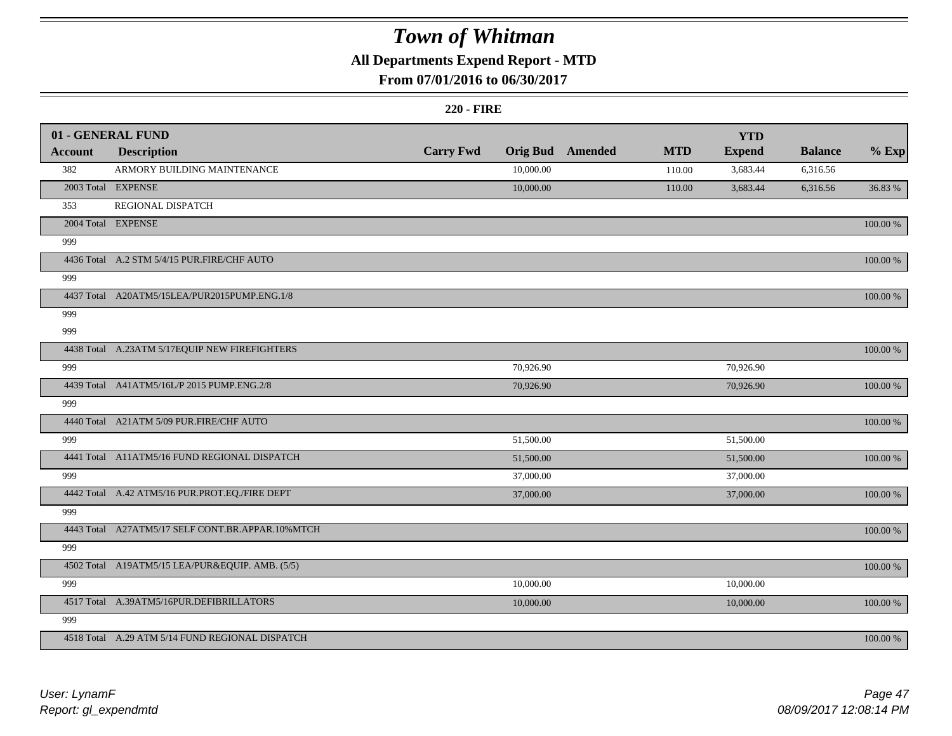### **All Departments Expend Report - MTD**

### **From 07/01/2016 to 06/30/2017**

#### **220 - FIRE**

|         | 01 - GENERAL FUND                                |                  |           |                         |            | <b>YTD</b>    |                |             |
|---------|--------------------------------------------------|------------------|-----------|-------------------------|------------|---------------|----------------|-------------|
| Account | <b>Description</b>                               | <b>Carry Fwd</b> |           | <b>Orig Bud Amended</b> | <b>MTD</b> | <b>Expend</b> | <b>Balance</b> | $%$ Exp     |
| 382     | ARMORY BUILDING MAINTENANCE                      |                  | 10,000.00 |                         | 110.00     | 3,683.44      | 6,316.56       |             |
|         | 2003 Total EXPENSE                               |                  | 10,000.00 |                         | 110.00     | 3,683.44      | 6,316.56       | 36.83 %     |
| 353     | REGIONAL DISPATCH                                |                  |           |                         |            |               |                |             |
|         | 2004 Total EXPENSE                               |                  |           |                         |            |               |                | 100.00 %    |
| 999     |                                                  |                  |           |                         |            |               |                |             |
|         | 4436 Total A.2 STM 5/4/15 PUR.FIRE/CHF AUTO      |                  |           |                         |            |               |                | 100.00 %    |
| 999     |                                                  |                  |           |                         |            |               |                |             |
|         | 4437 Total A20ATM5/15LEA/PUR2015PUMP.ENG.1/8     |                  |           |                         |            |               |                | 100.00 %    |
| 999     |                                                  |                  |           |                         |            |               |                |             |
| 999     |                                                  |                  |           |                         |            |               |                |             |
|         | 4438 Total A.23ATM 5/17EQUIP NEW FIREFIGHTERS    |                  |           |                         |            |               |                | 100.00 %    |
| 999     |                                                  |                  | 70,926.90 |                         |            | 70,926.90     |                |             |
|         | 4439 Total A41ATM5/16L/P 2015 PUMP.ENG.2/8       |                  | 70,926.90 |                         |            | 70,926.90     |                | $100.00~\%$ |
| 999     |                                                  |                  |           |                         |            |               |                |             |
|         | 4440 Total A21ATM 5/09 PUR.FIRE/CHF AUTO         |                  |           |                         |            |               |                | 100.00 %    |
| 999     |                                                  |                  | 51,500.00 |                         |            | 51,500.00     |                |             |
|         | 4441 Total A11ATM5/16 FUND REGIONAL DISPATCH     |                  | 51,500.00 |                         |            | 51,500.00     |                | 100.00 %    |
| 999     |                                                  |                  | 37,000.00 |                         |            | 37,000.00     |                |             |
|         | 4442 Total A.42 ATM5/16 PUR.PROT.EQ./FIRE DEPT   |                  | 37,000.00 |                         |            | 37,000.00     |                | 100.00 %    |
| 999     |                                                  |                  |           |                         |            |               |                |             |
|         | 4443 Total A27ATM5/17 SELF CONT.BR.APPAR.10%MTCH |                  |           |                         |            |               |                | 100.00 %    |
| 999     |                                                  |                  |           |                         |            |               |                |             |
|         | 4502 Total A19ATM5/15 LEA/PUR&EQUIP. AMB. (5/5)  |                  |           |                         |            |               |                | 100.00 %    |
| 999     |                                                  |                  | 10,000.00 |                         |            | 10,000.00     |                |             |
|         | 4517 Total A.39ATM5/16PUR.DEFIBRILLATORS         |                  | 10,000.00 |                         |            | 10,000.00     |                | 100.00 %    |
| 999     |                                                  |                  |           |                         |            |               |                |             |
|         | 4518 Total A.29 ATM 5/14 FUND REGIONAL DISPATCH  |                  |           |                         |            |               |                | 100.00 %    |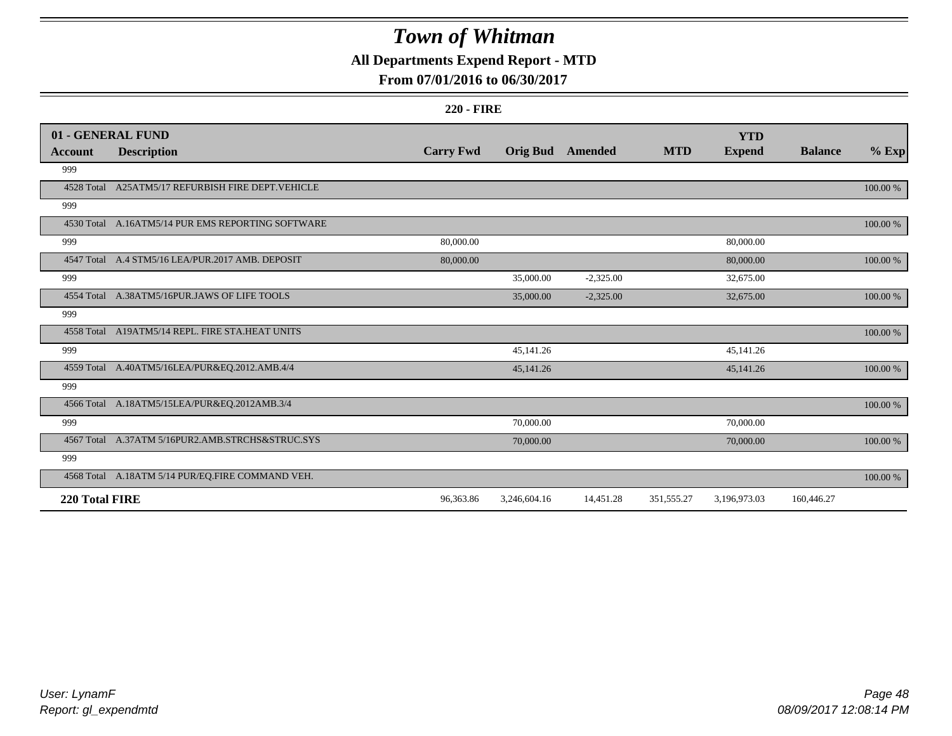### **All Departments Expend Report - MTD**

### **From 07/01/2016 to 06/30/2017**

#### **220 - FIRE**

|                | 01 - GENERAL FUND                                  |                  |                 |             |            | <b>YTD</b>    |                |          |
|----------------|----------------------------------------------------|------------------|-----------------|-------------|------------|---------------|----------------|----------|
| Account        | <b>Description</b>                                 | <b>Carry Fwd</b> | <b>Orig Bud</b> | Amended     | <b>MTD</b> | <b>Expend</b> | <b>Balance</b> | $%$ Exp  |
| 999            |                                                    |                  |                 |             |            |               |                |          |
|                | 4528 Total A25ATM5/17 REFURBISH FIRE DEPT. VEHICLE |                  |                 |             |            |               |                | 100.00 % |
| 999            |                                                    |                  |                 |             |            |               |                |          |
|                | 4530 Total A.16ATM5/14 PUR EMS REPORTING SOFTWARE  |                  |                 |             |            |               |                | 100.00 % |
| 999            |                                                    | 80,000.00        |                 |             |            | 80,000.00     |                |          |
|                | 4547 Total A.4 STM5/16 LEA/PUR.2017 AMB. DEPOSIT   | 80,000.00        |                 |             |            | 80,000.00     |                | 100.00 % |
| 999            |                                                    |                  | 35,000.00       | $-2,325.00$ |            | 32,675.00     |                |          |
|                | 4554 Total A.38ATM5/16PUR.JAWS OF LIFE TOOLS       |                  | 35,000.00       | $-2,325.00$ |            | 32,675.00     |                | 100.00 % |
| 999            |                                                    |                  |                 |             |            |               |                |          |
|                | 4558 Total A19ATM5/14 REPL. FIRE STA.HEAT UNITS    |                  |                 |             |            |               |                | 100.00 % |
| 999            |                                                    |                  | 45,141.26       |             |            | 45,141.26     |                |          |
|                | 4559 Total A.40ATM5/16LEA/PUR&EQ.2012.AMB.4/4      |                  | 45,141.26       |             |            | 45,141.26     |                | 100.00 % |
| 999            |                                                    |                  |                 |             |            |               |                |          |
|                | 4566 Total A.18ATM5/15LEA/PUR&EQ.2012AMB.3/4       |                  |                 |             |            |               |                | 100.00 % |
| 999            |                                                    |                  | 70,000.00       |             |            | 70,000.00     |                |          |
|                | 4567 Total A.37ATM 5/16PUR2.AMB.STRCHS&STRUC.SYS   |                  | 70,000.00       |             |            | 70,000.00     |                | 100.00 % |
| 999            |                                                    |                  |                 |             |            |               |                |          |
|                | 4568 Total A.18ATM 5/14 PUR/EQ.FIRE COMMAND VEH.   |                  |                 |             |            |               |                | 100.00 % |
| 220 Total FIRE |                                                    | 96,363.86        | 3,246,604.16    | 14,451.28   | 351,555.27 | 3,196,973.03  | 160,446.27     |          |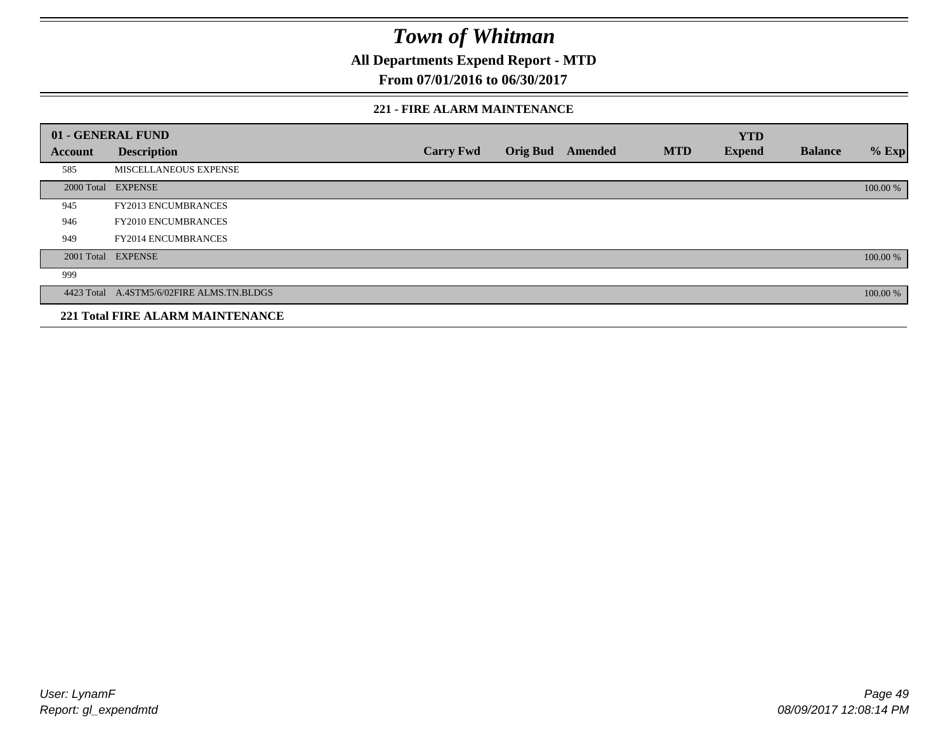**All Departments Expend Report - MTD**

**From 07/01/2016 to 06/30/2017**

#### **221 - FIRE ALARM MAINTENANCE**

|         | 01 - GENERAL FUND                         |                  |                 |                |            | <b>YTD</b>    |                |          |
|---------|-------------------------------------------|------------------|-----------------|----------------|------------|---------------|----------------|----------|
| Account | <b>Description</b>                        | <b>Carry Fwd</b> | <b>Orig Bud</b> | <b>Amended</b> | <b>MTD</b> | <b>Expend</b> | <b>Balance</b> | $%$ Exp  |
| 585     | MISCELLANEOUS EXPENSE                     |                  |                 |                |            |               |                |          |
|         | 2000 Total EXPENSE                        |                  |                 |                |            |               |                | 100.00 % |
| 945     | FY2013 ENCUMBRANCES                       |                  |                 |                |            |               |                |          |
| 946     | FY2010 ENCUMBRANCES                       |                  |                 |                |            |               |                |          |
| 949     | <b>FY2014 ENCUMBRANCES</b>                |                  |                 |                |            |               |                |          |
|         | 2001 Total EXPENSE                        |                  |                 |                |            |               |                | 100.00 % |
| 999     |                                           |                  |                 |                |            |               |                |          |
|         | 4423 Total A.4STM5/6/02FIRE ALMS.TN.BLDGS |                  |                 |                |            |               |                | 100.00 % |
|         | <b>221 Total FIRE ALARM MAINTENANCE</b>   |                  |                 |                |            |               |                |          |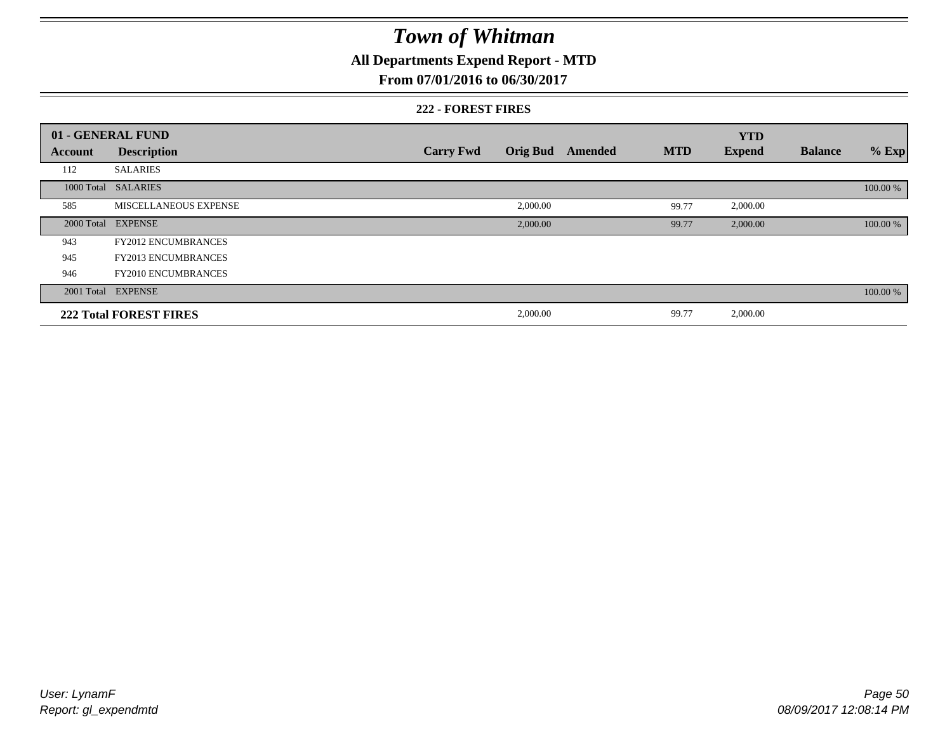### **All Departments Expend Report - MTD**

#### **From 07/01/2016 to 06/30/2017**

#### **222 - FOREST FIRES**

|            | 01 - GENERAL FUND             |                  |                 |         |            | <b>YTD</b>    |                |          |
|------------|-------------------------------|------------------|-----------------|---------|------------|---------------|----------------|----------|
| Account    | <b>Description</b>            | <b>Carry Fwd</b> | <b>Orig Bud</b> | Amended | <b>MTD</b> | <b>Expend</b> | <b>Balance</b> | $%$ Exp  |
| 112        | <b>SALARIES</b>               |                  |                 |         |            |               |                |          |
|            | 1000 Total SALARIES           |                  |                 |         |            |               |                | 100.00 % |
| 585        | MISCELLANEOUS EXPENSE         |                  | 2,000.00        |         | 99.77      | 2,000.00      |                |          |
| 2000 Total | <b>EXPENSE</b>                |                  | 2,000.00        |         | 99.77      | 2,000.00      |                | 100.00 % |
| 943        | <b>FY2012 ENCUMBRANCES</b>    |                  |                 |         |            |               |                |          |
| 945        | <b>FY2013 ENCUMBRANCES</b>    |                  |                 |         |            |               |                |          |
| 946        | <b>FY2010 ENCUMBRANCES</b>    |                  |                 |         |            |               |                |          |
|            | 2001 Total EXPENSE            |                  |                 |         |            |               |                | 100.00 % |
|            | <b>222 Total FOREST FIRES</b> |                  | 2,000.00        |         | 99.77      | 2,000.00      |                |          |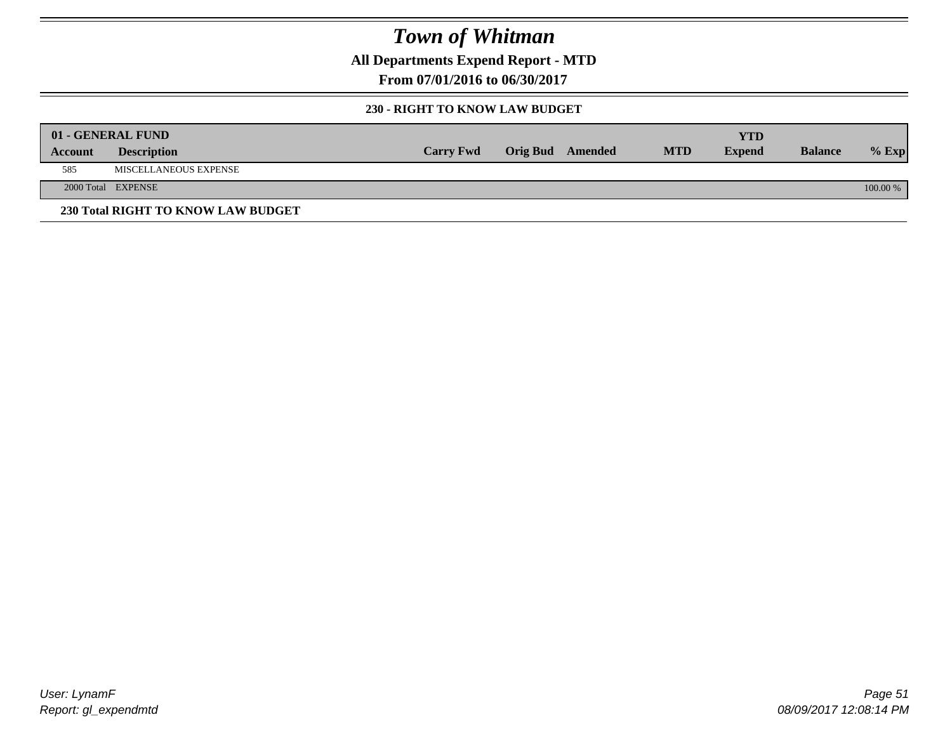**All Departments Expend Report - MTD**

**From 07/01/2016 to 06/30/2017**

#### **230 - RIGHT TO KNOW LAW BUDGET**

|         | 01 - GENERAL FUND                  |                  |                         |            | YTD           |                |            |
|---------|------------------------------------|------------------|-------------------------|------------|---------------|----------------|------------|
| Account | <b>Description</b>                 | <b>Carry Fwd</b> | <b>Orig Bud</b> Amended | <b>MTD</b> | <b>Expend</b> | <b>Balance</b> | $%$ Exp    |
| 585     | MISCELLANEOUS EXPENSE              |                  |                         |            |               |                |            |
|         | 2000 Total EXPENSE                 |                  |                         |            |               |                | $100.00\%$ |
|         | 230 Total RIGHT TO KNOW LAW BUDGET |                  |                         |            |               |                |            |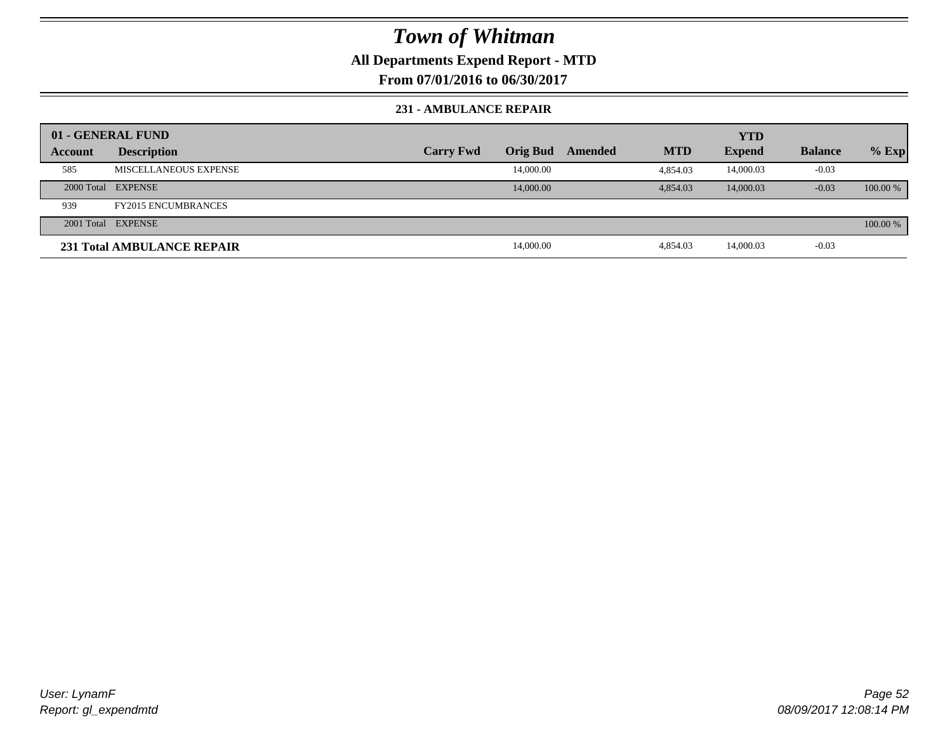### **All Departments Expend Report - MTD**

**From 07/01/2016 to 06/30/2017**

#### **231 - AMBULANCE REPAIR**

|                | 01 - GENERAL FUND          |                  |                 |         |            | <b>YTD</b>    |                |          |
|----------------|----------------------------|------------------|-----------------|---------|------------|---------------|----------------|----------|
| <b>Account</b> | <b>Description</b>         | <b>Carry Fwd</b> | <b>Orig Bud</b> | Amended | <b>MTD</b> | <b>Expend</b> | <b>Balance</b> | $%$ Exp  |
| 585            | MISCELLANEOUS EXPENSE      |                  | 14,000.00       |         | 4.854.03   | 14,000.03     | $-0.03$        |          |
|                | 2000 Total EXPENSE         |                  | 14,000.00       |         | 4,854.03   | 14,000.03     | $-0.03$        | 100.00 % |
| 939            | <b>FY2015 ENCUMBRANCES</b> |                  |                 |         |            |               |                |          |
|                | 2001 Total EXPENSE         |                  |                 |         |            |               |                | 100.00 % |
|                | 231 Total AMBULANCE REPAIR |                  | 14,000.00       |         | 4.854.03   | 14,000.03     | $-0.03$        |          |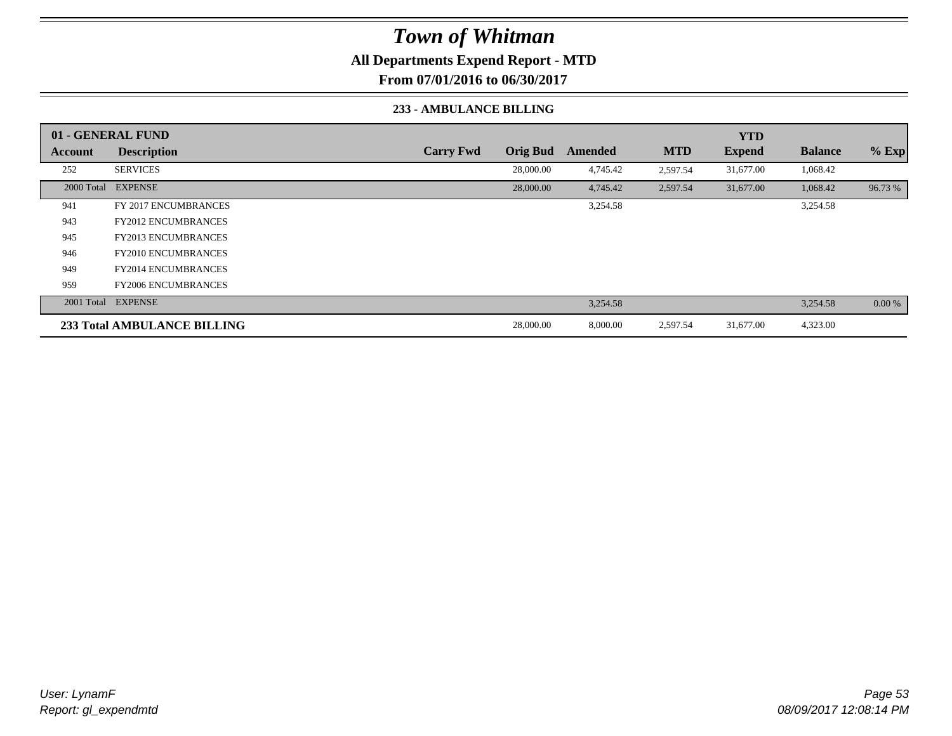### **All Departments Expend Report - MTD**

**From 07/01/2016 to 06/30/2017**

#### **233 - AMBULANCE BILLING**

|            | 01 - GENERAL FUND           |                  |                 |          |            | <b>YTD</b>    |                |         |
|------------|-----------------------------|------------------|-----------------|----------|------------|---------------|----------------|---------|
| Account    | <b>Description</b>          | <b>Carry Fwd</b> | <b>Orig Bud</b> | Amended  | <b>MTD</b> | <b>Expend</b> | <b>Balance</b> | $%$ Exp |
| 252        | <b>SERVICES</b>             |                  | 28,000.00       | 4,745.42 | 2,597.54   | 31,677.00     | 1,068.42       |         |
| 2000 Total | <b>EXPENSE</b>              |                  | 28,000.00       | 4,745.42 | 2,597.54   | 31,677.00     | 1,068.42       | 96.73 % |
| 941        | FY 2017 ENCUMBRANCES        |                  |                 | 3,254.58 |            |               | 3,254.58       |         |
| 943        | <b>FY2012 ENCUMBRANCES</b>  |                  |                 |          |            |               |                |         |
| 945        | <b>FY2013 ENCUMBRANCES</b>  |                  |                 |          |            |               |                |         |
| 946        | <b>FY2010 ENCUMBRANCES</b>  |                  |                 |          |            |               |                |         |
| 949        | <b>FY2014 ENCUMBRANCES</b>  |                  |                 |          |            |               |                |         |
| 959        | <b>FY2006 ENCUMBRANCES</b>  |                  |                 |          |            |               |                |         |
| 2001 Total | <b>EXPENSE</b>              |                  |                 | 3,254.58 |            |               | 3,254.58       | 0.00 %  |
|            | 233 Total AMBULANCE BILLING |                  | 28,000.00       | 8,000.00 | 2,597.54   | 31,677.00     | 4,323.00       |         |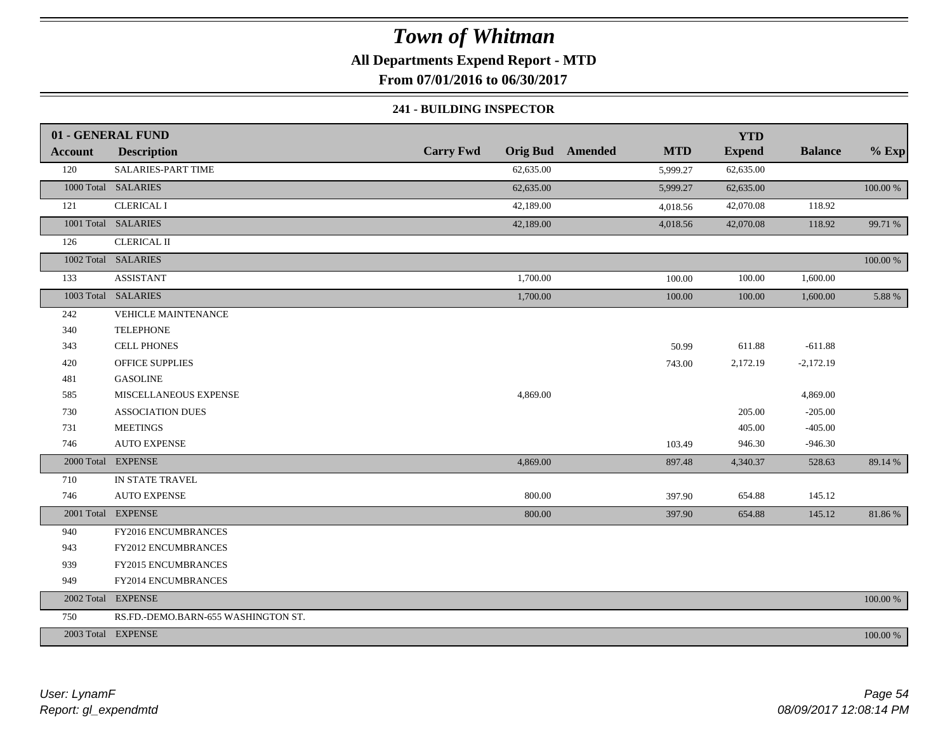### **All Departments Expend Report - MTD**

**From 07/01/2016 to 06/30/2017**

#### **241 - BUILDING INSPECTOR**

|                | 01 - GENERAL FUND                   |                  |           |                         |            | <b>YTD</b>    |                |             |
|----------------|-------------------------------------|------------------|-----------|-------------------------|------------|---------------|----------------|-------------|
| <b>Account</b> | <b>Description</b>                  | <b>Carry Fwd</b> |           | <b>Orig Bud</b> Amended | <b>MTD</b> | <b>Expend</b> | <b>Balance</b> | $%$ Exp     |
| 120            | SALARIES-PART TIME                  |                  | 62,635.00 |                         | 5,999.27   | 62,635.00     |                |             |
|                | 1000 Total SALARIES                 |                  | 62,635.00 |                         | 5,999.27   | 62,635.00     |                | 100.00 %    |
| 121            | <b>CLERICAL I</b>                   |                  | 42,189.00 |                         | 4,018.56   | 42,070.08     | 118.92         |             |
|                | 1001 Total SALARIES                 |                  | 42,189.00 |                         | 4,018.56   | 42,070.08     | 118.92         | 99.71 %     |
| 126            | <b>CLERICAL II</b>                  |                  |           |                         |            |               |                |             |
|                | 1002 Total SALARIES                 |                  |           |                         |            |               |                | 100.00 %    |
| 133            | <b>ASSISTANT</b>                    |                  | 1,700.00  |                         | 100.00     | 100.00        | 1,600.00       |             |
|                | 1003 Total SALARIES                 |                  | 1,700.00  |                         | 100.00     | 100.00        | 1,600.00       | 5.88 %      |
| 242            | VEHICLE MAINTENANCE                 |                  |           |                         |            |               |                |             |
| 340            | <b>TELEPHONE</b>                    |                  |           |                         |            |               |                |             |
| 343            | <b>CELL PHONES</b>                  |                  |           |                         | 50.99      | 611.88        | $-611.88$      |             |
| 420            | <b>OFFICE SUPPLIES</b>              |                  |           |                         | 743.00     | 2,172.19      | $-2,172.19$    |             |
| 481            | <b>GASOLINE</b>                     |                  |           |                         |            |               |                |             |
| 585            | MISCELLANEOUS EXPENSE               |                  | 4,869.00  |                         |            |               | 4,869.00       |             |
| 730            | <b>ASSOCIATION DUES</b>             |                  |           |                         |            | 205.00        | $-205.00$      |             |
| 731            | <b>MEETINGS</b>                     |                  |           |                         |            | 405.00        | $-405.00$      |             |
| 746            | <b>AUTO EXPENSE</b>                 |                  |           |                         | 103.49     | 946.30        | $-946.30$      |             |
|                | 2000 Total EXPENSE                  |                  | 4,869.00  |                         | 897.48     | 4,340.37      | 528.63         | 89.14 %     |
| 710            | IN STATE TRAVEL                     |                  |           |                         |            |               |                |             |
| 746            | <b>AUTO EXPENSE</b>                 |                  | 800.00    |                         | 397.90     | 654.88        | 145.12         |             |
|                | 2001 Total EXPENSE                  |                  | 800.00    |                         | 397.90     | 654.88        | 145.12         | 81.86%      |
| 940            | FY2016 ENCUMBRANCES                 |                  |           |                         |            |               |                |             |
| 943            | FY2012 ENCUMBRANCES                 |                  |           |                         |            |               |                |             |
| 939            | FY2015 ENCUMBRANCES                 |                  |           |                         |            |               |                |             |
| 949            | FY2014 ENCUMBRANCES                 |                  |           |                         |            |               |                |             |
|                | 2002 Total EXPENSE                  |                  |           |                         |            |               |                | 100.00 %    |
| 750            | RS.FD.-DEMO.BARN-655 WASHINGTON ST. |                  |           |                         |            |               |                |             |
|                | 2003 Total EXPENSE                  |                  |           |                         |            |               |                | $100.00~\%$ |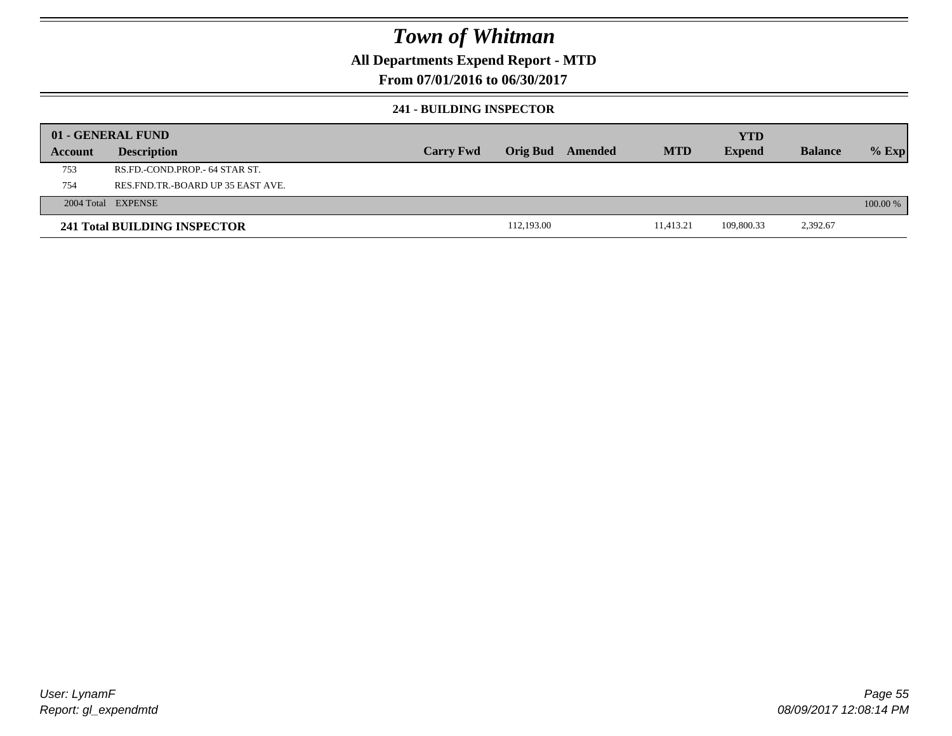### **All Departments Expend Report - MTD**

**From 07/01/2016 to 06/30/2017**

#### **241 - BUILDING INSPECTOR**

|         | 01 - GENERAL FUND                     |                  |                 |         |            | <b>YTD</b>    |                |          |
|---------|---------------------------------------|------------------|-----------------|---------|------------|---------------|----------------|----------|
| Account | <b>Description</b>                    | <b>Carry Fwd</b> | <b>Orig Bud</b> | Amended | <b>MTD</b> | <b>Expend</b> | <b>Balance</b> | $%$ Exp  |
| 753     | RS.FD.-COND.PROP.- 64 STAR ST.        |                  |                 |         |            |               |                |          |
| 754     | RES. FND. TR. - BOARD UP 35 EAST AVE. |                  |                 |         |            |               |                |          |
|         | 2004 Total EXPENSE                    |                  |                 |         |            |               |                | 100.00 % |
|         | 241 Total BUILDING INSPECTOR          |                  | 112,193.00      |         | 11.413.21  | 109,800.33    | 2,392.67       |          |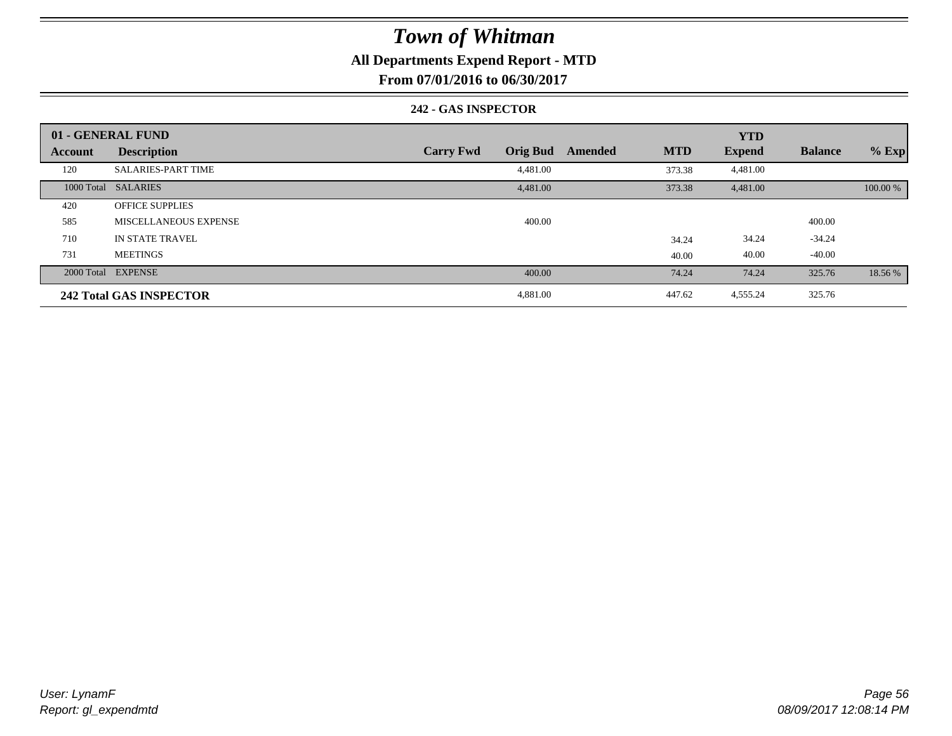### **All Departments Expend Report - MTD**

**From 07/01/2016 to 06/30/2017**

#### **242 - GAS INSPECTOR**

|                | 01 - GENERAL FUND              |                                     |                       | <b>YTD</b>    |                |          |
|----------------|--------------------------------|-------------------------------------|-----------------------|---------------|----------------|----------|
| <b>Account</b> | <b>Description</b>             | <b>Orig Bud</b><br><b>Carry Fwd</b> | <b>MTD</b><br>Amended | <b>Expend</b> | <b>Balance</b> | $%$ Exp  |
| 120            | <b>SALARIES-PART TIME</b>      | 4,481.00                            | 373.38                | 4,481.00      |                |          |
|                | 1000 Total SALARIES            | 4,481.00                            | 373.38                | 4,481.00      |                | 100.00 % |
| 420            | <b>OFFICE SUPPLIES</b>         |                                     |                       |               |                |          |
| 585            | MISCELLANEOUS EXPENSE          | 400.00                              |                       |               | 400.00         |          |
| 710            | <b>IN STATE TRAVEL</b>         |                                     | 34.24                 | 34.24         | $-34.24$       |          |
| 731            | <b>MEETINGS</b>                |                                     | 40.00                 | 40.00         | $-40.00$       |          |
|                | 2000 Total EXPENSE             | 400.00                              | 74.24                 | 74.24         | 325.76         | 18.56 %  |
|                | <b>242 Total GAS INSPECTOR</b> | 4,881.00                            | 447.62                | 4,555.24      | 325.76         |          |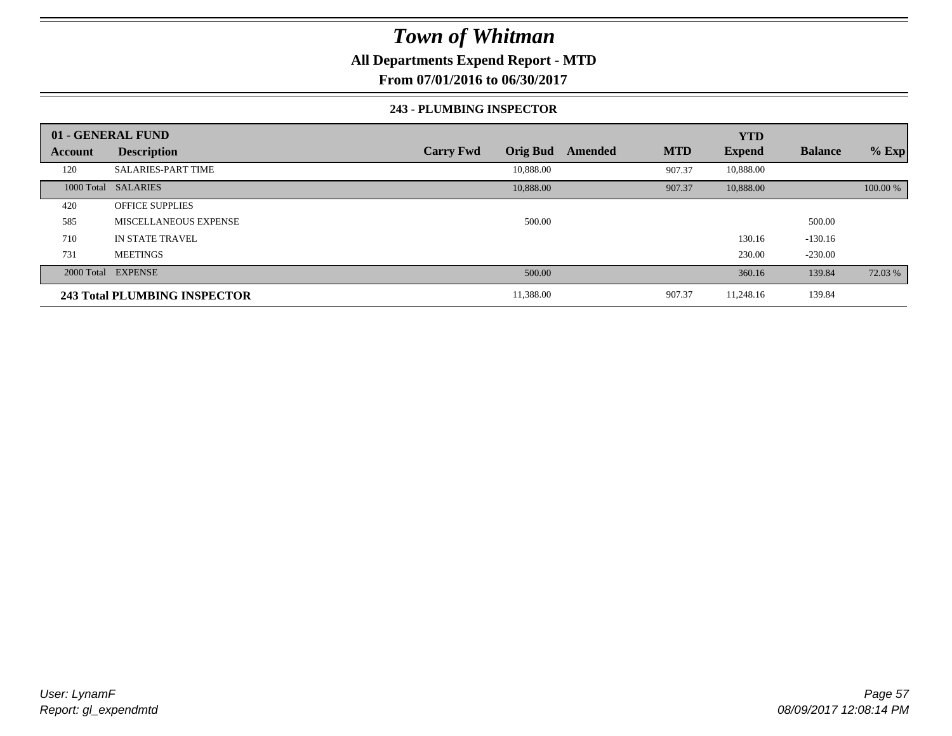### **All Departments Expend Report - MTD**

**From 07/01/2016 to 06/30/2017**

#### **243 - PLUMBING INSPECTOR**

|                | 01 - GENERAL FUND            |                                     |                       | <b>YTD</b>    |                |          |
|----------------|------------------------------|-------------------------------------|-----------------------|---------------|----------------|----------|
| <b>Account</b> | <b>Description</b>           | <b>Orig Bud</b><br><b>Carry Fwd</b> | <b>MTD</b><br>Amended | <b>Expend</b> | <b>Balance</b> | $%$ Exp  |
| 120            | <b>SALARIES-PART TIME</b>    | 10,888.00                           | 907.37                | 10,888.00     |                |          |
|                | 1000 Total SALARIES          | 10,888.00                           | 907.37                | 10,888.00     |                | 100.00 % |
| 420            | <b>OFFICE SUPPLIES</b>       |                                     |                       |               |                |          |
| 585            | MISCELLANEOUS EXPENSE        | 500.00                              |                       |               | 500.00         |          |
| 710            | <b>IN STATE TRAVEL</b>       |                                     |                       | 130.16        | $-130.16$      |          |
| 731            | <b>MEETINGS</b>              |                                     |                       | 230.00        | $-230.00$      |          |
|                | 2000 Total EXPENSE           | 500.00                              |                       | 360.16        | 139.84         | 72.03 %  |
|                | 243 Total PLUMBING INSPECTOR | 11,388.00                           | 907.37                | 11,248.16     | 139.84         |          |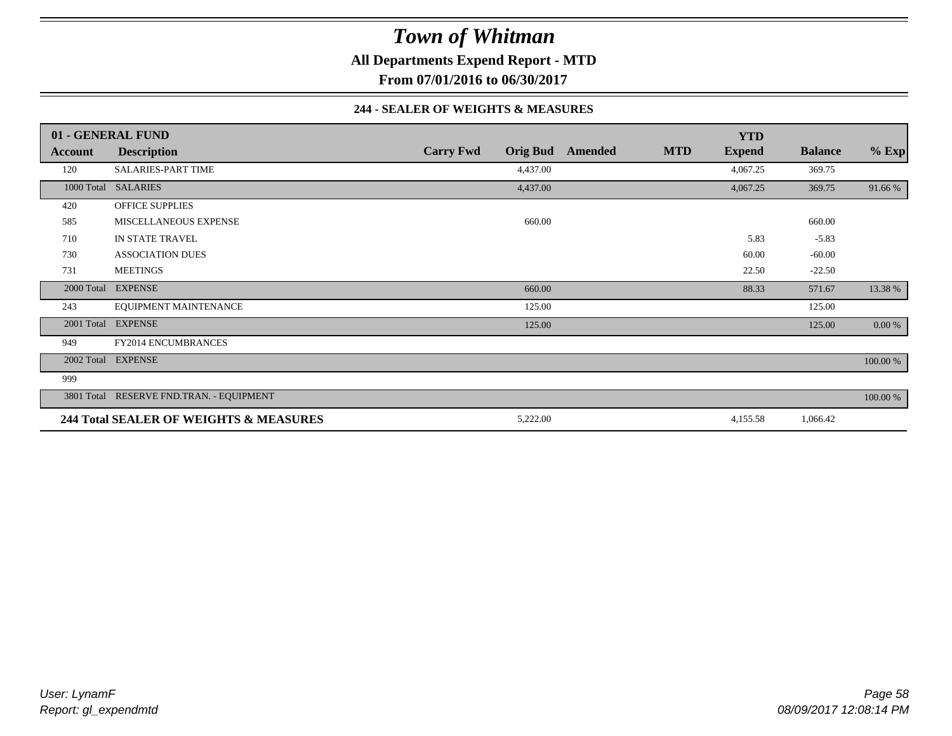**All Departments Expend Report - MTD**

**From 07/01/2016 to 06/30/2017**

#### **244 - SEALER OF WEIGHTS & MEASURES**

|                | 01 - GENERAL FUND                        |                                     |         |            | <b>YTD</b>    |                |          |
|----------------|------------------------------------------|-------------------------------------|---------|------------|---------------|----------------|----------|
| <b>Account</b> | <b>Description</b>                       | <b>Carry Fwd</b><br><b>Orig Bud</b> | Amended | <b>MTD</b> | <b>Expend</b> | <b>Balance</b> | $%$ Exp  |
| 120            | <b>SALARIES-PART TIME</b>                | 4,437.00                            |         |            | 4,067.25      | 369.75         |          |
|                | 1000 Total SALARIES                      | 4,437.00                            |         |            | 4,067.25      | 369.75         | 91.66 %  |
| 420            | <b>OFFICE SUPPLIES</b>                   |                                     |         |            |               |                |          |
| 585            | MISCELLANEOUS EXPENSE                    | 660.00                              |         |            |               | 660.00         |          |
| 710            | IN STATE TRAVEL                          |                                     |         |            | 5.83          | $-5.83$        |          |
| 730            | <b>ASSOCIATION DUES</b>                  |                                     |         |            | 60.00         | $-60.00$       |          |
| 731            | <b>MEETINGS</b>                          |                                     |         |            | 22.50         | $-22.50$       |          |
| 2000 Total     | <b>EXPENSE</b>                           | 660.00                              |         |            | 88.33         | 571.67         | 13.38 %  |
| 243            | EQUIPMENT MAINTENANCE                    | 125.00                              |         |            |               | 125.00         |          |
| 2001 Total     | <b>EXPENSE</b>                           | 125.00                              |         |            |               | 125.00         | 0.00 %   |
| 949            | <b>FY2014 ENCUMBRANCES</b>               |                                     |         |            |               |                |          |
|                | 2002 Total EXPENSE                       |                                     |         |            |               |                | 100.00 % |
| 999            |                                          |                                     |         |            |               |                |          |
|                | 3801 Total RESERVE FND.TRAN. - EQUIPMENT |                                     |         |            |               |                | 100.00 % |
|                | 244 Total SEALER OF WEIGHTS & MEASURES   | 5,222.00                            |         |            | 4,155.58      | 1,066.42       |          |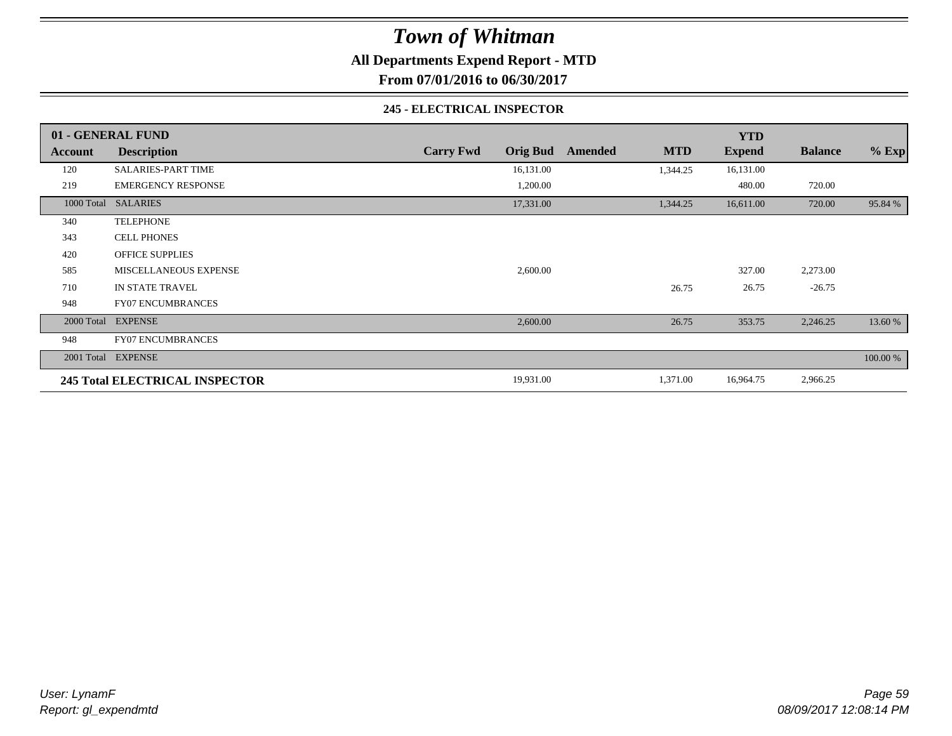**All Departments Expend Report - MTD**

**From 07/01/2016 to 06/30/2017**

#### **245 - ELECTRICAL INSPECTOR**

|         | 01 - GENERAL FUND                     |                  |                 |         |            | <b>YTD</b>    |                |          |
|---------|---------------------------------------|------------------|-----------------|---------|------------|---------------|----------------|----------|
| Account | <b>Description</b>                    | <b>Carry Fwd</b> | <b>Orig Bud</b> | Amended | <b>MTD</b> | <b>Expend</b> | <b>Balance</b> | $%$ Exp  |
| 120     | <b>SALARIES-PART TIME</b>             |                  | 16,131.00       |         | 1,344.25   | 16,131.00     |                |          |
| 219     | <b>EMERGENCY RESPONSE</b>             |                  | 1,200.00        |         |            | 480.00        | 720.00         |          |
|         | 1000 Total SALARIES                   |                  | 17,331.00       |         | 1,344.25   | 16,611.00     | 720.00         | 95.84 %  |
| 340     | <b>TELEPHONE</b>                      |                  |                 |         |            |               |                |          |
| 343     | <b>CELL PHONES</b>                    |                  |                 |         |            |               |                |          |
| 420     | <b>OFFICE SUPPLIES</b>                |                  |                 |         |            |               |                |          |
| 585     | <b>MISCELLANEOUS EXPENSE</b>          |                  | 2,600.00        |         |            | 327.00        | 2,273.00       |          |
| 710     | IN STATE TRAVEL                       |                  |                 |         | 26.75      | 26.75         | $-26.75$       |          |
| 948     | <b>FY07 ENCUMBRANCES</b>              |                  |                 |         |            |               |                |          |
|         | 2000 Total EXPENSE                    |                  | 2,600.00        |         | 26.75      | 353.75        | 2,246.25       | 13.60 %  |
| 948     | <b>FY07 ENCUMBRANCES</b>              |                  |                 |         |            |               |                |          |
|         | 2001 Total EXPENSE                    |                  |                 |         |            |               |                | 100.00 % |
|         | <b>245 Total ELECTRICAL INSPECTOR</b> |                  | 19,931.00       |         | 1,371.00   | 16,964.75     | 2,966.25       |          |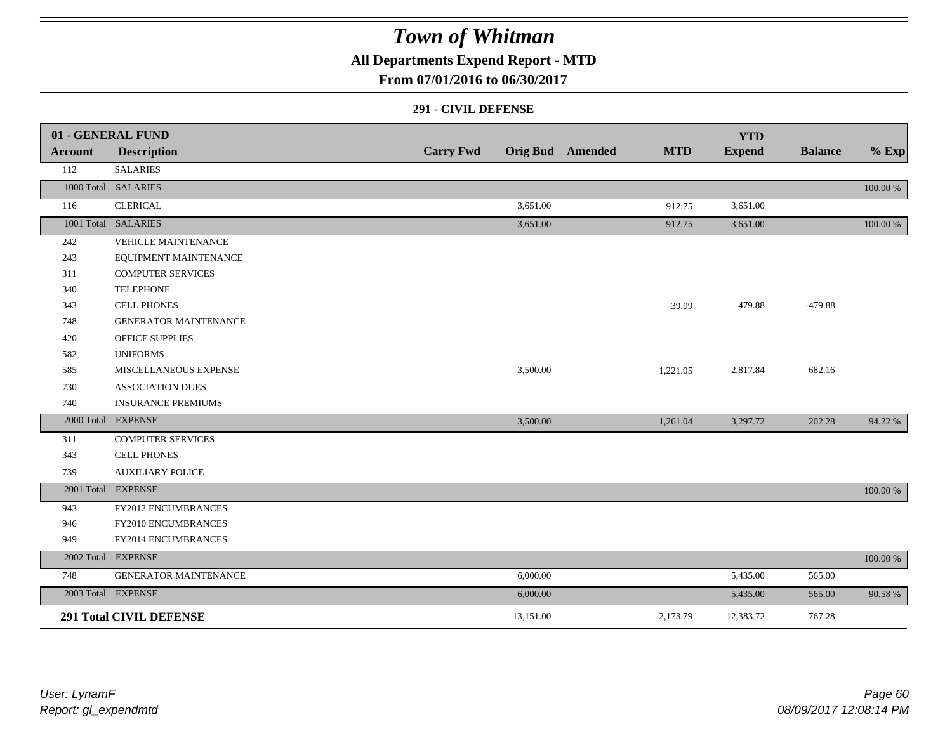### **All Departments Expend Report - MTD**

### **From 07/01/2016 to 06/30/2017**

#### **291 - CIVIL DEFENSE**

|         | 01 - GENERAL FUND              |                  |           |                         |            | <b>YTD</b>    |                |          |
|---------|--------------------------------|------------------|-----------|-------------------------|------------|---------------|----------------|----------|
| Account | <b>Description</b>             | <b>Carry Fwd</b> |           | <b>Orig Bud</b> Amended | <b>MTD</b> | <b>Expend</b> | <b>Balance</b> | $%$ Exp  |
| 112     | <b>SALARIES</b>                |                  |           |                         |            |               |                |          |
|         | 1000 Total SALARIES            |                  |           |                         |            |               |                | 100.00 % |
| 116     | <b>CLERICAL</b>                |                  | 3,651.00  |                         | 912.75     | 3,651.00      |                |          |
|         | 1001 Total SALARIES            |                  | 3,651.00  |                         | 912.75     | 3,651.00      |                | 100.00 % |
| 242     | VEHICLE MAINTENANCE            |                  |           |                         |            |               |                |          |
| 243     | EQUIPMENT MAINTENANCE          |                  |           |                         |            |               |                |          |
| 311     | <b>COMPUTER SERVICES</b>       |                  |           |                         |            |               |                |          |
| 340     | <b>TELEPHONE</b>               |                  |           |                         |            |               |                |          |
| 343     | <b>CELL PHONES</b>             |                  |           |                         | 39.99      | 479.88        | $-479.88$      |          |
| 748     | <b>GENERATOR MAINTENANCE</b>   |                  |           |                         |            |               |                |          |
| 420     | OFFICE SUPPLIES                |                  |           |                         |            |               |                |          |
| 582     | <b>UNIFORMS</b>                |                  |           |                         |            |               |                |          |
| 585     | MISCELLANEOUS EXPENSE          |                  | 3,500.00  |                         | 1,221.05   | 2,817.84      | 682.16         |          |
| 730     | <b>ASSOCIATION DUES</b>        |                  |           |                         |            |               |                |          |
| 740     | <b>INSURANCE PREMIUMS</b>      |                  |           |                         |            |               |                |          |
|         | 2000 Total EXPENSE             |                  | 3,500.00  |                         | 1,261.04   | 3,297.72      | 202.28         | 94.22 %  |
| 311     | <b>COMPUTER SERVICES</b>       |                  |           |                         |            |               |                |          |
| 343     | <b>CELL PHONES</b>             |                  |           |                         |            |               |                |          |
| 739     | <b>AUXILIARY POLICE</b>        |                  |           |                         |            |               |                |          |
|         | 2001 Total EXPENSE             |                  |           |                         |            |               |                | 100.00 % |
| 943     | FY2012 ENCUMBRANCES            |                  |           |                         |            |               |                |          |
| 946     | FY2010 ENCUMBRANCES            |                  |           |                         |            |               |                |          |
| 949     | FY2014 ENCUMBRANCES            |                  |           |                         |            |               |                |          |
|         | 2002 Total EXPENSE             |                  |           |                         |            |               |                | 100.00 % |
| 748     | <b>GENERATOR MAINTENANCE</b>   |                  | 6,000.00  |                         |            | 5,435.00      | 565.00         |          |
|         | 2003 Total EXPENSE             |                  | 6,000.00  |                         |            | 5,435.00      | 565.00         | 90.58 %  |
|         | <b>291 Total CIVIL DEFENSE</b> |                  | 13,151.00 |                         | 2,173.79   | 12,383.72     | 767.28         |          |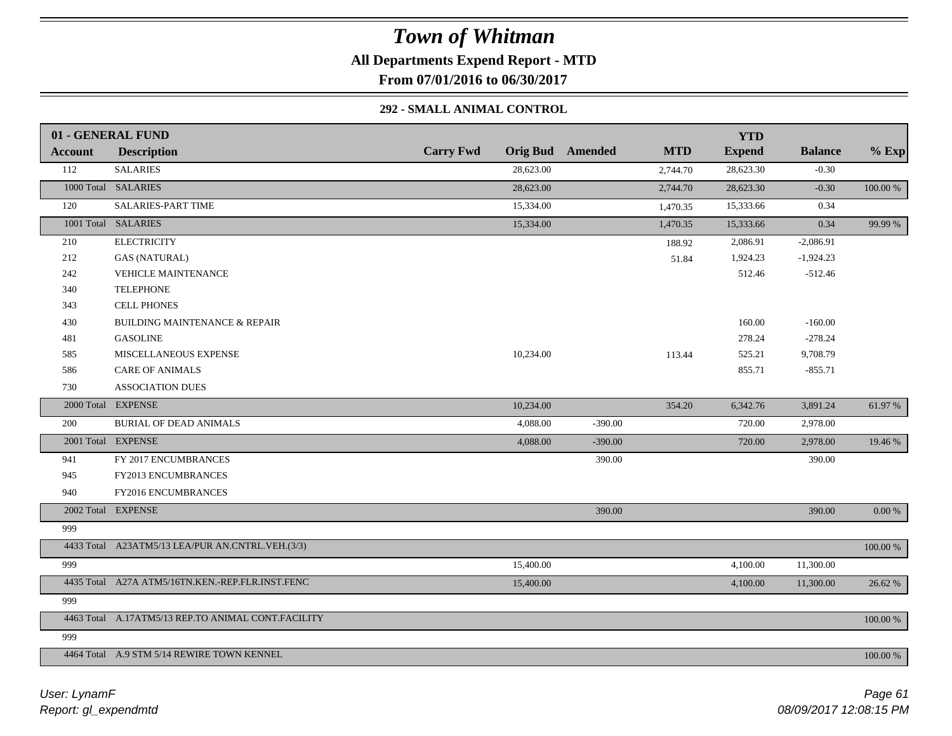**All Departments Expend Report - MTD**

**From 07/01/2016 to 06/30/2017**

#### **292 - SMALL ANIMAL CONTROL**

|         | 01 - GENERAL FUND                                  |                  |           |                         |            | <b>YTD</b>    |                |             |
|---------|----------------------------------------------------|------------------|-----------|-------------------------|------------|---------------|----------------|-------------|
| Account | <b>Description</b>                                 | <b>Carry Fwd</b> |           | <b>Orig Bud</b> Amended | <b>MTD</b> | <b>Expend</b> | <b>Balance</b> | $%$ Exp     |
| 112     | <b>SALARIES</b>                                    |                  | 28,623.00 |                         | 2,744.70   | 28,623.30     | $-0.30$        |             |
|         | 1000 Total SALARIES                                |                  | 28,623.00 |                         | 2,744.70   | 28,623.30     | $-0.30$        | $100.00~\%$ |
| 120     | <b>SALARIES-PART TIME</b>                          |                  | 15,334.00 |                         | 1,470.35   | 15,333.66     | 0.34           |             |
|         | 1001 Total SALARIES                                |                  | 15,334.00 |                         | 1,470.35   | 15,333.66     | 0.34           | 99.99 %     |
| 210     | <b>ELECTRICITY</b>                                 |                  |           |                         | 188.92     | 2,086.91      | $-2,086.91$    |             |
| 212     | <b>GAS (NATURAL)</b>                               |                  |           |                         | 51.84      | 1,924.23      | $-1,924.23$    |             |
| 242     | <b>VEHICLE MAINTENANCE</b>                         |                  |           |                         |            | 512.46        | $-512.46$      |             |
| 340     | <b>TELEPHONE</b>                                   |                  |           |                         |            |               |                |             |
| 343     | <b>CELL PHONES</b>                                 |                  |           |                         |            |               |                |             |
| 430     | BUILDING MAINTENANCE & REPAIR                      |                  |           |                         |            | 160.00        | $-160.00$      |             |
| 481     | <b>GASOLINE</b>                                    |                  |           |                         |            | 278.24        | $-278.24$      |             |
| 585     | MISCELLANEOUS EXPENSE                              |                  | 10,234.00 |                         | 113.44     | 525.21        | 9,708.79       |             |
| 586     | <b>CARE OF ANIMALS</b>                             |                  |           |                         |            | 855.71        | $-855.71$      |             |
| 730     | <b>ASSOCIATION DUES</b>                            |                  |           |                         |            |               |                |             |
|         | 2000 Total EXPENSE                                 |                  | 10,234.00 |                         | 354.20     | 6,342.76      | 3,891.24       | 61.97 %     |
| 200     | <b>BURIAL OF DEAD ANIMALS</b>                      |                  | 4,088.00  | $-390.00$               |            | 720.00        | 2,978.00       |             |
|         | 2001 Total EXPENSE                                 |                  | 4,088.00  | $-390.00$               |            | 720.00        | 2,978.00       | 19.46 %     |
| 941     | FY 2017 ENCUMBRANCES                               |                  |           | 390.00                  |            |               | 390.00         |             |
| 945     | FY2013 ENCUMBRANCES                                |                  |           |                         |            |               |                |             |
| 940     | FY2016 ENCUMBRANCES                                |                  |           |                         |            |               |                |             |
|         | 2002 Total EXPENSE                                 |                  |           | 390.00                  |            |               | 390.00         | $0.00\ \%$  |
| 999     |                                                    |                  |           |                         |            |               |                |             |
|         | 4433 Total A23ATM5/13 LEA/PUR AN.CNTRL.VEH.(3/3)   |                  |           |                         |            |               |                | 100.00 %    |
| 999     |                                                    |                  | 15,400.00 |                         |            | 4,100.00      | 11,300.00      |             |
|         | 4435 Total A27A ATM5/16TN.KEN.-REP.FLR.INST.FENC   |                  | 15,400.00 |                         |            | 4,100.00      | 11,300.00      | 26.62 %     |
| 999     |                                                    |                  |           |                         |            |               |                |             |
|         | 4463 Total A.17ATM5/13 REP.TO ANIMAL CONT.FACILITY |                  |           |                         |            |               |                | 100.00 %    |
| 999     |                                                    |                  |           |                         |            |               |                |             |
|         | 4464 Total A.9 STM 5/14 REWIRE TOWN KENNEL         |                  |           |                         |            |               |                | 100.00 %    |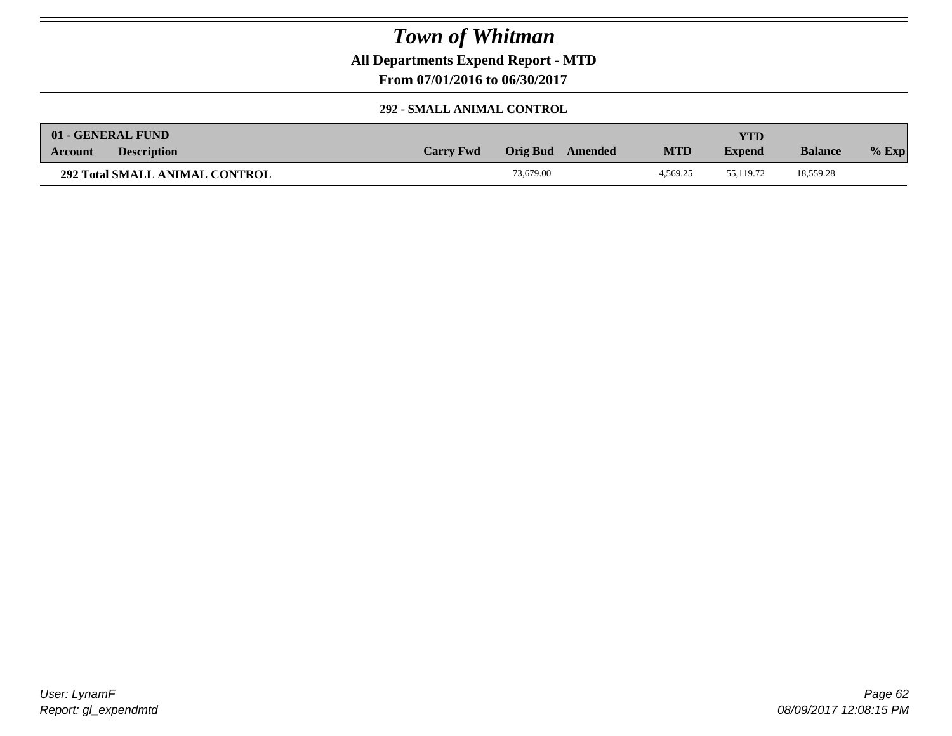**All Departments Expend Report - MTD**

**From 07/01/2016 to 06/30/2017**

### **292 - SMALL ANIMAL CONTROL**

|                | 01 - GENERAL FUND                     |                  |           |         |            | YTD)          |                |         |
|----------------|---------------------------------------|------------------|-----------|---------|------------|---------------|----------------|---------|
| <b>Account</b> | <b>Description</b>                    | <b>Carry Fwd</b> | Orig Bud  | Amended | <b>MTD</b> | <b>Expend</b> | <b>Balance</b> | $%$ Exp |
|                | <b>292 Total SMALL ANIMAL CONTROL</b> |                  | 73,679.00 |         | 4.569.25   | 55.119.72     | 18,559.28      |         |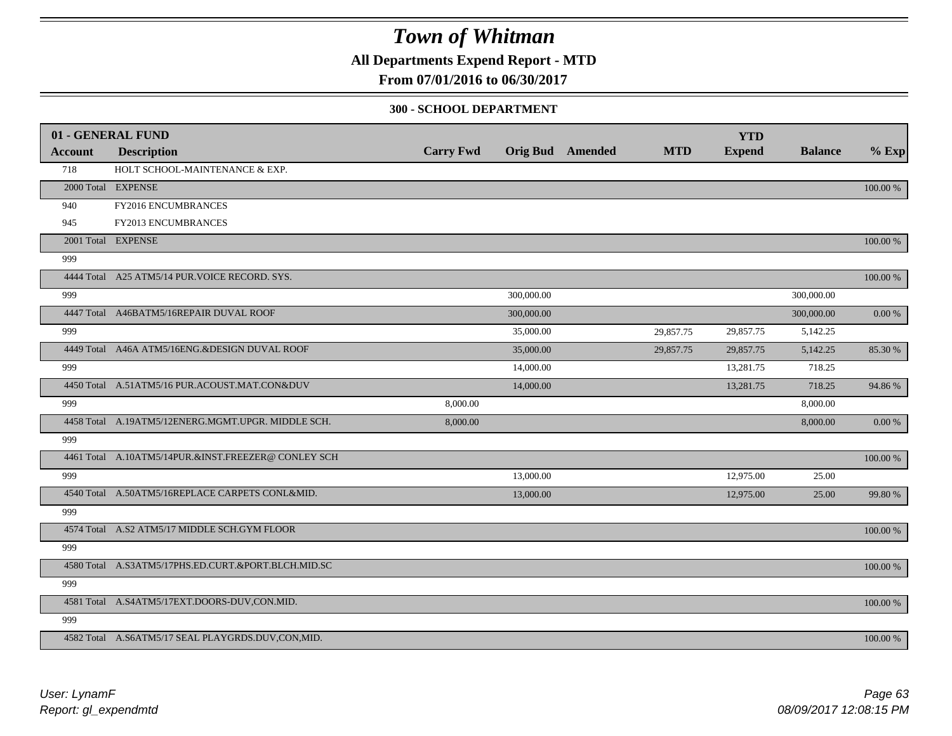### **All Departments Expend Report - MTD**

**From 07/01/2016 to 06/30/2017**

#### **300 - SCHOOL DEPARTMENT**

|                | 01 - GENERAL FUND                                   |                  |            |                         |            | <b>YTD</b>    |                |          |
|----------------|-----------------------------------------------------|------------------|------------|-------------------------|------------|---------------|----------------|----------|
| <b>Account</b> | <b>Description</b>                                  | <b>Carry Fwd</b> |            | <b>Orig Bud</b> Amended | <b>MTD</b> | <b>Expend</b> | <b>Balance</b> | $%$ Exp  |
| 718            | HOLT SCHOOL-MAINTENANCE & EXP.                      |                  |            |                         |            |               |                |          |
|                | 2000 Total EXPENSE                                  |                  |            |                         |            |               |                | 100.00 % |
| 940            | FY2016 ENCUMBRANCES                                 |                  |            |                         |            |               |                |          |
| 945            | FY2013 ENCUMBRANCES                                 |                  |            |                         |            |               |                |          |
|                | 2001 Total EXPENSE                                  |                  |            |                         |            |               |                | 100.00 % |
| 999            |                                                     |                  |            |                         |            |               |                |          |
|                | 4444 Total A25 ATM5/14 PUR. VOICE RECORD. SYS.      |                  |            |                         |            |               |                | 100.00 % |
| 999            |                                                     |                  | 300,000.00 |                         |            |               | 300,000.00     |          |
|                | 4447 Total A46BATM5/16REPAIR DUVAL ROOF             |                  | 300,000.00 |                         |            |               | 300,000.00     | 0.00 %   |
| 999            |                                                     |                  | 35,000.00  |                         | 29,857.75  | 29,857.75     | 5,142.25       |          |
|                | 4449 Total A46A ATM5/16ENG.&DESIGN DUVAL ROOF       |                  | 35,000.00  |                         | 29,857.75  | 29,857.75     | 5,142.25       | 85.30 %  |
| 999            |                                                     |                  | 14,000.00  |                         |            | 13,281.75     | 718.25         |          |
|                | 4450 Total A.51ATM5/16 PUR.ACOUST.MAT.CON&DUV       |                  | 14,000.00  |                         |            | 13,281.75     | 718.25         | 94.86%   |
| 999            |                                                     | 8,000.00         |            |                         |            |               | 8,000.00       |          |
|                | 4458 Total A.19ATM5/12ENERG.MGMT.UPGR. MIDDLE SCH.  | 8,000.00         |            |                         |            |               | 8,000.00       | 0.00 %   |
| 999            |                                                     |                  |            |                         |            |               |                |          |
|                | 4461 Total A.10ATM5/14PUR.&INST.FREEZER@CONLEY SCH  |                  |            |                         |            |               |                | 100.00 % |
| 999            |                                                     |                  | 13,000.00  |                         |            | 12,975.00     | 25.00          |          |
|                | 4540 Total A.50ATM5/16REPLACE CARPETS CONL&MID.     |                  | 13,000.00  |                         |            | 12,975.00     | 25.00          | 99.80 %  |
| 999            |                                                     |                  |            |                         |            |               |                |          |
|                | 4574 Total A.S2 ATM5/17 MIDDLE SCH.GYM FLOOR        |                  |            |                         |            |               |                | 100.00 % |
| 999            |                                                     |                  |            |                         |            |               |                |          |
|                | 4580 Total A.S3ATM5/17PHS.ED.CURT.&PORT.BLCH.MID.SC |                  |            |                         |            |               |                | 100.00 % |
| 999            |                                                     |                  |            |                         |            |               |                |          |
|                | 4581 Total A.S4ATM5/17EXT.DOORS-DUV,CON.MID.        |                  |            |                         |            |               |                | 100.00 % |
| 999            |                                                     |                  |            |                         |            |               |                |          |
|                | 4582 Total A.S6ATM5/17 SEAL PLAYGRDS.DUV,CON,MID.   |                  |            |                         |            |               |                | 100.00 % |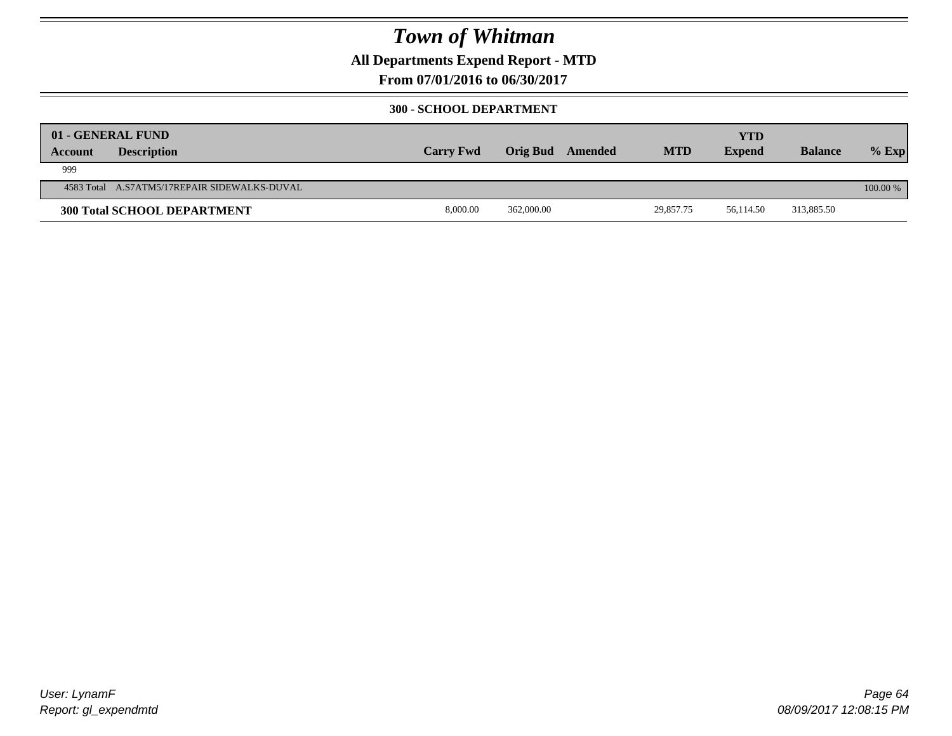### **All Departments Expend Report - MTD**

**From 07/01/2016 to 06/30/2017**

#### **300 - SCHOOL DEPARTMENT**

| <b>Account</b> | 01 - GENERAL FUND<br><b>Description</b>      | <b>Carry Fwd</b> | Orig Bud   | Amended | <b>MTD</b> | <b>YTD</b><br><b>Expend</b> | <b>Balance</b> | $%$ Exp  |
|----------------|----------------------------------------------|------------------|------------|---------|------------|-----------------------------|----------------|----------|
| 999            |                                              |                  |            |         |            |                             |                |          |
|                | 4583 Total A.S7ATM5/17REPAIR SIDEWALKS-DUVAL |                  |            |         |            |                             |                | 100.00 % |
|                | <b>300 Total SCHOOL DEPARTMENT</b>           | 8,000.00         | 362,000.00 |         | 29,857.75  | 56.114.50                   | 313,885.50     |          |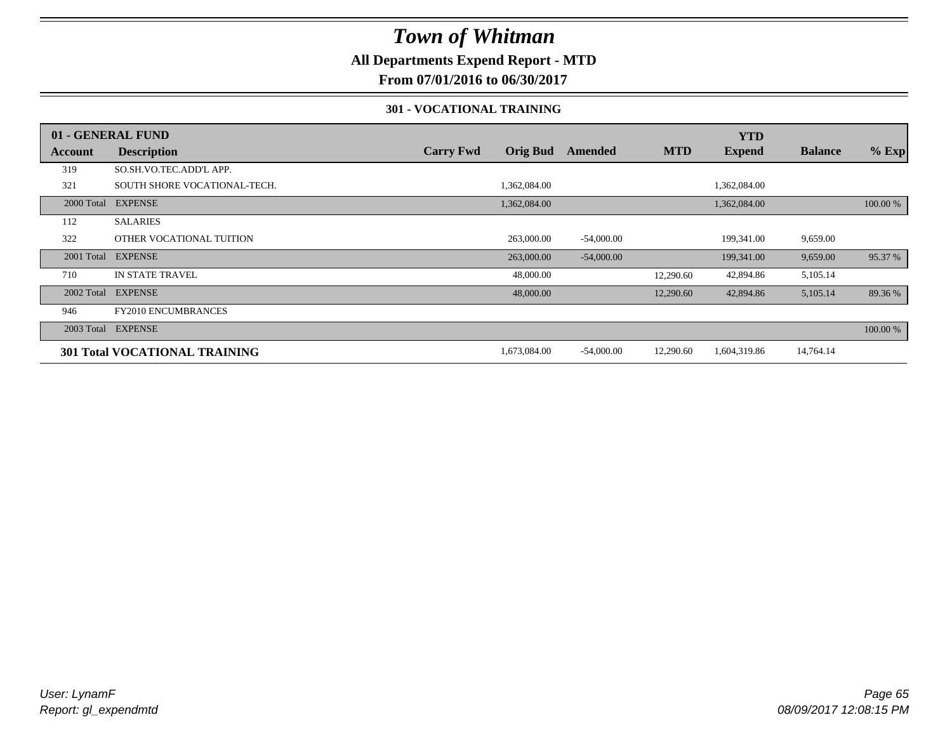### **All Departments Expend Report - MTD**

**From 07/01/2016 to 06/30/2017**

#### **301 - VOCATIONAL TRAINING**

|            | 01 - GENERAL FUND                    |                  |                 |              |            | <b>YTD</b>    |                |          |
|------------|--------------------------------------|------------------|-----------------|--------------|------------|---------------|----------------|----------|
| Account    | <b>Description</b>                   | <b>Carry Fwd</b> | <b>Orig Bud</b> | Amended      | <b>MTD</b> | <b>Expend</b> | <b>Balance</b> | $%$ Exp  |
| 319        | SO.SH.VO.TEC.ADD'L APP.              |                  |                 |              |            |               |                |          |
| 321        | SOUTH SHORE VOCATIONAL-TECH.         |                  | 1,362,084.00    |              |            | 1,362,084.00  |                |          |
| 2000 Total | <b>EXPENSE</b>                       |                  | 1,362,084.00    |              |            | 1,362,084.00  |                | 100.00 % |
| 112        | <b>SALARIES</b>                      |                  |                 |              |            |               |                |          |
| 322        | OTHER VOCATIONAL TUITION             |                  | 263,000.00      | $-54,000.00$ |            | 199,341.00    | 9,659.00       |          |
| 2001 Total | <b>EXPENSE</b>                       |                  | 263,000.00      | $-54,000.00$ |            | 199,341.00    | 9,659.00       | 95.37 %  |
| 710        | <b>IN STATE TRAVEL</b>               |                  | 48,000.00       |              | 12,290.60  | 42,894.86     | 5,105.14       |          |
|            | 2002 Total EXPENSE                   |                  | 48,000.00       |              | 12,290.60  | 42,894.86     | 5,105.14       | 89.36 %  |
| 946        | <b>FY2010 ENCUMBRANCES</b>           |                  |                 |              |            |               |                |          |
| 2003 Total | <b>EXPENSE</b>                       |                  |                 |              |            |               |                | 100.00 % |
|            | <b>301 Total VOCATIONAL TRAINING</b> |                  | 1,673,084.00    | $-54,000.00$ | 12,290.60  | 1,604,319.86  | 14,764.14      |          |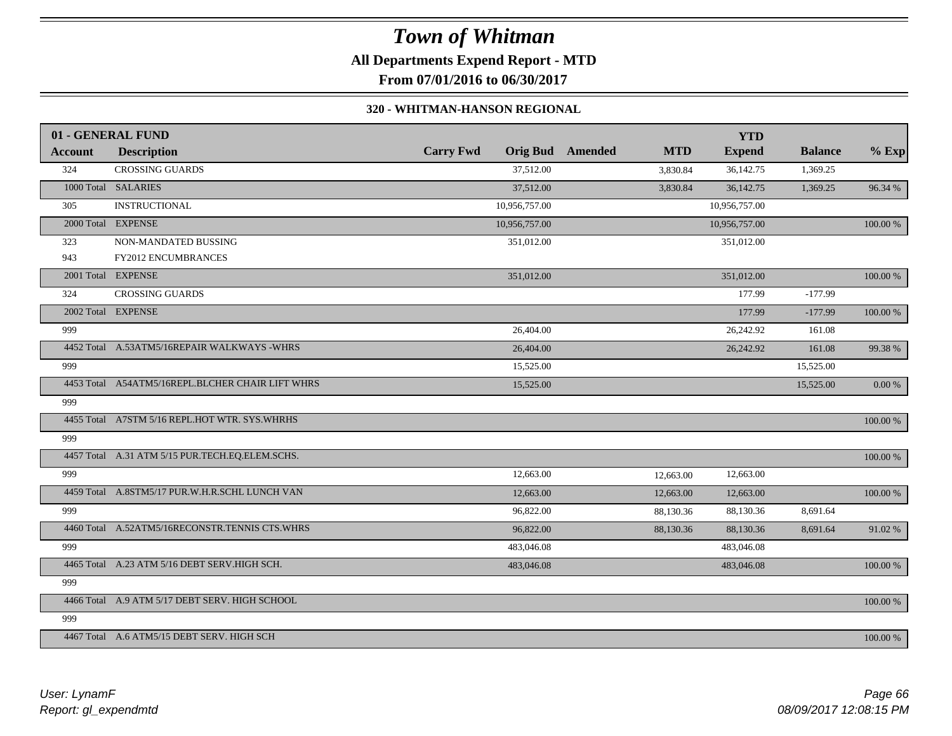**All Departments Expend Report - MTD**

**From 07/01/2016 to 06/30/2017**

#### **320 - WHITMAN-HANSON REGIONAL**

|         | 01 - GENERAL FUND                                |                  |               |                         |            | <b>YTD</b>    |                |             |
|---------|--------------------------------------------------|------------------|---------------|-------------------------|------------|---------------|----------------|-------------|
| Account | <b>Description</b>                               | <b>Carry Fwd</b> |               | <b>Orig Bud</b> Amended | <b>MTD</b> | <b>Expend</b> | <b>Balance</b> | $%$ Exp     |
| 324     | <b>CROSSING GUARDS</b>                           |                  | 37,512.00     |                         | 3,830.84   | 36,142.75     | 1,369.25       |             |
|         | 1000 Total SALARIES                              |                  | 37,512.00     |                         | 3,830.84   | 36,142.75     | 1,369.25       | 96.34 %     |
| 305     | <b>INSTRUCTIONAL</b>                             |                  | 10,956,757.00 |                         |            | 10,956,757.00 |                |             |
|         | 2000 Total EXPENSE                               |                  | 10,956,757.00 |                         |            | 10,956,757.00 |                | $100.00~\%$ |
| 323     | NON-MANDATED BUSSING                             |                  | 351,012.00    |                         |            | 351,012.00    |                |             |
| 943     | <b>FY2012 ENCUMBRANCES</b>                       |                  |               |                         |            |               |                |             |
|         | 2001 Total EXPENSE                               |                  | 351,012.00    |                         |            | 351,012.00    |                | 100.00 %    |
| 324     | <b>CROSSING GUARDS</b>                           |                  |               |                         |            | 177.99        | $-177.99$      |             |
|         | 2002 Total EXPENSE                               |                  |               |                         |            | 177.99        | $-177.99$      | 100.00 %    |
| 999     |                                                  |                  | 26,404.00     |                         |            | 26,242.92     | 161.08         |             |
|         | 4452 Total A.53ATM5/16REPAIR WALKWAYS -WHRS      |                  | 26,404.00     |                         |            | 26,242.92     | 161.08         | 99.38 %     |
| 999     |                                                  |                  | 15,525.00     |                         |            |               | 15,525.00      |             |
|         | 4453 Total A54ATM5/16REPL.BLCHER CHAIR LIFT WHRS |                  | 15,525.00     |                         |            |               | 15,525.00      | $0.00 \%$   |
| 999     |                                                  |                  |               |                         |            |               |                |             |
|         | 4455 Total A7STM 5/16 REPL.HOT WTR. SYS.WHRHS    |                  |               |                         |            |               |                | 100.00 %    |
| 999     |                                                  |                  |               |                         |            |               |                |             |
|         | 4457 Total A.31 ATM 5/15 PUR.TECH.EQ.ELEM.SCHS.  |                  |               |                         |            |               |                | 100.00 %    |
| 999     |                                                  |                  | 12,663.00     |                         | 12,663.00  | 12,663.00     |                |             |
|         | 4459 Total A.8STM5/17 PUR.W.H.R.SCHL LUNCH VAN   |                  | 12,663.00     |                         | 12,663.00  | 12,663.00     |                | 100.00 %    |
| 999     |                                                  |                  | 96,822.00     |                         | 88,130.36  | 88,130.36     | 8,691.64       |             |
|         | 4460 Total A.52ATM5/16RECONSTR.TENNIS CTS.WHRS   |                  | 96,822.00     |                         | 88,130.36  | 88,130.36     | 8,691.64       | 91.02%      |
| 999     |                                                  |                  | 483,046.08    |                         |            | 483,046.08    |                |             |
|         | 4465 Total A.23 ATM 5/16 DEBT SERV.HIGH SCH.     |                  | 483,046.08    |                         |            | 483,046.08    |                | 100.00 %    |
| 999     |                                                  |                  |               |                         |            |               |                |             |
|         | 4466 Total A.9 ATM 5/17 DEBT SERV. HIGH SCHOOL   |                  |               |                         |            |               |                | 100.00 %    |
| 999     |                                                  |                  |               |                         |            |               |                |             |
|         | 4467 Total A.6 ATM5/15 DEBT SERV. HIGH SCH       |                  |               |                         |            |               |                | 100.00 %    |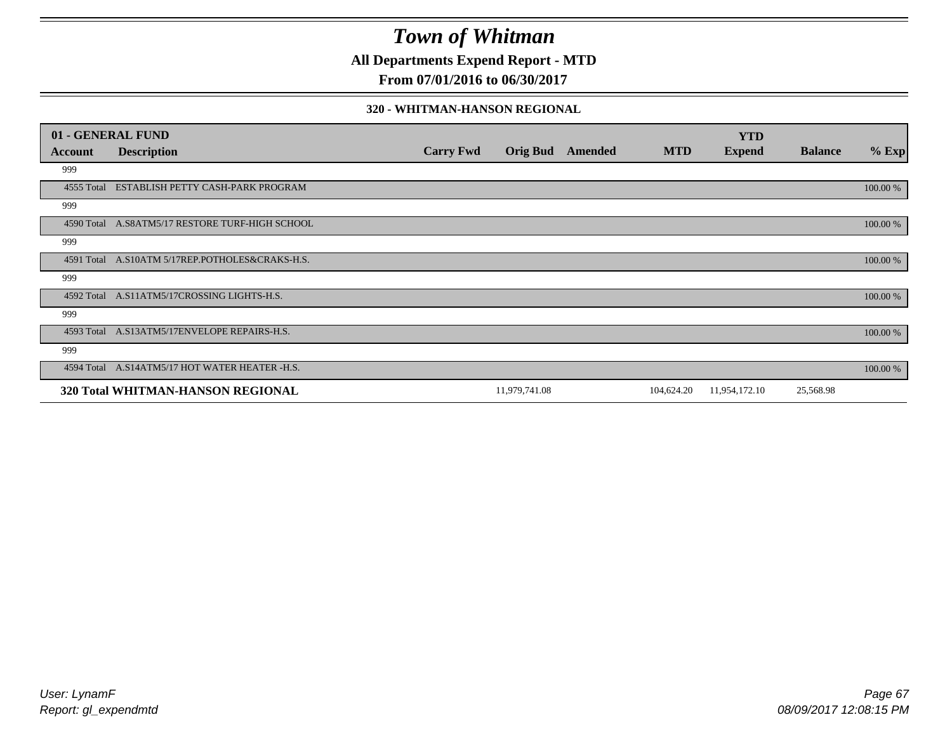**All Departments Expend Report - MTD**

**From 07/01/2016 to 06/30/2017**

#### **320 - WHITMAN-HANSON REGIONAL**

|            | 01 - GENERAL FUND                               |                  |                 |         |            | <b>YTD</b>    |                |          |
|------------|-------------------------------------------------|------------------|-----------------|---------|------------|---------------|----------------|----------|
| Account    | <b>Description</b>                              | <b>Carry Fwd</b> | <b>Orig Bud</b> | Amended | <b>MTD</b> | <b>Expend</b> | <b>Balance</b> | $%$ Exp  |
| 999        |                                                 |                  |                 |         |            |               |                |          |
| 4555 Total | ESTABLISH PETTY CASH-PARK PROGRAM               |                  |                 |         |            |               |                | 100.00 % |
| 999        |                                                 |                  |                 |         |            |               |                |          |
|            | 4590 Total A.S8ATM5/17 RESTORE TURF-HIGH SCHOOL |                  |                 |         |            |               |                | 100.00 % |
| 999        |                                                 |                  |                 |         |            |               |                |          |
|            | 4591 Total A.S10ATM 5/17REP.POTHOLES&CRAKS-H.S. |                  |                 |         |            |               |                | 100.00 % |
| 999        |                                                 |                  |                 |         |            |               |                |          |
| 4592 Total | A.S11ATM5/17CROSSING LIGHTS-H.S.                |                  |                 |         |            |               |                | 100.00 % |
| 999        |                                                 |                  |                 |         |            |               |                |          |
| 4593 Total | A.S13ATM5/17ENVELOPE REPAIRS-H.S.               |                  |                 |         |            |               |                | 100.00 % |
| 999        |                                                 |                  |                 |         |            |               |                |          |
|            | 4594 Total A.S14ATM5/17 HOT WATER HEATER -H.S.  |                  |                 |         |            |               |                | 100.00 % |
|            | 320 Total WHITMAN-HANSON REGIONAL               |                  | 11,979,741.08   |         | 104,624.20 | 11,954,172.10 | 25,568.98      |          |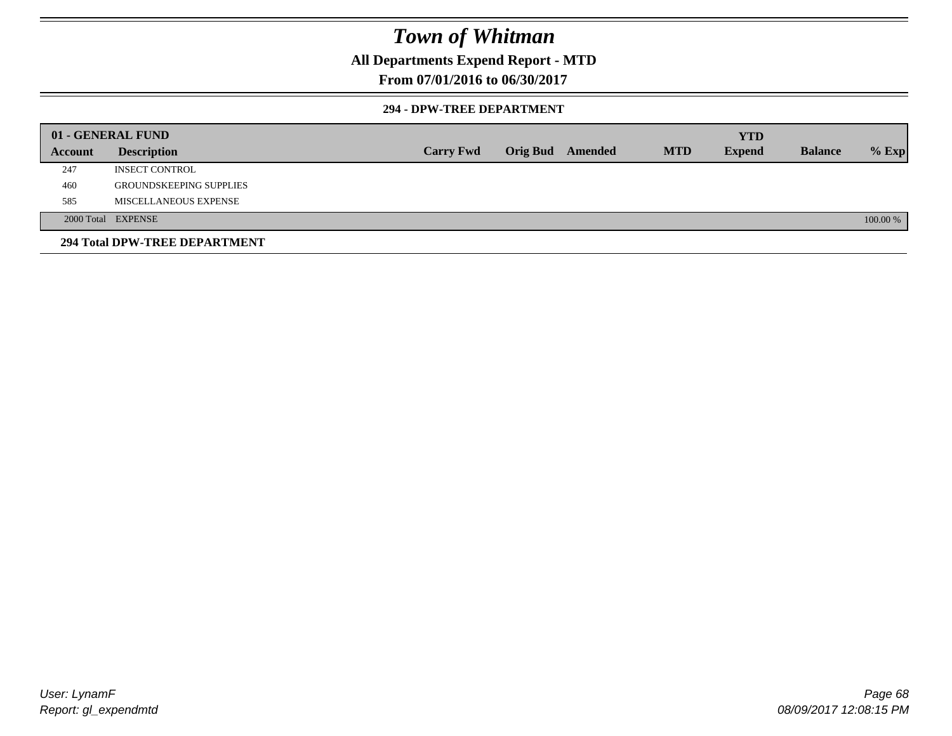### **All Departments Expend Report - MTD**

### **From 07/01/2016 to 06/30/2017**

#### **294 - DPW-TREE DEPARTMENT**

|         | 01 - GENERAL FUND              |                  |                         |            | <b>YTD</b>    |                |          |
|---------|--------------------------------|------------------|-------------------------|------------|---------------|----------------|----------|
| Account | <b>Description</b>             | <b>Carry Fwd</b> | <b>Orig Bud</b> Amended | <b>MTD</b> | <b>Expend</b> | <b>Balance</b> | $%$ Exp  |
| 247     | <b>INSECT CONTROL</b>          |                  |                         |            |               |                |          |
| 460     | <b>GROUNDSKEEPING SUPPLIES</b> |                  |                         |            |               |                |          |
| 585     | MISCELLANEOUS EXPENSE          |                  |                         |            |               |                |          |
|         | 2000 Total EXPENSE             |                  |                         |            |               |                | 100.00 % |
|         | 294 Total DPW-TREE DEPARTMENT  |                  |                         |            |               |                |          |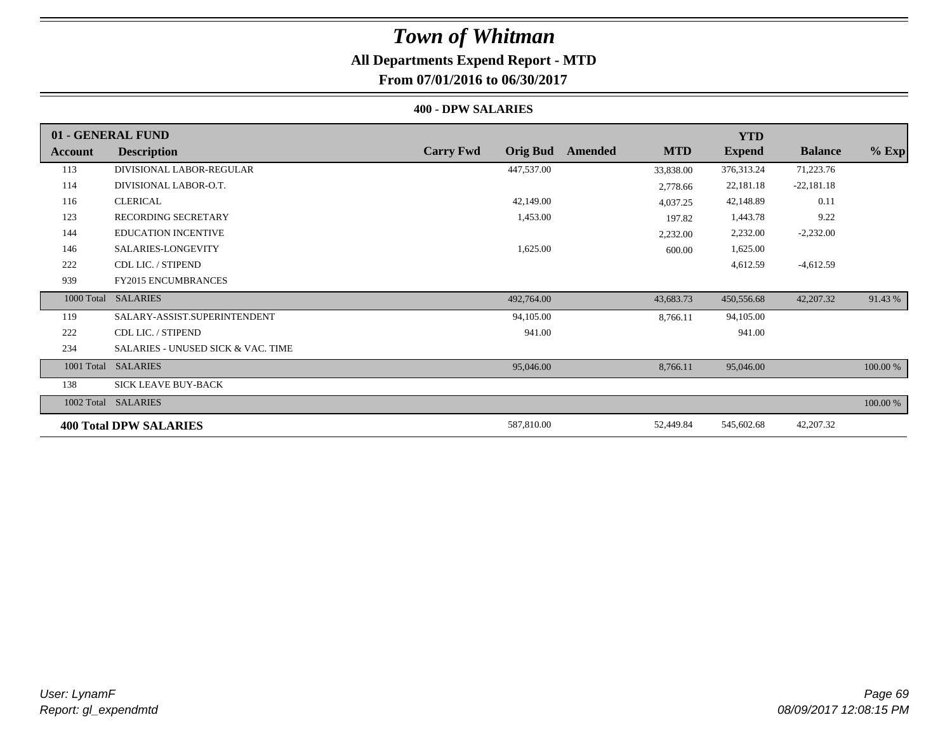### **All Departments Expend Report - MTD**

**From 07/01/2016 to 06/30/2017**

#### **400 - DPW SALARIES**

|            | 01 - GENERAL FUND                             |                                     |                       | <b>YTD</b>    |                |          |
|------------|-----------------------------------------------|-------------------------------------|-----------------------|---------------|----------------|----------|
| Account    | <b>Description</b>                            | <b>Carry Fwd</b><br><b>Orig Bud</b> | <b>MTD</b><br>Amended | <b>Expend</b> | <b>Balance</b> | $%$ Exp  |
| 113        | DIVISIONAL LABOR-REGULAR                      | 447,537.00                          | 33,838.00             | 376, 313. 24  | 71,223.76      |          |
| 114        | DIVISIONAL LABOR-O.T.                         |                                     | 2,778.66              | 22,181.18     | $-22,181.18$   |          |
| 116        | <b>CLERICAL</b>                               | 42,149.00                           | 4,037.25              | 42,148.89     | 0.11           |          |
| 123        | <b>RECORDING SECRETARY</b>                    | 1,453.00                            | 197.82                | 1,443.78      | 9.22           |          |
| 144        | <b>EDUCATION INCENTIVE</b>                    |                                     | 2,232.00              | 2,232.00      | $-2,232.00$    |          |
| 146        | SALARIES-LONGEVITY                            | 1,625.00                            | 600.00                | 1,625.00      |                |          |
| 222        | CDL LIC. / STIPEND                            |                                     |                       | 4,612.59      | $-4,612.59$    |          |
| 939        | <b>FY2015 ENCUMBRANCES</b>                    |                                     |                       |               |                |          |
| 1000 Total | <b>SALARIES</b>                               | 492,764.00                          | 43,683.73             | 450,556.68    | 42,207.32      | 91.43 %  |
| 119        | SALARY-ASSIST.SUPERINTENDENT                  | 94,105.00                           | 8,766.11              | 94,105.00     |                |          |
| 222        | CDL LIC. / STIPEND                            | 941.00                              |                       | 941.00        |                |          |
| 234        | <b>SALARIES - UNUSED SICK &amp; VAC. TIME</b> |                                     |                       |               |                |          |
| 1001 Total | <b>SALARIES</b>                               | 95,046.00                           | 8,766.11              | 95,046.00     |                | 100.00 % |
| 138        | <b>SICK LEAVE BUY-BACK</b>                    |                                     |                       |               |                |          |
|            | 1002 Total SALARIES                           |                                     |                       |               |                | 100.00 % |
|            | <b>400 Total DPW SALARIES</b>                 | 587,810.00                          | 52,449.84             | 545,602.68    | 42,207.32      |          |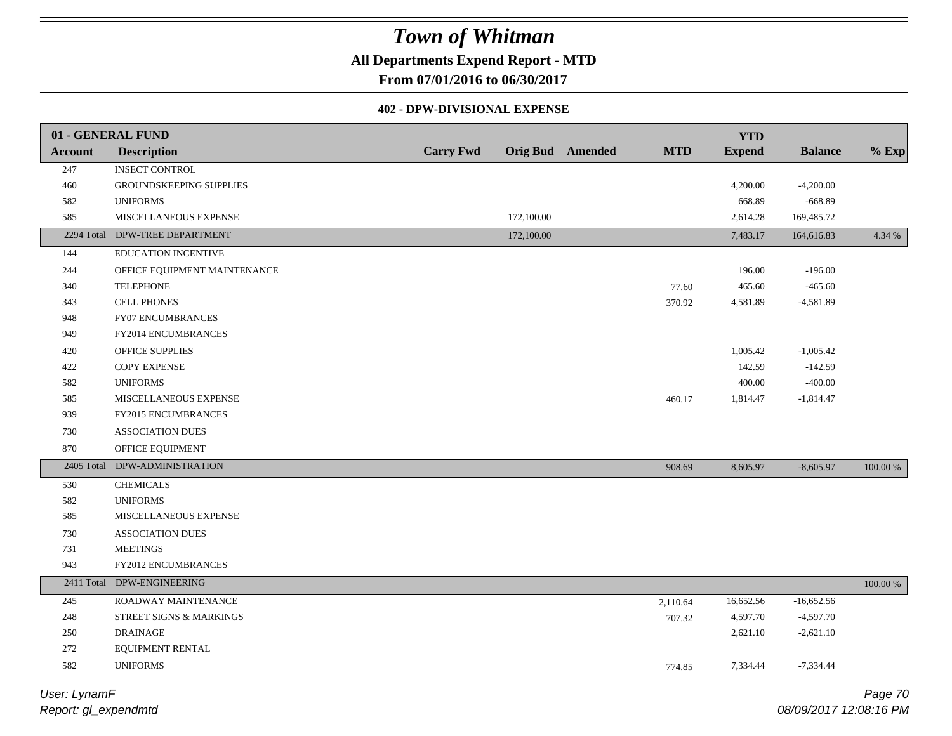### **All Departments Expend Report - MTD**

**From 07/01/2016 to 06/30/2017**

#### **402 - DPW-DIVISIONAL EXPENSE**

|                | 01 - GENERAL FUND            |                  |            |                         |            | <b>YTD</b>    |                |          |
|----------------|------------------------------|------------------|------------|-------------------------|------------|---------------|----------------|----------|
| <b>Account</b> | <b>Description</b>           | <b>Carry Fwd</b> |            | <b>Orig Bud</b> Amended | <b>MTD</b> | <b>Expend</b> | <b>Balance</b> | $%$ Exp  |
| 247            | <b>INSECT CONTROL</b>        |                  |            |                         |            |               |                |          |
| 460            | GROUNDSKEEPING SUPPLIES      |                  |            |                         |            | 4,200.00      | $-4,200.00$    |          |
| 582            | <b>UNIFORMS</b>              |                  |            |                         |            | 668.89        | $-668.89$      |          |
| 585            | MISCELLANEOUS EXPENSE        |                  | 172,100.00 |                         |            | 2,614.28      | 169,485.72     |          |
| 2294 Total     | DPW-TREE DEPARTMENT          |                  | 172,100.00 |                         |            | 7,483.17      | 164,616.83     | 4.34 %   |
| 144            | <b>EDUCATION INCENTIVE</b>   |                  |            |                         |            |               |                |          |
| 244            | OFFICE EQUIPMENT MAINTENANCE |                  |            |                         |            | 196.00        | $-196.00$      |          |
| 340            | <b>TELEPHONE</b>             |                  |            |                         | 77.60      | 465.60        | $-465.60$      |          |
| 343            | <b>CELL PHONES</b>           |                  |            |                         | 370.92     | 4,581.89      | $-4,581.89$    |          |
| 948            | FY07 ENCUMBRANCES            |                  |            |                         |            |               |                |          |
| 949            | FY2014 ENCUMBRANCES          |                  |            |                         |            |               |                |          |
| 420            | OFFICE SUPPLIES              |                  |            |                         |            | 1,005.42      | $-1,005.42$    |          |
| 422            | COPY EXPENSE                 |                  |            |                         |            | 142.59        | $-142.59$      |          |
| 582            | <b>UNIFORMS</b>              |                  |            |                         |            | 400.00        | $-400.00$      |          |
| 585            | MISCELLANEOUS EXPENSE        |                  |            |                         | 460.17     | 1,814.47      | $-1,814.47$    |          |
| 939            | FY2015 ENCUMBRANCES          |                  |            |                         |            |               |                |          |
| 730            | <b>ASSOCIATION DUES</b>      |                  |            |                         |            |               |                |          |
| 870            | OFFICE EQUIPMENT             |                  |            |                         |            |               |                |          |
| 2405 Total     | DPW-ADMINISTRATION           |                  |            |                         | 908.69     | 8,605.97      | $-8,605.97$    | 100.00 % |
| 530            | <b>CHEMICALS</b>             |                  |            |                         |            |               |                |          |
| 582            | <b>UNIFORMS</b>              |                  |            |                         |            |               |                |          |
| 585            | MISCELLANEOUS EXPENSE        |                  |            |                         |            |               |                |          |
| 730            | <b>ASSOCIATION DUES</b>      |                  |            |                         |            |               |                |          |
| 731            | <b>MEETINGS</b>              |                  |            |                         |            |               |                |          |
| 943            | FY2012 ENCUMBRANCES          |                  |            |                         |            |               |                |          |
|                | 2411 Total DPW-ENGINEERING   |                  |            |                         |            |               |                | 100.00 % |
| 245            | ROADWAY MAINTENANCE          |                  |            |                         | 2,110.64   | 16,652.56     | $-16,652.56$   |          |
| 248            | STREET SIGNS & MARKINGS      |                  |            |                         | 707.32     | 4,597.70      | $-4,597.70$    |          |
| 250            | <b>DRAINAGE</b>              |                  |            |                         |            | 2,621.10      | $-2,621.10$    |          |
| $272\,$        | EQUIPMENT RENTAL             |                  |            |                         |            |               |                |          |
| 582            | <b>UNIFORMS</b>              |                  |            |                         | 774.85     | 7,334.44      | $-7,334.44$    |          |
|                |                              |                  |            |                         |            |               |                |          |

*Report: gl\_expendmtd User: LynamF*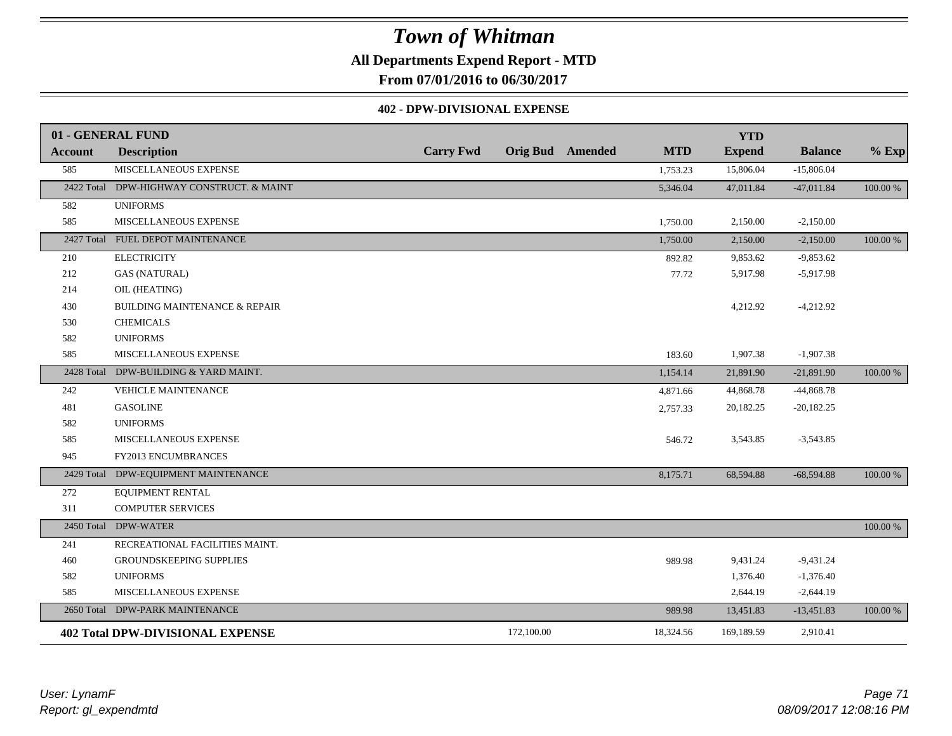### **All Departments Expend Report - MTD**

**From 07/01/2016 to 06/30/2017**

#### **402 - DPW-DIVISIONAL EXPENSE**

|                | 01 - GENERAL FUND                         |                  |                         |            | <b>YTD</b>    |                |          |
|----------------|-------------------------------------------|------------------|-------------------------|------------|---------------|----------------|----------|
| <b>Account</b> | <b>Description</b>                        | <b>Carry Fwd</b> | <b>Orig Bud</b> Amended | <b>MTD</b> | <b>Expend</b> | <b>Balance</b> | $%$ Exp  |
| 585            | MISCELLANEOUS EXPENSE                     |                  |                         | 1,753.23   | 15,806.04     | $-15,806.04$   |          |
|                | 2422 Total DPW-HIGHWAY CONSTRUCT. & MAINT |                  |                         | 5,346.04   | 47,011.84     | $-47,011.84$   | 100.00 % |
| 582            | <b>UNIFORMS</b>                           |                  |                         |            |               |                |          |
| 585            | MISCELLANEOUS EXPENSE                     |                  |                         | 1,750.00   | 2,150.00      | $-2,150.00$    |          |
|                | 2427 Total FUEL DEPOT MAINTENANCE         |                  |                         | 1,750.00   | 2,150.00      | $-2,150.00$    | 100.00 % |
| 210            | <b>ELECTRICITY</b>                        |                  |                         | 892.82     | 9,853.62      | $-9,853.62$    |          |
| 212            | <b>GAS (NATURAL)</b>                      |                  |                         | 77.72      | 5,917.98      | $-5,917.98$    |          |
| 214            | OIL (HEATING)                             |                  |                         |            |               |                |          |
| 430            | <b>BUILDING MAINTENANCE &amp; REPAIR</b>  |                  |                         |            | 4,212.92      | $-4,212.92$    |          |
| 530            | <b>CHEMICALS</b>                          |                  |                         |            |               |                |          |
| 582            | <b>UNIFORMS</b>                           |                  |                         |            |               |                |          |
| 585            | MISCELLANEOUS EXPENSE                     |                  |                         | 183.60     | 1,907.38      | $-1,907.38$    |          |
|                | 2428 Total DPW-BUILDING & YARD MAINT.     |                  |                         | 1,154.14   | 21,891.90     | $-21,891.90$   | 100.00 % |
| 242            | <b>VEHICLE MAINTENANCE</b>                |                  |                         | 4,871.66   | 44,868.78     | $-44,868.78$   |          |
| 481            | <b>GASOLINE</b>                           |                  |                         | 2,757.33   | 20,182.25     | $-20,182.25$   |          |
| 582            | <b>UNIFORMS</b>                           |                  |                         |            |               |                |          |
| 585            | MISCELLANEOUS EXPENSE                     |                  |                         | 546.72     | 3,543.85      | $-3,543.85$    |          |
| 945            | FY2013 ENCUMBRANCES                       |                  |                         |            |               |                |          |
| 2429 Total     | DPW-EQUIPMENT MAINTENANCE                 |                  |                         | 8,175.71   | 68,594.88     | $-68,594.88$   | 100.00 % |
| 272            | <b>EQUIPMENT RENTAL</b>                   |                  |                         |            |               |                |          |
| 311            | <b>COMPUTER SERVICES</b>                  |                  |                         |            |               |                |          |
| 2450 Total     | <b>DPW-WATER</b>                          |                  |                         |            |               |                | 100.00 % |
| 241            | RECREATIONAL FACILITIES MAINT.            |                  |                         |            |               |                |          |
| 460            | <b>GROUNDSKEEPING SUPPLIES</b>            |                  |                         | 989.98     | 9,431.24      | $-9,431.24$    |          |
| 582            | <b>UNIFORMS</b>                           |                  |                         |            | 1,376.40      | $-1,376.40$    |          |
| 585            | MISCELLANEOUS EXPENSE                     |                  |                         |            | 2,644.19      | $-2,644.19$    |          |
|                | 2650 Total DPW-PARK MAINTENANCE           |                  |                         | 989.98     | 13,451.83     | $-13,451.83$   | 100.00 % |
|                | <b>402 Total DPW-DIVISIONAL EXPENSE</b>   |                  | 172,100.00              | 18,324.56  | 169,189.59    | 2,910.41       |          |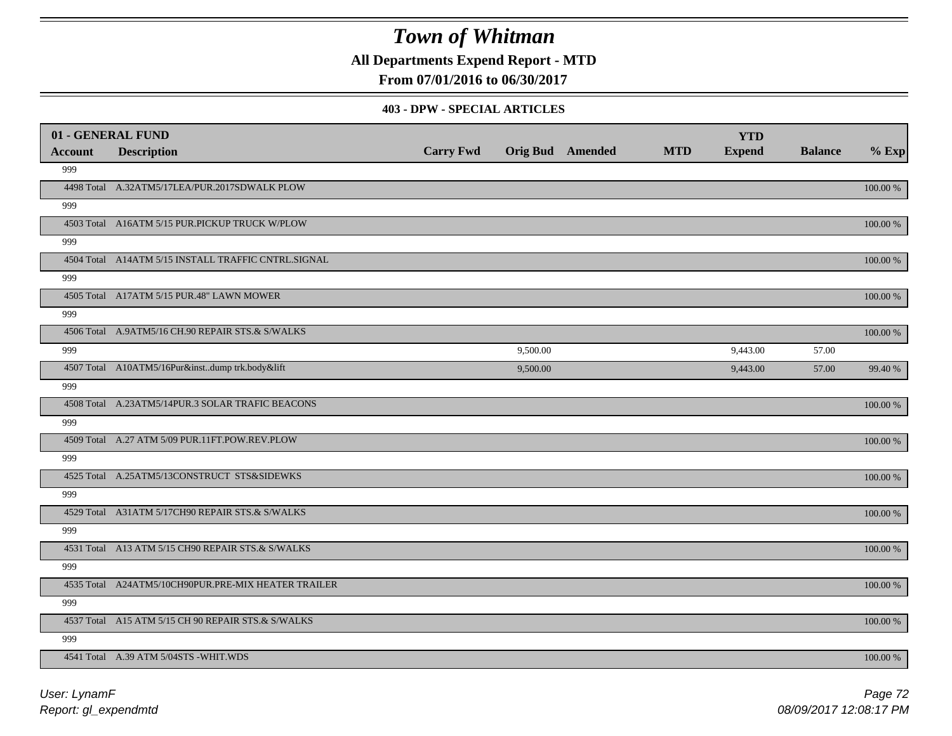**All Departments Expend Report - MTD**

**From 07/01/2016 to 06/30/2017**

#### **403 - DPW - SPECIAL ARTICLES**

| 01 - GENERAL FUND |                                                     |                  |          |                         |            | <b>YTD</b>    |                |          |
|-------------------|-----------------------------------------------------|------------------|----------|-------------------------|------------|---------------|----------------|----------|
| <b>Account</b>    | <b>Description</b>                                  | <b>Carry Fwd</b> |          | <b>Orig Bud</b> Amended | <b>MTD</b> | <b>Expend</b> | <b>Balance</b> | $%$ Exp  |
| 999               |                                                     |                  |          |                         |            |               |                |          |
|                   | 4498 Total A.32ATM5/17LEA/PUR.2017SDWALK PLOW       |                  |          |                         |            |               |                | 100.00 % |
| 999               |                                                     |                  |          |                         |            |               |                |          |
|                   | 4503 Total A16ATM 5/15 PUR.PICKUP TRUCK W/PLOW      |                  |          |                         |            |               |                | 100.00 % |
| 999               |                                                     |                  |          |                         |            |               |                |          |
|                   | 4504 Total A14ATM 5/15 INSTALL TRAFFIC CNTRL.SIGNAL |                  |          |                         |            |               |                | 100.00 % |
| 999               |                                                     |                  |          |                         |            |               |                |          |
|                   | 4505 Total A17ATM 5/15 PUR.48" LAWN MOWER           |                  |          |                         |            |               |                | 100.00 % |
| 999               |                                                     |                  |          |                         |            |               |                |          |
|                   | 4506 Total A.9ATM5/16 CH.90 REPAIR STS.& S/WALKS    |                  |          |                         |            |               |                | 100.00 % |
| 999               |                                                     |                  | 9,500.00 |                         |            | 9,443.00      | 57.00          |          |
|                   | 4507 Total A10ATM5/16Pur&instdump trk.body&lift     |                  | 9,500.00 |                         |            | 9,443.00      | 57.00          | 99.40 %  |
| 999               |                                                     |                  |          |                         |            |               |                |          |
|                   | 4508 Total A.23ATM5/14PUR.3 SOLAR TRAFIC BEACONS    |                  |          |                         |            |               |                | 100.00 % |
| 999               |                                                     |                  |          |                         |            |               |                |          |
|                   | 4509 Total A.27 ATM 5/09 PUR.11FT.POW.REV.PLOW      |                  |          |                         |            |               |                | 100.00 % |
| 999               |                                                     |                  |          |                         |            |               |                |          |
|                   | 4525 Total A.25ATM5/13CONSTRUCT STS&SIDEWKS         |                  |          |                         |            |               |                | 100.00 % |
| 999               |                                                     |                  |          |                         |            |               |                |          |
|                   | 4529 Total A31ATM 5/17CH90 REPAIR STS.& S/WALKS     |                  |          |                         |            |               |                | 100.00 % |
| 999               |                                                     |                  |          |                         |            |               |                |          |
|                   | 4531 Total A13 ATM 5/15 CH90 REPAIR STS.& S/WALKS   |                  |          |                         |            |               |                | 100.00 % |
| 999               |                                                     |                  |          |                         |            |               |                |          |
|                   | 4535 Total A24ATM5/10CH90PUR.PRE-MIX HEATER TRAILER |                  |          |                         |            |               |                | 100.00 % |
| 999               |                                                     |                  |          |                         |            |               |                |          |
|                   | 4537 Total A15 ATM 5/15 CH 90 REPAIR STS.& S/WALKS  |                  |          |                         |            |               |                | 100.00 % |
| 999               |                                                     |                  |          |                         |            |               |                |          |
|                   | 4541 Total A.39 ATM 5/04STS -WHIT.WDS               |                  |          |                         |            |               |                | 100.00 % |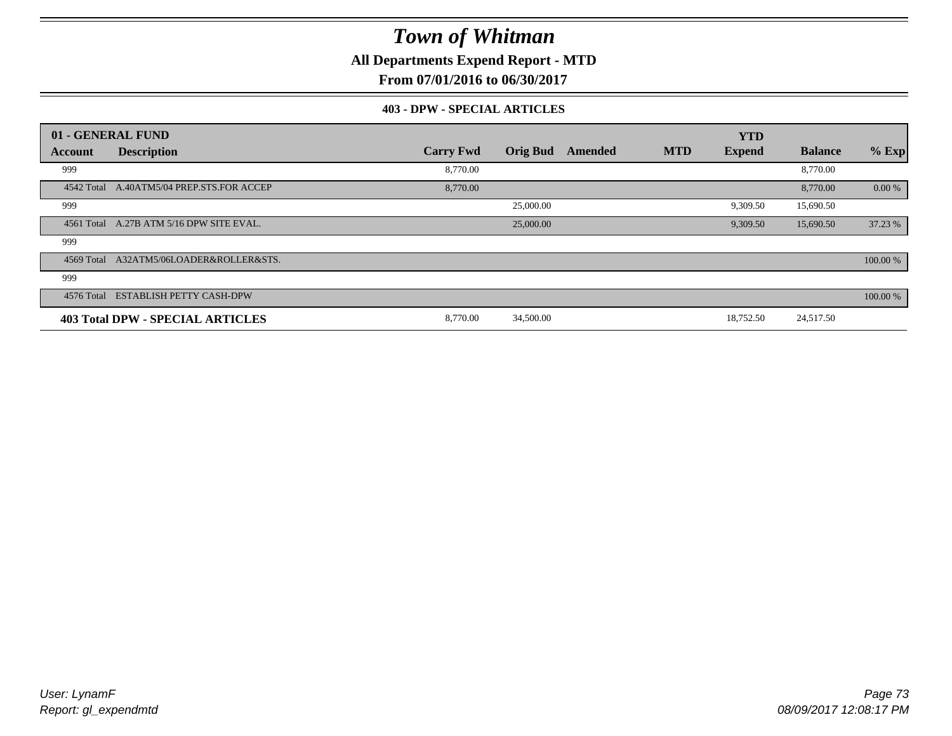**All Departments Expend Report - MTD**

**From 07/01/2016 to 06/30/2017**

#### **403 - DPW - SPECIAL ARTICLES**

| 01 - GENERAL FUND |                                         |                  |                 |         |            | <b>YTD</b>    |                |          |
|-------------------|-----------------------------------------|------------------|-----------------|---------|------------|---------------|----------------|----------|
| Account           | <b>Description</b>                      | <b>Carry Fwd</b> | <b>Orig Bud</b> | Amended | <b>MTD</b> | <b>Expend</b> | <b>Balance</b> | $%$ Exp  |
| 999               |                                         | 8,770.00         |                 |         |            |               | 8,770.00       |          |
| 4542 Total        | A.40ATM5/04 PREP.STS.FOR ACCEP          | 8,770.00         |                 |         |            |               | 8,770.00       | 0.00 %   |
| 999               |                                         |                  | 25,000.00       |         |            | 9,309.50      | 15,690.50      |          |
| 4561 Total        | A.27B ATM 5/16 DPW SITE EVAL.           |                  | 25,000.00       |         |            | 9,309.50      | 15,690.50      | 37.23 %  |
| 999               |                                         |                  |                 |         |            |               |                |          |
| 4569 Total        | A32ATM5/06LOADER&ROLLER&STS.            |                  |                 |         |            |               |                | 100.00 % |
| 999               |                                         |                  |                 |         |            |               |                |          |
| 4576 Total        | <b>ESTABLISH PETTY CASH-DPW</b>         |                  |                 |         |            |               |                | 100.00 % |
|                   | <b>403 Total DPW - SPECIAL ARTICLES</b> | 8.770.00         | 34,500.00       |         |            | 18,752.50     | 24,517.50      |          |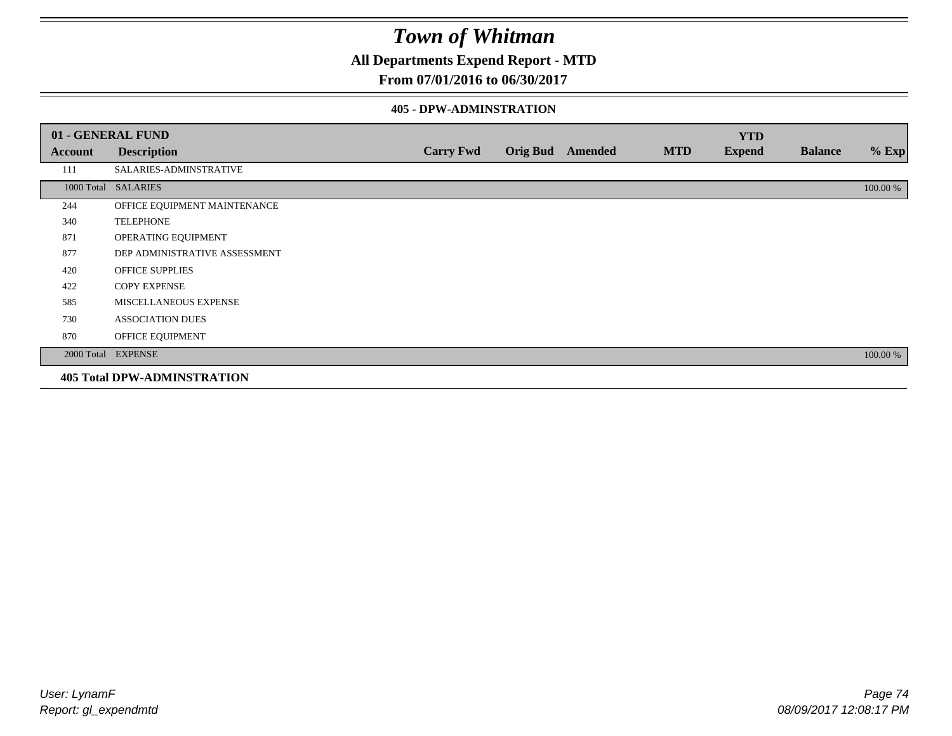### **All Departments Expend Report - MTD**

#### **From 07/01/2016 to 06/30/2017**

#### **405 - DPW-ADMINSTRATION**

|            | 01 - GENERAL FUND                  |                  |                 |                |            | <b>YTD</b>    |                |          |
|------------|------------------------------------|------------------|-----------------|----------------|------------|---------------|----------------|----------|
| Account    | <b>Description</b>                 | <b>Carry Fwd</b> | <b>Orig Bud</b> | <b>Amended</b> | <b>MTD</b> | <b>Expend</b> | <b>Balance</b> | $%$ Exp  |
| 111        | SALARIES-ADMINSTRATIVE             |                  |                 |                |            |               |                |          |
| 1000 Total | <b>SALARIES</b>                    |                  |                 |                |            |               |                | 100.00 % |
| 244        | OFFICE EQUIPMENT MAINTENANCE       |                  |                 |                |            |               |                |          |
| 340        | <b>TELEPHONE</b>                   |                  |                 |                |            |               |                |          |
| 871        | OPERATING EQUIPMENT                |                  |                 |                |            |               |                |          |
| 877        | DEP ADMINISTRATIVE ASSESSMENT      |                  |                 |                |            |               |                |          |
| 420        | <b>OFFICE SUPPLIES</b>             |                  |                 |                |            |               |                |          |
| 422        | <b>COPY EXPENSE</b>                |                  |                 |                |            |               |                |          |
| 585        | MISCELLANEOUS EXPENSE              |                  |                 |                |            |               |                |          |
| 730        | <b>ASSOCIATION DUES</b>            |                  |                 |                |            |               |                |          |
| 870        | OFFICE EQUIPMENT                   |                  |                 |                |            |               |                |          |
|            | 2000 Total EXPENSE                 |                  |                 |                |            |               |                | 100.00 % |
|            | <b>405 Total DPW-ADMINSTRATION</b> |                  |                 |                |            |               |                |          |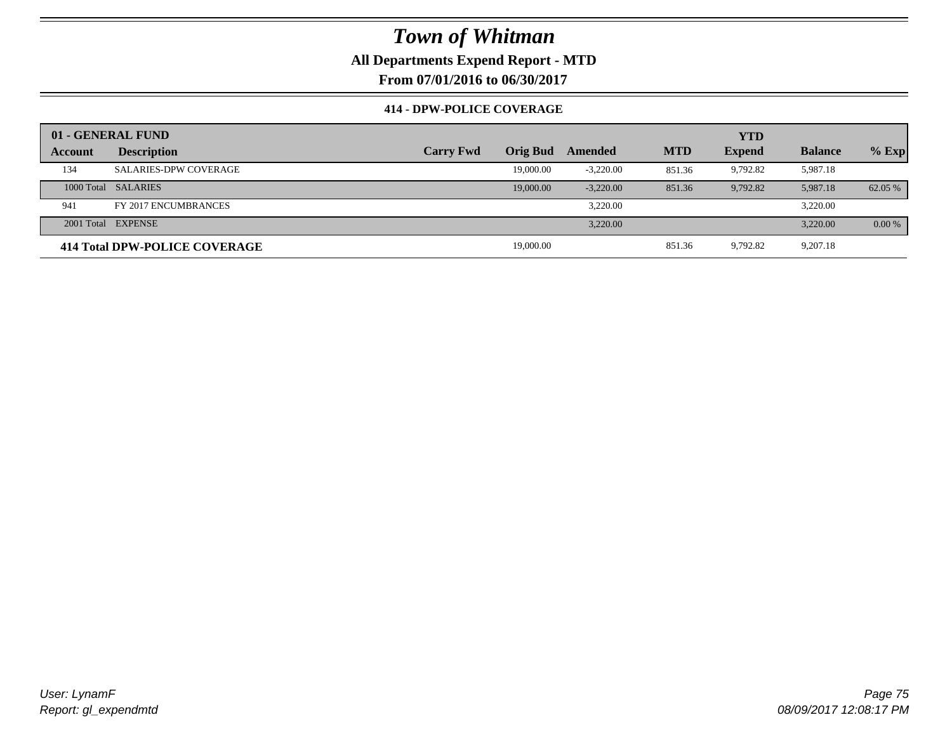**All Departments Expend Report - MTD**

**From 07/01/2016 to 06/30/2017**

#### **414 - DPW-POLICE COVERAGE**

|         | 01 - GENERAL FUND             |                  |                 |             |            | <b>YTD</b>    |                |          |
|---------|-------------------------------|------------------|-----------------|-------------|------------|---------------|----------------|----------|
| Account | <b>Description</b>            | <b>Carry Fwd</b> | <b>Orig Bud</b> | Amended     | <b>MTD</b> | <b>Expend</b> | <b>Balance</b> | $%$ Exp  |
| 134     | <b>SALARIES-DPW COVERAGE</b>  |                  | 19,000.00       | $-3,220.00$ | 851.36     | 9,792.82      | 5,987.18       |          |
|         | 1000 Total SALARIES           |                  | 19,000.00       | $-3.220.00$ | 851.36     | 9,792.82      | 5,987.18       | 62.05 %  |
| 941     | FY 2017 ENCUMBRANCES          |                  |                 | 3.220.00    |            |               | 3,220.00       |          |
|         | 2001 Total EXPENSE            |                  |                 | 3,220.00    |            |               | 3,220.00       | $0.00\%$ |
|         | 414 Total DPW-POLICE COVERAGE |                  | 19,000.00       |             | 851.36     | 9,792.82      | 9,207.18       |          |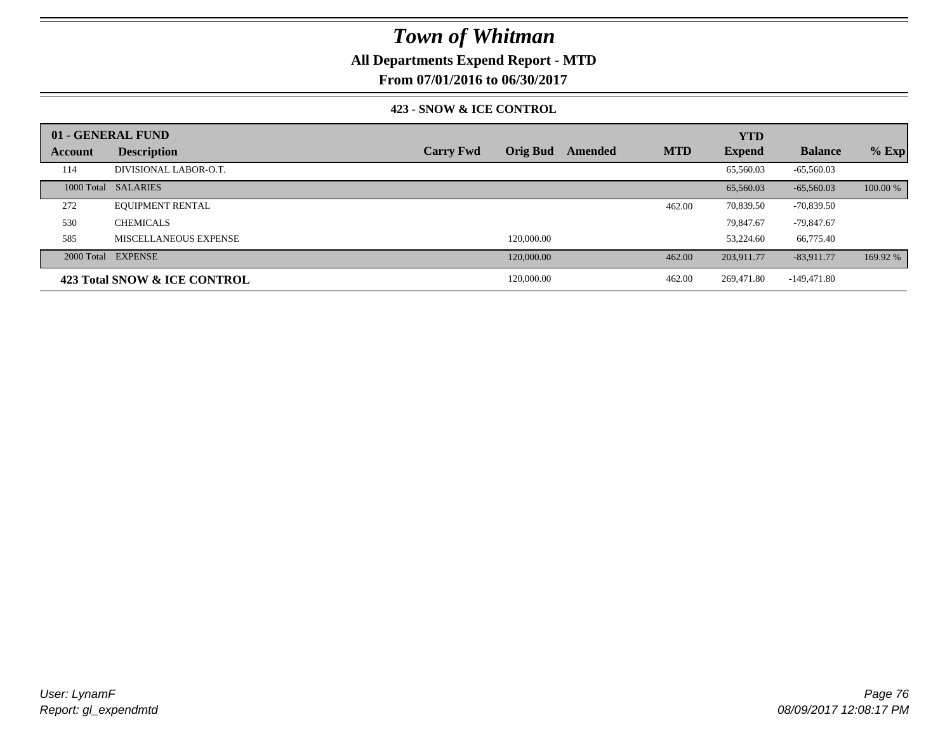### **All Departments Expend Report - MTD**

**From 07/01/2016 to 06/30/2017**

#### **423 - SNOW & ICE CONTROL**

|         | 01 - GENERAL FUND            |                  |                 |         |            | <b>YTD</b>    |                |          |
|---------|------------------------------|------------------|-----------------|---------|------------|---------------|----------------|----------|
| Account | <b>Description</b>           | <b>Carry Fwd</b> | <b>Orig Bud</b> | Amended | <b>MTD</b> | <b>Expend</b> | <b>Balance</b> | $%$ Exp  |
| 114     | DIVISIONAL LABOR-O.T.        |                  |                 |         |            | 65,560.03     | $-65,560.03$   |          |
|         | 1000 Total SALARIES          |                  |                 |         |            | 65,560.03     | $-65,560,03$   | 100.00 % |
| 272     | <b>EQUIPMENT RENTAL</b>      |                  |                 |         | 462.00     | 70,839.50     | $-70,839.50$   |          |
| 530     | <b>CHEMICALS</b>             |                  |                 |         |            | 79.847.67     | $-79.847.67$   |          |
| 585     | MISCELLANEOUS EXPENSE        |                  | 120,000.00      |         |            | 53,224.60     | 66,775.40      |          |
|         | 2000 Total EXPENSE           |                  | 120,000.00      |         | 462.00     | 203,911.77    | $-83,911.77$   | 169.92 % |
|         | 423 Total SNOW & ICE CONTROL |                  | 120,000.00      |         | 462.00     | 269,471.80    | $-149,471.80$  |          |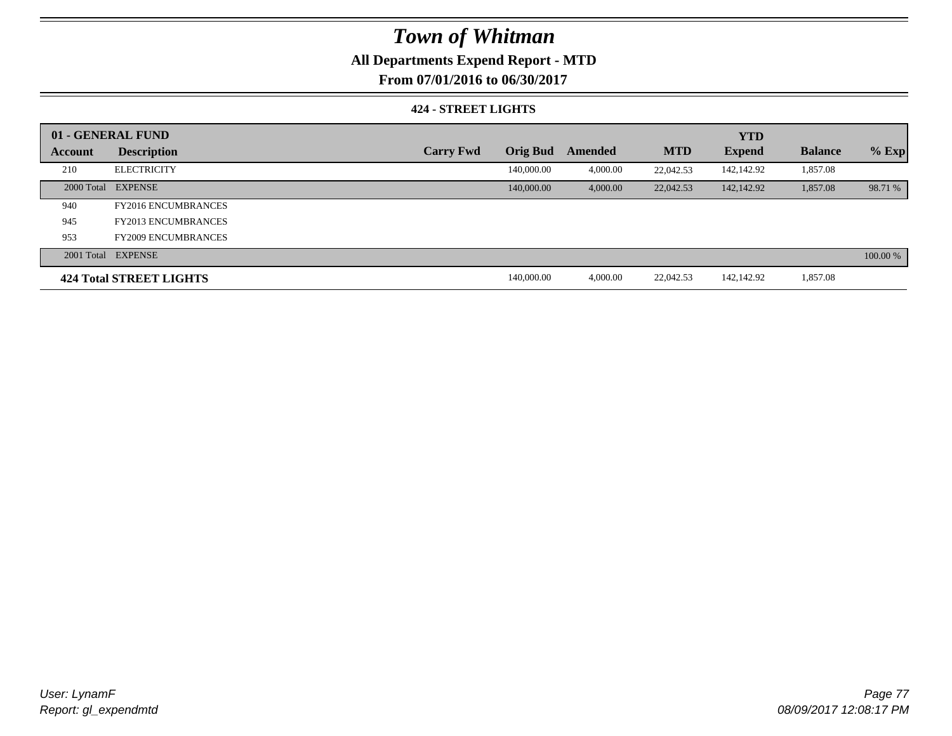### **All Departments Expend Report - MTD**

**From 07/01/2016 to 06/30/2017**

#### **424 - STREET LIGHTS**

|         | 01 - GENERAL FUND              |                  |                 |          |            | <b>YTD</b>    |                |          |
|---------|--------------------------------|------------------|-----------------|----------|------------|---------------|----------------|----------|
| Account | <b>Description</b>             | <b>Carry Fwd</b> | <b>Orig Bud</b> | Amended  | <b>MTD</b> | <b>Expend</b> | <b>Balance</b> | $%$ Exp  |
| 210     | <b>ELECTRICITY</b>             |                  | 140,000.00      | 4,000.00 | 22,042.53  | 142,142.92    | 1,857.08       |          |
|         | 2000 Total EXPENSE             |                  | 140,000.00      | 4,000.00 | 22,042.53  | 142,142.92    | 1,857.08       | 98.71 %  |
| 940     | <b>FY2016 ENCUMBRANCES</b>     |                  |                 |          |            |               |                |          |
| 945     | <b>FY2013 ENCUMBRANCES</b>     |                  |                 |          |            |               |                |          |
| 953     | <b>FY2009 ENCUMBRANCES</b>     |                  |                 |          |            |               |                |          |
|         | 2001 Total EXPENSE             |                  |                 |          |            |               |                | 100.00 % |
|         | <b>424 Total STREET LIGHTS</b> |                  | 140,000.00      | 4,000.00 | 22,042.53  | 142,142.92    | 1,857.08       |          |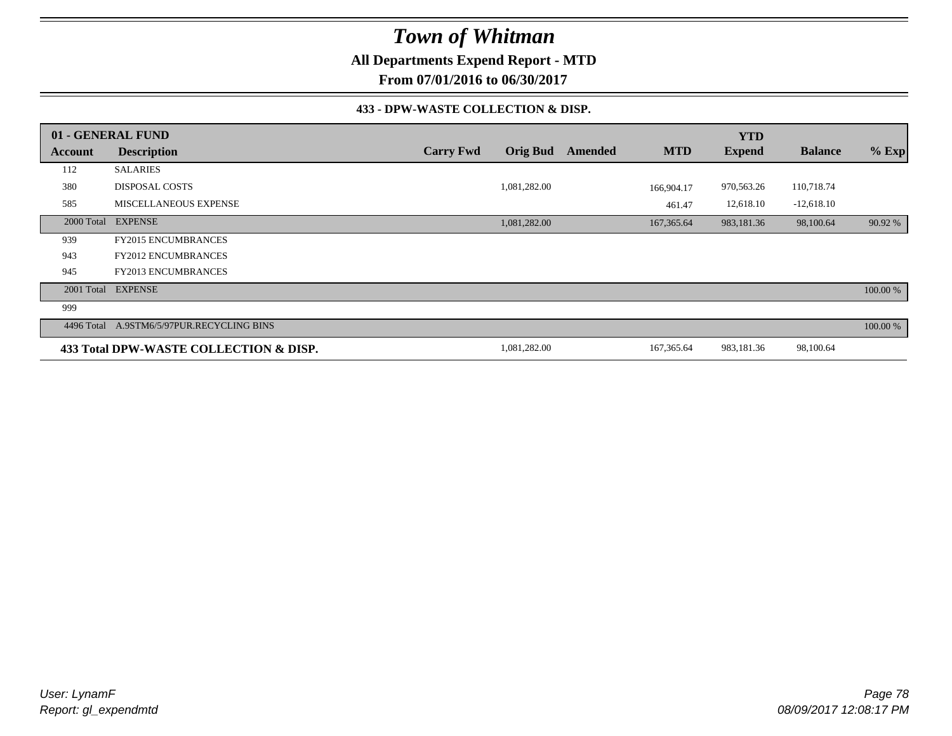**All Departments Expend Report - MTD**

**From 07/01/2016 to 06/30/2017**

#### **433 - DPW-WASTE COLLECTION & DISP.**

|         | 01 - GENERAL FUND                         |                  |                 |         |             | <b>YTD</b>    |                |          |
|---------|-------------------------------------------|------------------|-----------------|---------|-------------|---------------|----------------|----------|
| Account | <b>Description</b>                        | <b>Carry Fwd</b> | <b>Orig Bud</b> | Amended | <b>MTD</b>  | <b>Expend</b> | <b>Balance</b> | $%$ Exp  |
| 112     | <b>SALARIES</b>                           |                  |                 |         |             |               |                |          |
| 380     | <b>DISPOSAL COSTS</b>                     |                  | 1,081,282.00    |         | 166,904.17  | 970,563.26    | 110,718.74     |          |
| 585     | MISCELLANEOUS EXPENSE                     |                  |                 |         | 461.47      | 12,618.10     | $-12,618.10$   |          |
|         | 2000 Total EXPENSE                        |                  | 1,081,282.00    |         | 167,365.64  | 983,181.36    | 98,100.64      | 90.92 %  |
| 939     | <b>FY2015 ENCUMBRANCES</b>                |                  |                 |         |             |               |                |          |
| 943     | <b>FY2012 ENCUMBRANCES</b>                |                  |                 |         |             |               |                |          |
| 945     | <b>FY2013 ENCUMBRANCES</b>                |                  |                 |         |             |               |                |          |
|         | 2001 Total EXPENSE                        |                  |                 |         |             |               |                | 100.00 % |
| 999     |                                           |                  |                 |         |             |               |                |          |
|         | 4496 Total A.9STM6/5/97PUR.RECYCLING BINS |                  |                 |         |             |               |                | 100.00 % |
|         | 433 Total DPW-WASTE COLLECTION & DISP.    |                  | 1,081,282.00    |         | 167, 365.64 | 983,181.36    | 98,100.64      |          |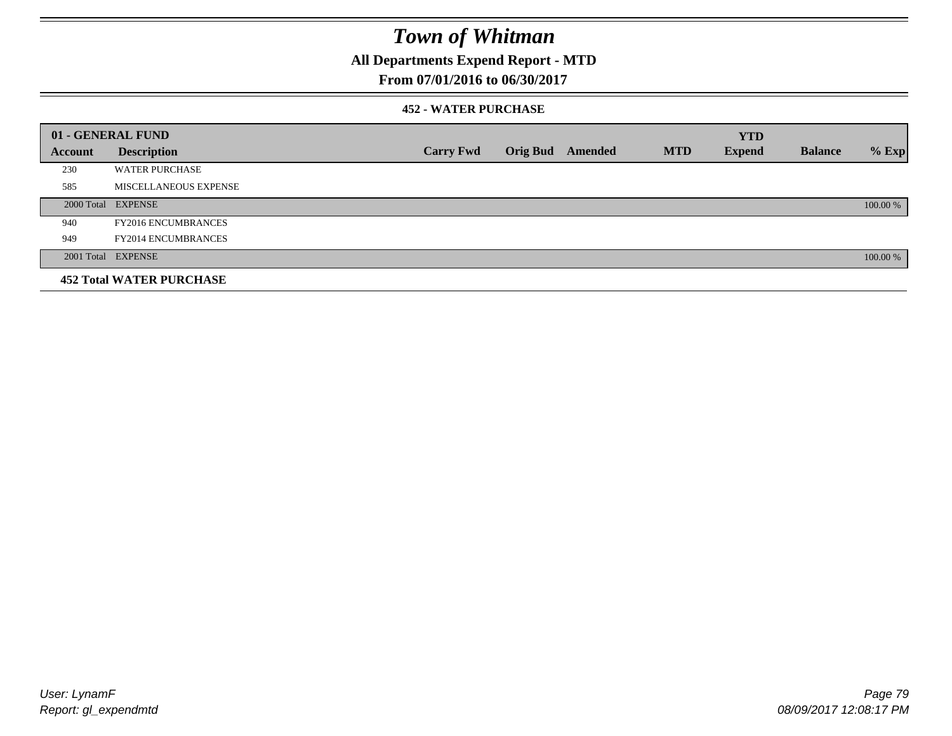### **All Departments Expend Report - MTD**

### **From 07/01/2016 to 06/30/2017**

#### **452 - WATER PURCHASE**

|                | 01 - GENERAL FUND               |                  |                  |            | <b>YTD</b>    |                |          |
|----------------|---------------------------------|------------------|------------------|------------|---------------|----------------|----------|
| <b>Account</b> | <b>Description</b>              | <b>Carry Fwd</b> | Orig Bud Amended | <b>MTD</b> | <b>Expend</b> | <b>Balance</b> | $%$ Exp  |
| 230            | <b>WATER PURCHASE</b>           |                  |                  |            |               |                |          |
| 585            | MISCELLANEOUS EXPENSE           |                  |                  |            |               |                |          |
|                | 2000 Total EXPENSE              |                  |                  |            |               |                | 100.00 % |
| 940            | <b>FY2016 ENCUMBRANCES</b>      |                  |                  |            |               |                |          |
| 949            | <b>FY2014 ENCUMBRANCES</b>      |                  |                  |            |               |                |          |
|                | 2001 Total EXPENSE              |                  |                  |            |               |                | 100.00 % |
|                | <b>452 Total WATER PURCHASE</b> |                  |                  |            |               |                |          |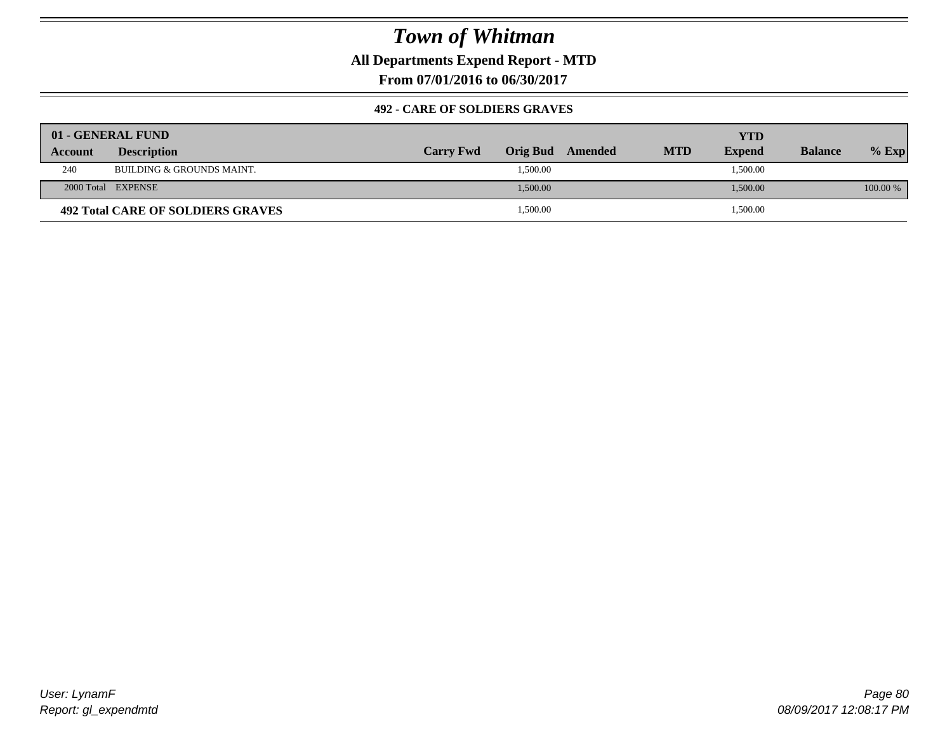**All Departments Expend Report - MTD**

**From 07/01/2016 to 06/30/2017**

#### **492 - CARE OF SOLDIERS GRAVES**

|         | 01 - GENERAL FUND                        |                  |          |         |            | YTD           |                |          |
|---------|------------------------------------------|------------------|----------|---------|------------|---------------|----------------|----------|
| Account | <b>Description</b>                       | <b>Carry Fwd</b> | Orig Bud | Amended | <b>MTD</b> | <b>Expend</b> | <b>Balance</b> | $%$ Exp  |
| 240     | BUILDING & GROUNDS MAINT.                |                  | 1,500.00 |         |            | 1,500.00      |                |          |
|         | 2000 Total EXPENSE                       |                  | 1,500.00 |         |            | 1,500.00      |                | 100.00 % |
|         | <b>492 Total CARE OF SOLDIERS GRAVES</b> |                  | 1,500.00 |         |            | 1,500.00      |                |          |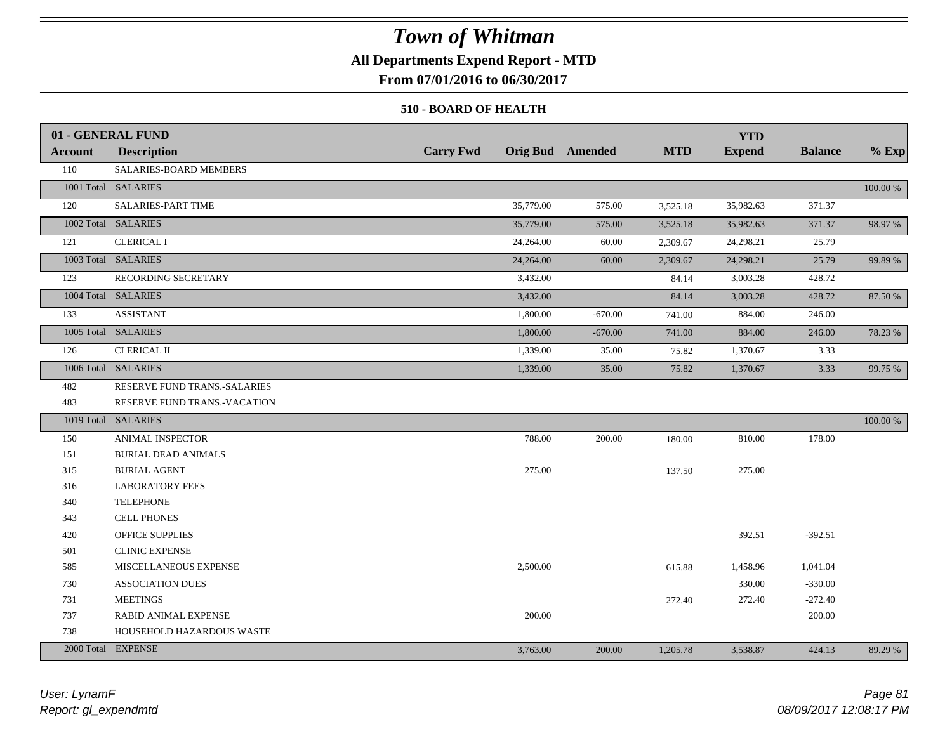### **All Departments Expend Report - MTD**

**From 07/01/2016 to 06/30/2017**

#### **510 - BOARD OF HEALTH**

|                | 01 - GENERAL FUND            |                  |                         |            | <b>YTD</b>    |                |          |
|----------------|------------------------------|------------------|-------------------------|------------|---------------|----------------|----------|
| <b>Account</b> | <b>Description</b>           | <b>Carry Fwd</b> | <b>Orig Bud</b> Amended | <b>MTD</b> | <b>Expend</b> | <b>Balance</b> | $%$ Exp  |
| 110            | SALARIES-BOARD MEMBERS       |                  |                         |            |               |                |          |
|                | 1001 Total SALARIES          |                  |                         |            |               |                | 100.00 % |
| 120            | SALARIES-PART TIME           | 35,779.00        | 575.00                  | 3,525.18   | 35,982.63     | 371.37         |          |
|                | 1002 Total SALARIES          | 35,779.00        | 575.00                  | 3,525.18   | 35,982.63     | 371.37         | 98.97 %  |
| 121            | <b>CLERICAL I</b>            | 24,264.00        | 60.00                   | 2,309.67   | 24,298.21     | 25.79          |          |
|                | 1003 Total SALARIES          | 24,264.00        | 60.00                   | 2,309.67   | 24,298.21     | 25.79          | 99.89 %  |
| 123            | RECORDING SECRETARY          | 3,432.00         |                         | 84.14      | 3,003.28      | 428.72         |          |
|                | 1004 Total SALARIES          | 3,432.00         |                         | 84.14      | 3,003.28      | 428.72         | 87.50 %  |
| 133            | <b>ASSISTANT</b>             | 1,800.00         | $-670.00$               | 741.00     | 884.00        | 246.00         |          |
|                | 1005 Total SALARIES          | 1,800.00         | $-670.00$               | 741.00     | 884.00        | 246.00         | 78.23 %  |
| 126            | <b>CLERICAL II</b>           | 1,339.00         | 35.00                   | 75.82      | 1,370.67      | 3.33           |          |
|                | 1006 Total SALARIES          | 1,339.00         | 35.00                   | 75.82      | 1,370.67      | 3.33           | 99.75 %  |
| 482            | RESERVE FUND TRANS.-SALARIES |                  |                         |            |               |                |          |
| 483            | RESERVE FUND TRANS.-VACATION |                  |                         |            |               |                |          |
|                | 1019 Total SALARIES          |                  |                         |            |               |                | 100.00 % |
| 150            | ANIMAL INSPECTOR             | 788.00           | 200.00                  | 180.00     | 810.00        | 178.00         |          |
| 151            | <b>BURIAL DEAD ANIMALS</b>   |                  |                         |            |               |                |          |
| 315            | <b>BURIAL AGENT</b>          | 275.00           |                         | 137.50     | 275.00        |                |          |
| 316            | <b>LABORATORY FEES</b>       |                  |                         |            |               |                |          |
| 340            | <b>TELEPHONE</b>             |                  |                         |            |               |                |          |
| 343            | <b>CELL PHONES</b>           |                  |                         |            |               |                |          |
| 420            | OFFICE SUPPLIES              |                  |                         |            | 392.51        | $-392.51$      |          |
| 501            | <b>CLINIC EXPENSE</b>        |                  |                         |            |               |                |          |
| 585            | MISCELLANEOUS EXPENSE        | 2,500.00         |                         | 615.88     | 1,458.96      | 1,041.04       |          |
| 730            | <b>ASSOCIATION DUES</b>      |                  |                         |            | 330.00        | $-330.00$      |          |
| 731            | <b>MEETINGS</b>              |                  |                         | 272.40     | 272.40        | $-272.40$      |          |
| 737            | RABID ANIMAL EXPENSE         | 200.00           |                         |            |               | 200.00         |          |
| 738            | HOUSEHOLD HAZARDOUS WASTE    |                  |                         |            |               |                |          |
|                | 2000 Total EXPENSE           | 3,763.00         | 200.00                  | 1,205.78   | 3,538.87      | 424.13         | 89.29 %  |

*Report: gl\_expendmtd User: LynamF*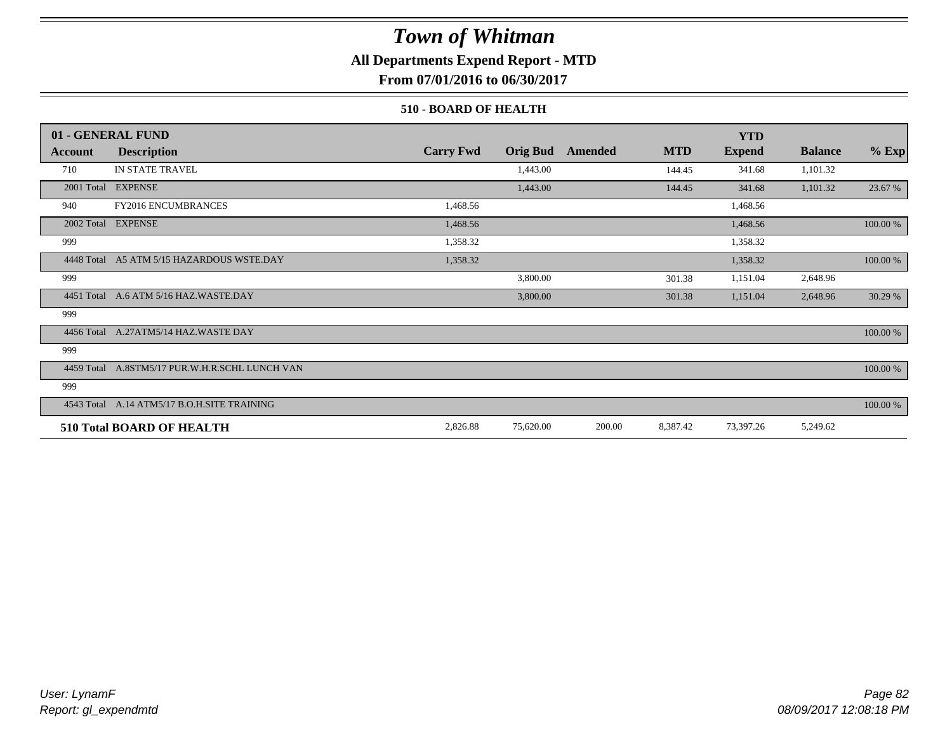### **All Departments Expend Report - MTD**

**From 07/01/2016 to 06/30/2017**

#### **510 - BOARD OF HEALTH**

|            | 01 - GENERAL FUND                              |                  |                 |         |            | <b>YTD</b>    |                |          |
|------------|------------------------------------------------|------------------|-----------------|---------|------------|---------------|----------------|----------|
| Account    | <b>Description</b>                             | <b>Carry Fwd</b> | <b>Orig Bud</b> | Amended | <b>MTD</b> | <b>Expend</b> | <b>Balance</b> | $%$ Exp  |
| 710        | IN STATE TRAVEL                                |                  | 1,443.00        |         | 144.45     | 341.68        | 1,101.32       |          |
| 2001 Total | <b>EXPENSE</b>                                 |                  | 1,443.00        |         | 144.45     | 341.68        | 1,101.32       | 23.67 %  |
| 940        | <b>FY2016 ENCUMBRANCES</b>                     | 1,468.56         |                 |         |            | 1,468.56      |                |          |
|            | 2002 Total EXPENSE                             | 1,468.56         |                 |         |            | 1,468.56      |                | 100.00 % |
| 999        |                                                | 1,358.32         |                 |         |            | 1,358.32      |                |          |
| 4448 Total | A5 ATM 5/15 HAZARDOUS WSTE.DAY                 | 1,358.32         |                 |         |            | 1,358.32      |                | 100.00 % |
| 999        |                                                |                  | 3,800.00        |         | 301.38     | 1,151.04      | 2,648.96       |          |
|            | 4451 Total A.6 ATM 5/16 HAZ.WASTE.DAY          |                  | 3,800.00        |         | 301.38     | 1,151.04      | 2,648.96       | 30.29 %  |
| 999        |                                                |                  |                 |         |            |               |                |          |
| 4456 Total | A.27ATM5/14 HAZ.WASTE DAY                      |                  |                 |         |            |               |                | 100.00 % |
| 999        |                                                |                  |                 |         |            |               |                |          |
|            | 4459 Total A.8STM5/17 PUR.W.H.R.SCHL LUNCH VAN |                  |                 |         |            |               |                | 100.00 % |
| 999        |                                                |                  |                 |         |            |               |                |          |
|            | 4543 Total A.14 ATM5/17 B.O.H.SITE TRAINING    |                  |                 |         |            |               |                | 100.00 % |
|            | <b>510 Total BOARD OF HEALTH</b>               | 2,826.88         | 75,620.00       | 200.00  | 8,387.42   | 73,397.26     | 5,249.62       |          |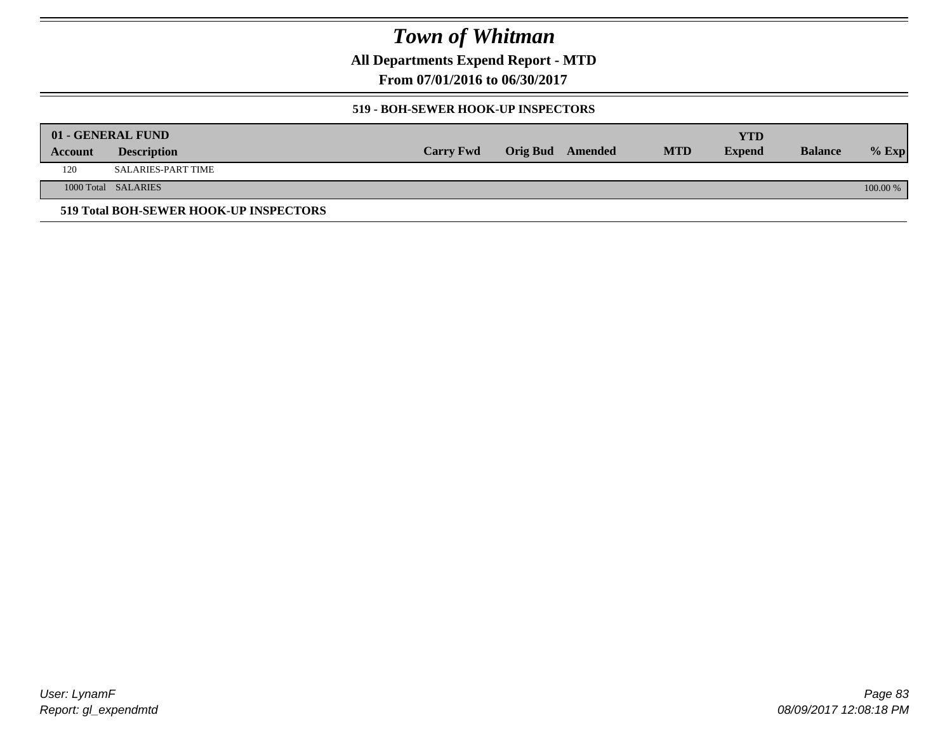**All Departments Expend Report - MTD**

**From 07/01/2016 to 06/30/2017**

#### **519 - BOH-SEWER HOOK-UP INSPECTORS**

|         | 01 - GENERAL FUND                      |                  |                  |            | YTD           |                |          |
|---------|----------------------------------------|------------------|------------------|------------|---------------|----------------|----------|
| Account | <b>Description</b>                     | <b>Carry Fwd</b> | Orig Bud Amended | <b>MTD</b> | <b>Expend</b> | <b>Balance</b> | $%$ Exp  |
| 120     | SALARIES-PART TIME                     |                  |                  |            |               |                |          |
|         | 1000 Total SALARIES                    |                  |                  |            |               |                | 100.00 % |
|         | 519 Total BOH-SEWER HOOK-UP INSPECTORS |                  |                  |            |               |                |          |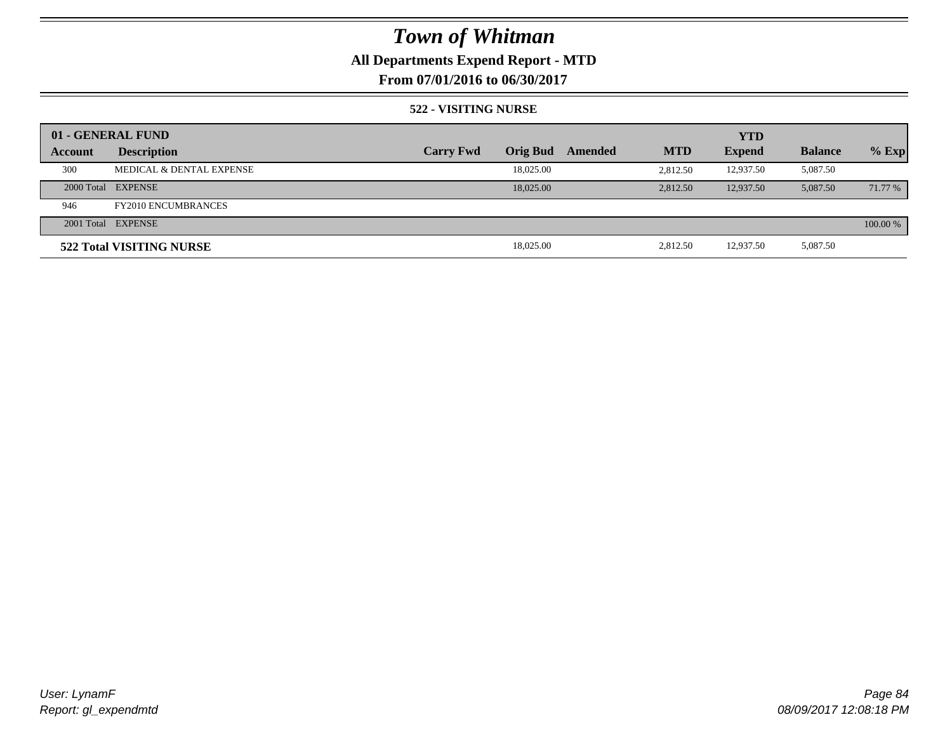### **All Departments Expend Report - MTD**

**From 07/01/2016 to 06/30/2017**

#### **522 - VISITING NURSE**

|         | 01 - GENERAL FUND          |                  |                 |         |            | <b>YTD</b>    |                |          |
|---------|----------------------------|------------------|-----------------|---------|------------|---------------|----------------|----------|
| Account | <b>Description</b>         | <b>Carry Fwd</b> | <b>Orig Bud</b> | Amended | <b>MTD</b> | <b>Expend</b> | <b>Balance</b> | $%$ Exp  |
| 300     | MEDICAL & DENTAL EXPENSE   |                  | 18,025.00       |         | 2.812.50   | 12.937.50     | 5,087.50       |          |
|         | 2000 Total EXPENSE         |                  | 18,025,00       |         | 2,812.50   | 12,937.50     | 5,087.50       | 71.77 %  |
| 946     | <b>FY2010 ENCUMBRANCES</b> |                  |                 |         |            |               |                |          |
|         | 2001 Total EXPENSE         |                  |                 |         |            |               |                | 100.00 % |
|         | 522 Total VISITING NURSE   |                  | 18,025.00       |         | 2,812.50   | 12,937.50     | 5,087.50       |          |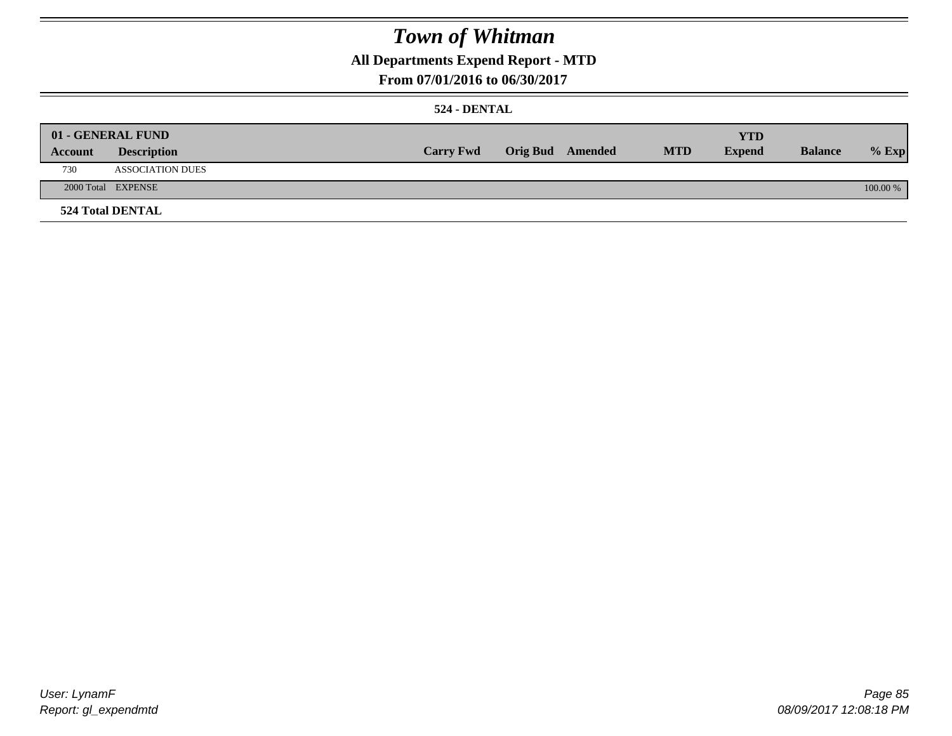### **All Departments Expend Report - MTD**

### **From 07/01/2016 to 06/30/2017**

#### **524 - DENTAL**

|         | 01 - GENERAL FUND       |                  |                  |            | <b>YTD</b>    |                |          |
|---------|-------------------------|------------------|------------------|------------|---------------|----------------|----------|
| Account | <b>Description</b>      | <b>Carry Fwd</b> | Orig Bud Amended | <b>MTD</b> | <b>Expend</b> | <b>Balance</b> | $%$ Exp  |
| 730     | <b>ASSOCIATION DUES</b> |                  |                  |            |               |                |          |
|         | 2000 Total EXPENSE      |                  |                  |            |               |                | 100.00 % |
|         | <b>524 Total DENTAL</b> |                  |                  |            |               |                |          |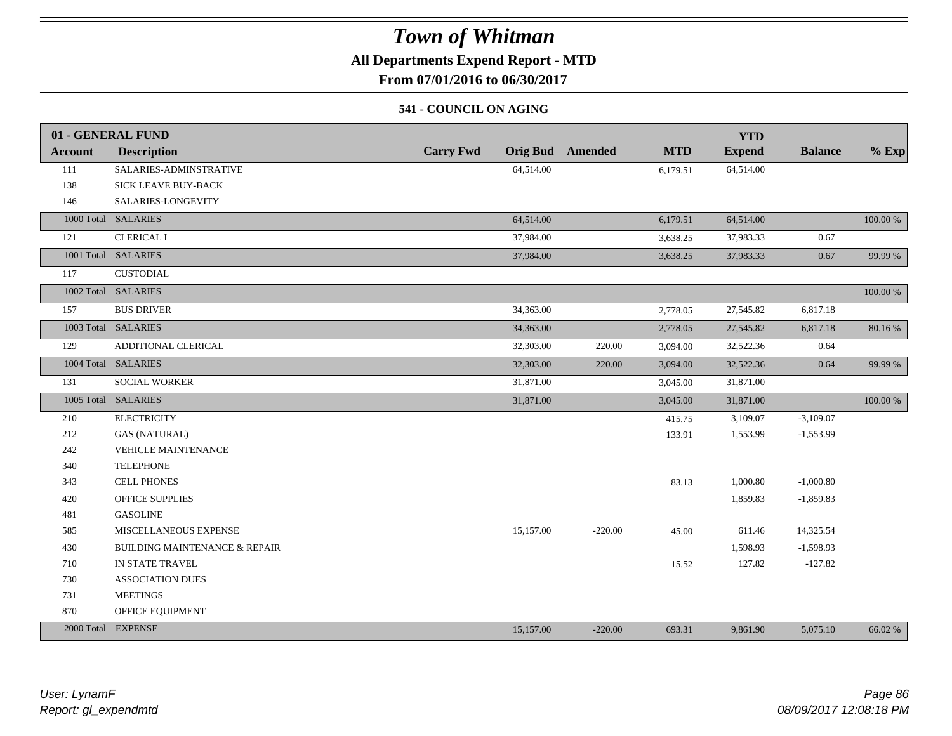### **All Departments Expend Report - MTD**

**From 07/01/2016 to 06/30/2017**

### **541 - COUNCIL ON AGING**

|         | 01 - GENERAL FUND                        |                                     |           |            | <b>YTD</b>    |                |             |
|---------|------------------------------------------|-------------------------------------|-----------|------------|---------------|----------------|-------------|
| Account | <b>Description</b>                       | <b>Carry Fwd</b><br><b>Orig Bud</b> | Amended   | <b>MTD</b> | <b>Expend</b> | <b>Balance</b> | $%$ Exp     |
| 111     | SALARIES-ADMINSTRATIVE                   | 64,514.00                           |           | 6,179.51   | 64,514.00     |                |             |
| 138     | SICK LEAVE BUY-BACK                      |                                     |           |            |               |                |             |
| 146     | SALARIES-LONGEVITY                       |                                     |           |            |               |                |             |
|         | 1000 Total SALARIES                      | 64,514.00                           |           | 6,179.51   | 64,514.00     |                | 100.00 %    |
| 121     | <b>CLERICAL I</b>                        | 37,984.00                           |           | 3,638.25   | 37,983.33     | 0.67           |             |
|         | 1001 Total SALARIES                      | 37,984.00                           |           | 3,638.25   | 37,983.33     | 0.67           | 99.99 %     |
| 117     | <b>CUSTODIAL</b>                         |                                     |           |            |               |                |             |
|         | 1002 Total SALARIES                      |                                     |           |            |               |                | $100.00~\%$ |
| 157     | <b>BUS DRIVER</b>                        | 34,363.00                           |           | 2,778.05   | 27,545.82     | 6,817.18       |             |
|         | 1003 Total SALARIES                      | 34,363.00                           |           | 2,778.05   | 27,545.82     | 6,817.18       | 80.16%      |
| 129     | ADDITIONAL CLERICAL                      | 32,303.00                           | 220.00    | 3,094.00   | 32,522.36     | 0.64           |             |
|         | 1004 Total SALARIES                      | 32,303.00                           | 220.00    | 3,094.00   | 32,522.36     | 0.64           | 99.99 %     |
| 131     | SOCIAL WORKER                            | 31,871.00                           |           | 3,045.00   | 31,871.00     |                |             |
|         | 1005 Total SALARIES                      | 31,871.00                           |           | 3,045.00   | 31,871.00     |                | $100.00~\%$ |
| 210     | <b>ELECTRICITY</b>                       |                                     |           | 415.75     | 3,109.07      | $-3,109.07$    |             |
| 212     | <b>GAS (NATURAL)</b>                     |                                     |           | 133.91     | 1,553.99      | $-1,553.99$    |             |
| 242     | VEHICLE MAINTENANCE                      |                                     |           |            |               |                |             |
| 340     | <b>TELEPHONE</b>                         |                                     |           |            |               |                |             |
| 343     | <b>CELL PHONES</b>                       |                                     |           | 83.13      | 1,000.80      | $-1,000.80$    |             |
| 420     | <b>OFFICE SUPPLIES</b>                   |                                     |           |            | 1,859.83      | $-1,859.83$    |             |
| 481     | <b>GASOLINE</b>                          |                                     |           |            |               |                |             |
| 585     | MISCELLANEOUS EXPENSE                    | 15,157.00                           | $-220.00$ | 45.00      | 611.46        | 14,325.54      |             |
| 430     | <b>BUILDING MAINTENANCE &amp; REPAIR</b> |                                     |           |            | 1,598.93      | $-1,598.93$    |             |
| 710     | IN STATE TRAVEL                          |                                     |           | 15.52      | 127.82        | $-127.82$      |             |
| 730     | <b>ASSOCIATION DUES</b>                  |                                     |           |            |               |                |             |
| 731     | <b>MEETINGS</b>                          |                                     |           |            |               |                |             |
| 870     | OFFICE EQUIPMENT                         |                                     |           |            |               |                |             |
|         | 2000 Total EXPENSE                       | 15,157.00                           | $-220.00$ | 693.31     | 9,861.90      | 5,075.10       | 66.02 %     |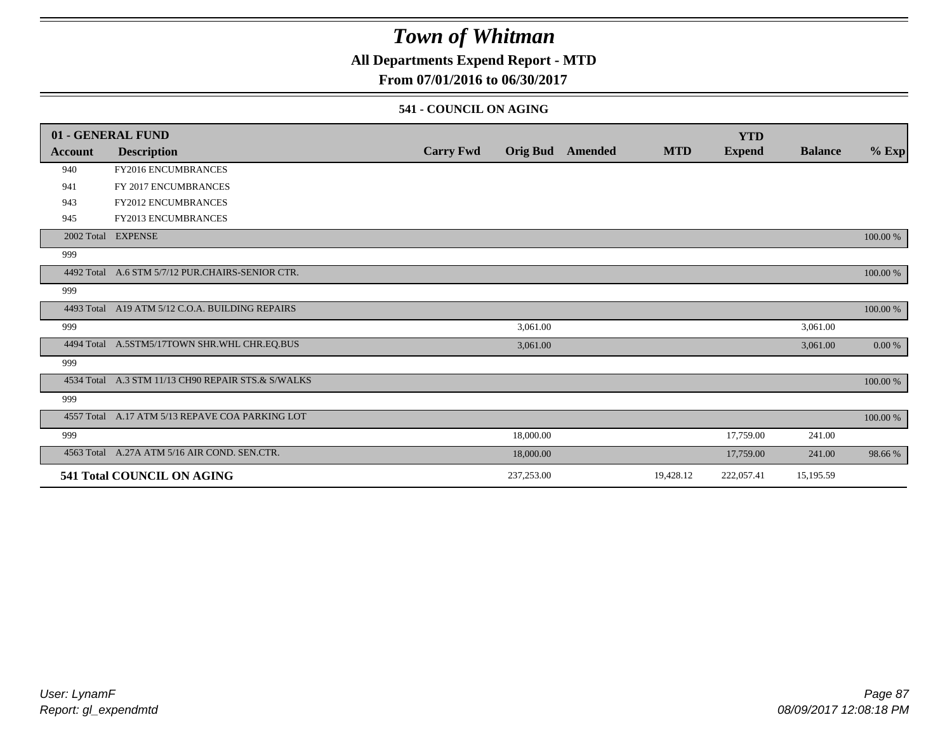### **All Departments Expend Report - MTD**

### **From 07/01/2016 to 06/30/2017**

#### **541 - COUNCIL ON AGING**

|         | 01 - GENERAL FUND                                  |                  |                 |         |            | <b>YTD</b>    |                |          |
|---------|----------------------------------------------------|------------------|-----------------|---------|------------|---------------|----------------|----------|
| Account | <b>Description</b>                                 | <b>Carry Fwd</b> | <b>Orig Bud</b> | Amended | <b>MTD</b> | <b>Expend</b> | <b>Balance</b> | $%$ Exp  |
| 940     | FY2016 ENCUMBRANCES                                |                  |                 |         |            |               |                |          |
| 941     | FY 2017 ENCUMBRANCES                               |                  |                 |         |            |               |                |          |
| 943     | <b>FY2012 ENCUMBRANCES</b>                         |                  |                 |         |            |               |                |          |
| 945     | FY2013 ENCUMBRANCES                                |                  |                 |         |            |               |                |          |
|         | 2002 Total EXPENSE                                 |                  |                 |         |            |               |                | 100.00 % |
| 999     |                                                    |                  |                 |         |            |               |                |          |
|         | 4492 Total A.6 STM 5/7/12 PUR.CHAIRS-SENIOR CTR.   |                  |                 |         |            |               |                | 100.00 % |
| 999     |                                                    |                  |                 |         |            |               |                |          |
|         | 4493 Total A19 ATM 5/12 C.O.A. BUILDING REPAIRS    |                  |                 |         |            |               |                | 100.00 % |
| 999     |                                                    |                  | 3,061.00        |         |            |               | 3,061.00       |          |
|         | 4494 Total A.5STM5/17TOWN SHR.WHL CHR.EQ.BUS       |                  | 3,061.00        |         |            |               | 3,061.00       | 0.00 %   |
| 999     |                                                    |                  |                 |         |            |               |                |          |
|         | 4534 Total A.3 STM 11/13 CH90 REPAIR STS.& S/WALKS |                  |                 |         |            |               |                | 100.00 % |
| 999     |                                                    |                  |                 |         |            |               |                |          |
|         | 4557 Total A.17 ATM 5/13 REPAVE COA PARKING LOT    |                  |                 |         |            |               |                | 100.00 % |
| 999     |                                                    |                  | 18,000.00       |         |            | 17,759.00     | 241.00         |          |
|         | 4563 Total A.27A ATM 5/16 AIR COND. SEN.CTR.       |                  | 18,000.00       |         |            | 17,759.00     | 241.00         | 98.66%   |
|         | 541 Total COUNCIL ON AGING                         |                  | 237,253.00      |         | 19,428.12  | 222,057.41    | 15,195.59      |          |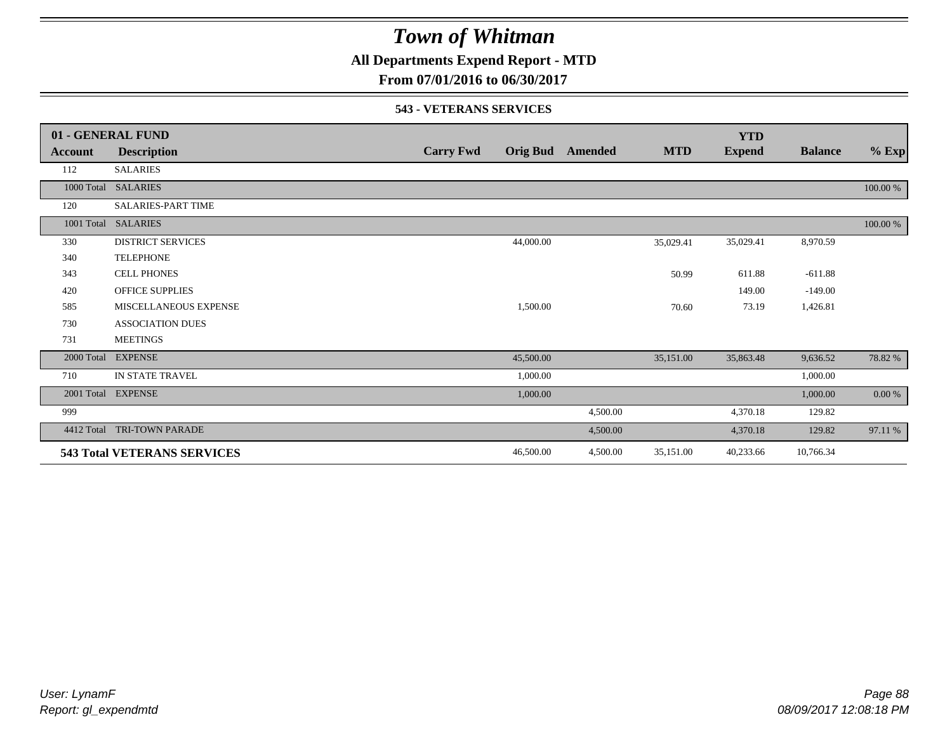### **All Departments Expend Report - MTD**

**From 07/01/2016 to 06/30/2017**

#### **543 - VETERANS SERVICES**

|            | 01 - GENERAL FUND                  |                  |                 |          |            | <b>YTD</b>    |                |          |
|------------|------------------------------------|------------------|-----------------|----------|------------|---------------|----------------|----------|
| Account    | <b>Description</b>                 | <b>Carry Fwd</b> | <b>Orig Bud</b> | Amended  | <b>MTD</b> | <b>Expend</b> | <b>Balance</b> | $%$ Exp  |
| 112        | <b>SALARIES</b>                    |                  |                 |          |            |               |                |          |
|            | 1000 Total SALARIES                |                  |                 |          |            |               |                | 100.00 % |
| 120        | <b>SALARIES-PART TIME</b>          |                  |                 |          |            |               |                |          |
|            | 1001 Total SALARIES                |                  |                 |          |            |               |                | 100.00 % |
| 330        | <b>DISTRICT SERVICES</b>           |                  | 44,000.00       |          | 35,029.41  | 35,029.41     | 8,970.59       |          |
| 340        | <b>TELEPHONE</b>                   |                  |                 |          |            |               |                |          |
| 343        | <b>CELL PHONES</b>                 |                  |                 |          | 50.99      | 611.88        | $-611.88$      |          |
| 420        | <b>OFFICE SUPPLIES</b>             |                  |                 |          |            | 149.00        | $-149.00$      |          |
| 585        | MISCELLANEOUS EXPENSE              |                  | 1,500.00        |          | 70.60      | 73.19         | 1,426.81       |          |
| 730        | <b>ASSOCIATION DUES</b>            |                  |                 |          |            |               |                |          |
| 731        | <b>MEETINGS</b>                    |                  |                 |          |            |               |                |          |
| 2000 Total | <b>EXPENSE</b>                     |                  | 45,500.00       |          | 35,151.00  | 35,863.48     | 9,636.52       | 78.82%   |
| 710        | IN STATE TRAVEL                    |                  | 1,000.00        |          |            |               | 1,000.00       |          |
|            | 2001 Total EXPENSE                 |                  | 1,000.00        |          |            |               | 1,000.00       | 0.00 %   |
| 999        |                                    |                  |                 | 4,500.00 |            | 4,370.18      | 129.82         |          |
| 4412 Total | <b>TRI-TOWN PARADE</b>             |                  |                 | 4,500.00 |            | 4,370.18      | 129.82         | 97.11 %  |
|            | <b>543 Total VETERANS SERVICES</b> |                  | 46,500.00       | 4,500.00 | 35,151.00  | 40,233.66     | 10,766.34      |          |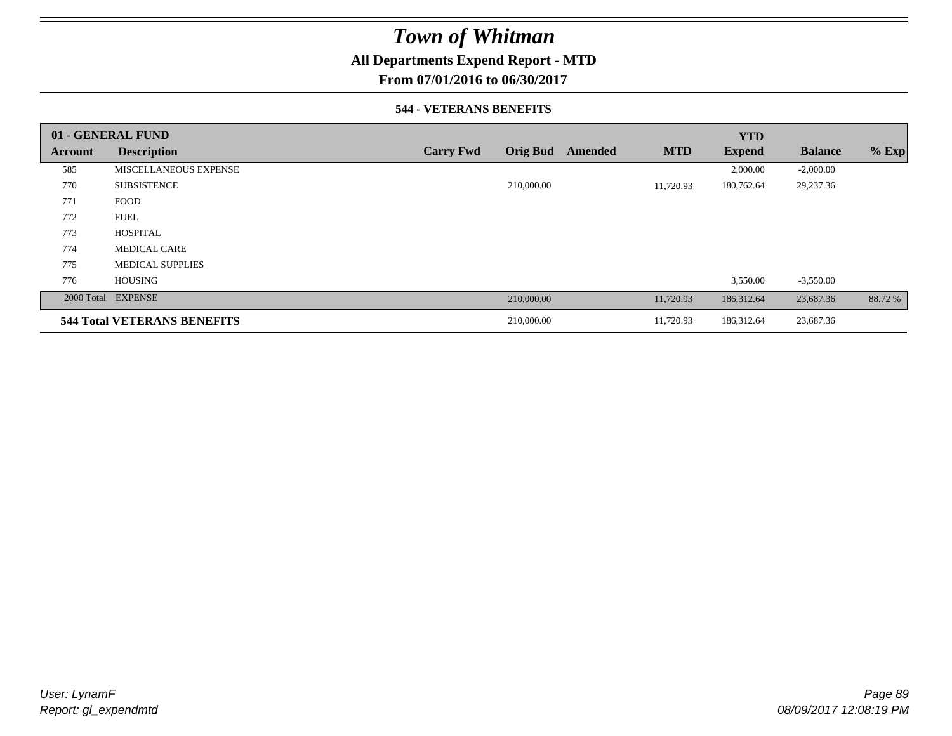### **All Departments Expend Report - MTD**

**From 07/01/2016 to 06/30/2017**

#### **544 - VETERANS BENEFITS**

|         | 01 - GENERAL FUND                  |                  |                 |         |            | <b>YTD</b>    |                |         |
|---------|------------------------------------|------------------|-----------------|---------|------------|---------------|----------------|---------|
| Account | <b>Description</b>                 | <b>Carry Fwd</b> | <b>Orig Bud</b> | Amended | <b>MTD</b> | <b>Expend</b> | <b>Balance</b> | $%$ Exp |
| 585     | MISCELLANEOUS EXPENSE              |                  |                 |         |            | 2,000.00      | $-2,000.00$    |         |
| 770     | <b>SUBSISTENCE</b>                 |                  | 210,000.00      |         | 11,720.93  | 180,762.64    | 29,237.36      |         |
| 771     | <b>FOOD</b>                        |                  |                 |         |            |               |                |         |
| 772     | <b>FUEL</b>                        |                  |                 |         |            |               |                |         |
| 773     | <b>HOSPITAL</b>                    |                  |                 |         |            |               |                |         |
| 774     | <b>MEDICAL CARE</b>                |                  |                 |         |            |               |                |         |
| 775     | <b>MEDICAL SUPPLIES</b>            |                  |                 |         |            |               |                |         |
| 776     | <b>HOUSING</b>                     |                  |                 |         |            | 3,550.00      | $-3,550.00$    |         |
|         | 2000 Total EXPENSE                 |                  | 210,000.00      |         | 11,720.93  | 186,312.64    | 23,687.36      | 88.72 % |
|         | <b>544 Total VETERANS BENEFITS</b> |                  | 210,000.00      |         | 11,720.93  | 186,312.64    | 23,687.36      |         |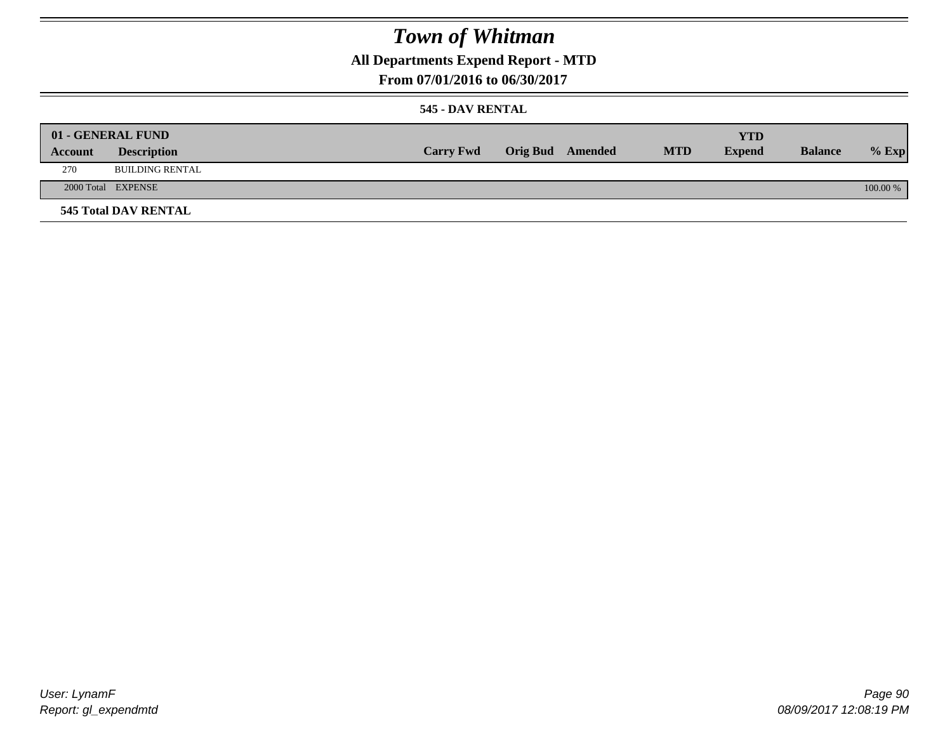### **All Departments Expend Report - MTD**

**From 07/01/2016 to 06/30/2017**

#### **545 - DAV RENTAL**

| Account | 01 - GENERAL FUND<br><b>Description</b> | <b>Carry Fwd</b> | <b>Orig Bud</b> Amended | <b>MTD</b> | <b>YTD</b><br><b>Expend</b> | <b>Balance</b> | $%$ Exp  |
|---------|-----------------------------------------|------------------|-------------------------|------------|-----------------------------|----------------|----------|
| 270     | BUILDING RENTAL                         |                  |                         |            |                             |                |          |
|         | 2000 Total EXPENSE                      |                  |                         |            |                             |                | 100.00 % |
|         | <b>545 Total DAV RENTAL</b>             |                  |                         |            |                             |                |          |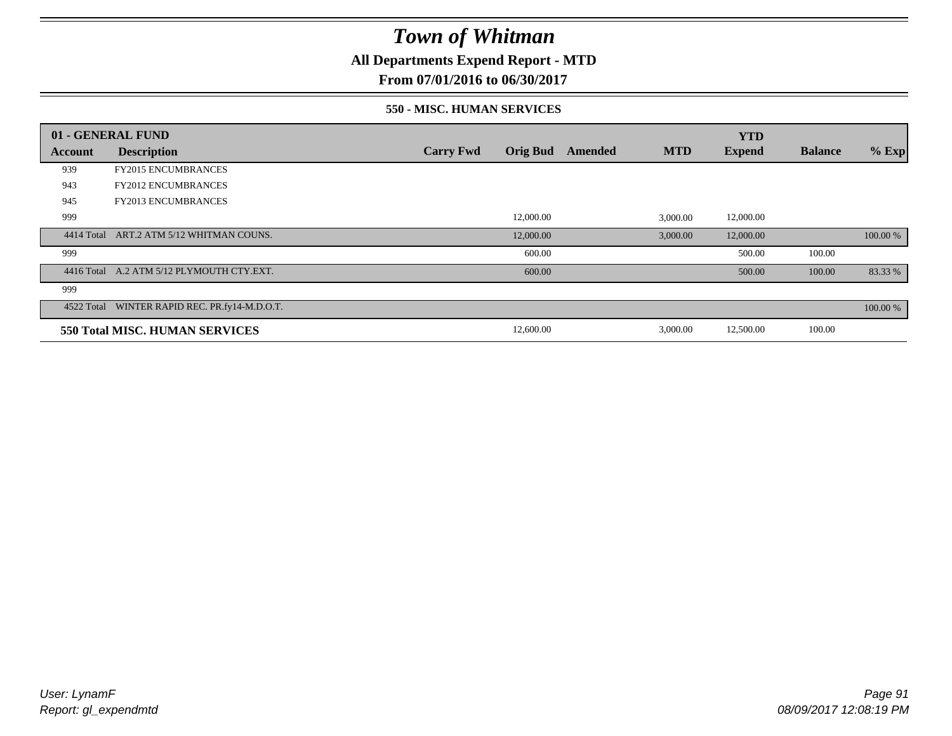### **All Departments Expend Report - MTD**

**From 07/01/2016 to 06/30/2017**

#### **550 - MISC. HUMAN SERVICES**

|         | 01 - GENERAL FUND                             |                  |                 |         |            | <b>YTD</b>    |                |          |
|---------|-----------------------------------------------|------------------|-----------------|---------|------------|---------------|----------------|----------|
| Account | <b>Description</b>                            | <b>Carry Fwd</b> | <b>Orig Bud</b> | Amended | <b>MTD</b> | <b>Expend</b> | <b>Balance</b> | $%$ Exp  |
| 939     | <b>FY2015 ENCUMBRANCES</b>                    |                  |                 |         |            |               |                |          |
| 943     | <b>FY2012 ENCUMBRANCES</b>                    |                  |                 |         |            |               |                |          |
| 945     | <b>FY2013 ENCUMBRANCES</b>                    |                  |                 |         |            |               |                |          |
| 999     |                                               |                  | 12,000.00       |         | 3,000.00   | 12,000.00     |                |          |
|         | 4414 Total ART.2 ATM 5/12 WHITMAN COUNS.      |                  | 12,000.00       |         | 3,000.00   | 12,000.00     |                | 100.00 % |
| 999     |                                               |                  | 600.00          |         |            | 500.00        | 100.00         |          |
|         | 4416 Total A.2 ATM 5/12 PLYMOUTH CTY.EXT.     |                  | 600.00          |         |            | 500.00        | 100.00         | 83.33 %  |
| 999     |                                               |                  |                 |         |            |               |                |          |
|         | 4522 Total WINTER RAPID REC. PR.fy14-M.D.O.T. |                  |                 |         |            |               |                | 100.00 % |
|         | 550 Total MISC. HUMAN SERVICES                |                  | 12,600.00       |         | 3,000.00   | 12,500.00     | 100.00         |          |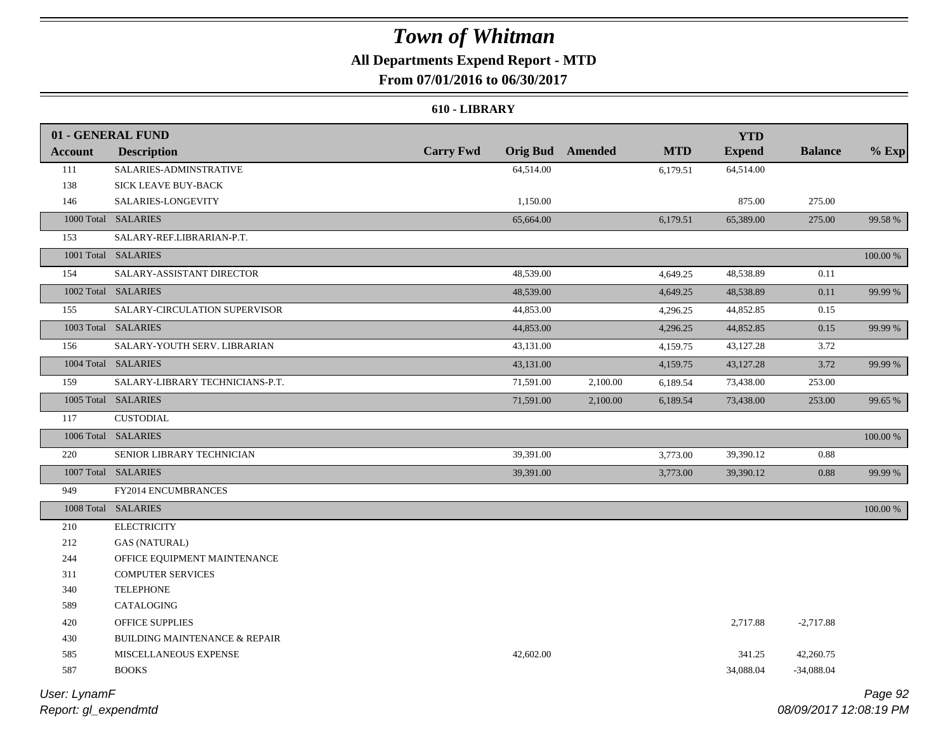### **All Departments Expend Report - MTD**

**From 07/01/2016 to 06/30/2017**

#### **610 - LIBRARY**

|                | 01 - GENERAL FUND                        |                  |           |                         |            | <b>YTD</b>    |                |          |
|----------------|------------------------------------------|------------------|-----------|-------------------------|------------|---------------|----------------|----------|
| <b>Account</b> | <b>Description</b>                       | <b>Carry Fwd</b> |           | <b>Orig Bud</b> Amended | <b>MTD</b> | <b>Expend</b> | <b>Balance</b> | $%$ Exp  |
| 111            | SALARIES-ADMINSTRATIVE                   |                  | 64,514.00 |                         | 6,179.51   | 64,514.00     |                |          |
| 138            | SICK LEAVE BUY-BACK                      |                  |           |                         |            |               |                |          |
| 146            | SALARIES-LONGEVITY                       |                  | 1,150.00  |                         |            | 875.00        | 275.00         |          |
|                | 1000 Total SALARIES                      |                  | 65,664.00 |                         | 6,179.51   | 65,389.00     | 275.00         | 99.58 %  |
| 153            | SALARY-REF.LIBRARIAN-P.T.                |                  |           |                         |            |               |                |          |
|                | 1001 Total SALARIES                      |                  |           |                         |            |               |                | 100.00 % |
| 154            | SALARY-ASSISTANT DIRECTOR                |                  | 48,539.00 |                         | 4,649.25   | 48,538.89     | 0.11           |          |
|                | 1002 Total SALARIES                      |                  | 48,539.00 |                         | 4,649.25   | 48,538.89     | 0.11           | 99.99 %  |
| 155            | SALARY-CIRCULATION SUPERVISOR            |                  | 44,853.00 |                         | 4,296.25   | 44,852.85     | 0.15           |          |
|                | 1003 Total SALARIES                      |                  | 44,853.00 |                         | 4,296.25   | 44,852.85     | 0.15           | 99.99 %  |
| 156            | SALARY-YOUTH SERV. LIBRARIAN             |                  | 43,131.00 |                         | 4,159.75   | 43,127.28     | 3.72           |          |
|                | 1004 Total SALARIES                      |                  | 43,131.00 |                         | 4,159.75   | 43,127.28     | 3.72           | 99.99 %  |
| 159            | SALARY-LIBRARY TECHNICIANS-P.T.          |                  | 71,591.00 | 2,100.00                | 6,189.54   | 73,438.00     | 253.00         |          |
|                | 1005 Total SALARIES                      |                  | 71,591.00 | 2,100.00                | 6,189.54   | 73,438.00     | 253.00         | 99.65 %  |
| 117            | <b>CUSTODIAL</b>                         |                  |           |                         |            |               |                |          |
|                | 1006 Total SALARIES                      |                  |           |                         |            |               |                | 100.00 % |
| 220            | SENIOR LIBRARY TECHNICIAN                |                  | 39,391.00 |                         | 3,773.00   | 39,390.12     | 0.88           |          |
|                | 1007 Total SALARIES                      |                  | 39,391.00 |                         | 3,773.00   | 39,390.12     | 0.88           | 99.99 %  |
| 949            | FY2014 ENCUMBRANCES                      |                  |           |                         |            |               |                |          |
|                | 1008 Total SALARIES                      |                  |           |                         |            |               |                | 100.00 % |
| 210            | <b>ELECTRICITY</b>                       |                  |           |                         |            |               |                |          |
| 212            | <b>GAS (NATURAL)</b>                     |                  |           |                         |            |               |                |          |
| 244            | OFFICE EQUIPMENT MAINTENANCE             |                  |           |                         |            |               |                |          |
| 311            | <b>COMPUTER SERVICES</b>                 |                  |           |                         |            |               |                |          |
| 340            | <b>TELEPHONE</b>                         |                  |           |                         |            |               |                |          |
| 589            | CATALOGING                               |                  |           |                         |            |               |                |          |
| 420            | OFFICE SUPPLIES                          |                  |           |                         |            | 2,717.88      | $-2,717.88$    |          |
| 430            | <b>BUILDING MAINTENANCE &amp; REPAIR</b> |                  |           |                         |            |               |                |          |
| 585            | MISCELLANEOUS EXPENSE                    |                  | 42,602.00 |                         |            | 341.25        | 42,260.75      |          |
| 587            | <b>BOOKS</b>                             |                  |           |                         |            | 34,088.04     | $-34,088.04$   |          |
|                |                                          |                  |           |                         |            |               |                |          |

*Report: gl\_expendmtd User: LynamF*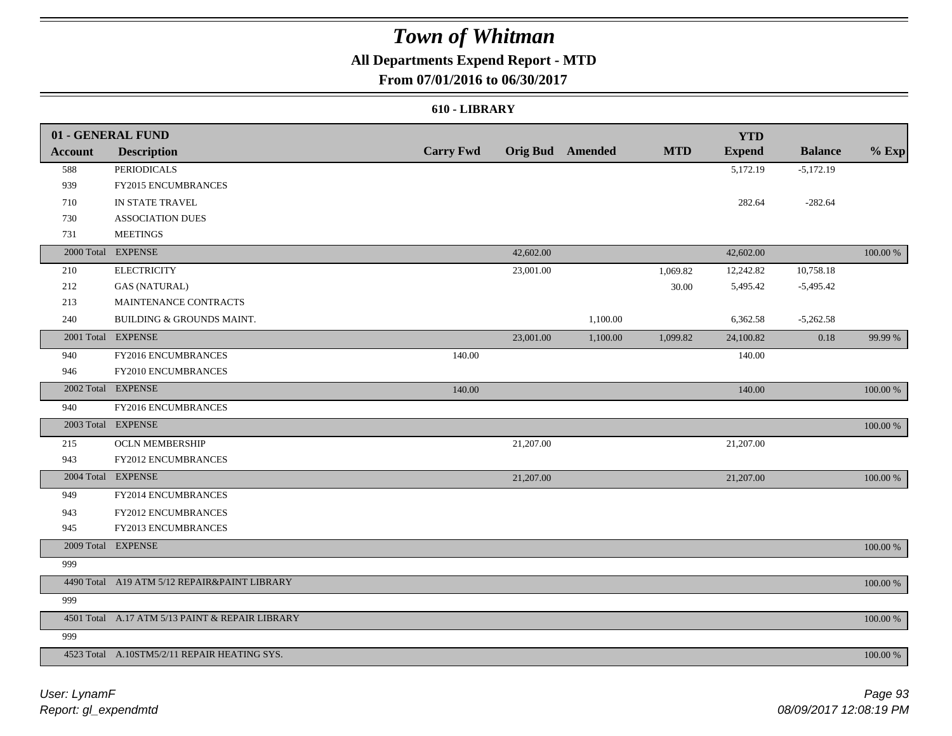### **All Departments Expend Report - MTD**

### **From 07/01/2016 to 06/30/2017**

#### **610 - LIBRARY**

|                | 01 - GENERAL FUND                               |                  |           |                         |            | <b>YTD</b>    |                |             |
|----------------|-------------------------------------------------|------------------|-----------|-------------------------|------------|---------------|----------------|-------------|
| <b>Account</b> | <b>Description</b>                              | <b>Carry Fwd</b> |           | <b>Orig Bud</b> Amended | <b>MTD</b> | <b>Expend</b> | <b>Balance</b> | $%$ Exp     |
| 588            | <b>PERIODICALS</b>                              |                  |           |                         |            | 5,172.19      | $-5,172.19$    |             |
| 939            | FY2015 ENCUMBRANCES                             |                  |           |                         |            |               |                |             |
| 710            | IN STATE TRAVEL                                 |                  |           |                         |            | 282.64        | $-282.64$      |             |
| 730            | <b>ASSOCIATION DUES</b>                         |                  |           |                         |            |               |                |             |
| 731            | <b>MEETINGS</b>                                 |                  |           |                         |            |               |                |             |
|                | 2000 Total EXPENSE                              |                  | 42,602.00 |                         |            | 42,602.00     |                | 100.00 %    |
| 210            | <b>ELECTRICITY</b>                              |                  | 23,001.00 |                         | 1,069.82   | 12,242.82     | 10,758.18      |             |
| 212            | <b>GAS (NATURAL)</b>                            |                  |           |                         | 30.00      | 5,495.42      | $-5,495.42$    |             |
| 213            | MAINTENANCE CONTRACTS                           |                  |           |                         |            |               |                |             |
| 240            | BUILDING & GROUNDS MAINT.                       |                  |           | 1,100.00                |            | 6,362.58      | $-5,262.58$    |             |
|                | 2001 Total EXPENSE                              |                  | 23,001.00 | 1,100.00                | 1,099.82   | 24,100.82     | $0.18\,$       | 99.99 %     |
| 940            | FY2016 ENCUMBRANCES                             | 140.00           |           |                         |            | 140.00        |                |             |
| 946            | FY2010 ENCUMBRANCES                             |                  |           |                         |            |               |                |             |
|                | 2002 Total EXPENSE                              | 140.00           |           |                         |            | 140.00        |                | 100.00 %    |
| 940            | FY2016 ENCUMBRANCES                             |                  |           |                         |            |               |                |             |
|                | 2003 Total EXPENSE                              |                  |           |                         |            |               |                | 100.00 %    |
| 215            | <b>OCLN MEMBERSHIP</b>                          |                  | 21,207.00 |                         |            | 21,207.00     |                |             |
| 943            | FY2012 ENCUMBRANCES                             |                  |           |                         |            |               |                |             |
|                | 2004 Total EXPENSE                              |                  | 21,207.00 |                         |            | 21,207.00     |                | 100.00 %    |
| 949            | FY2014 ENCUMBRANCES                             |                  |           |                         |            |               |                |             |
| 943            | FY2012 ENCUMBRANCES                             |                  |           |                         |            |               |                |             |
| 945            | FY2013 ENCUMBRANCES                             |                  |           |                         |            |               |                |             |
|                | 2009 Total EXPENSE                              |                  |           |                         |            |               |                | 100.00 %    |
| 999            |                                                 |                  |           |                         |            |               |                |             |
|                | 4490 Total A19 ATM 5/12 REPAIR&PAINT LIBRARY    |                  |           |                         |            |               |                | $100.00~\%$ |
| 999            |                                                 |                  |           |                         |            |               |                |             |
|                | 4501 Total A.17 ATM 5/13 PAINT & REPAIR LIBRARY |                  |           |                         |            |               |                | 100.00 %    |
| 999            |                                                 |                  |           |                         |            |               |                |             |
|                | 4523 Total A.10STM5/2/11 REPAIR HEATING SYS.    |                  |           |                         |            |               |                | 100.00 %    |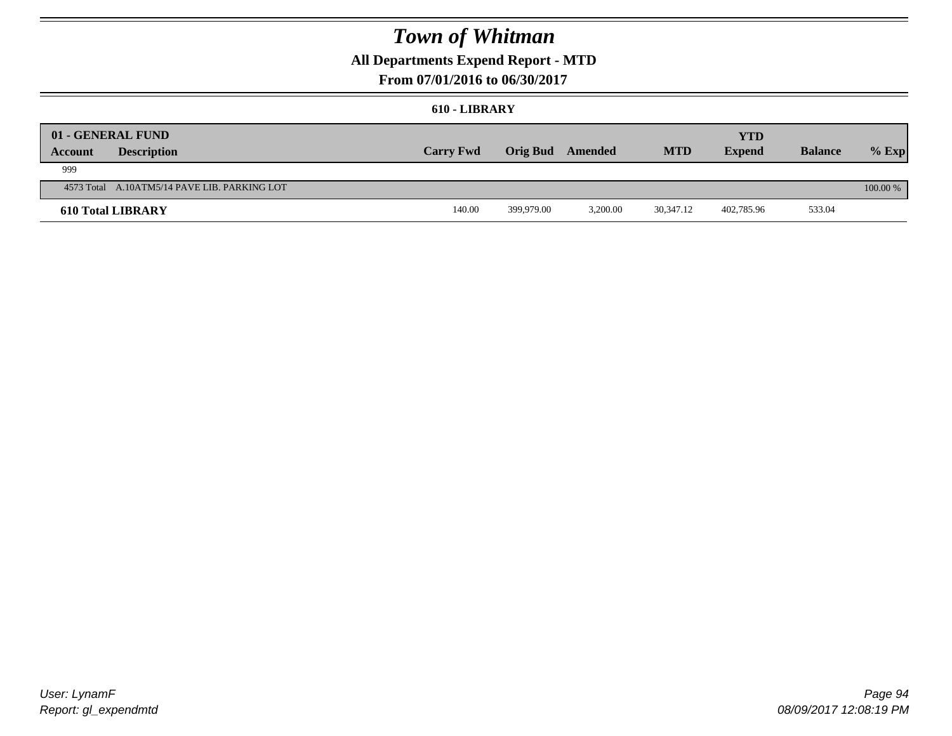### **All Departments Expend Report - MTD**

### **From 07/01/2016 to 06/30/2017**

#### **610 - LIBRARY**

| <b>Account</b> | 01 - GENERAL FUND<br><b>Description</b>      | <b>Carry Fwd</b> | <b>Orig Bud</b> | Amended  | <b>MTD</b> | YTD<br><b>Expend</b> | <b>Balance</b> | $%$ Exp    |
|----------------|----------------------------------------------|------------------|-----------------|----------|------------|----------------------|----------------|------------|
| 999            |                                              |                  |                 |          |            |                      |                |            |
|                | 4573 Total A.10ATM5/14 PAVE LIB. PARKING LOT |                  |                 |          |            |                      |                | $100.00\%$ |
|                | <b>610 Total LIBRARY</b>                     | 140.00           | 399,979.00      | 3.200.00 | 30,347.12  | 402,785.96           | 533.04         |            |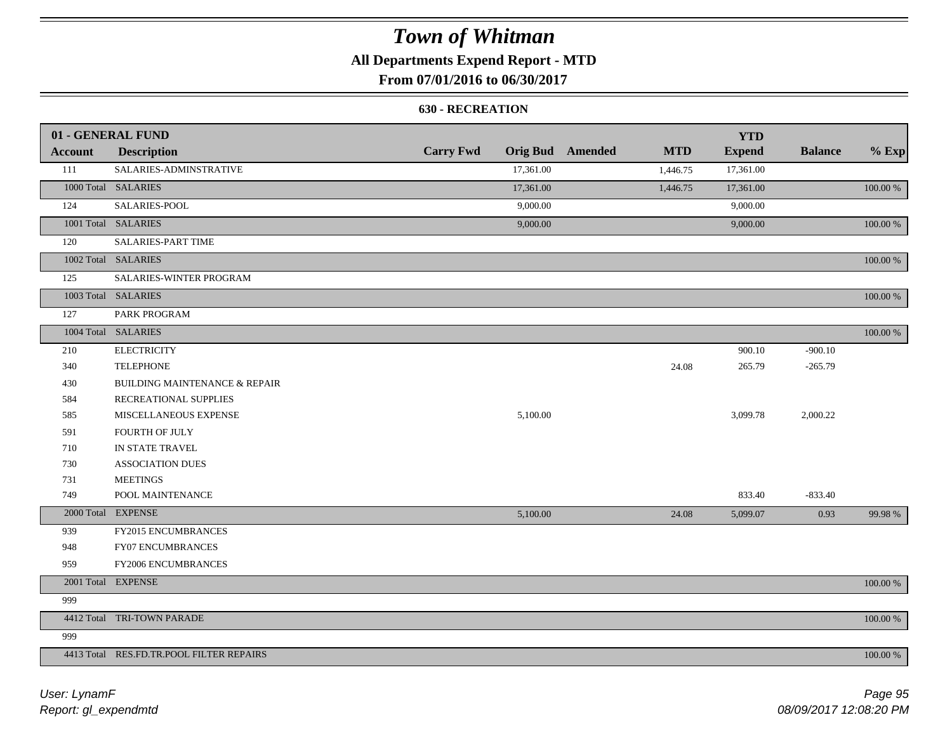### **All Departments Expend Report - MTD**

### **From 07/01/2016 to 06/30/2017**

#### **630 - RECREATION**

|                | 01 - GENERAL FUND                        |                  |           |                         |            | <b>YTD</b>    |                |             |
|----------------|------------------------------------------|------------------|-----------|-------------------------|------------|---------------|----------------|-------------|
| <b>Account</b> | <b>Description</b>                       | <b>Carry Fwd</b> |           | <b>Orig Bud</b> Amended | <b>MTD</b> | <b>Expend</b> | <b>Balance</b> | $%$ Exp     |
| 111            | SALARIES-ADMINSTRATIVE                   |                  | 17,361.00 |                         | 1,446.75   | 17,361.00     |                |             |
|                | 1000 Total SALARIES                      |                  | 17,361.00 |                         | 1,446.75   | 17,361.00     |                | $100.00~\%$ |
| 124            | SALARIES-POOL                            |                  | 9,000.00  |                         |            | 9,000.00      |                |             |
|                | 1001 Total SALARIES                      |                  | 9,000.00  |                         |            | 9,000.00      |                | 100.00 %    |
| 120            | <b>SALARIES-PART TIME</b>                |                  |           |                         |            |               |                |             |
|                | 1002 Total SALARIES                      |                  |           |                         |            |               |                | 100.00 %    |
| 125            | SALARIES-WINTER PROGRAM                  |                  |           |                         |            |               |                |             |
|                | 1003 Total SALARIES                      |                  |           |                         |            |               |                | 100.00 %    |
| 127            | PARK PROGRAM                             |                  |           |                         |            |               |                |             |
|                | 1004 Total SALARIES                      |                  |           |                         |            |               |                | 100.00 %    |
| 210            | <b>ELECTRICITY</b>                       |                  |           |                         |            | 900.10        | $-900.10$      |             |
| 340            | <b>TELEPHONE</b>                         |                  |           |                         | 24.08      | 265.79        | $-265.79$      |             |
| 430            | <b>BUILDING MAINTENANCE &amp; REPAIR</b> |                  |           |                         |            |               |                |             |
| 584            | RECREATIONAL SUPPLIES                    |                  |           |                         |            |               |                |             |
| 585            | MISCELLANEOUS EXPENSE                    |                  | 5,100.00  |                         |            | 3,099.78      | 2,000.22       |             |
| 591            | FOURTH OF JULY                           |                  |           |                         |            |               |                |             |
| 710            | IN STATE TRAVEL                          |                  |           |                         |            |               |                |             |
| 730            | <b>ASSOCIATION DUES</b>                  |                  |           |                         |            |               |                |             |
| 731            | <b>MEETINGS</b>                          |                  |           |                         |            |               |                |             |
| 749            | POOL MAINTENANCE                         |                  |           |                         |            | 833.40        | $-833.40$      |             |
|                | 2000 Total EXPENSE                       |                  | 5,100.00  |                         | 24.08      | 5,099.07      | 0.93           | 99.98 %     |
| 939            | FY2015 ENCUMBRANCES                      |                  |           |                         |            |               |                |             |
| 948            | FY07 ENCUMBRANCES                        |                  |           |                         |            |               |                |             |
| 959            | FY2006 ENCUMBRANCES                      |                  |           |                         |            |               |                |             |
|                | 2001 Total EXPENSE                       |                  |           |                         |            |               |                | $100.00~\%$ |
| 999            |                                          |                  |           |                         |            |               |                |             |
|                | 4412 Total TRI-TOWN PARADE               |                  |           |                         |            |               |                | 100.00 %    |
| 999            |                                          |                  |           |                         |            |               |                |             |
|                | 4413 Total RES.FD.TR.POOL FILTER REPAIRS |                  |           |                         |            |               |                | 100.00 %    |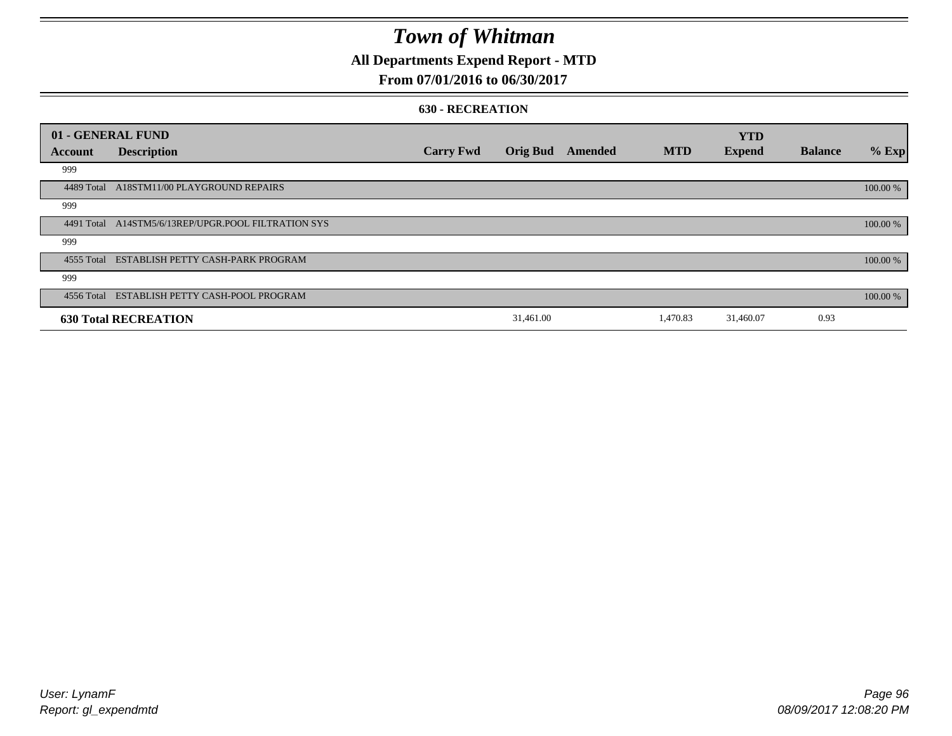### **All Departments Expend Report - MTD**

### **From 07/01/2016 to 06/30/2017**

#### **630 - RECREATION**

|         | 01 - GENERAL FUND                                   |                  |                 |         |            | <b>YTD</b>    |                |          |
|---------|-----------------------------------------------------|------------------|-----------------|---------|------------|---------------|----------------|----------|
| Account | <b>Description</b>                                  | <b>Carry Fwd</b> | <b>Orig Bud</b> | Amended | <b>MTD</b> | <b>Expend</b> | <b>Balance</b> | $%$ Exp  |
| 999     |                                                     |                  |                 |         |            |               |                |          |
|         | 4489 Total A18STM11/00 PLAYGROUND REPAIRS           |                  |                 |         |            |               |                | 100.00 % |
| 999     |                                                     |                  |                 |         |            |               |                |          |
|         | 4491 Total A14STM5/6/13REP/UPGR.POOL FILTRATION SYS |                  |                 |         |            |               |                | 100.00 % |
| 999     |                                                     |                  |                 |         |            |               |                |          |
|         | 4555 Total ESTABLISH PETTY CASH-PARK PROGRAM        |                  |                 |         |            |               |                | 100.00 % |
| 999     |                                                     |                  |                 |         |            |               |                |          |
|         | 4556 Total ESTABLISH PETTY CASH-POOL PROGRAM        |                  |                 |         |            |               |                | 100.00 % |
|         | <b>630 Total RECREATION</b>                         |                  | 31,461.00       |         | 1,470.83   | 31,460.07     | 0.93           |          |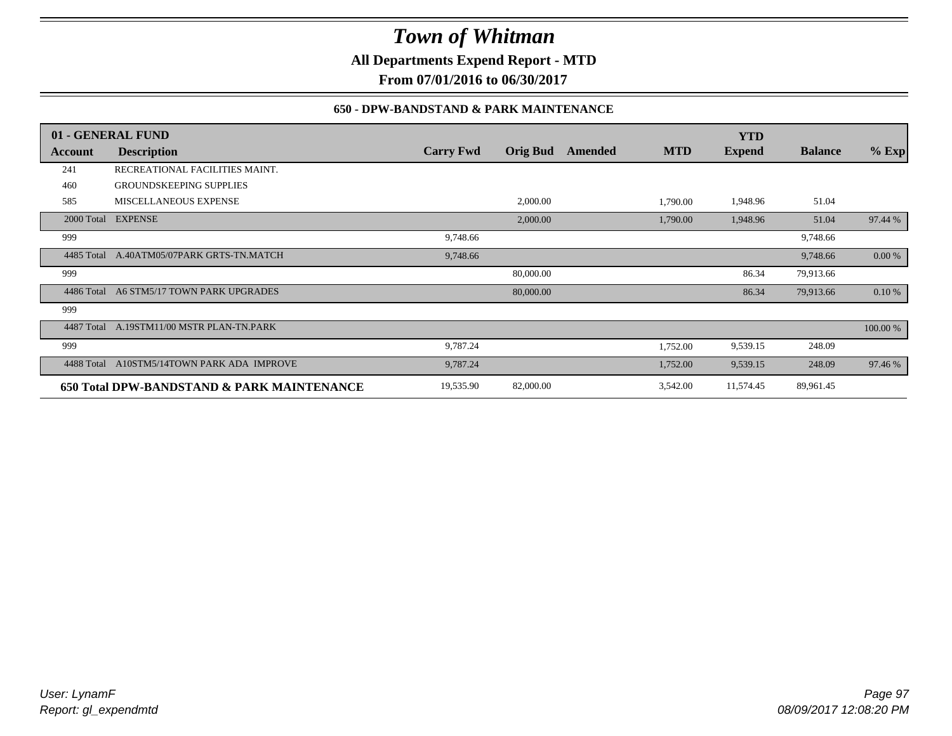**All Departments Expend Report - MTD**

**From 07/01/2016 to 06/30/2017**

### **650 - DPW-BANDSTAND & PARK MAINTENANCE**

|            | 01 - GENERAL FUND                          |                  |                 |         |            | <b>YTD</b>    |                |          |
|------------|--------------------------------------------|------------------|-----------------|---------|------------|---------------|----------------|----------|
| Account    | <b>Description</b>                         | <b>Carry Fwd</b> | <b>Orig Bud</b> | Amended | <b>MTD</b> | <b>Expend</b> | <b>Balance</b> | $%$ Exp  |
| 241        | RECREATIONAL FACILITIES MAINT.             |                  |                 |         |            |               |                |          |
| 460        | <b>GROUNDSKEEPING SUPPLIES</b>             |                  |                 |         |            |               |                |          |
| 585        | MISCELLANEOUS EXPENSE                      |                  | 2,000.00        |         | 1,790.00   | 1,948.96      | 51.04          |          |
|            | 2000 Total EXPENSE                         |                  | 2,000.00        |         | 1,790.00   | 1,948.96      | 51.04          | 97.44 %  |
| 999        |                                            | 9,748.66         |                 |         |            |               | 9,748.66       |          |
| 4485 Total | A.40ATM05/07PARK GRTS-TN.MATCH             | 9,748.66         |                 |         |            |               | 9,748.66       | 0.00 %   |
| 999        |                                            |                  | 80,000.00       |         |            | 86.34         | 79,913.66      |          |
| 4486 Total | A6 STM5/17 TOWN PARK UPGRADES              |                  | 80,000.00       |         |            | 86.34         | 79,913.66      | 0.10%    |
| 999        |                                            |                  |                 |         |            |               |                |          |
|            | 4487 Total A.19STM11/00 MSTR PLAN-TN.PARK  |                  |                 |         |            |               |                | 100.00 % |
| 999        |                                            | 9,787.24         |                 |         | 1,752.00   | 9,539.15      | 248.09         |          |
| 4488 Total | A10STM5/14TOWN PARK ADA IMPROVE            | 9,787.24         |                 |         | 1,752.00   | 9,539.15      | 248.09         | 97.46 %  |
|            | 650 Total DPW-BANDSTAND & PARK MAINTENANCE | 19,535.90        | 82,000.00       |         | 3,542.00   | 11,574.45     | 89,961.45      |          |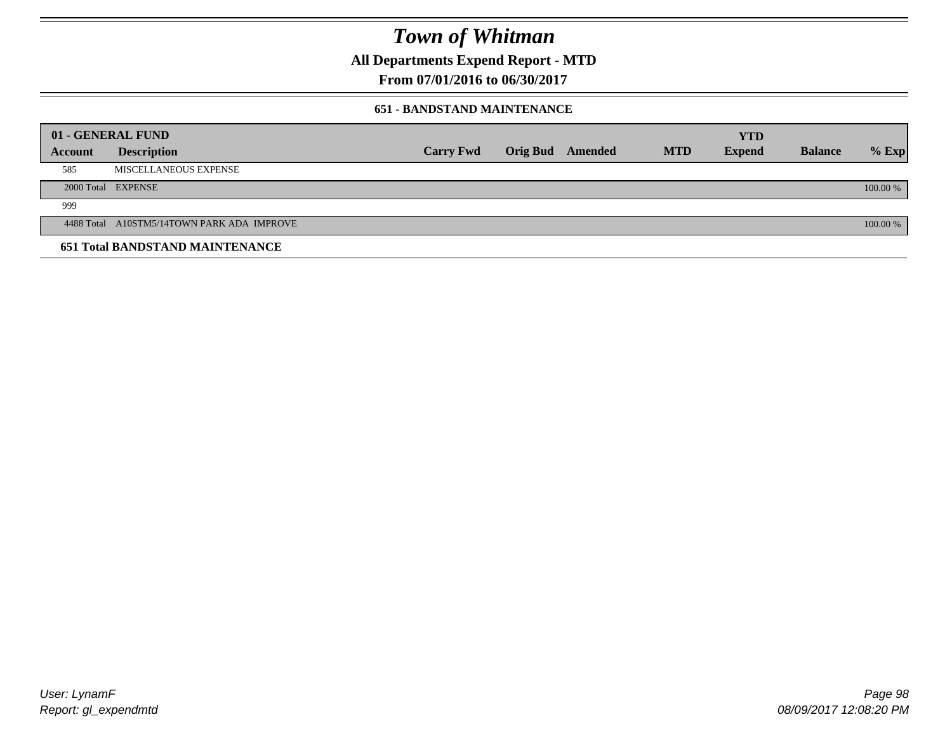**All Departments Expend Report - MTD**

**From 07/01/2016 to 06/30/2017**

#### **651 - BANDSTAND MAINTENANCE**

| 01 - GENERAL FUND |                                            |                  |                         |            | <b>YTD</b>    |                |          |
|-------------------|--------------------------------------------|------------------|-------------------------|------------|---------------|----------------|----------|
| <b>Account</b>    | <b>Description</b>                         | <b>Carry Fwd</b> | <b>Orig Bud</b> Amended | <b>MTD</b> | <b>Expend</b> | <b>Balance</b> | $%$ Exp  |
| 585               | MISCELLANEOUS EXPENSE                      |                  |                         |            |               |                |          |
|                   | 2000 Total EXPENSE                         |                  |                         |            |               |                | 100.00 % |
| 999               |                                            |                  |                         |            |               |                |          |
|                   | 4488 Total A10STM5/14TOWN PARK ADA IMPROVE |                  |                         |            |               |                | 100.00 % |
|                   | <b>651 Total BANDSTAND MAINTENANCE</b>     |                  |                         |            |               |                |          |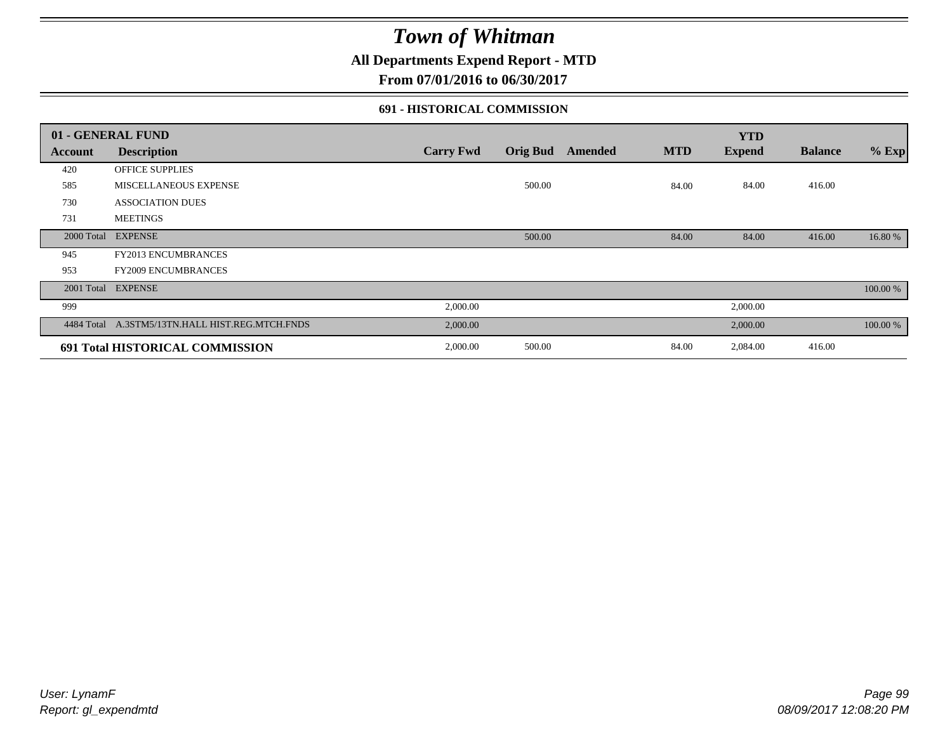### **All Departments Expend Report - MTD**

**From 07/01/2016 to 06/30/2017**

#### **691 - HISTORICAL COMMISSION**

|            | 01 - GENERAL FUND                    |                  |                 |         |            | <b>YTD</b>    |                |          |
|------------|--------------------------------------|------------------|-----------------|---------|------------|---------------|----------------|----------|
| Account    | <b>Description</b>                   | <b>Carry Fwd</b> | <b>Orig Bud</b> | Amended | <b>MTD</b> | <b>Expend</b> | <b>Balance</b> | $%$ Exp  |
| 420        | OFFICE SUPPLIES                      |                  |                 |         |            |               |                |          |
| 585        | MISCELLANEOUS EXPENSE                |                  | 500.00          |         | 84.00      | 84.00         | 416.00         |          |
| 730        | <b>ASSOCIATION DUES</b>              |                  |                 |         |            |               |                |          |
| 731        | <b>MEETINGS</b>                      |                  |                 |         |            |               |                |          |
| 2000 Total | <b>EXPENSE</b>                       |                  | 500.00          |         | 84.00      | 84.00         | 416.00         | 16.80 %  |
| 945        | <b>FY2013 ENCUMBRANCES</b>           |                  |                 |         |            |               |                |          |
| 953        | <b>FY2009 ENCUMBRANCES</b>           |                  |                 |         |            |               |                |          |
| 2001 Total | <b>EXPENSE</b>                       |                  |                 |         |            |               |                | 100.00 % |
| 999        |                                      | 2,000.00         |                 |         |            | 2,000.00      |                |          |
| 4484 Total | A.3STM5/13TN.HALL HIST.REG.MTCH.FNDS | 2,000.00         |                 |         |            | 2,000.00      |                | 100.00 % |
|            | 691 Total HISTORICAL COMMISSION      | 2,000.00         | 500.00          |         | 84.00      | 2,084.00      | 416.00         |          |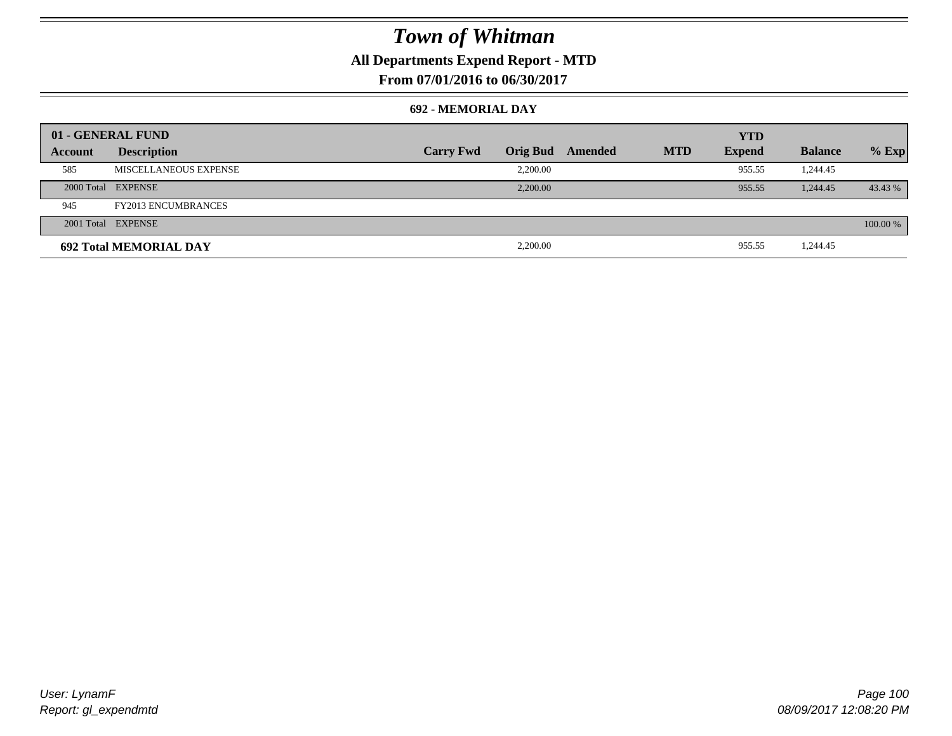### **All Departments Expend Report - MTD**

**From 07/01/2016 to 06/30/2017**

#### **692 - MEMORIAL DAY**

|         | 01 - GENERAL FUND             |                  |                 |         |            | <b>YTD</b>    |                |          |
|---------|-------------------------------|------------------|-----------------|---------|------------|---------------|----------------|----------|
| Account | <b>Description</b>            | <b>Carry Fwd</b> | <b>Orig Bud</b> | Amended | <b>MTD</b> | <b>Expend</b> | <b>Balance</b> | $%$ Exp  |
| 585     | MISCELLANEOUS EXPENSE         |                  | 2,200.00        |         |            | 955.55        | 1,244.45       |          |
|         | 2000 Total EXPENSE            |                  | 2.200.00        |         |            | 955.55        | 1,244.45       | 43.43 %  |
| 945     | <b>FY2013 ENCUMBRANCES</b>    |                  |                 |         |            |               |                |          |
|         | 2001 Total EXPENSE            |                  |                 |         |            |               |                | 100.00 % |
|         | <b>692 Total MEMORIAL DAY</b> |                  | 2,200.00        |         |            | 955.55        | 1,244.45       |          |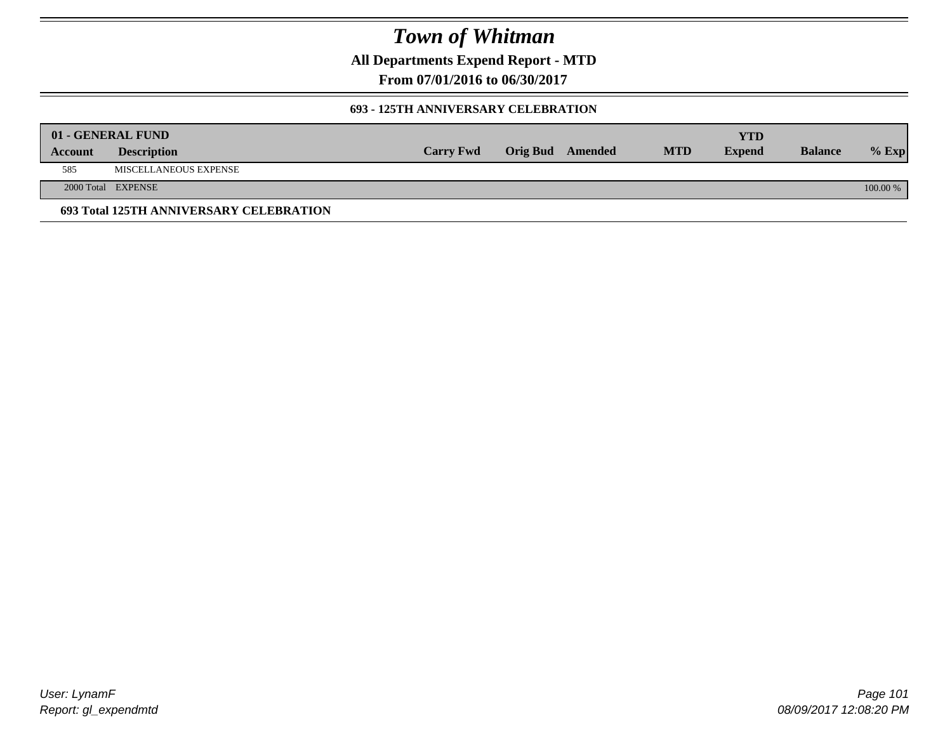**All Departments Expend Report - MTD**

**From 07/01/2016 to 06/30/2017**

#### **693 - 125TH ANNIVERSARY CELEBRATION**

|                | 01 - GENERAL FUND                       |                  |                         |            | YTD           |                |          |
|----------------|-----------------------------------------|------------------|-------------------------|------------|---------------|----------------|----------|
| <b>Account</b> | <b>Description</b>                      | <b>Carry Fwd</b> | <b>Orig Bud</b> Amended | <b>MTD</b> | <b>Expend</b> | <b>Balance</b> | $%$ Exp  |
| 585            | MISCELLANEOUS EXPENSE                   |                  |                         |            |               |                |          |
|                | 2000 Total EXPENSE                      |                  |                         |            |               |                | 100.00 % |
|                | 693 Total 125TH ANNIVERSARY CELEBRATION |                  |                         |            |               |                |          |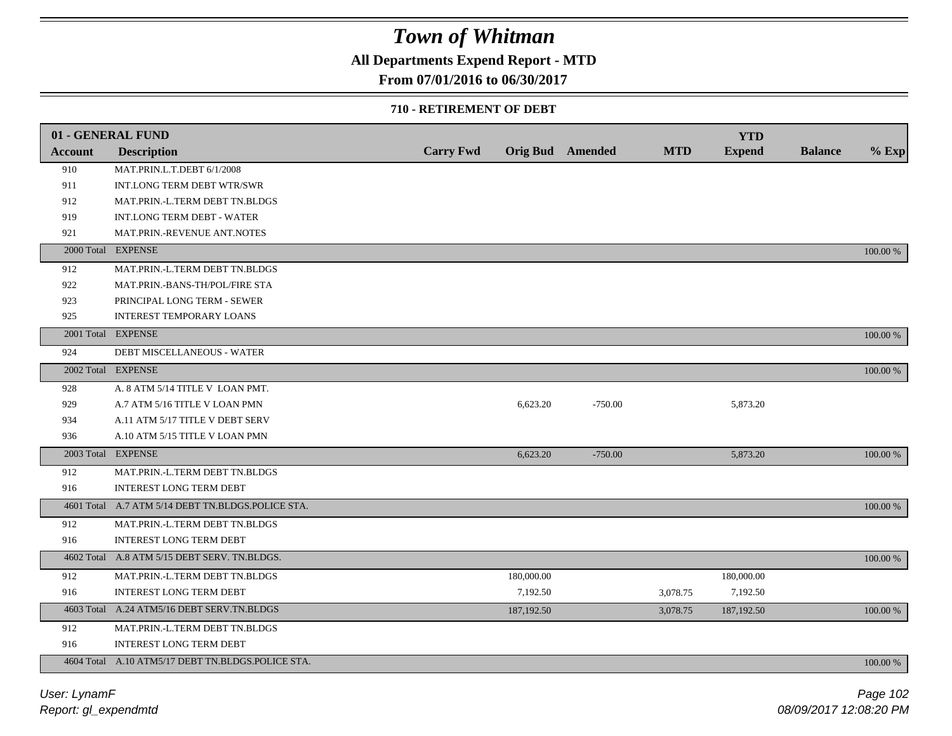### **All Departments Expend Report - MTD**

### **From 07/01/2016 to 06/30/2017**

#### **710 - RETIREMENT OF DEBT**

|                | 01 - GENERAL FUND                                 |                  |            |                         |            | <b>YTD</b>    |                |          |
|----------------|---------------------------------------------------|------------------|------------|-------------------------|------------|---------------|----------------|----------|
| <b>Account</b> | <b>Description</b>                                | <b>Carry Fwd</b> |            | <b>Orig Bud</b> Amended | <b>MTD</b> | <b>Expend</b> | <b>Balance</b> | $%$ Exp  |
| 910            | MAT.PRIN.L.T.DEBT 6/1/2008                        |                  |            |                         |            |               |                |          |
| 911            | INT.LONG TERM DEBT WTR/SWR                        |                  |            |                         |            |               |                |          |
| 912            | MAT.PRIN.-L.TERM DEBT TN.BLDGS                    |                  |            |                         |            |               |                |          |
| 919            | INT.LONG TERM DEBT - WATER                        |                  |            |                         |            |               |                |          |
| 921            | MAT.PRIN.-REVENUE ANT.NOTES                       |                  |            |                         |            |               |                |          |
|                | 2000 Total EXPENSE                                |                  |            |                         |            |               |                | 100.00 % |
| 912            | MAT.PRIN.-L.TERM DEBT TN.BLDGS                    |                  |            |                         |            |               |                |          |
| 922            | MAT.PRIN.-BANS-TH/POL/FIRE STA                    |                  |            |                         |            |               |                |          |
| 923            | PRINCIPAL LONG TERM - SEWER                       |                  |            |                         |            |               |                |          |
| 925            | <b>INTEREST TEMPORARY LOANS</b>                   |                  |            |                         |            |               |                |          |
|                | 2001 Total EXPENSE                                |                  |            |                         |            |               |                | 100.00 % |
| 924            | DEBT MISCELLANEOUS - WATER                        |                  |            |                         |            |               |                |          |
|                | 2002 Total EXPENSE                                |                  |            |                         |            |               |                | 100.00 % |
| 928            | A. 8 ATM 5/14 TITLE V LOAN PMT.                   |                  |            |                         |            |               |                |          |
| 929            | A.7 ATM 5/16 TITLE V LOAN PMN                     |                  | 6,623.20   | $-750.00$               |            | 5,873.20      |                |          |
| 934            | A.11 ATM 5/17 TITLE V DEBT SERV                   |                  |            |                         |            |               |                |          |
| 936            | A.10 ATM 5/15 TITLE V LOAN PMN                    |                  |            |                         |            |               |                |          |
|                | 2003 Total EXPENSE                                |                  | 6,623.20   | $-750.00$               |            | 5,873.20      |                | 100.00 % |
| 912            | MAT.PRIN.-L.TERM DEBT TN.BLDGS                    |                  |            |                         |            |               |                |          |
| 916            | <b>INTEREST LONG TERM DEBT</b>                    |                  |            |                         |            |               |                |          |
|                | 4601 Total A.7 ATM 5/14 DEBT TN.BLDGS.POLICE STA. |                  |            |                         |            |               |                | 100.00 % |
| 912            | MAT.PRIN.-L.TERM DEBT TN.BLDGS                    |                  |            |                         |            |               |                |          |
| 916            | <b>INTEREST LONG TERM DEBT</b>                    |                  |            |                         |            |               |                |          |
|                | 4602 Total A.8 ATM 5/15 DEBT SERV. TN.BLDGS.      |                  |            |                         |            |               |                | 100.00 % |
| 912            | MAT.PRIN.-L.TERM DEBT TN.BLDGS                    |                  | 180,000.00 |                         |            | 180,000.00    |                |          |
| 916            | <b>INTEREST LONG TERM DEBT</b>                    |                  | 7,192.50   |                         | 3,078.75   | 7,192.50      |                |          |
|                | 4603 Total A.24 ATM5/16 DEBT SERV.TN.BLDGS        |                  | 187,192.50 |                         | 3,078.75   | 187,192.50    |                | 100.00 % |
| 912            | MAT.PRIN.-L.TERM DEBT TN.BLDGS                    |                  |            |                         |            |               |                |          |
| 916            | <b>INTEREST LONG TERM DEBT</b>                    |                  |            |                         |            |               |                |          |
|                | 4604 Total A.10 ATM5/17 DEBT TN.BLDGS.POLICE STA. |                  |            |                         |            |               |                | 100.00 % |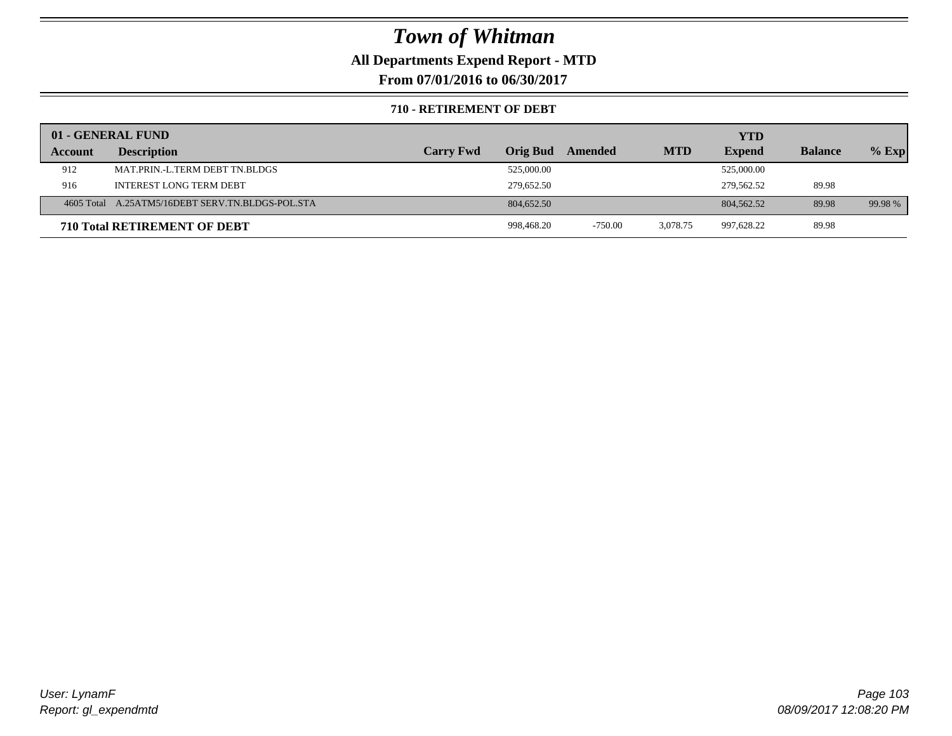### **All Departments Expend Report - MTD**

**From 07/01/2016 to 06/30/2017**

#### **710 - RETIREMENT OF DEBT**

|         | 01 - GENERAL FUND                                |                  |                 |           |            | <b>YTD</b>    |                |         |
|---------|--------------------------------------------------|------------------|-----------------|-----------|------------|---------------|----------------|---------|
| Account | <b>Description</b>                               | <b>Carry Fwd</b> | <b>Orig Bud</b> | Amended   | <b>MTD</b> | <b>Expend</b> | <b>Balance</b> | $%$ Exp |
| 912     | MAT.PRIN.-L.TERM DEBT TN.BLDGS                   |                  | 525,000.00      |           |            | 525,000.00    |                |         |
| 916     | <b>INTEREST LONG TERM DEBT</b>                   |                  | 279.652.50      |           |            | 279,562.52    | 89.98          |         |
|         | 4605 Total A.25ATM5/16DEBT SERV.TN.BLDGS-POL.STA |                  | 804,652.50      |           |            | 804, 562, 52  | 89.98          | 99.98 % |
|         | <b>710 Total RETIREMENT OF DEBT</b>              |                  | 998.468.20      | $-750.00$ | 3.078.75   | 997,628.22    | 89.98          |         |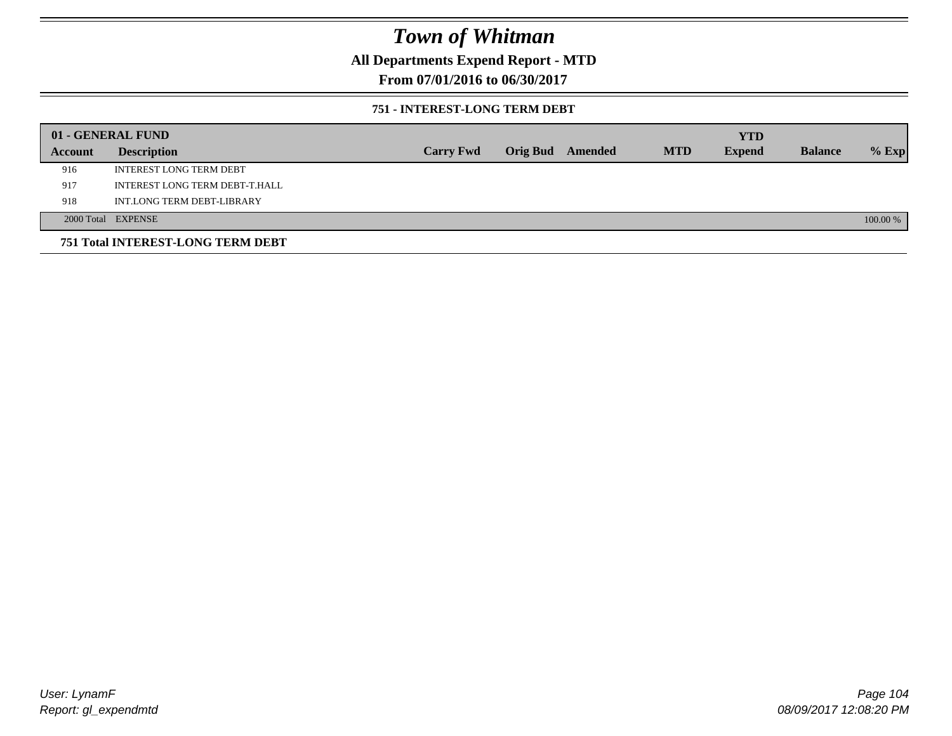**All Departments Expend Report - MTD**

**From 07/01/2016 to 06/30/2017**

#### **751 - INTEREST-LONG TERM DEBT**

|         | 01 - GENERAL FUND                 |                  |                  |            | <b>YTD</b>    |                |          |
|---------|-----------------------------------|------------------|------------------|------------|---------------|----------------|----------|
| Account | <b>Description</b>                | <b>Carry Fwd</b> | Orig Bud Amended | <b>MTD</b> | <b>Expend</b> | <b>Balance</b> | $%$ Exp  |
| 916     | <b>INTEREST LONG TERM DEBT</b>    |                  |                  |            |               |                |          |
| 917     | INTEREST LONG TERM DEBT-T.HALL    |                  |                  |            |               |                |          |
| 918     | INT.LONG TERM DEBT-LIBRARY        |                  |                  |            |               |                |          |
|         | 2000 Total EXPENSE                |                  |                  |            |               |                | 100.00 % |
|         | 751 Total INTEREST-LONG TERM DEBT |                  |                  |            |               |                |          |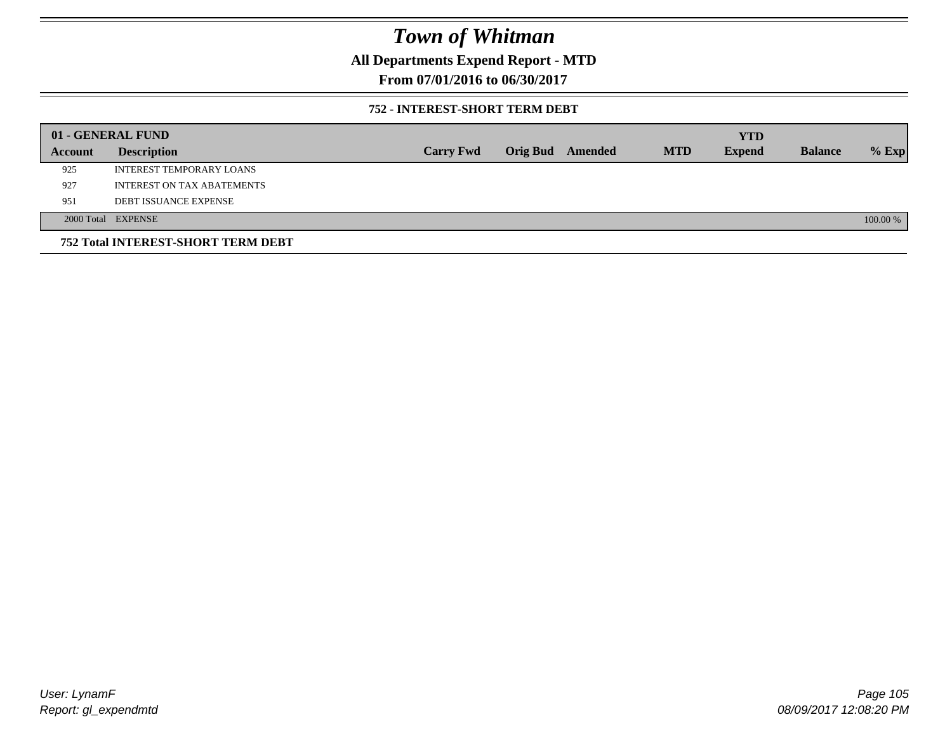**All Departments Expend Report - MTD**

**From 07/01/2016 to 06/30/2017**

#### **752 - INTEREST-SHORT TERM DEBT**

|         | 01 - GENERAL FUND                         |                  |                 |         |            | <b>YTD</b>    |                |          |
|---------|-------------------------------------------|------------------|-----------------|---------|------------|---------------|----------------|----------|
| Account | <b>Description</b>                        | <b>Carry Fwd</b> | <b>Orig Bud</b> | Amended | <b>MTD</b> | <b>Expend</b> | <b>Balance</b> | $%$ Exp  |
| 925     | INTEREST TEMPORARY LOANS                  |                  |                 |         |            |               |                |          |
| 927     | INTEREST ON TAX ABATEMENTS                |                  |                 |         |            |               |                |          |
| 951     | <b>DEBT ISSUANCE EXPENSE</b>              |                  |                 |         |            |               |                |          |
|         | 2000 Total EXPENSE                        |                  |                 |         |            |               |                | 100.00 % |
|         | <b>752 Total INTEREST-SHORT TERM DEBT</b> |                  |                 |         |            |               |                |          |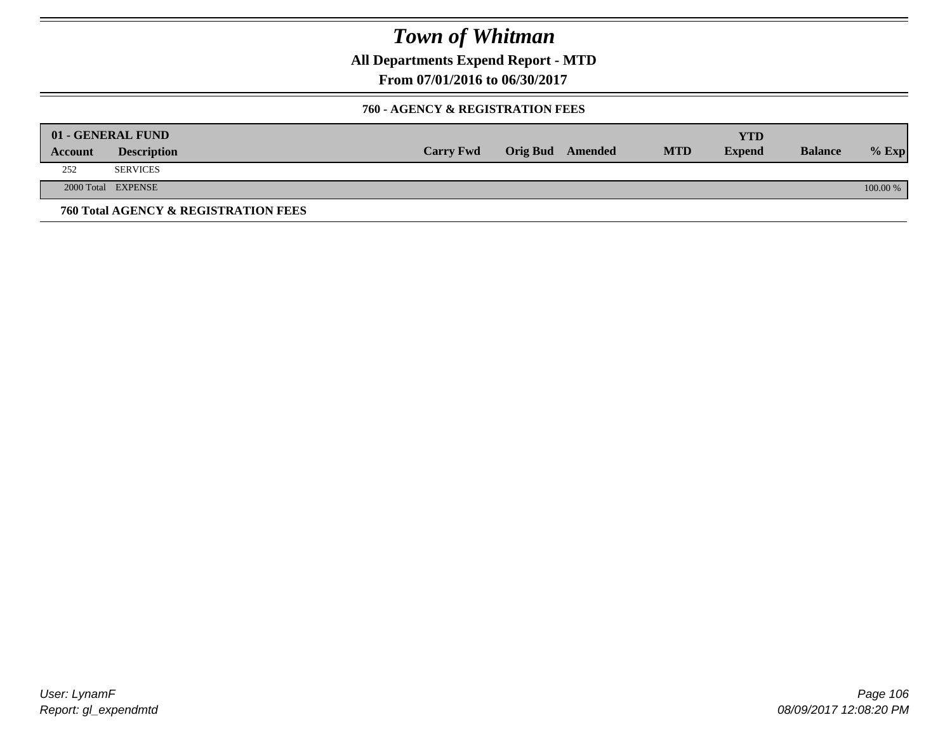**All Departments Expend Report - MTD**

**From 07/01/2016 to 06/30/2017**

#### **760 - AGENCY & REGISTRATION FEES**

|         | 01 - GENERAL FUND                    |                  |                         |            | YTD           |                |          |
|---------|--------------------------------------|------------------|-------------------------|------------|---------------|----------------|----------|
| Account | <b>Description</b>                   | <b>Carry Fwd</b> | <b>Orig Bud</b> Amended | <b>MTD</b> | <b>Expend</b> | <b>Balance</b> | $%$ Exp  |
| 252     | <b>SERVICES</b>                      |                  |                         |            |               |                |          |
|         | 2000 Total EXPENSE                   |                  |                         |            |               |                | 100.00 % |
|         | 760 Total AGENCY & REGISTRATION FEES |                  |                         |            |               |                |          |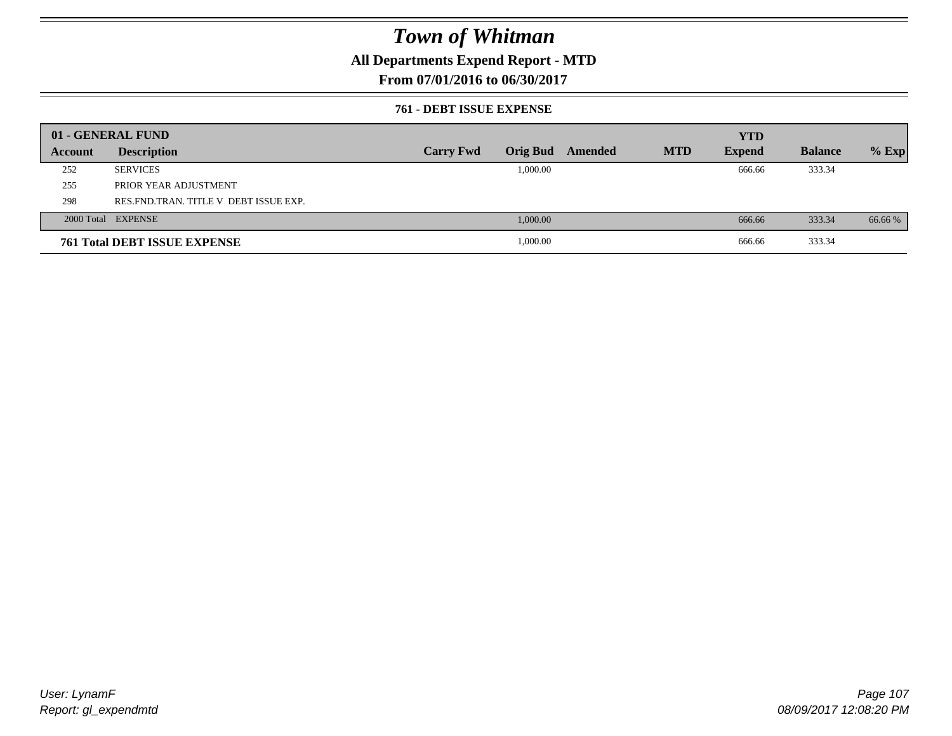### **All Departments Expend Report - MTD**

### **From 07/01/2016 to 06/30/2017**

#### **761 - DEBT ISSUE EXPENSE**

|         | 01 - GENERAL FUND                       |                  |          |                         |            | <b>YTD</b>    |                |         |
|---------|-----------------------------------------|------------------|----------|-------------------------|------------|---------------|----------------|---------|
| Account | <b>Description</b>                      | <b>Carry Fwd</b> |          | <b>Orig Bud</b> Amended | <b>MTD</b> | <b>Expend</b> | <b>Balance</b> | $%$ Exp |
| 252     | <b>SERVICES</b>                         |                  | 1,000.00 |                         |            | 666.66        | 333.34         |         |
| 255     | PRIOR YEAR ADJUSTMENT                   |                  |          |                         |            |               |                |         |
| 298     | RES. FND. TRAN. TITLE V DEBT ISSUE EXP. |                  |          |                         |            |               |                |         |
|         | 2000 Total EXPENSE                      |                  | 1,000.00 |                         |            | 666.66        | 333.34         | 66.66 % |
|         | <b>761 Total DEBT ISSUE EXPENSE</b>     |                  | 1,000.00 |                         |            | 666.66        | 333.34         |         |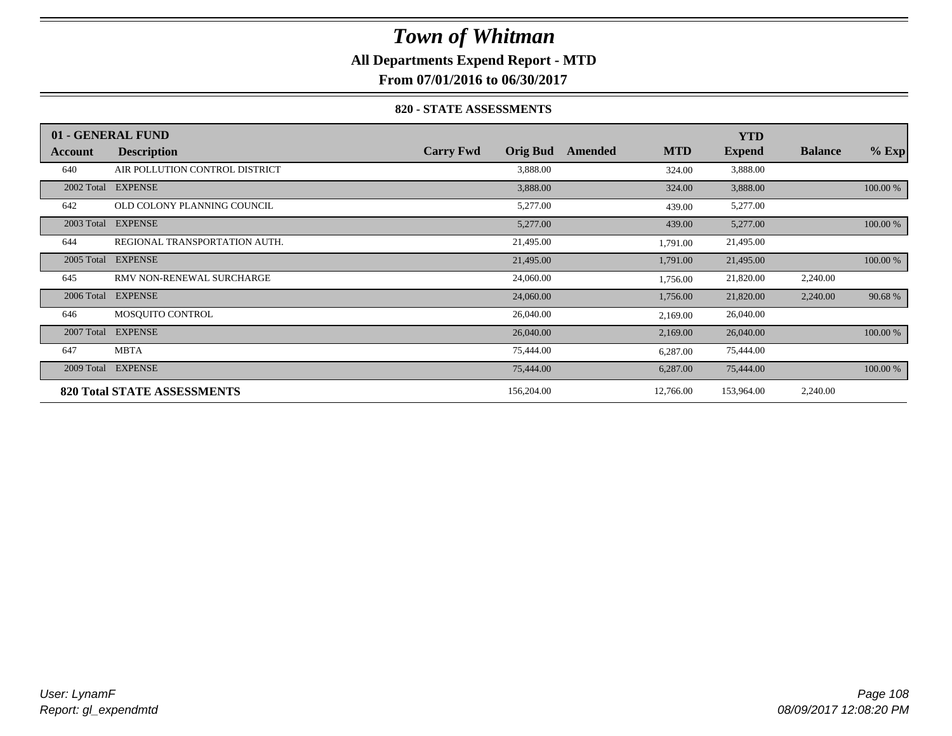### **All Departments Expend Report - MTD**

**From 07/01/2016 to 06/30/2017**

#### **820 - STATE ASSESSMENTS**

|            | 01 - GENERAL FUND                  |                  |                 |         |            | <b>YTD</b>    |                |          |
|------------|------------------------------------|------------------|-----------------|---------|------------|---------------|----------------|----------|
| Account    | <b>Description</b>                 | <b>Carry Fwd</b> | <b>Orig Bud</b> | Amended | <b>MTD</b> | <b>Expend</b> | <b>Balance</b> | $%$ Exp  |
| 640        | AIR POLLUTION CONTROL DISTRICT     |                  | 3,888.00        |         | 324.00     | 3,888.00      |                |          |
| 2002 Total | <b>EXPENSE</b>                     |                  | 3,888.00        |         | 324.00     | 3,888.00      |                | 100.00 % |
| 642        | OLD COLONY PLANNING COUNCIL        |                  | 5,277.00        |         | 439.00     | 5,277.00      |                |          |
| 2003 Total | <b>EXPENSE</b>                     |                  | 5,277.00        |         | 439.00     | 5,277.00      |                | 100.00 % |
| 644        | REGIONAL TRANSPORTATION AUTH.      |                  | 21,495.00       |         | 1,791.00   | 21,495.00     |                |          |
| 2005 Total | <b>EXPENSE</b>                     |                  | 21,495.00       |         | 1,791.00   | 21,495.00     |                | 100.00 % |
| 645        | RMV NON-RENEWAL SURCHARGE          |                  | 24,060.00       |         | 1,756.00   | 21,820.00     | 2,240.00       |          |
| 2006 Total | <b>EXPENSE</b>                     |                  | 24,060.00       |         | 1,756.00   | 21,820.00     | 2,240.00       | 90.68%   |
| 646        | MOSQUITO CONTROL                   |                  | 26,040.00       |         | 2,169.00   | 26,040.00     |                |          |
| 2007 Total | <b>EXPENSE</b>                     |                  | 26,040.00       |         | 2,169.00   | 26,040.00     |                | 100.00 % |
| 647        | <b>MBTA</b>                        |                  | 75,444.00       |         | 6,287.00   | 75,444.00     |                |          |
| 2009 Total | <b>EXPENSE</b>                     |                  | 75,444.00       |         | 6,287.00   | 75,444.00     |                | 100.00 % |
|            | <b>820 Total STATE ASSESSMENTS</b> |                  | 156,204.00      |         | 12,766.00  | 153,964.00    | 2,240.00       |          |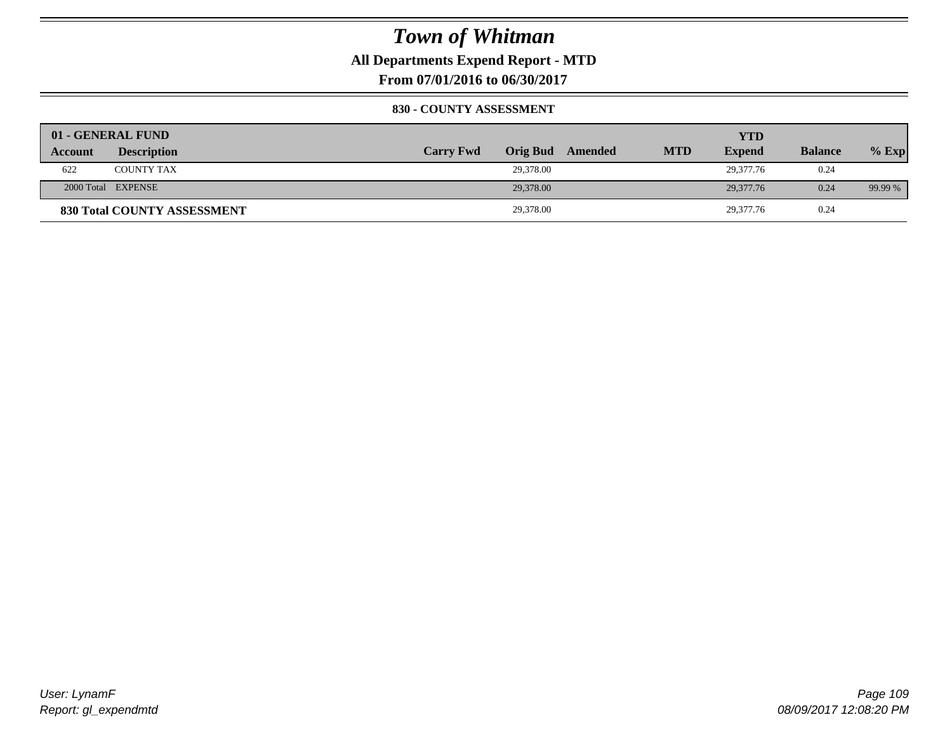### **All Departments Expend Report - MTD**

**From 07/01/2016 to 06/30/2017**

### **830 - COUNTY ASSESSMENT**

|                | 01 - GENERAL FUND                  |                  |           |                  |            | YTD           |                |         |
|----------------|------------------------------------|------------------|-----------|------------------|------------|---------------|----------------|---------|
| <b>Account</b> | <b>Description</b>                 | <b>Carry Fwd</b> |           | Orig Bud Amended | <b>MTD</b> | <b>Expend</b> | <b>Balance</b> | $%$ Exp |
| 622            | <b>COUNTY TAX</b>                  |                  | 29,378.00 |                  |            | 29,377.76     | 0.24           |         |
|                | 2000 Total EXPENSE                 |                  | 29,378,00 |                  |            | 29,377.76     | 0.24           | 99.99 % |
|                | <b>830 Total COUNTY ASSESSMENT</b> |                  | 29,378.00 |                  |            | 29,377.76     | 0.24           |         |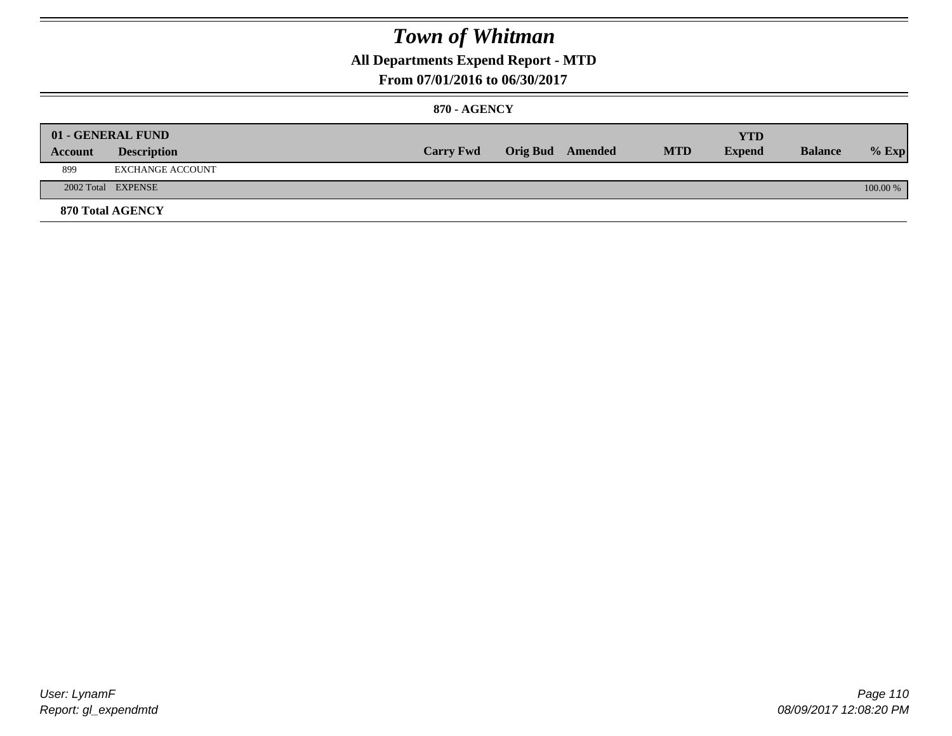### **All Departments Expend Report - MTD**

### **From 07/01/2016 to 06/30/2017**

### **870 - AGENCY**

|         | 01 - GENERAL FUND       |                  |                         |            | YTD           |                |            |
|---------|-------------------------|------------------|-------------------------|------------|---------------|----------------|------------|
| Account | <b>Description</b>      | <b>Carry Fwd</b> | <b>Orig Bud</b> Amended | <b>MTD</b> | <b>Expend</b> | <b>Balance</b> | $%$ Exp    |
| 899     | EXCHANGE ACCOUNT        |                  |                         |            |               |                |            |
|         | 2002 Total EXPENSE      |                  |                         |            |               |                | $100.00\%$ |
|         | <b>870 Total AGENCY</b> |                  |                         |            |               |                |            |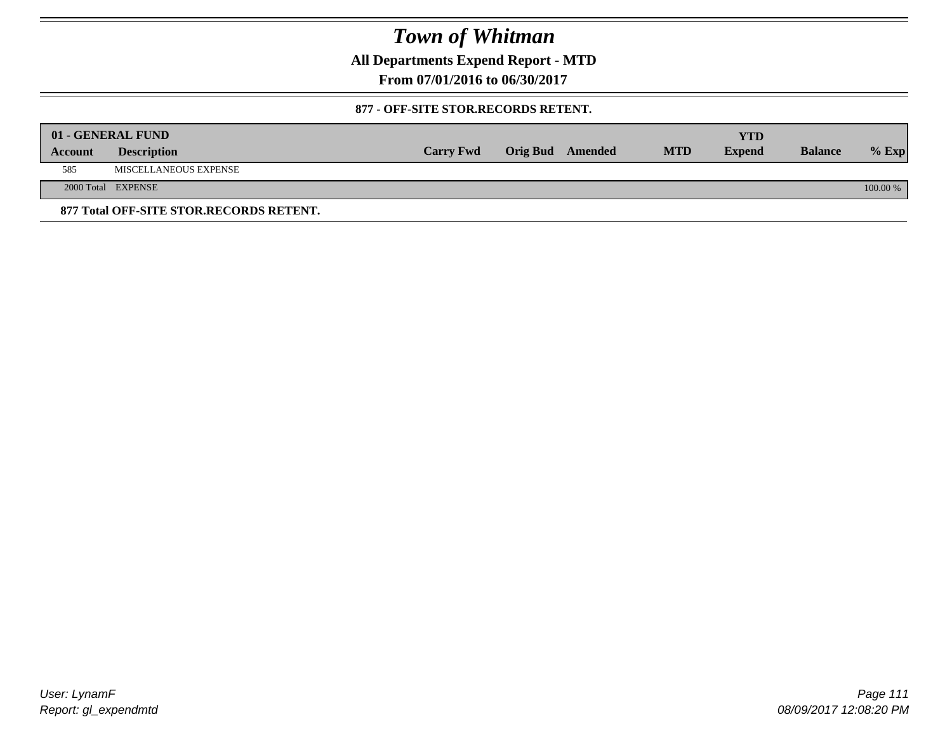**All Departments Expend Report - MTD**

**From 07/01/2016 to 06/30/2017**

### **877 - OFF-SITE STOR.RECORDS RETENT.**

|         | 01 - GENERAL FUND                       |                  |                         |            | <b>YTD</b>    |                |            |
|---------|-----------------------------------------|------------------|-------------------------|------------|---------------|----------------|------------|
| Account | <b>Description</b>                      | <b>Carry Fwd</b> | <b>Orig Bud</b> Amended | <b>MTD</b> | <b>Expend</b> | <b>Balance</b> | $%$ Exp    |
| 585     | MISCELLANEOUS EXPENSE                   |                  |                         |            |               |                |            |
|         | 2000 Total EXPENSE                      |                  |                         |            |               |                | $100.00\%$ |
|         | 877 Total OFF-SITE STOR.RECORDS RETENT. |                  |                         |            |               |                |            |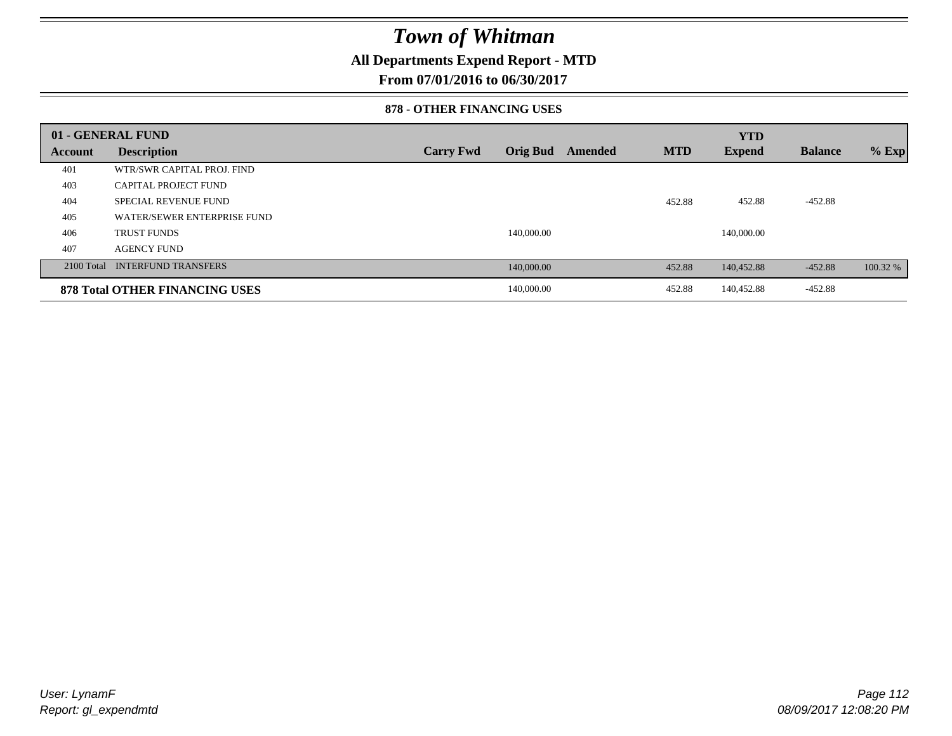### **All Departments Expend Report - MTD**

**From 07/01/2016 to 06/30/2017**

### **878 - OTHER FINANCING USES**

|         | 01 - GENERAL FUND                     |                  |                 |         |            | <b>YTD</b>    |                |          |
|---------|---------------------------------------|------------------|-----------------|---------|------------|---------------|----------------|----------|
| Account | <b>Description</b>                    | <b>Carry Fwd</b> | <b>Orig Bud</b> | Amended | <b>MTD</b> | <b>Expend</b> | <b>Balance</b> | $%$ Exp  |
| 401     | WTR/SWR CAPITAL PROJ. FIND            |                  |                 |         |            |               |                |          |
| 403     | <b>CAPITAL PROJECT FUND</b>           |                  |                 |         |            |               |                |          |
| 404     | <b>SPECIAL REVENUE FUND</b>           |                  |                 |         | 452.88     | 452.88        | $-452.88$      |          |
| 405     | WATER/SEWER ENTERPRISE FUND           |                  |                 |         |            |               |                |          |
| 406     | <b>TRUST FUNDS</b>                    |                  | 140,000.00      |         |            | 140,000.00    |                |          |
| 407     | <b>AGENCY FUND</b>                    |                  |                 |         |            |               |                |          |
|         | 2100 Total INTERFUND TRANSFERS        |                  | 140,000.00      |         | 452.88     | 140,452.88    | $-452.88$      | 100.32 % |
|         | <b>878 Total OTHER FINANCING USES</b> |                  | 140,000.00      |         | 452.88     | 140,452.88    | $-452.88$      |          |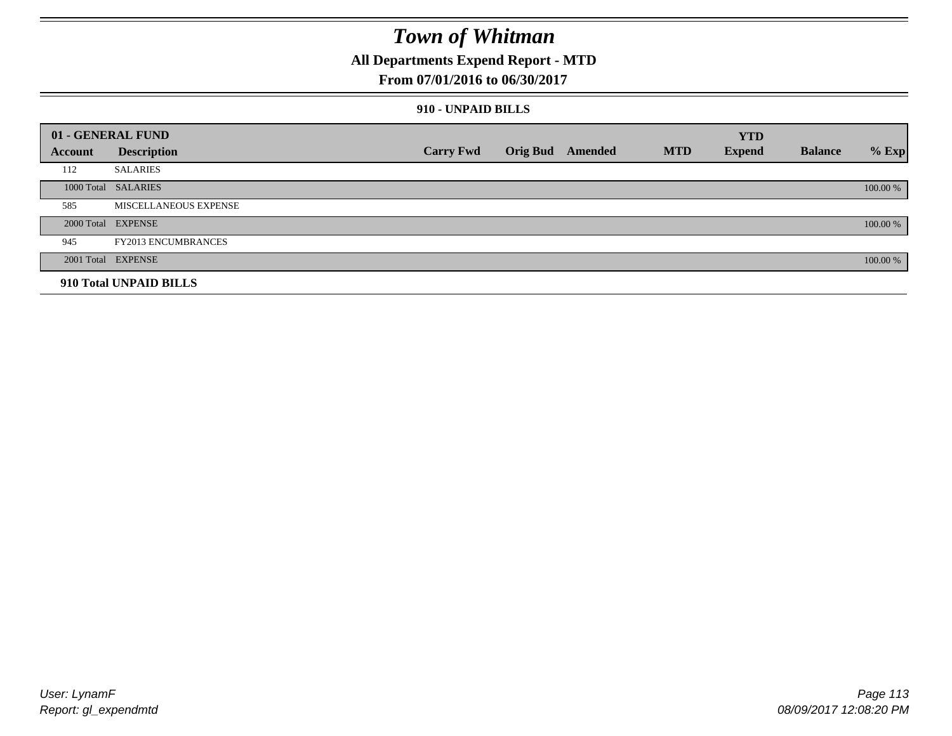### **All Departments Expend Report - MTD**

### **From 07/01/2016 to 06/30/2017**

### **910 - UNPAID BILLS**

|         | 01 - GENERAL FUND          |                  |                  |            | <b>YTD</b>    |                |          |
|---------|----------------------------|------------------|------------------|------------|---------------|----------------|----------|
| Account | <b>Description</b>         | <b>Carry Fwd</b> | Orig Bud Amended | <b>MTD</b> | <b>Expend</b> | <b>Balance</b> | $%$ Exp  |
| 112     | <b>SALARIES</b>            |                  |                  |            |               |                |          |
|         | 1000 Total SALARIES        |                  |                  |            |               |                | 100.00 % |
| 585     | MISCELLANEOUS EXPENSE      |                  |                  |            |               |                |          |
|         | 2000 Total EXPENSE         |                  |                  |            |               |                | 100.00 % |
| 945     | <b>FY2013 ENCUMBRANCES</b> |                  |                  |            |               |                |          |
|         | 2001 Total EXPENSE         |                  |                  |            |               |                | 100.00 % |
|         | 910 Total UNPAID BILLS     |                  |                  |            |               |                |          |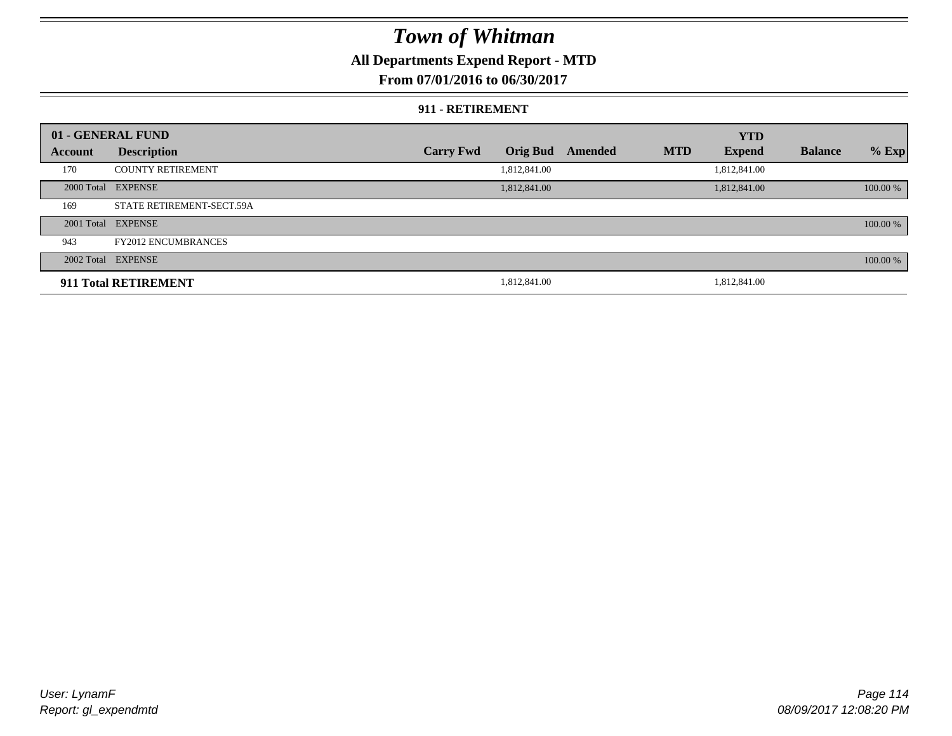### **All Departments Expend Report - MTD**

**From 07/01/2016 to 06/30/2017**

#### **911 - RETIREMENT**

|         | 01 - GENERAL FUND          |                  |                 |         |            | <b>YTD</b>    |                |          |
|---------|----------------------------|------------------|-----------------|---------|------------|---------------|----------------|----------|
| Account | <b>Description</b>         | <b>Carry Fwd</b> | <b>Orig Bud</b> | Amended | <b>MTD</b> | <b>Expend</b> | <b>Balance</b> | $%$ Exp  |
| 170     | <b>COUNTY RETIREMENT</b>   |                  | 1,812,841.00    |         |            | 1,812,841.00  |                |          |
|         | 2000 Total EXPENSE         |                  | 1,812,841.00    |         |            | 1,812,841.00  |                | 100.00 % |
| 169     | STATE RETIREMENT-SECT.59A  |                  |                 |         |            |               |                |          |
|         | 2001 Total EXPENSE         |                  |                 |         |            |               |                | 100.00 % |
| 943     | <b>FY2012 ENCUMBRANCES</b> |                  |                 |         |            |               |                |          |
|         | 2002 Total EXPENSE         |                  |                 |         |            |               |                | 100.00 % |
|         | 911 Total RETIREMENT       |                  | 1,812,841.00    |         |            | 1,812,841.00  |                |          |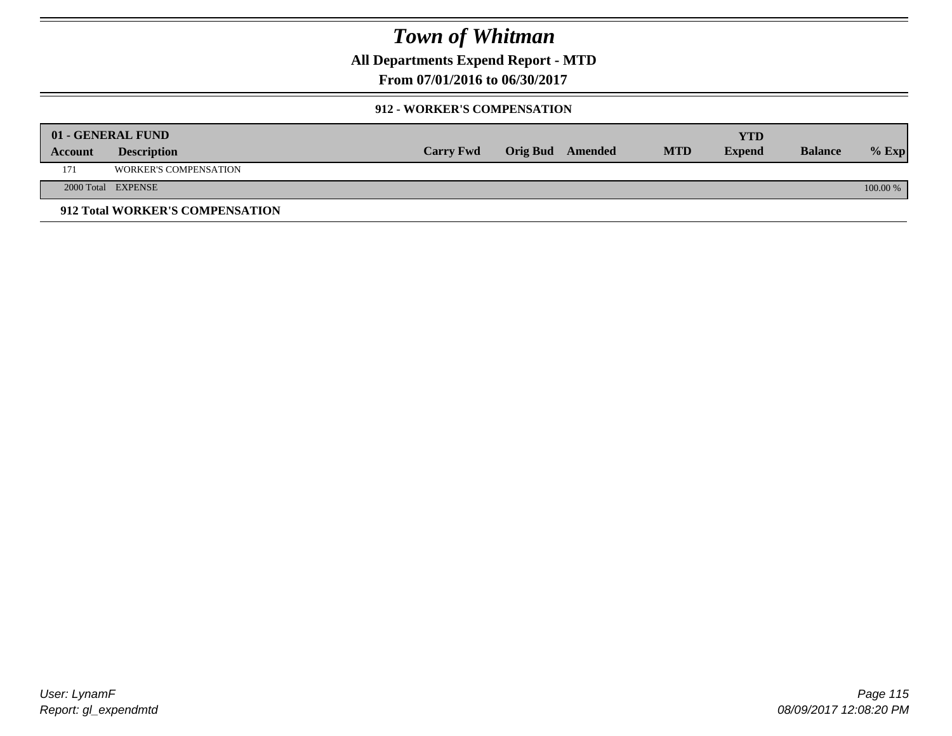**All Departments Expend Report - MTD**

**From 07/01/2016 to 06/30/2017**

### **912 - WORKER'S COMPENSATION**

|         | 01 - GENERAL FUND               |                  |                  |            | <b>YTD</b>    |                |          |
|---------|---------------------------------|------------------|------------------|------------|---------------|----------------|----------|
| Account | <b>Description</b>              | <b>Carry Fwd</b> | Orig Bud Amended | <b>MTD</b> | <b>Expend</b> | <b>Balance</b> | $%$ Exp  |
| 171     | <b>WORKER'S COMPENSATION</b>    |                  |                  |            |               |                |          |
|         | 2000 Total EXPENSE              |                  |                  |            |               |                | 100.00 % |
|         | 912 Total WORKER'S COMPENSATION |                  |                  |            |               |                |          |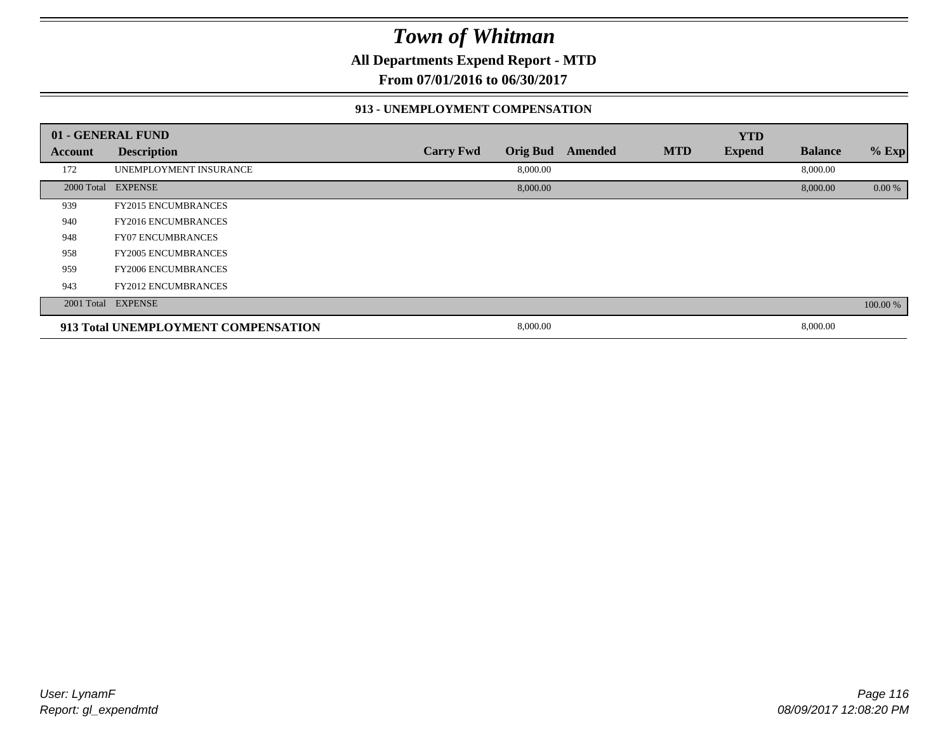**All Departments Expend Report - MTD**

**From 07/01/2016 to 06/30/2017**

### **913 - UNEMPLOYMENT COMPENSATION**

|         | 01 - GENERAL FUND                   |                  |                 |         |            | <b>YTD</b>    |                |          |
|---------|-------------------------------------|------------------|-----------------|---------|------------|---------------|----------------|----------|
| Account | <b>Description</b>                  | <b>Carry Fwd</b> | <b>Orig Bud</b> | Amended | <b>MTD</b> | <b>Expend</b> | <b>Balance</b> | $%$ Exp  |
| 172     | UNEMPLOYMENT INSURANCE              |                  | 8,000.00        |         |            |               | 8,000.00       |          |
|         | 2000 Total EXPENSE                  |                  | 8,000.00        |         |            |               | 8,000.00       | 0.00 %   |
| 939     | <b>FY2015 ENCUMBRANCES</b>          |                  |                 |         |            |               |                |          |
| 940     | <b>FY2016 ENCUMBRANCES</b>          |                  |                 |         |            |               |                |          |
| 948     | <b>FY07 ENCUMBRANCES</b>            |                  |                 |         |            |               |                |          |
| 958     | <b>FY2005 ENCUMBRANCES</b>          |                  |                 |         |            |               |                |          |
| 959     | <b>FY2006 ENCUMBRANCES</b>          |                  |                 |         |            |               |                |          |
| 943     | <b>FY2012 ENCUMBRANCES</b>          |                  |                 |         |            |               |                |          |
|         | 2001 Total EXPENSE                  |                  |                 |         |            |               |                | 100.00 % |
|         | 913 Total UNEMPLOYMENT COMPENSATION |                  | 8,000.00        |         |            |               | 8,000.00       |          |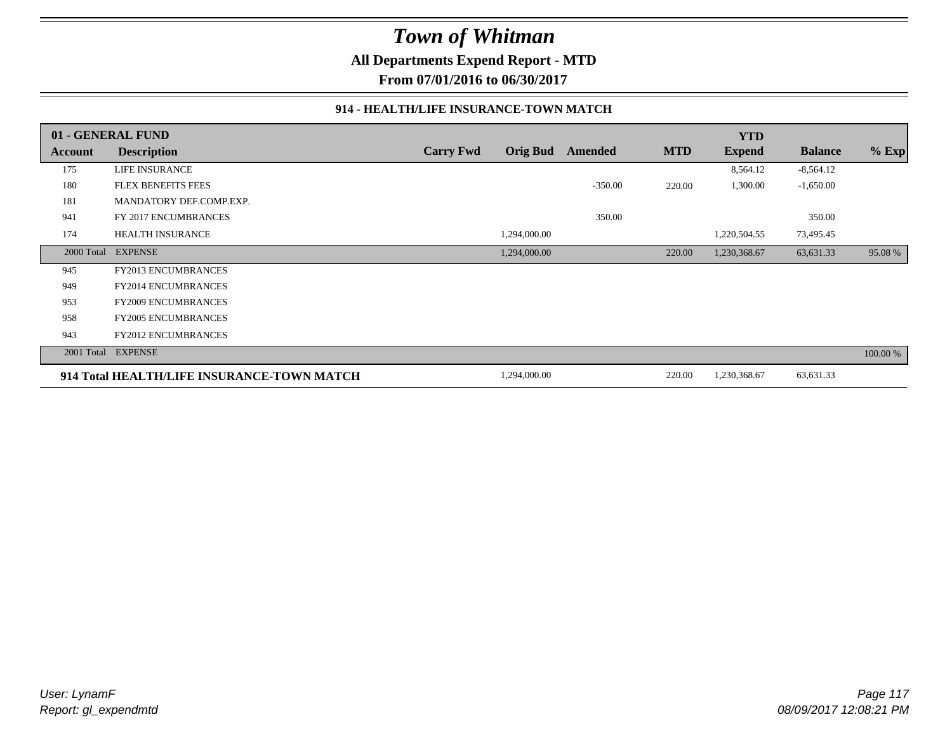**All Departments Expend Report - MTD**

**From 07/01/2016 to 06/30/2017**

### **914 - HEALTH/LIFE INSURANCE-TOWN MATCH**

|            | 01 - GENERAL FUND                          |                  |                 |           |            | <b>YTD</b>    |                |          |
|------------|--------------------------------------------|------------------|-----------------|-----------|------------|---------------|----------------|----------|
| Account    | <b>Description</b>                         | <b>Carry Fwd</b> | <b>Orig Bud</b> | Amended   | <b>MTD</b> | <b>Expend</b> | <b>Balance</b> | % Exp    |
| 175        | LIFE INSURANCE                             |                  |                 |           |            | 8,564.12      | $-8,564.12$    |          |
| 180        | FLEX BENEFITS FEES                         |                  |                 | $-350.00$ | 220.00     | 1,300.00      | $-1,650.00$    |          |
| 181        | MANDATORY DEF.COMP.EXP.                    |                  |                 |           |            |               |                |          |
| 941        | FY 2017 ENCUMBRANCES                       |                  |                 | 350.00    |            |               | 350.00         |          |
| 174        | HEALTH INSURANCE                           |                  | 1,294,000.00    |           |            | 1,220,504.55  | 73,495.45      |          |
| 2000 Total | <b>EXPENSE</b>                             |                  | 1,294,000.00    |           | 220.00     | 1,230,368.67  | 63,631.33      | 95.08 %  |
| 945        | <b>FY2013 ENCUMBRANCES</b>                 |                  |                 |           |            |               |                |          |
| 949        | <b>FY2014 ENCUMBRANCES</b>                 |                  |                 |           |            |               |                |          |
| 953        | <b>FY2009 ENCUMBRANCES</b>                 |                  |                 |           |            |               |                |          |
| 958        | FY2005 ENCUMBRANCES                        |                  |                 |           |            |               |                |          |
| 943        | <b>FY2012 ENCUMBRANCES</b>                 |                  |                 |           |            |               |                |          |
| 2001 Total | <b>EXPENSE</b>                             |                  |                 |           |            |               |                | 100.00 % |
|            | 914 Total HEALTH/LIFE INSURANCE-TOWN MATCH |                  | 1,294,000.00    |           | 220.00     | 1,230,368.67  | 63,631.33      |          |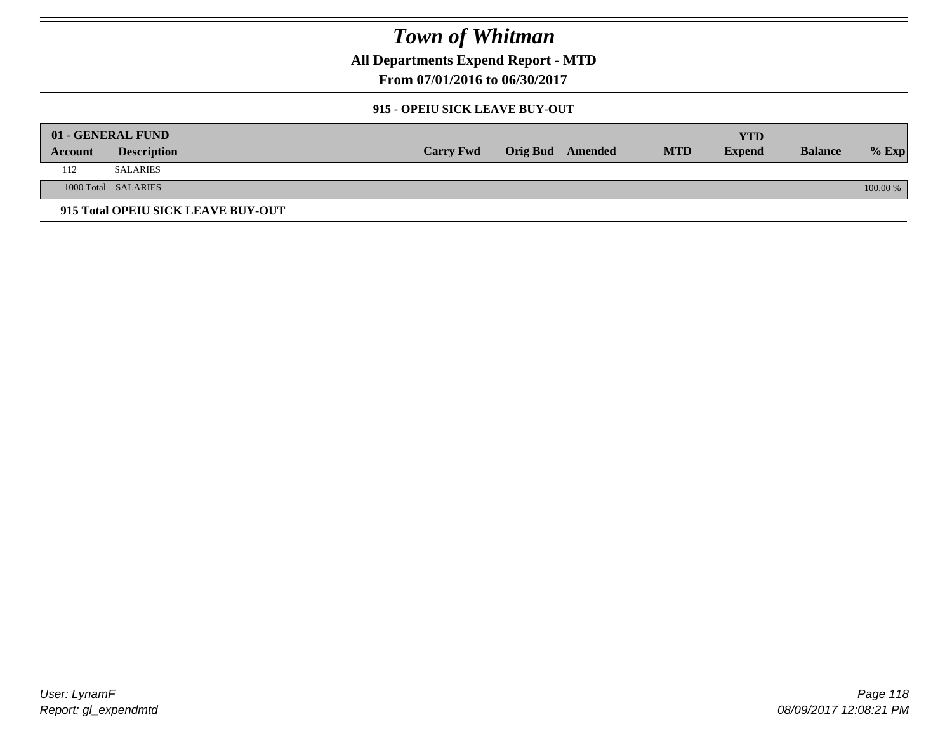**All Departments Expend Report - MTD**

**From 07/01/2016 to 06/30/2017**

### **915 - OPEIU SICK LEAVE BUY-OUT**

|         | 01 - GENERAL FUND                  |                  |                         |            | YTD           |                |          |
|---------|------------------------------------|------------------|-------------------------|------------|---------------|----------------|----------|
| Account | <b>Description</b>                 | <b>Carry Fwd</b> | <b>Orig Bud</b> Amended | <b>MTD</b> | <b>Expend</b> | <b>Balance</b> | $%$ Exp  |
| 112     | SALARIES                           |                  |                         |            |               |                |          |
|         | 1000 Total SALARIES                |                  |                         |            |               |                | 100.00 % |
|         | 915 Total OPEIU SICK LEAVE BUY-OUT |                  |                         |            |               |                |          |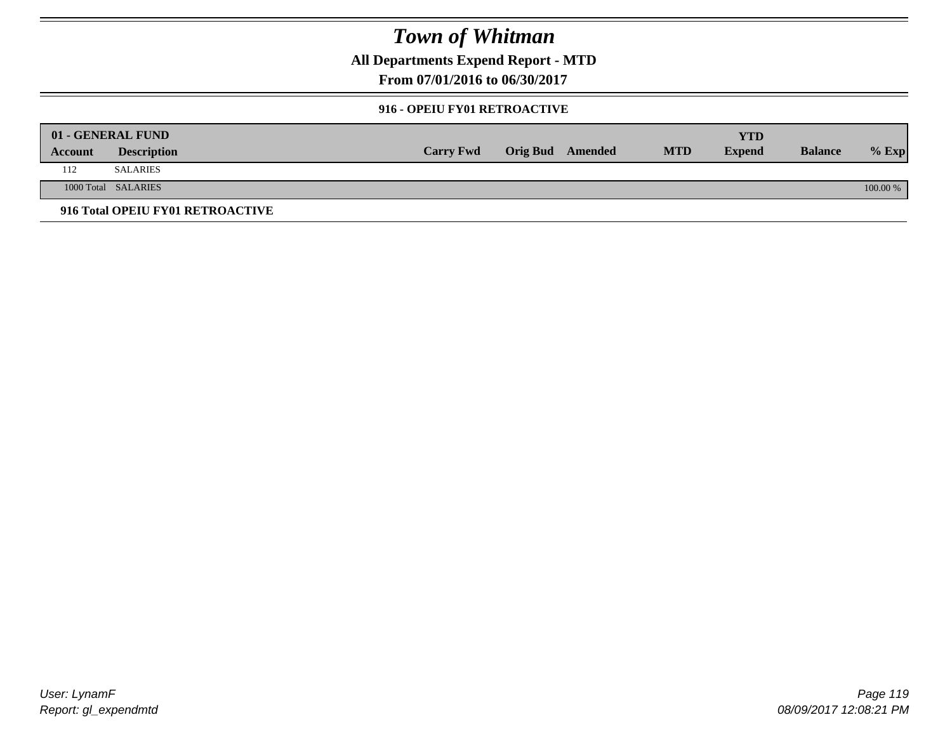**All Departments Expend Report - MTD**

**From 07/01/2016 to 06/30/2017**

### **916 - OPEIU FY01 RETROACTIVE**

|         | 01 - GENERAL FUND                |                  |                         |            | YTD           |                |          |
|---------|----------------------------------|------------------|-------------------------|------------|---------------|----------------|----------|
| Account | <b>Description</b>               | <b>Carry Fwd</b> | <b>Orig Bud</b> Amended | <b>MTD</b> | <b>Expend</b> | <b>Balance</b> | $%$ Exp  |
| 112     | <b>SALARIES</b>                  |                  |                         |            |               |                |          |
|         | 1000 Total SALARIES              |                  |                         |            |               |                | 100.00 % |
|         | 916 Total OPEIU FY01 RETROACTIVE |                  |                         |            |               |                |          |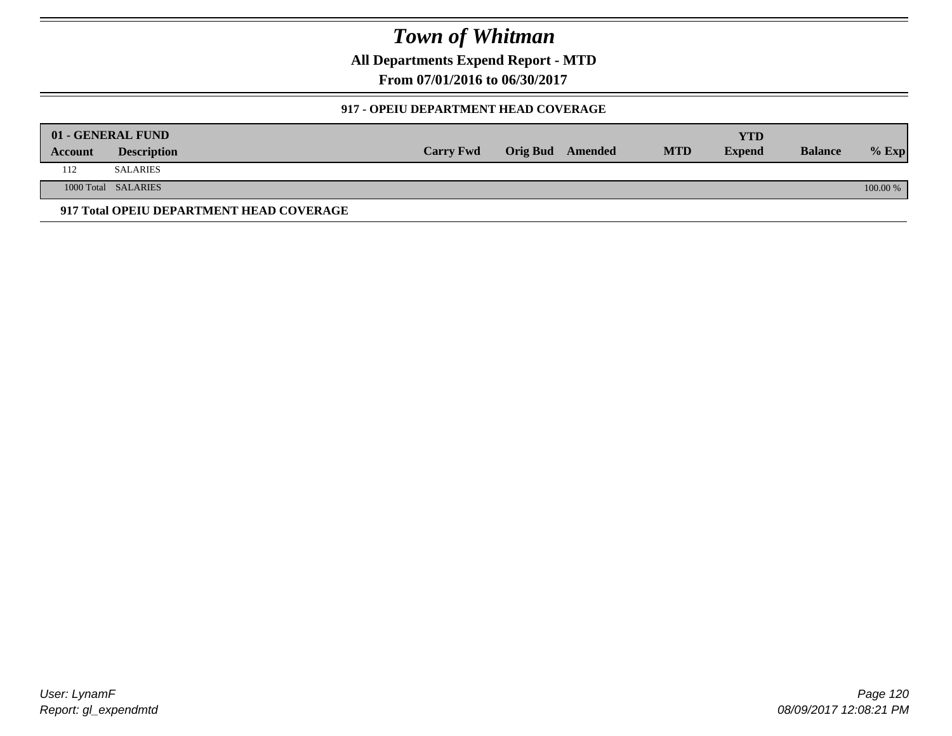**All Departments Expend Report - MTD**

**From 07/01/2016 to 06/30/2017**

### **917 - OPEIU DEPARTMENT HEAD COVERAGE**

|         | 01 - GENERAL FUND                        |                  |                  |            | <b>YTD</b>    |                |          |
|---------|------------------------------------------|------------------|------------------|------------|---------------|----------------|----------|
| Account | <b>Description</b>                       | <b>Carry Fwd</b> | Orig Bud Amended | <b>MTD</b> | <b>Expend</b> | <b>Balance</b> | $%$ Exp  |
| 112     | SALARIES                                 |                  |                  |            |               |                |          |
|         | 1000 Total SALARIES                      |                  |                  |            |               |                | 100.00 % |
|         | 917 Total OPEIU DEPARTMENT HEAD COVERAGE |                  |                  |            |               |                |          |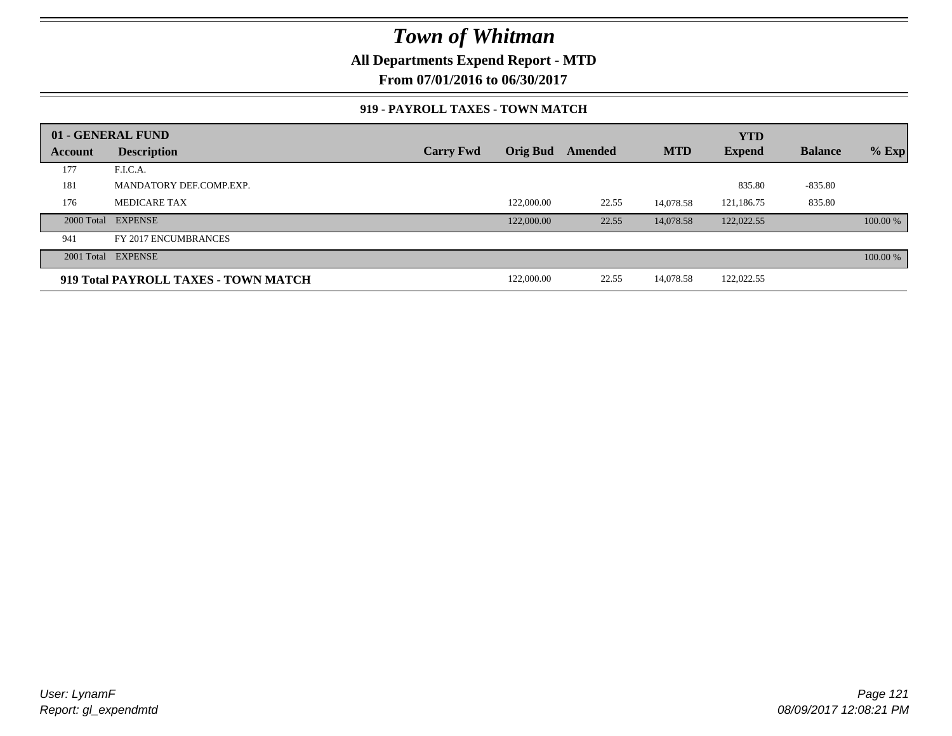### **All Departments Expend Report - MTD**

**From 07/01/2016 to 06/30/2017**

### **919 - PAYROLL TAXES - TOWN MATCH**

|         | 01 - GENERAL FUND                    |                  |            |         |            | <b>YTD</b>    |                |          |
|---------|--------------------------------------|------------------|------------|---------|------------|---------------|----------------|----------|
| Account | <b>Description</b>                   | <b>Carry Fwd</b> | Orig Bud   | Amended | <b>MTD</b> | <b>Expend</b> | <b>Balance</b> | $%$ Exp  |
| 177     | F.I.C.A.                             |                  |            |         |            |               |                |          |
| 181     | MANDATORY DEF.COMP.EXP.              |                  |            |         |            | 835.80        | $-835.80$      |          |
| 176     | MEDICARE TAX                         |                  | 122,000.00 | 22.55   | 14.078.58  | 121,186.75    | 835.80         |          |
|         | 2000 Total EXPENSE                   |                  | 122,000.00 | 22.55   | 14,078.58  | 122,022.55    |                | 100.00 % |
| 941     | FY 2017 ENCUMBRANCES                 |                  |            |         |            |               |                |          |
|         | 2001 Total EXPENSE                   |                  |            |         |            |               |                | 100.00 % |
|         | 919 Total PAYROLL TAXES - TOWN MATCH |                  | 122,000.00 | 22.55   | 14,078.58  | 122,022.55    |                |          |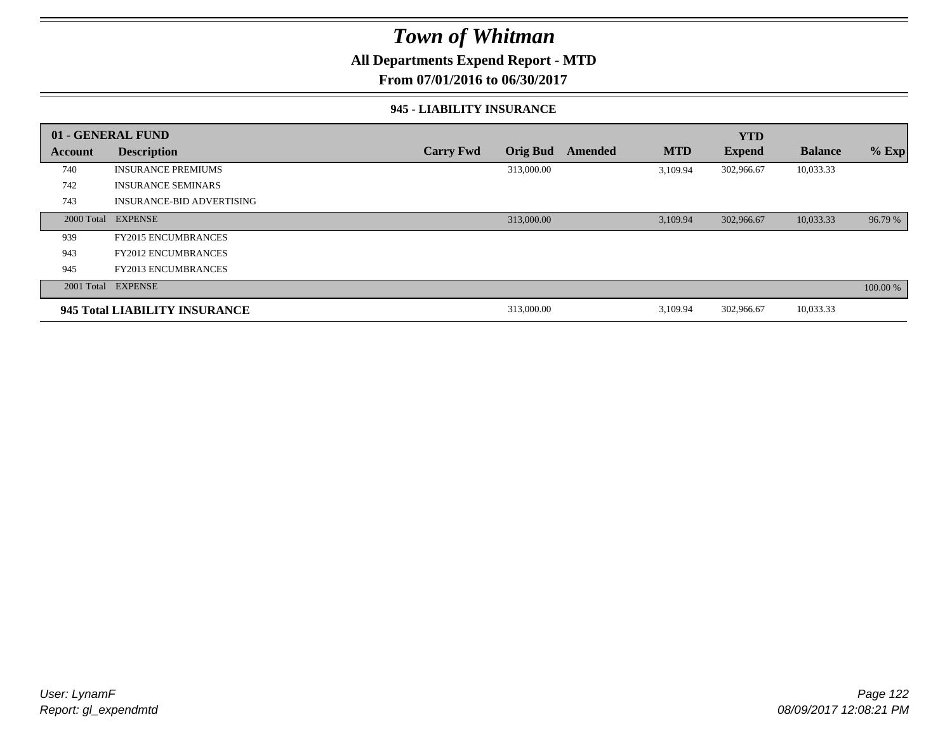### **All Departments Expend Report - MTD**

**From 07/01/2016 to 06/30/2017**

### **945 - LIABILITY INSURANCE**

|                | 01 - GENERAL FUND                |                  |                 |                |            | <b>YTD</b>    |                |          |
|----------------|----------------------------------|------------------|-----------------|----------------|------------|---------------|----------------|----------|
| <b>Account</b> | <b>Description</b>               | <b>Carry Fwd</b> | <b>Orig Bud</b> | <b>Amended</b> | <b>MTD</b> | <b>Expend</b> | <b>Balance</b> | $%$ Exp  |
| 740            | <b>INSURANCE PREMIUMS</b>        |                  | 313,000.00      |                | 3,109.94   | 302,966.67    | 10,033.33      |          |
| 742            | <b>INSURANCE SEMINARS</b>        |                  |                 |                |            |               |                |          |
| 743            | <b>INSURANCE-BID ADVERTISING</b> |                  |                 |                |            |               |                |          |
|                | 2000 Total EXPENSE               |                  | 313,000.00      |                | 3,109.94   | 302,966.67    | 10,033.33      | 96.79 %  |
| 939            | <b>FY2015 ENCUMBRANCES</b>       |                  |                 |                |            |               |                |          |
| 943            | <b>FY2012 ENCUMBRANCES</b>       |                  |                 |                |            |               |                |          |
| 945            | <b>FY2013 ENCUMBRANCES</b>       |                  |                 |                |            |               |                |          |
|                | 2001 Total EXPENSE               |                  |                 |                |            |               |                | 100.00 % |
|                | 945 Total LIABILITY INSURANCE    |                  | 313,000.00      |                | 3,109.94   | 302,966.67    | 10,033.33      |          |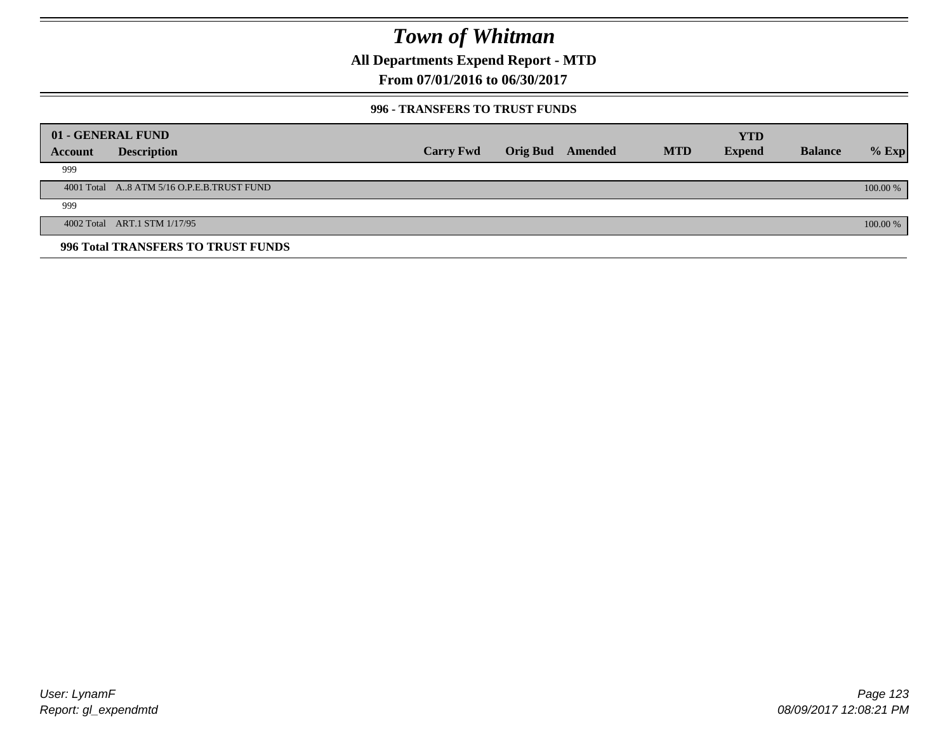**All Departments Expend Report - MTD**

**From 07/01/2016 to 06/30/2017**

### **996 - TRANSFERS TO TRUST FUNDS**

|         | 01 - GENERAL FUND                         |                  |                         |            | <b>YTD</b>    |                |            |
|---------|-------------------------------------------|------------------|-------------------------|------------|---------------|----------------|------------|
| Account | <b>Description</b>                        | <b>Carry Fwd</b> | <b>Orig Bud</b> Amended | <b>MTD</b> | <b>Expend</b> | <b>Balance</b> | $%$ Exp    |
| 999     |                                           |                  |                         |            |               |                |            |
|         | 4001 Total A8 ATM 5/16 O.P.E.B.TRUST FUND |                  |                         |            |               |                | $100.00\%$ |
| 999     |                                           |                  |                         |            |               |                |            |
|         | 4002 Total ART.1 STM 1/17/95              |                  |                         |            |               |                | 100.00 %   |
|         | 996 Total TRANSFERS TO TRUST FUNDS        |                  |                         |            |               |                |            |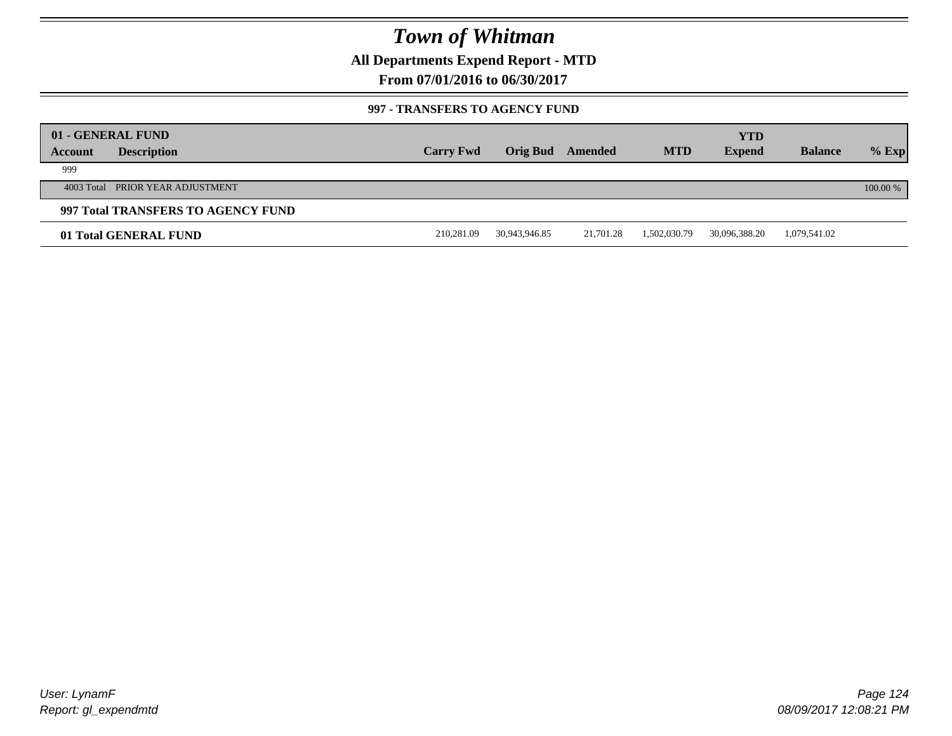**All Departments Expend Report - MTD**

**From 07/01/2016 to 06/30/2017**

### **997 - TRANSFERS TO AGENCY FUND**

|         | 01 - GENERAL FUND                  |                  |                 |           |              | <b>YTD</b>    |                |            |
|---------|------------------------------------|------------------|-----------------|-----------|--------------|---------------|----------------|------------|
| Account | <b>Description</b>                 | <b>Carry Fwd</b> | <b>Orig Bud</b> | Amended   | <b>MTD</b>   | <b>Expend</b> | <b>Balance</b> | $%$ Exp    |
| 999     |                                    |                  |                 |           |              |               |                |            |
|         | 4003 Total PRIOR YEAR ADJUSTMENT   |                  |                 |           |              |               |                | $100.00\%$ |
|         | 997 Total TRANSFERS TO AGENCY FUND |                  |                 |           |              |               |                |            |
|         | 01 Total GENERAL FUND              | 210,281.09       | 30,943,946.85   | 21,701.28 | 1,502,030.79 | 30,096,388.20 | 1,079,541.02   |            |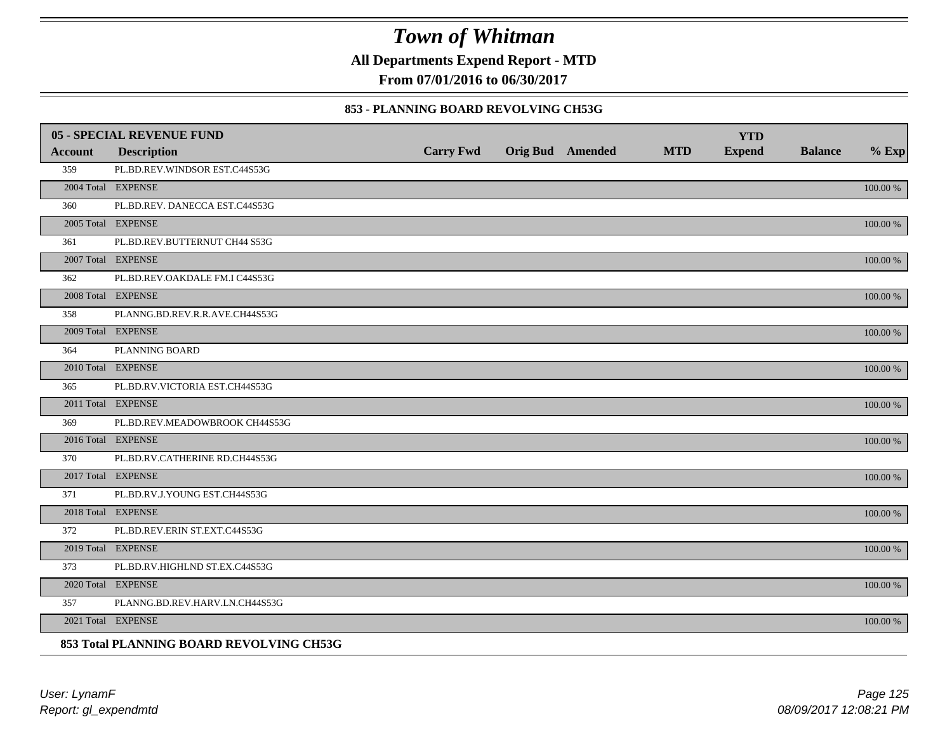**All Departments Expend Report - MTD**

**From 07/01/2016 to 06/30/2017**

### **853 - PLANNING BOARD REVOLVING CH53G**

|                | <b>05 - SPECIAL REVENUE FUND</b>         |                  |                  |            | <b>YTD</b>    |                |          |
|----------------|------------------------------------------|------------------|------------------|------------|---------------|----------------|----------|
| <b>Account</b> | <b>Description</b>                       | <b>Carry Fwd</b> | Orig Bud Amended | <b>MTD</b> | <b>Expend</b> | <b>Balance</b> | $%$ Exp  |
| 359            | PL.BD.REV.WINDSOR EST.C44S53G            |                  |                  |            |               |                |          |
|                | 2004 Total EXPENSE                       |                  |                  |            |               |                | 100.00 % |
| 360            | PL.BD.REV. DANECCA EST.C44S53G           |                  |                  |            |               |                |          |
|                | 2005 Total EXPENSE                       |                  |                  |            |               |                | 100.00 % |
| 361            | PL.BD.REV.BUTTERNUT CH44 S53G            |                  |                  |            |               |                |          |
|                | 2007 Total EXPENSE                       |                  |                  |            |               |                | 100.00 % |
| 362            | PL.BD.REV.OAKDALE FM.I C44S53G           |                  |                  |            |               |                |          |
|                | 2008 Total EXPENSE                       |                  |                  |            |               |                | 100.00 % |
| 358            | PLANNG.BD.REV.R.R.AVE.CH44S53G           |                  |                  |            |               |                |          |
|                | 2009 Total EXPENSE                       |                  |                  |            |               |                | 100.00 % |
| 364            | PLANNING BOARD                           |                  |                  |            |               |                |          |
|                | 2010 Total EXPENSE                       |                  |                  |            |               |                | 100.00 % |
| 365            | PL.BD.RV.VICTORIA EST.CH44S53G           |                  |                  |            |               |                |          |
|                | 2011 Total EXPENSE                       |                  |                  |            |               |                | 100.00 % |
| 369            | PL.BD.REV.MEADOWBROOK CH44S53G           |                  |                  |            |               |                |          |
|                | 2016 Total EXPENSE                       |                  |                  |            |               |                | 100.00 % |
| 370            | PL.BD.RV.CATHERINE RD.CH44S53G           |                  |                  |            |               |                |          |
|                | 2017 Total EXPENSE                       |                  |                  |            |               |                | 100.00 % |
| 371            | PL.BD.RV.J.YOUNG EST.CH44S53G            |                  |                  |            |               |                |          |
|                | 2018 Total EXPENSE                       |                  |                  |            |               |                | 100.00 % |
| 372            | PL.BD.REV.ERIN ST.EXT.C44S53G            |                  |                  |            |               |                |          |
|                | 2019 Total EXPENSE                       |                  |                  |            |               |                | 100.00 % |
| 373            | PL.BD.RV.HIGHLND ST.EX.C44S53G           |                  |                  |            |               |                |          |
|                | 2020 Total EXPENSE                       |                  |                  |            |               |                | 100.00 % |
| 357            | PLANNG.BD.REV.HARV.LN.CH44S53G           |                  |                  |            |               |                |          |
|                | 2021 Total EXPENSE                       |                  |                  |            |               |                | 100.00 % |
|                | 853 Total PLANNING BOARD REVOLVING CH53G |                  |                  |            |               |                |          |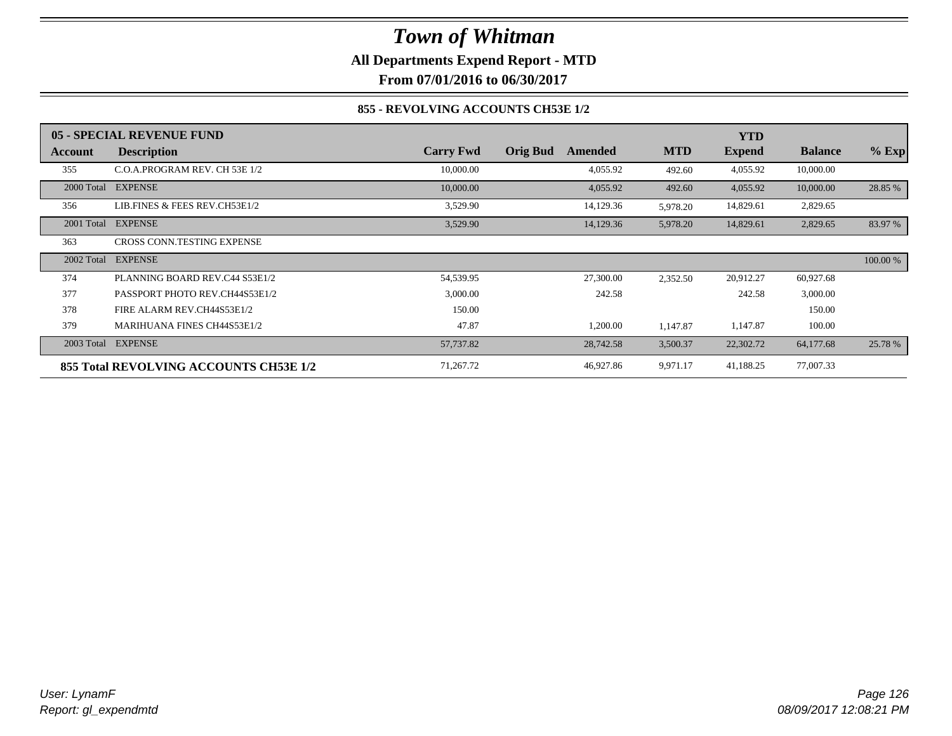**All Departments Expend Report - MTD**

**From 07/01/2016 to 06/30/2017**

### **855 - REVOLVING ACCOUNTS CH53E 1/2**

|            | 05 - SPECIAL REVENUE FUND              |                  |                            |            | <b>YTD</b>    |                |          |
|------------|----------------------------------------|------------------|----------------------------|------------|---------------|----------------|----------|
| Account    | <b>Description</b>                     | <b>Carry Fwd</b> | <b>Orig Bud</b><br>Amended | <b>MTD</b> | <b>Expend</b> | <b>Balance</b> | $%$ Exp  |
| 355        | C.O.A.PROGRAM REV. CH 53E 1/2          | 10,000.00        | 4,055.92                   | 492.60     | 4,055.92      | 10,000.00      |          |
|            | 2000 Total EXPENSE                     | 10,000.00        | 4,055.92                   | 492.60     | 4,055.92      | 10,000.00      | 28.85 %  |
| 356        | LIB.FINES & FEES REV.CH53E1/2          | 3,529.90         | 14,129.36                  | 5,978.20   | 14,829.61     | 2,829.65       |          |
|            | 2001 Total EXPENSE                     | 3,529.90         | 14,129.36                  | 5,978.20   | 14,829.61     | 2,829.65       | 83.97 %  |
| 363        | CROSS CONN.TESTING EXPENSE             |                  |                            |            |               |                |          |
| 2002 Total | <b>EXPENSE</b>                         |                  |                            |            |               |                | 100.00 % |
| 374        | PLANNING BOARD REV.C44 S53E1/2         | 54,539.95        | 27,300.00                  | 2,352.50   | 20,912.27     | 60,927.68      |          |
| 377        | PASSPORT PHOTO REV.CH44S53E1/2         | 3,000.00         | 242.58                     |            | 242.58        | 3,000.00       |          |
| 378        | FIRE ALARM REV.CH44S53E1/2             | 150.00           |                            |            |               | 150.00         |          |
| 379        | <b>MARIHUANA FINES CH44S53E1/2</b>     | 47.87            | 1,200.00                   | 1,147.87   | 1,147.87      | 100.00         |          |
|            | 2003 Total EXPENSE                     | 57,737.82        | 28,742.58                  | 3,500.37   | 22,302.72     | 64,177.68      | 25.78 %  |
|            | 855 Total REVOLVING ACCOUNTS CH53E 1/2 | 71,267.72        | 46,927.86                  | 9,971.17   | 41,188.25     | 77,007.33      |          |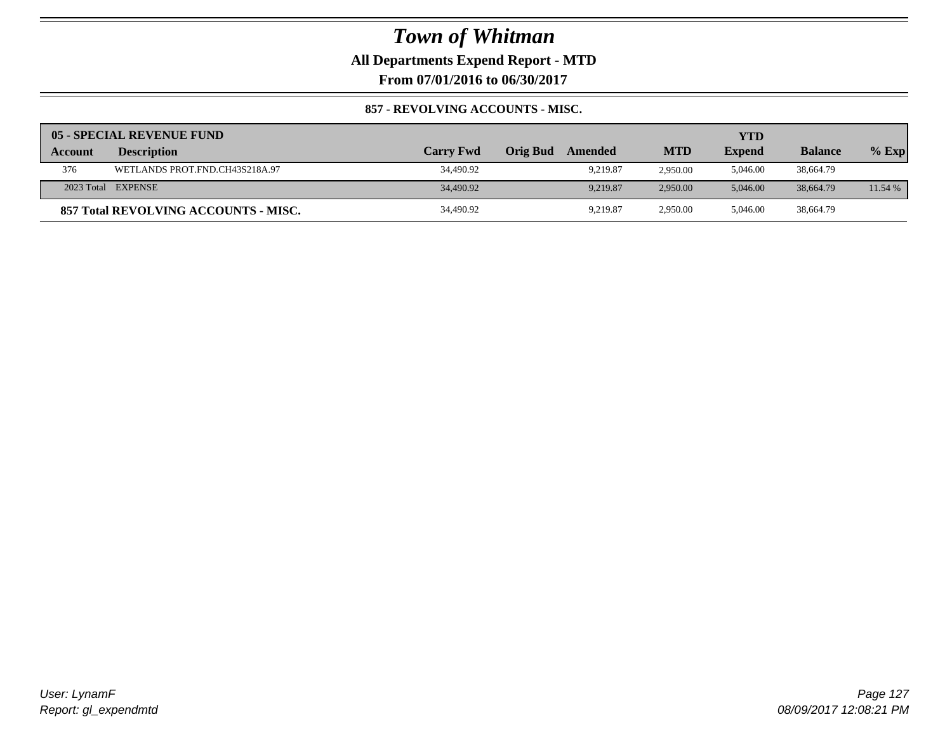**All Departments Expend Report - MTD**

**From 07/01/2016 to 06/30/2017**

### **857 - REVOLVING ACCOUNTS - MISC.**

|                | 05 - SPECIAL REVENUE FUND            |                  |                 |          |            | YTD           |                |         |
|----------------|--------------------------------------|------------------|-----------------|----------|------------|---------------|----------------|---------|
| <b>Account</b> | <b>Description</b>                   | <b>Carry Fwd</b> | <b>Orig Bud</b> | Amended  | <b>MTD</b> | <b>Expend</b> | <b>Balance</b> | $%$ Exp |
| 376            | WETLANDS PROT.FND.CH43S218A.97       | 34,490.92        |                 | 9.219.87 | 2.950.00   | 5,046.00      | 38,664.79      |         |
|                | 2023 Total EXPENSE                   | 34,490.92        |                 | 9.219.87 | 2,950.00   | 5.046.00      | 38,664.79      | 11.54%  |
|                | 857 Total REVOLVING ACCOUNTS - MISC. | 34,490.92        |                 | 9.219.87 | 2.950.00   | 5.046.00      | 38,664.79      |         |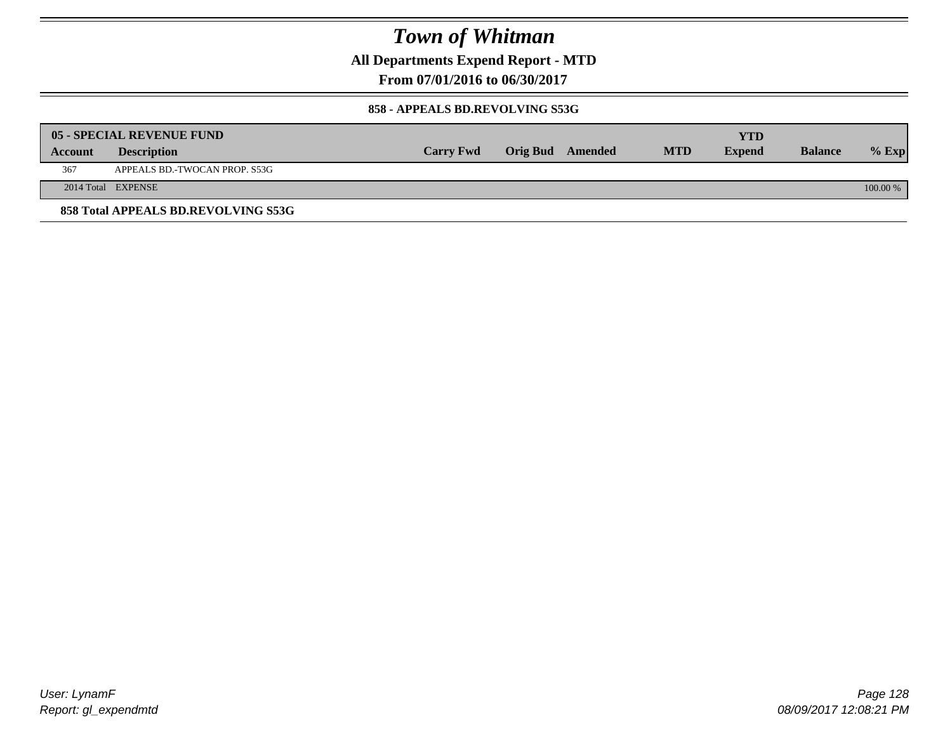**All Departments Expend Report - MTD**

**From 07/01/2016 to 06/30/2017**

### **858 - APPEALS BD.REVOLVING S53G**

|         | 05 - SPECIAL REVENUE FUND           |                  |                  |            | YTD           |                |            |
|---------|-------------------------------------|------------------|------------------|------------|---------------|----------------|------------|
| Account | <b>Description</b>                  | <b>Carry Fwd</b> | Orig Bud Amended | <b>MTD</b> | <b>Expend</b> | <b>Balance</b> | $\%$ Exp   |
| 367     | APPEALS BD.-TWOCAN PROP. S53G       |                  |                  |            |               |                |            |
|         | 2014 Total EXPENSE                  |                  |                  |            |               |                | $100.00\%$ |
|         | 858 Total APPEALS BD.REVOLVING S53G |                  |                  |            |               |                |            |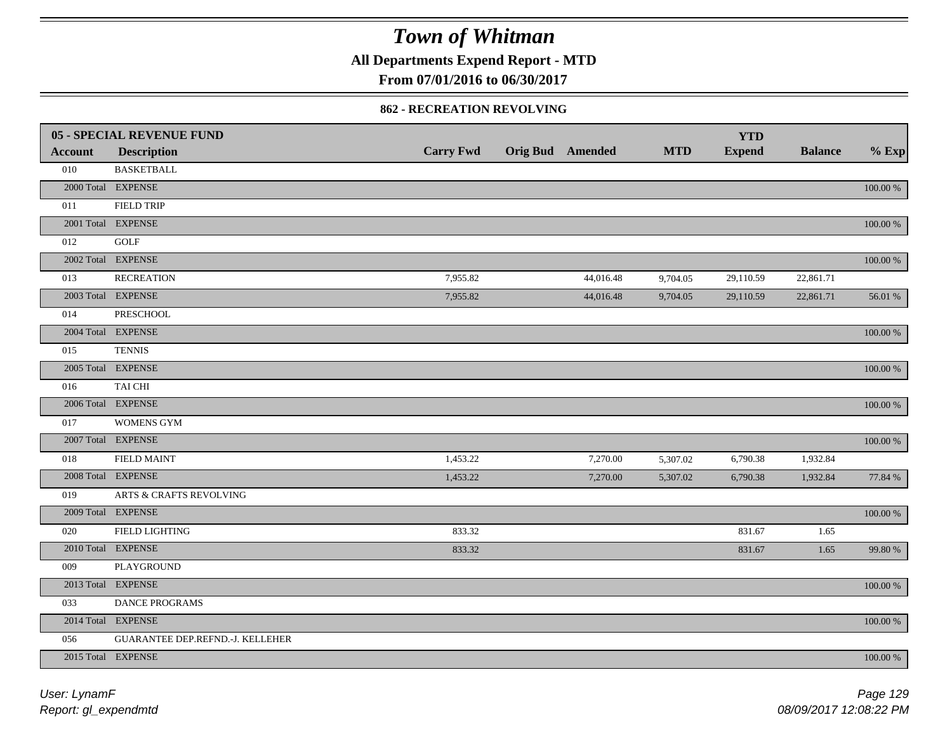**All Departments Expend Report - MTD**

**From 07/01/2016 to 06/30/2017**

### **862 - RECREATION REVOLVING**

|                | <b>05 - SPECIAL REVENUE FUND</b> |                  |                         |            | <b>YTD</b>    |                |             |
|----------------|----------------------------------|------------------|-------------------------|------------|---------------|----------------|-------------|
| <b>Account</b> | <b>Description</b>               | <b>Carry Fwd</b> | <b>Orig Bud</b> Amended | <b>MTD</b> | <b>Expend</b> | <b>Balance</b> | $%$ Exp     |
| 010            | <b>BASKETBALL</b>                |                  |                         |            |               |                |             |
|                | 2000 Total EXPENSE               |                  |                         |            |               |                | 100.00 %    |
| 011            | <b>FIELD TRIP</b>                |                  |                         |            |               |                |             |
|                | 2001 Total EXPENSE               |                  |                         |            |               |                | 100.00 %    |
| 012            | GOLF                             |                  |                         |            |               |                |             |
|                | 2002 Total EXPENSE               |                  |                         |            |               |                | 100.00 %    |
| 013            | <b>RECREATION</b>                | 7,955.82         | 44,016.48               | 9,704.05   | 29,110.59     | 22,861.71      |             |
|                | 2003 Total EXPENSE               | 7,955.82         | 44,016.48               | 9,704.05   | 29,110.59     | 22,861.71      | 56.01 %     |
| 014            | <b>PRESCHOOL</b>                 |                  |                         |            |               |                |             |
|                | 2004 Total EXPENSE               |                  |                         |            |               |                | 100.00 %    |
| 015            | <b>TENNIS</b>                    |                  |                         |            |               |                |             |
|                | 2005 Total EXPENSE               |                  |                         |            |               |                | 100.00 %    |
| 016            | TAI CHI                          |                  |                         |            |               |                |             |
|                | 2006 Total EXPENSE               |                  |                         |            |               |                | $100.00~\%$ |
| 017            | <b>WOMENS GYM</b>                |                  |                         |            |               |                |             |
|                | 2007 Total EXPENSE               |                  |                         |            |               |                | $100.00~\%$ |
| 018            | <b>FIELD MAINT</b>               | 1,453.22         | 7,270.00                | 5,307.02   | 6,790.38      | 1,932.84       |             |
|                | 2008 Total EXPENSE               | 1,453.22         | 7,270.00                | 5,307.02   | 6,790.38      | 1,932.84       | 77.84 %     |
| 019            | ARTS & CRAFTS REVOLVING          |                  |                         |            |               |                |             |
|                | 2009 Total EXPENSE               |                  |                         |            |               |                | $100.00~\%$ |
| 020            | <b>FIELD LIGHTING</b>            | 833.32           |                         |            | 831.67        | 1.65           |             |
|                | 2010 Total EXPENSE               | 833.32           |                         |            | 831.67        | 1.65           | 99.80 %     |
| 009            | PLAYGROUND                       |                  |                         |            |               |                |             |
|                | 2013 Total EXPENSE               |                  |                         |            |               |                | 100.00 %    |
| 033            | <b>DANCE PROGRAMS</b>            |                  |                         |            |               |                |             |
|                | 2014 Total EXPENSE               |                  |                         |            |               |                | $100.00~\%$ |
| 056            | GUARANTEE DEP.REFND.-J. KELLEHER |                  |                         |            |               |                |             |
|                | 2015 Total EXPENSE               |                  |                         |            |               |                | 100.00 %    |
|                |                                  |                  |                         |            |               |                |             |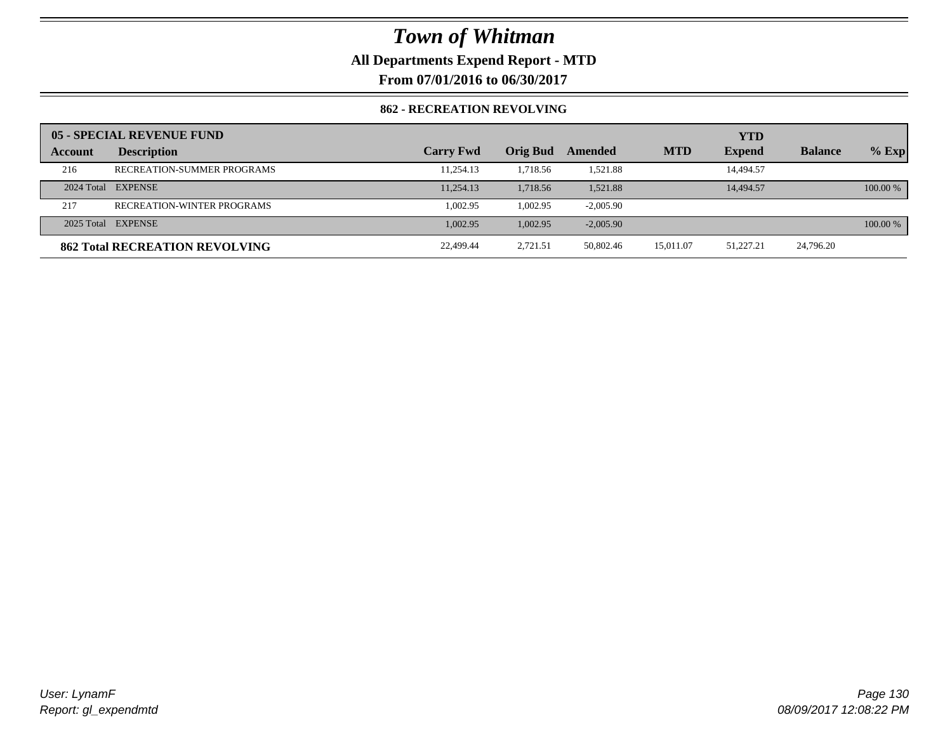**All Departments Expend Report - MTD**

**From 07/01/2016 to 06/30/2017**

### **862 - RECREATION REVOLVING**

|         | 05 - SPECIAL REVENUE FUND             |                  |                 |             |            | <b>YTD</b>    |                |            |
|---------|---------------------------------------|------------------|-----------------|-------------|------------|---------------|----------------|------------|
| Account | <b>Description</b>                    | <b>Carry Fwd</b> | <b>Orig Bud</b> | Amended     | <b>MTD</b> | <b>Expend</b> | <b>Balance</b> | $%$ Exp    |
| 216     | RECREATION-SUMMER PROGRAMS            | 11,254.13        | 1.718.56        | 1,521.88    |            | 14,494.57     |                |            |
|         | 2024 Total EXPENSE                    | 11,254.13        | 1.718.56        | 1,521.88    |            | 14,494.57     |                | $100.00\%$ |
| 217     | <b>RECREATION-WINTER PROGRAMS</b>     | 1.002.95         | 1.002.95        | $-2,005.90$ |            |               |                |            |
|         | 2025 Total EXPENSE                    | 1,002.95         | 1,002.95        | $-2,005.90$ |            |               |                | $100.00\%$ |
|         | <b>862 Total RECREATION REVOLVING</b> | 22,499.44        | 2,721.51        | 50,802.46   | 15,011.07  | 51,227.21     | 24,796.20      |            |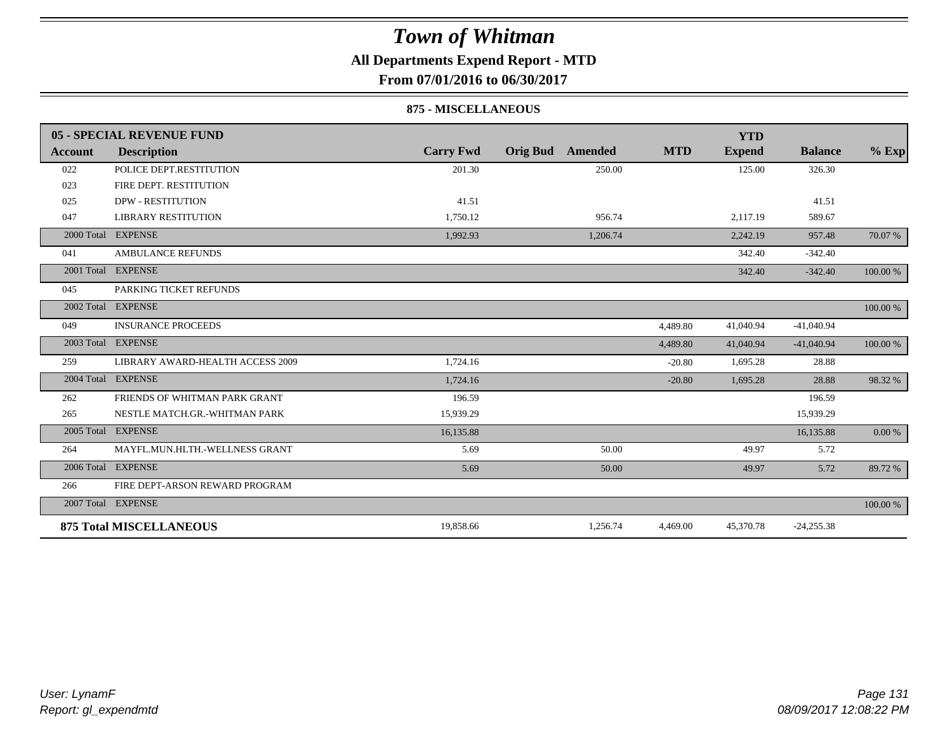### **All Departments Expend Report - MTD**

**From 07/01/2016 to 06/30/2017**

### **875 - MISCELLANEOUS**

|                | 05 - SPECIAL REVENUE FUND        |                  |                            |            | <b>YTD</b>    |                |          |
|----------------|----------------------------------|------------------|----------------------------|------------|---------------|----------------|----------|
| <b>Account</b> | <b>Description</b>               | <b>Carry Fwd</b> | <b>Orig Bud</b><br>Amended | <b>MTD</b> | <b>Expend</b> | <b>Balance</b> | $%$ Exp  |
| 022            | POLICE DEPT.RESTITUTION          | 201.30           | 250.00                     |            | 125.00        | 326.30         |          |
| 023            | FIRE DEPT. RESTITUTION           |                  |                            |            |               |                |          |
| 025            | <b>DPW - RESTITUTION</b>         | 41.51            |                            |            |               | 41.51          |          |
| 047            | <b>LIBRARY RESTITUTION</b>       | 1,750.12         | 956.74                     |            | 2,117.19      | 589.67         |          |
| 2000 Total     | <b>EXPENSE</b>                   | 1,992.93         | 1,206.74                   |            | 2,242.19      | 957.48         | 70.07 %  |
| 041            | <b>AMBULANCE REFUNDS</b>         |                  |                            |            | 342.40        | $-342.40$      |          |
| 2001 Total     | <b>EXPENSE</b>                   |                  |                            |            | 342.40        | $-342.40$      | 100.00 % |
| 045            | PARKING TICKET REFUNDS           |                  |                            |            |               |                |          |
|                | 2002 Total EXPENSE               |                  |                            |            |               |                | 100.00 % |
| 049            | <b>INSURANCE PROCEEDS</b>        |                  |                            | 4,489.80   | 41,040.94     | $-41,040.94$   |          |
| 2003 Total     | <b>EXPENSE</b>                   |                  |                            | 4,489.80   | 41,040.94     | $-41,040.94$   | 100.00 % |
| 259            | LIBRARY AWARD-HEALTH ACCESS 2009 | 1,724.16         |                            | $-20.80$   | 1,695.28      | 28.88          |          |
| 2004 Total     | <b>EXPENSE</b>                   | 1,724.16         |                            | $-20.80$   | 1,695.28      | 28.88          | 98.32 %  |
| 262            | FRIENDS OF WHITMAN PARK GRANT    | 196.59           |                            |            |               | 196.59         |          |
| 265            | NESTLE MATCH.GR.-WHITMAN PARK    | 15,939.29        |                            |            |               | 15,939.29      |          |
| 2005 Total     | <b>EXPENSE</b>                   | 16,135.88        |                            |            |               | 16,135.88      | 0.00 %   |
| 264            | MAYFL.MUN.HLTH.-WELLNESS GRANT   | 5.69             | 50.00                      |            | 49.97         | 5.72           |          |
|                | 2006 Total EXPENSE               | 5.69             | 50.00                      |            | 49.97         | 5.72           | 89.72 %  |
| 266            | FIRE DEPT-ARSON REWARD PROGRAM   |                  |                            |            |               |                |          |
|                | 2007 Total EXPENSE               |                  |                            |            |               |                | 100.00 % |
|                | <b>875 Total MISCELLANEOUS</b>   | 19,858.66        | 1,256.74                   | 4,469.00   | 45,370.78     | $-24,255.38$   |          |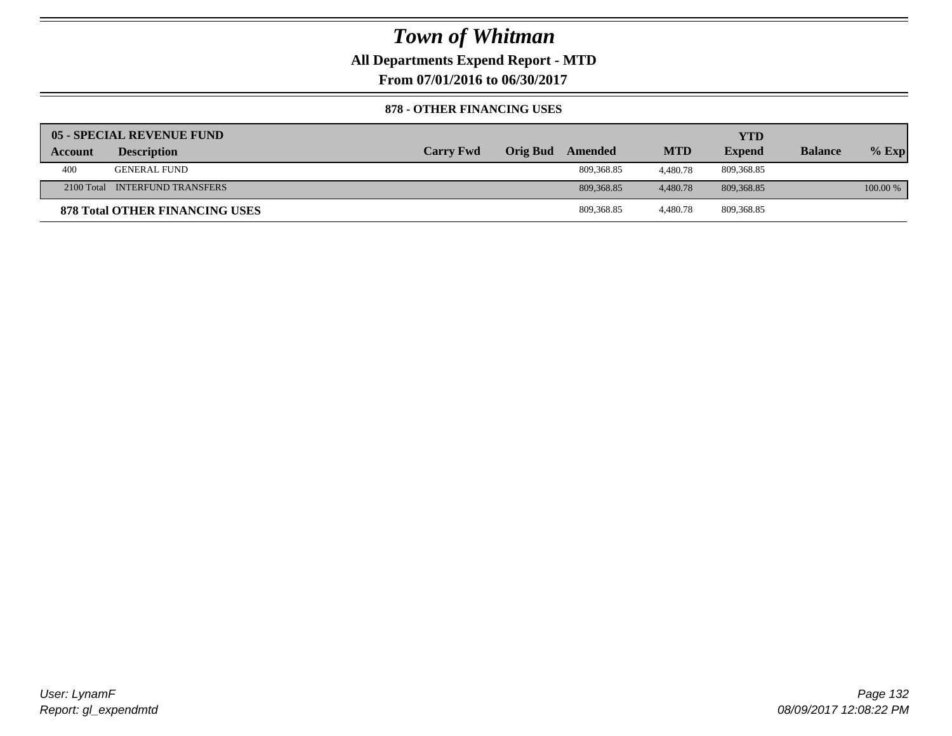### **All Departments Expend Report - MTD**

**From 07/01/2016 to 06/30/2017**

### **878 - OTHER FINANCING USES**

|         | 05 - SPECIAL REVENUE FUND             |                  |                         |            | YTD           |                |          |
|---------|---------------------------------------|------------------|-------------------------|------------|---------------|----------------|----------|
| Account | <b>Description</b>                    | <b>Carry Fwd</b> | <b>Orig Bud</b> Amended | <b>MTD</b> | <b>Expend</b> | <b>Balance</b> | $%$ Exp  |
| 400     | <b>GENERAL FUND</b>                   |                  | 809.368.85              | 4.480.78   | 809,368.85    |                |          |
|         | 2100 Total INTERFUND TRANSFERS        |                  | 809.368.85              | 4,480.78   | 809.368.85    |                | 100.00 % |
|         | <b>878 Total OTHER FINANCING USES</b> |                  | 809.368.85              | 4.480.78   | 809,368.85    |                |          |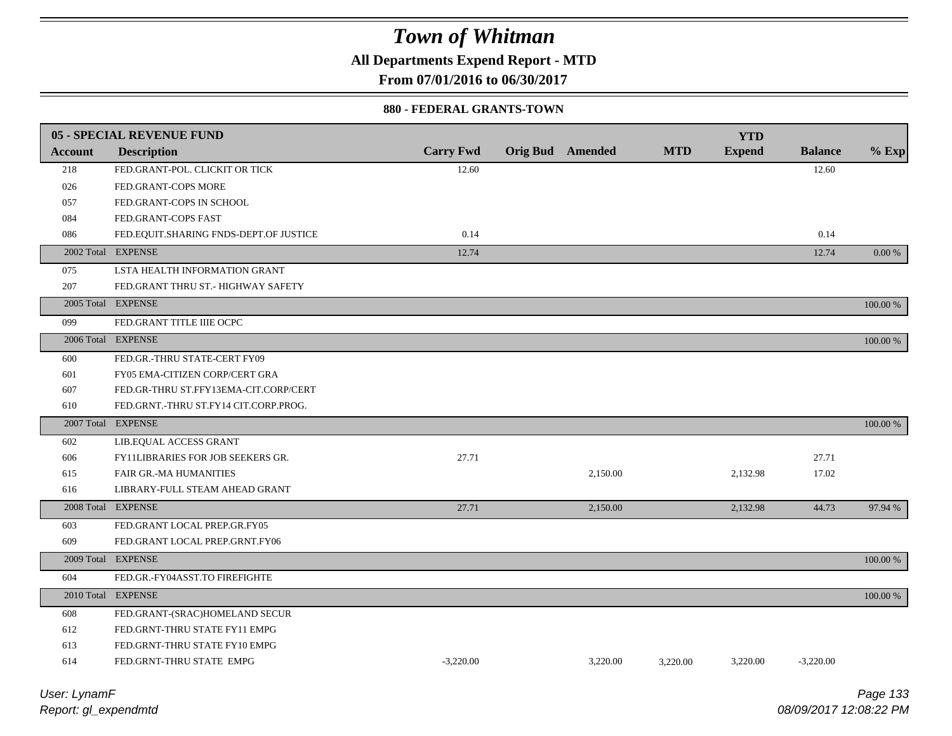**All Departments Expend Report - MTD**

**From 07/01/2016 to 06/30/2017**

### **880 - FEDERAL GRANTS-TOWN**

|                | <b>05 - SPECIAL REVENUE FUND</b>       |                  |                         |            | <b>YTD</b>    |                |          |
|----------------|----------------------------------------|------------------|-------------------------|------------|---------------|----------------|----------|
| <b>Account</b> | <b>Description</b>                     | <b>Carry Fwd</b> | <b>Orig Bud</b> Amended | <b>MTD</b> | <b>Expend</b> | <b>Balance</b> | $%$ Exp  |
| 218            | FED.GRANT-POL. CLICKIT OR TICK         | 12.60            |                         |            |               | 12.60          |          |
| 026            | FED.GRANT-COPS MORE                    |                  |                         |            |               |                |          |
| 057            | FED.GRANT-COPS IN SCHOOL               |                  |                         |            |               |                |          |
| 084            | FED.GRANT-COPS FAST                    |                  |                         |            |               |                |          |
| 086            | FED.EQUIT.SHARING FNDS-DEPT.OF JUSTICE | 0.14             |                         |            |               | 0.14           |          |
|                | 2002 Total EXPENSE                     | 12.74            |                         |            |               | 12.74          | 0.00 %   |
| 075            | LSTA HEALTH INFORMATION GRANT          |                  |                         |            |               |                |          |
| 207            | FED.GRANT THRU ST.- HIGHWAY SAFETY     |                  |                         |            |               |                |          |
|                | 2005 Total EXPENSE                     |                  |                         |            |               |                | 100.00 % |
| 099            | FED.GRANT TITLE IIIE OCPC              |                  |                         |            |               |                |          |
|                | 2006 Total EXPENSE                     |                  |                         |            |               |                | 100.00 % |
| 600            | FED.GR.-THRU STATE-CERT FY09           |                  |                         |            |               |                |          |
| 601            | FY05 EMA-CITIZEN CORP/CERT GRA         |                  |                         |            |               |                |          |
| 607            | FED.GR-THRU ST.FFY13EMA-CIT.CORP/CERT  |                  |                         |            |               |                |          |
| 610            | FED.GRNT.-THRU ST.FY14 CIT.CORP.PROG.  |                  |                         |            |               |                |          |
|                | 2007 Total EXPENSE                     |                  |                         |            |               |                | 100.00 % |
| 602            | LIB.EQUAL ACCESS GRANT                 |                  |                         |            |               |                |          |
| 606            | FY11LIBRARIES FOR JOB SEEKERS GR.      | 27.71            |                         |            |               | 27.71          |          |
| 615            | FAIR GR.-MA HUMANITIES                 |                  | 2,150.00                |            | 2,132.98      | 17.02          |          |
| 616            | LIBRARY-FULL STEAM AHEAD GRANT         |                  |                         |            |               |                |          |
|                | 2008 Total EXPENSE                     | 27.71            | 2,150.00                |            | 2,132.98      | 44.73          | 97.94 %  |
| 603            | FED.GRANT LOCAL PREP.GR.FY05           |                  |                         |            |               |                |          |
| 609            | FED.GRANT LOCAL PREP.GRNT.FY06         |                  |                         |            |               |                |          |
|                | 2009 Total EXPENSE                     |                  |                         |            |               |                | 100.00 % |
| 604            | FED.GR.-FY04ASST.TO FIREFIGHTE         |                  |                         |            |               |                |          |
|                | 2010 Total EXPENSE                     |                  |                         |            |               |                | 100.00 % |
| 608            | FED.GRANT-(SRAC)HOMELAND SECUR         |                  |                         |            |               |                |          |
| 612            | FED.GRNT-THRU STATE FY11 EMPG          |                  |                         |            |               |                |          |
| 613            | FED.GRNT-THRU STATE FY10 EMPG          |                  |                         |            |               |                |          |
| 614            | FED.GRNT-THRU STATE EMPG               | $-3,220.00$      | 3,220.00                | 3.220.00   | 3,220.00      | $-3,220.00$    |          |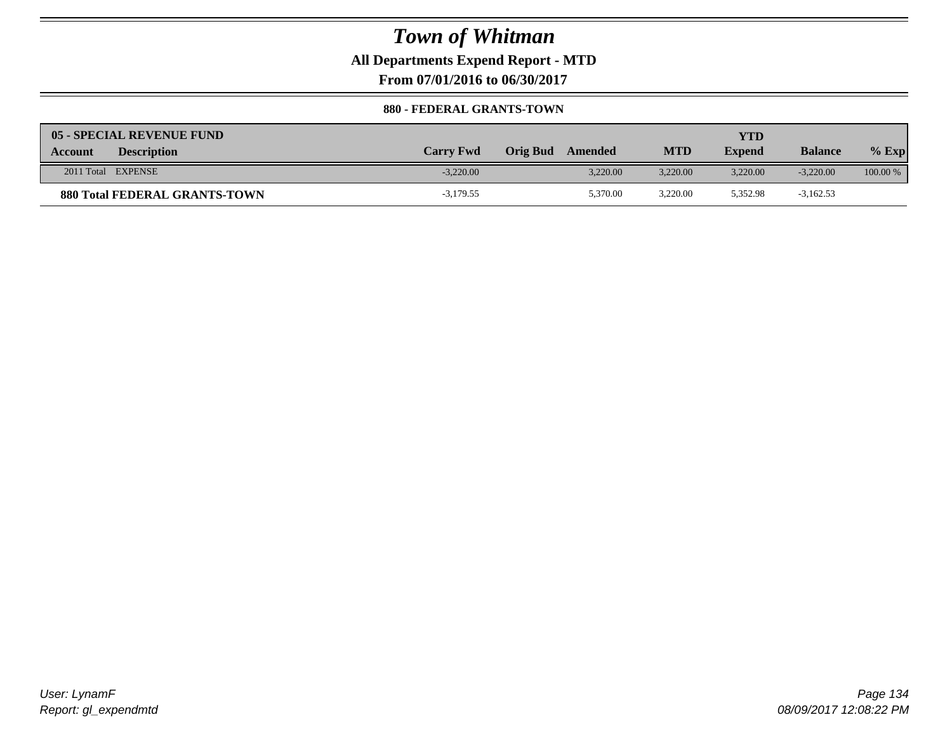### **All Departments Expend Report - MTD**

**From 07/01/2016 to 06/30/2017**

### **880 - FEDERAL GRANTS-TOWN**

| 05 - SPECIAL REVENUE FUND            |                  |                            |            | YTD           |                |            |
|--------------------------------------|------------------|----------------------------|------------|---------------|----------------|------------|
| <b>Description</b><br><b>Account</b> | <b>Carry Fwd</b> | <b>Orig Bud</b><br>Amended | <b>MTD</b> | <b>Expend</b> | <b>Balance</b> | $%$ Exp    |
| 2011 Total EXPENSE                   | $-3.220.00$      | 3.220.00                   | 3.220.00   | 3.220.00      | $-3,220,00$    | $100.00\%$ |
| <b>880 Total FEDERAL GRANTS-TOWN</b> | $-3,179.55$      | 5,370.00                   | 3,220.00   | 5,352.98      | $-3,162.53$    |            |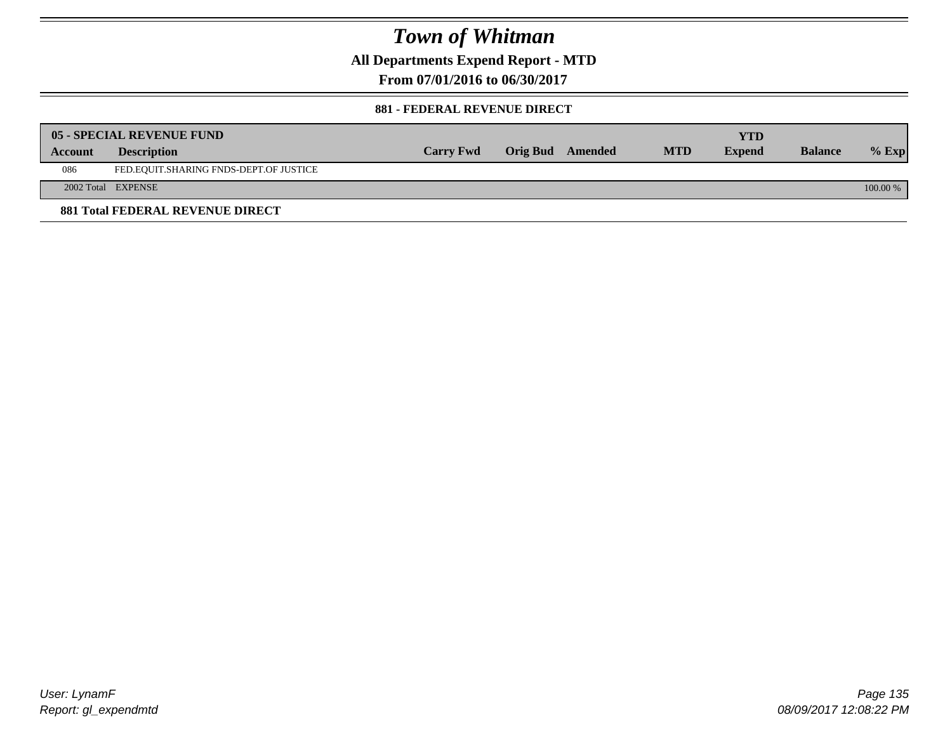**All Departments Expend Report - MTD**

**From 07/01/2016 to 06/30/2017**

### **881 - FEDERAL REVENUE DIRECT**

|         | <b>05 - SPECIAL REVENUE FUND</b>        |                  |                  |            | YTD           |                |            |
|---------|-----------------------------------------|------------------|------------------|------------|---------------|----------------|------------|
| Account | <b>Description</b>                      | <b>Carry Fwd</b> | Orig Bud Amended | <b>MTD</b> | <b>Expend</b> | <b>Balance</b> | $%$ Exp    |
| 086     | FED.EQUIT.SHARING FNDS-DEPT.OF JUSTICE  |                  |                  |            |               |                |            |
|         | 2002 Total EXPENSE                      |                  |                  |            |               |                | $100.00\%$ |
|         | <b>881 Total FEDERAL REVENUE DIRECT</b> |                  |                  |            |               |                |            |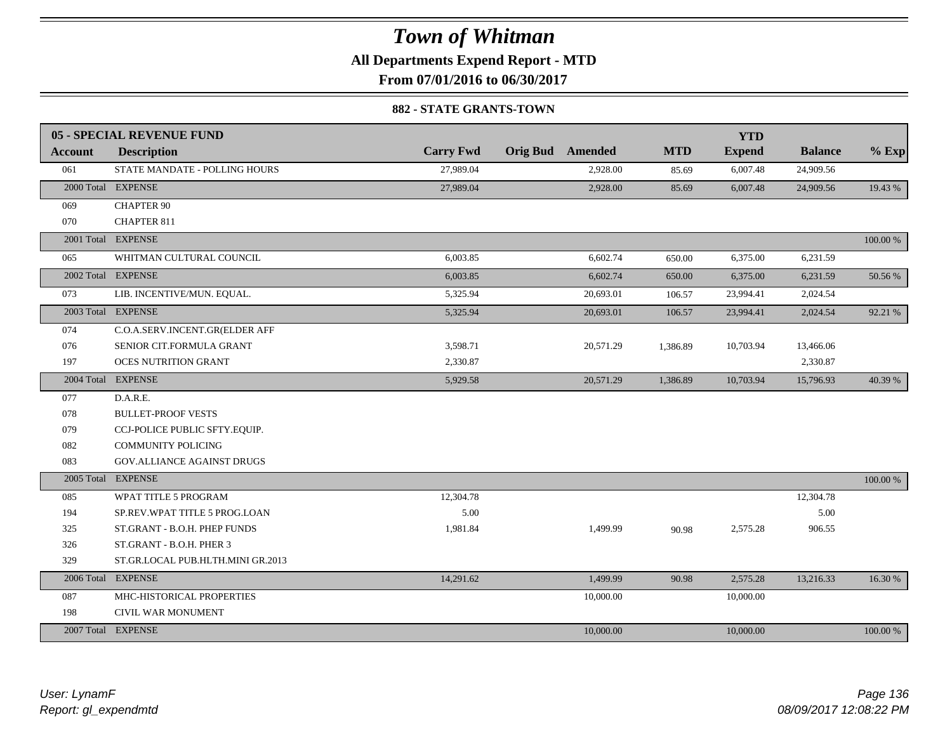### **All Departments Expend Report - MTD**

**From 07/01/2016 to 06/30/2017**

### **882 - STATE GRANTS-TOWN**

|                | 05 - SPECIAL REVENUE FUND         |                  |                         |            | <b>YTD</b>    |                |          |
|----------------|-----------------------------------|------------------|-------------------------|------------|---------------|----------------|----------|
| <b>Account</b> | <b>Description</b>                | <b>Carry Fwd</b> | <b>Orig Bud</b> Amended | <b>MTD</b> | <b>Expend</b> | <b>Balance</b> | $%$ Exp  |
| 061            | STATE MANDATE - POLLING HOURS     | 27.989.04        | 2,928.00                | 85.69      | 6,007.48      | 24,909.56      |          |
|                | 2000 Total EXPENSE                | 27,989.04        | 2,928.00                | 85.69      | 6,007.48      | 24,909.56      | 19.43 %  |
| 069            | <b>CHAPTER 90</b>                 |                  |                         |            |               |                |          |
| 070            | <b>CHAPTER 811</b>                |                  |                         |            |               |                |          |
|                | 2001 Total EXPENSE                |                  |                         |            |               |                | 100.00 % |
| 065            | WHITMAN CULTURAL COUNCIL          | 6,003.85         | 6,602.74                | 650.00     | 6,375.00      | 6,231.59       |          |
|                | 2002 Total EXPENSE                | 6,003.85         | 6,602.74                | 650.00     | 6,375.00      | 6,231.59       | 50.56 %  |
| 073            | LIB. INCENTIVE/MUN. EQUAL.        | 5,325.94         | 20,693.01               | 106.57     | 23,994.41     | 2,024.54       |          |
|                | 2003 Total EXPENSE                | 5,325.94         | 20,693.01               | 106.57     | 23,994.41     | 2,024.54       | 92.21 %  |
| 074            | C.O.A.SERV.INCENT.GR(ELDER AFF    |                  |                         |            |               |                |          |
| 076            | SENIOR CIT.FORMULA GRANT          | 3,598.71         | 20,571.29               | 1,386.89   | 10,703.94     | 13,466.06      |          |
| 197            | <b>OCES NUTRITION GRANT</b>       | 2,330.87         |                         |            |               | 2,330.87       |          |
|                | 2004 Total EXPENSE                | 5,929.58         | 20,571.29               | 1,386.89   | 10,703.94     | 15,796.93      | 40.39 %  |
| 077            | D.A.R.E.                          |                  |                         |            |               |                |          |
| 078            | <b>BULLET-PROOF VESTS</b>         |                  |                         |            |               |                |          |
| 079            | CCJ-POLICE PUBLIC SFTY.EQUIP.     |                  |                         |            |               |                |          |
| 082            | <b>COMMUNITY POLICING</b>         |                  |                         |            |               |                |          |
| 083            | <b>GOV.ALLIANCE AGAINST DRUGS</b> |                  |                         |            |               |                |          |
| 2005 Total     | <b>EXPENSE</b>                    |                  |                         |            |               |                | 100.00 % |
| 085            | WPAT TITLE 5 PROGRAM              | 12,304.78        |                         |            |               | 12,304.78      |          |
| 194            | SP.REV.WPAT TITLE 5 PROG.LOAN     | 5.00             |                         |            |               | 5.00           |          |
| 325            | ST.GRANT - B.O.H. PHEP FUNDS      | 1,981.84         | 1,499.99                | 90.98      | 2,575.28      | 906.55         |          |
| 326            | ST.GRANT - B.O.H. PHER 3          |                  |                         |            |               |                |          |
| 329            | ST.GR.LOCAL PUB.HLTH.MINI GR.2013 |                  |                         |            |               |                |          |
|                | 2006 Total EXPENSE                | 14,291.62        | 1,499.99                | 90.98      | 2,575.28      | 13,216.33      | 16.30 %  |
| 087            | MHC-HISTORICAL PROPERTIES         |                  | 10,000.00               |            | 10,000.00     |                |          |
| 198            | CIVIL WAR MONUMENT                |                  |                         |            |               |                |          |
|                | 2007 Total EXPENSE                |                  | 10,000.00               |            | 10,000.00     |                | 100.00 % |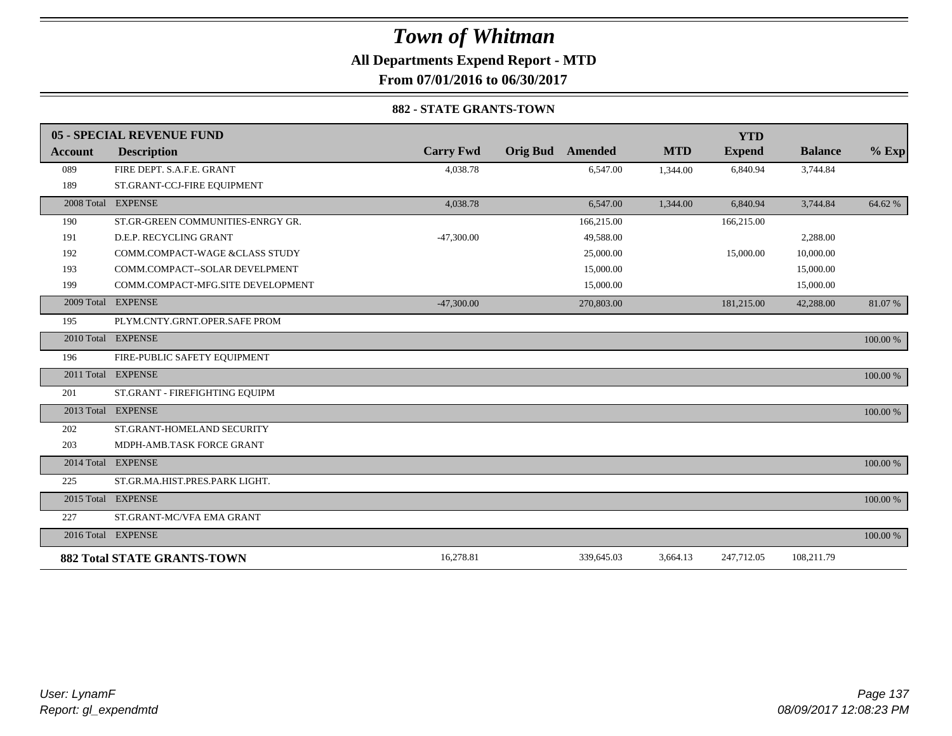### **All Departments Expend Report - MTD**

**From 07/01/2016 to 06/30/2017**

### **882 - STATE GRANTS-TOWN**

|                | 05 - SPECIAL REVENUE FUND          |                  |                 |            |            | <b>YTD</b>    |                |          |
|----------------|------------------------------------|------------------|-----------------|------------|------------|---------------|----------------|----------|
| <b>Account</b> | <b>Description</b>                 | <b>Carry Fwd</b> | <b>Orig Bud</b> | Amended    | <b>MTD</b> | <b>Expend</b> | <b>Balance</b> | $%$ Exp  |
| 089            | FIRE DEPT. S.A.F.E. GRANT          | 4,038.78         |                 | 6,547.00   | 1,344.00   | 6,840.94      | 3,744.84       |          |
| 189            | ST.GRANT-CCJ-FIRE EQUIPMENT        |                  |                 |            |            |               |                |          |
|                | 2008 Total EXPENSE                 | 4,038.78         |                 | 6,547.00   | 1,344.00   | 6,840.94      | 3,744.84       | 64.62%   |
| 190            | ST.GR-GREEN COMMUNITIES-ENRGY GR.  |                  |                 | 166,215.00 |            | 166,215.00    |                |          |
| 191            | D.E.P. RECYCLING GRANT             | $-47,300.00$     |                 | 49.588.00  |            |               | 2,288.00       |          |
| 192            | COMM.COMPACT-WAGE &CLASS STUDY     |                  |                 | 25,000.00  |            | 15,000.00     | 10,000.00      |          |
| 193            | COMM.COMPACT--SOLAR DEVELPMENT     |                  |                 | 15,000.00  |            |               | 15,000.00      |          |
| 199            | COMM.COMPACT-MFG.SITE DEVELOPMENT  |                  |                 | 15,000.00  |            |               | 15,000.00      |          |
|                | 2009 Total EXPENSE                 | $-47,300,00$     |                 | 270,803.00 |            | 181,215.00    | 42,288.00      | 81.07%   |
| 195            | PLYM.CNTY.GRNT.OPER.SAFE PROM      |                  |                 |            |            |               |                |          |
|                | 2010 Total EXPENSE                 |                  |                 |            |            |               |                | 100.00 % |
| 196            | FIRE-PUBLIC SAFETY EQUIPMENT       |                  |                 |            |            |               |                |          |
|                | 2011 Total EXPENSE                 |                  |                 |            |            |               |                | 100.00 % |
| 201            | ST.GRANT - FIREFIGHTING EQUIPM     |                  |                 |            |            |               |                |          |
|                | 2013 Total EXPENSE                 |                  |                 |            |            |               |                | 100.00 % |
| 202            | ST.GRANT-HOMELAND SECURITY         |                  |                 |            |            |               |                |          |
| 203            | MDPH-AMB.TASK FORCE GRANT          |                  |                 |            |            |               |                |          |
|                | 2014 Total EXPENSE                 |                  |                 |            |            |               |                | 100.00 % |
| 225            | ST.GR.MA.HIST.PRES.PARK LIGHT.     |                  |                 |            |            |               |                |          |
|                | 2015 Total EXPENSE                 |                  |                 |            |            |               |                | 100.00 % |
| 227            | ST.GRANT-MC/VFA EMA GRANT          |                  |                 |            |            |               |                |          |
|                | 2016 Total EXPENSE                 |                  |                 |            |            |               |                | 100.00 % |
|                | <b>882 Total STATE GRANTS-TOWN</b> | 16,278.81        |                 | 339,645.03 | 3,664.13   | 247,712.05    | 108,211.79     |          |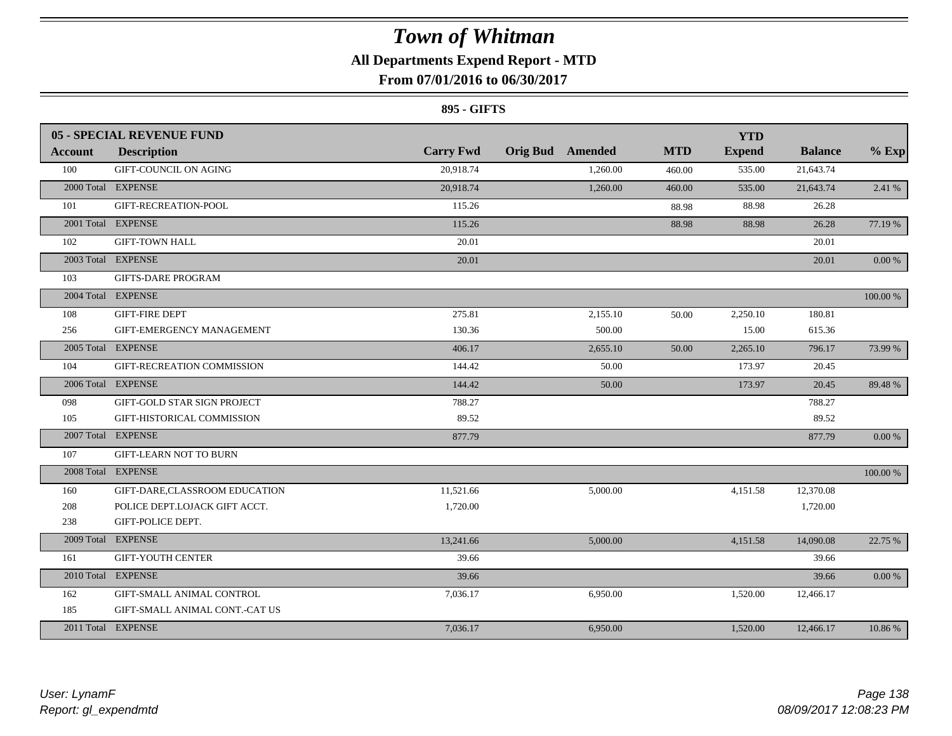### **All Departments Expend Report - MTD**

### **From 07/01/2016 to 06/30/2017**

### **895 - GIFTS**

|            | <b>05 - SPECIAL REVENUE FUND</b> |                  |                         |            | <b>YTD</b>    |                |            |
|------------|----------------------------------|------------------|-------------------------|------------|---------------|----------------|------------|
| Account    | <b>Description</b>               | <b>Carry Fwd</b> | <b>Orig Bud</b> Amended | <b>MTD</b> | <b>Expend</b> | <b>Balance</b> | $%$ Exp    |
| 100        | GIFT-COUNCIL ON AGING            | 20.918.74        | 1.260.00                | 460.00     | 535.00        | 21,643.74      |            |
|            | 2000 Total EXPENSE               | 20,918.74        | 1,260.00                | 460.00     | 535.00        | 21,643.74      | 2.41 %     |
| 101        | GIFT-RECREATION-POOL             | 115.26           |                         | 88.98      | 88.98         | 26.28          |            |
|            | 2001 Total EXPENSE               | 115.26           |                         | 88.98      | 88.98         | 26.28          | 77.19 %    |
| 102        | <b>GIFT-TOWN HALL</b>            | 20.01            |                         |            |               | 20.01          |            |
|            | 2003 Total EXPENSE               | 20.01            |                         |            |               | 20.01          | $0.00\%$   |
| 103        | <b>GIFTS-DARE PROGRAM</b>        |                  |                         |            |               |                |            |
|            | 2004 Total EXPENSE               |                  |                         |            |               |                | 100.00 %   |
| 108        | <b>GIFT-FIRE DEPT</b>            | 275.81           | 2.155.10                | 50.00      | 2,250.10      | 180.81         |            |
| 256        | GIFT-EMERGENCY MANAGEMENT        | 130.36           | 500.00                  |            | 15.00         | 615.36         |            |
|            | 2005 Total EXPENSE               | 406.17           | 2,655.10                | 50.00      | 2,265.10      | 796.17         | 73.99 %    |
| 104        | GIFT-RECREATION COMMISSION       | 144.42           | 50.00                   |            | 173.97        | 20.45          |            |
|            | 2006 Total EXPENSE               | 144.42           | 50.00                   |            | 173.97        | 20.45          | 89.48%     |
| 098        | GIFT-GOLD STAR SIGN PROJECT      | 788.27           |                         |            |               | 788.27         |            |
| 105        | GIFT-HISTORICAL COMMISSION       | 89.52            |                         |            |               | 89.52          |            |
|            | 2007 Total EXPENSE               | 877.79           |                         |            |               | 877.79         | $0.00~\%$  |
| 107        | <b>GIFT-LEARN NOT TO BURN</b>    |                  |                         |            |               |                |            |
|            | 2008 Total EXPENSE               |                  |                         |            |               |                | 100.00 %   |
| 160        | GIFT-DARE,CLASSROOM EDUCATION    | 11,521.66        | 5,000.00                |            | 4,151.58      | 12,370.08      |            |
| 208        | POLICE DEPT.LOJACK GIFT ACCT.    | 1,720.00         |                         |            |               | 1,720.00       |            |
| 238        | GIFT-POLICE DEPT.                |                  |                         |            |               |                |            |
| 2009 Total | <b>EXPENSE</b>                   | 13,241.66        | 5,000.00                |            | 4,151.58      | 14,090.08      | 22.75 %    |
| 161        | <b>GIFT-YOUTH CENTER</b>         | 39.66            |                         |            |               | 39.66          |            |
|            | 2010 Total EXPENSE               | 39.66            |                         |            |               | 39.66          | $0.00\,\%$ |
| 162        | GIFT-SMALL ANIMAL CONTROL        | 7,036.17         | 6,950.00                |            | 1,520.00      | 12,466.17      |            |
| 185        | GIFT-SMALL ANIMAL CONT.-CAT US   |                  |                         |            |               |                |            |
|            | 2011 Total EXPENSE               | 7,036.17         | 6,950.00                |            | 1,520.00      | 12,466.17      | 10.86 %    |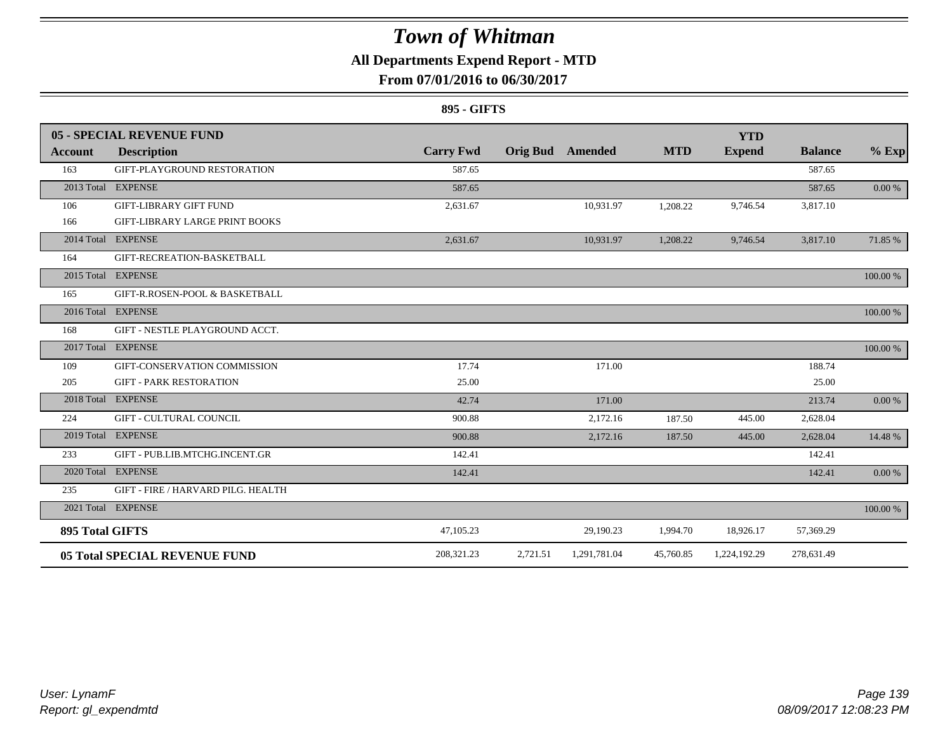### **All Departments Expend Report - MTD**

### **From 07/01/2016 to 06/30/2017**

### **895 - GIFTS**

|                 | 05 - SPECIAL REVENUE FUND          |                  |          |                         |            | <b>YTD</b>    |                |          |
|-----------------|------------------------------------|------------------|----------|-------------------------|------------|---------------|----------------|----------|
| Account         | <b>Description</b>                 | <b>Carry Fwd</b> |          | <b>Orig Bud</b> Amended | <b>MTD</b> | <b>Expend</b> | <b>Balance</b> | $%$ Exp  |
| 163             | GIFT-PLAYGROUND RESTORATION        | 587.65           |          |                         |            |               | 587.65         |          |
|                 | 2013 Total EXPENSE                 | 587.65           |          |                         |            |               | 587.65         | 0.00 %   |
| 106             | <b>GIFT-LIBRARY GIFT FUND</b>      | 2,631.67         |          | 10,931.97               | 1,208.22   | 9,746.54      | 3,817.10       |          |
| 166             | GIFT-LIBRARY LARGE PRINT BOOKS     |                  |          |                         |            |               |                |          |
|                 | 2014 Total EXPENSE                 | 2,631.67         |          | 10,931.97               | 1,208.22   | 9,746.54      | 3,817.10       | 71.85 %  |
| 164             | GIFT-RECREATION-BASKETBALL         |                  |          |                         |            |               |                |          |
|                 | 2015 Total EXPENSE                 |                  |          |                         |            |               |                | 100.00 % |
| 165             | GIFT-R.ROSEN-POOL & BASKETBALL     |                  |          |                         |            |               |                |          |
|                 | 2016 Total EXPENSE                 |                  |          |                         |            |               |                | 100.00 % |
| 168             | GIFT - NESTLE PLAYGROUND ACCT.     |                  |          |                         |            |               |                |          |
|                 | 2017 Total EXPENSE                 |                  |          |                         |            |               |                | 100.00 % |
| 109             | GIFT-CONSERVATION COMMISSION       | 17.74            |          | 171.00                  |            |               | 188.74         |          |
| 205             | <b>GIFT - PARK RESTORATION</b>     | 25.00            |          |                         |            |               | 25.00          |          |
|                 | 2018 Total EXPENSE                 | 42.74            |          | 171.00                  |            |               | 213.74         | 0.00 %   |
| 224             | <b>GIFT - CULTURAL COUNCIL</b>     | 900.88           |          | 2,172.16                | 187.50     | 445.00        | 2,628.04       |          |
|                 | 2019 Total EXPENSE                 | 900.88           |          | 2,172.16                | 187.50     | 445.00        | 2,628.04       | 14.48 %  |
| 233             | GIFT - PUB.LIB.MTCHG.INCENT.GR     | 142.41           |          |                         |            |               | 142.41         |          |
|                 | 2020 Total EXPENSE                 | 142.41           |          |                         |            |               | 142.41         | 0.00 %   |
| 235             | GIFT - FIRE / HARVARD PILG. HEALTH |                  |          |                         |            |               |                |          |
|                 | 2021 Total EXPENSE                 |                  |          |                         |            |               |                | 100.00 % |
| 895 Total GIFTS |                                    | 47,105.23        |          | 29,190.23               | 1,994.70   | 18,926.17     | 57,369.29      |          |
|                 | 05 Total SPECIAL REVENUE FUND      | 208,321.23       | 2,721.51 | 1,291,781.04            | 45,760.85  | 1,224,192.29  | 278,631.49     |          |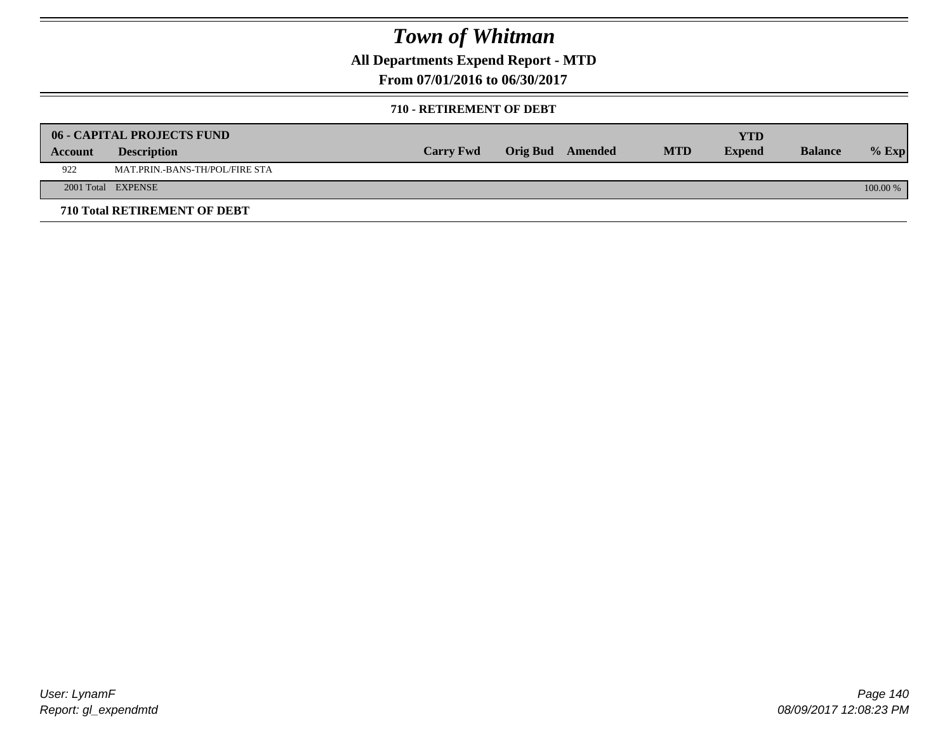**All Departments Expend Report - MTD**

**From 07/01/2016 to 06/30/2017**

### **710 - RETIREMENT OF DEBT**

|         | <b>06 - CAPITAL PROJECTS FUND</b>     |                  |                  |            | <b>YTD</b>    |                |            |
|---------|---------------------------------------|------------------|------------------|------------|---------------|----------------|------------|
| Account | <b>Description</b>                    | <b>Carry Fwd</b> | Orig Bud Amended | <b>MTD</b> | <b>Expend</b> | <b>Balance</b> | $%$ Exp    |
| 922     | <b>MAT.PRIN.-BANS-TH/POL/FIRE STA</b> |                  |                  |            |               |                |            |
|         | 2001 Total EXPENSE                    |                  |                  |            |               |                | $100.00\%$ |
|         | 710 Total RETIREMENT OF DEBT          |                  |                  |            |               |                |            |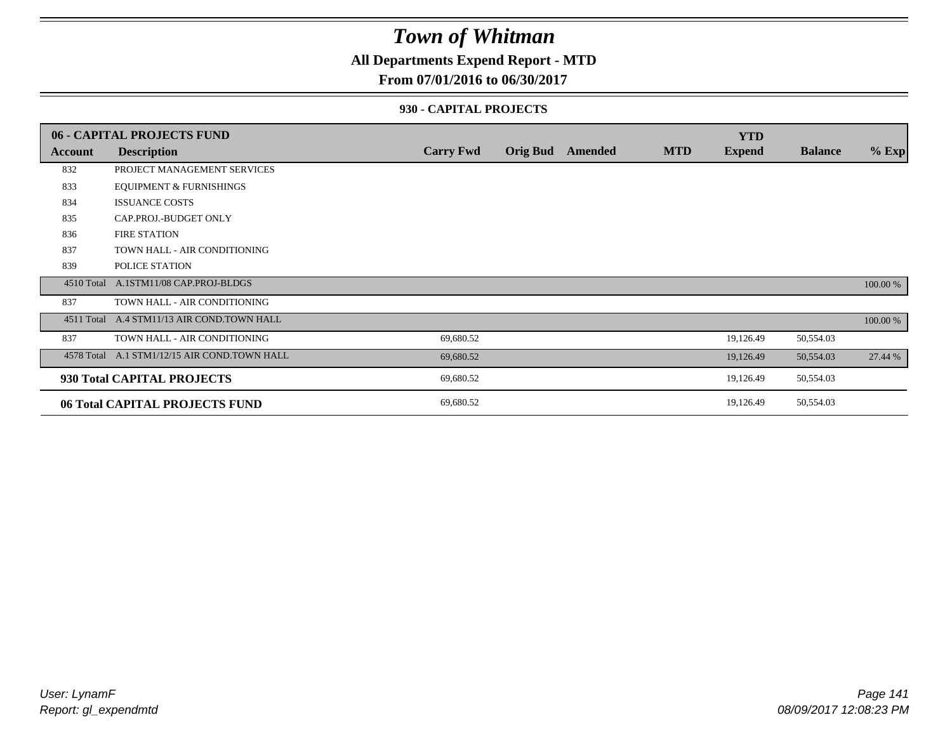### **All Departments Expend Report - MTD**

### **From 07/01/2016 to 06/30/2017**

### **930 - CAPITAL PROJECTS**

|            | 06 - CAPITAL PROJECTS FUND                   |                  |                 |         |            | <b>YTD</b>    |                |          |
|------------|----------------------------------------------|------------------|-----------------|---------|------------|---------------|----------------|----------|
| Account    | <b>Description</b>                           | <b>Carry Fwd</b> | <b>Orig Bud</b> | Amended | <b>MTD</b> | <b>Expend</b> | <b>Balance</b> | $%$ Exp  |
| 832        | PROJECT MANAGEMENT SERVICES                  |                  |                 |         |            |               |                |          |
| 833        | <b>EQUIPMENT &amp; FURNISHINGS</b>           |                  |                 |         |            |               |                |          |
| 834        | <b>ISSUANCE COSTS</b>                        |                  |                 |         |            |               |                |          |
| 835        | CAP.PROJ.-BUDGET ONLY                        |                  |                 |         |            |               |                |          |
| 836        | <b>FIRE STATION</b>                          |                  |                 |         |            |               |                |          |
| 837        | TOWN HALL - AIR CONDITIONING                 |                  |                 |         |            |               |                |          |
| 839        | POLICE STATION                               |                  |                 |         |            |               |                |          |
| 4510 Total | A.1STM11/08 CAP.PROJ-BLDGS                   |                  |                 |         |            |               |                | 100.00 % |
| 837        | TOWN HALL - AIR CONDITIONING                 |                  |                 |         |            |               |                |          |
| 4511 Total | A.4 STM11/13 AIR COND.TOWN HALL              |                  |                 |         |            |               |                | 100.00 % |
| 837        | TOWN HALL - AIR CONDITIONING                 | 69,680.52        |                 |         |            | 19,126.49     | 50,554.03      |          |
|            | 4578 Total A.1 STM1/12/15 AIR COND.TOWN HALL | 69,680.52        |                 |         |            | 19,126.49     | 50,554.03      | 27.44 %  |
|            | 930 Total CAPITAL PROJECTS                   | 69,680.52        |                 |         |            | 19,126.49     | 50,554.03      |          |
|            | 06 Total CAPITAL PROJECTS FUND               | 69,680.52        |                 |         |            | 19,126.49     | 50,554.03      |          |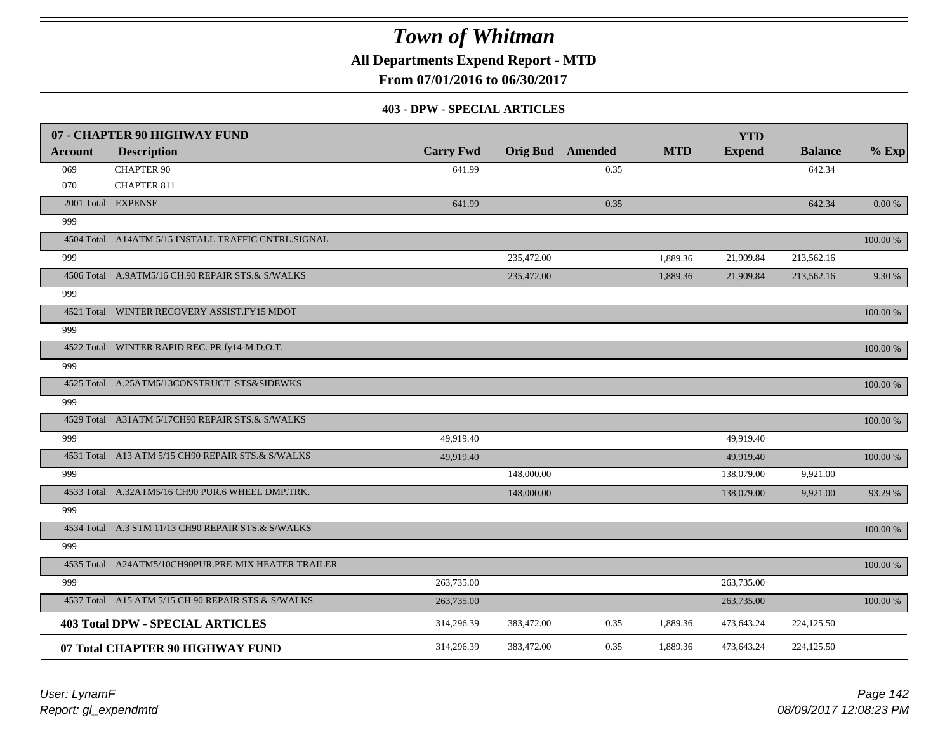**All Departments Expend Report - MTD**

**From 07/01/2016 to 06/30/2017**

#### **403 - DPW - SPECIAL ARTICLES**

|         | 07 - CHAPTER 90 HIGHWAY FUND                        |                  |            |                         |            | <b>YTD</b>    |                |            |
|---------|-----------------------------------------------------|------------------|------------|-------------------------|------------|---------------|----------------|------------|
| Account | <b>Description</b>                                  | <b>Carry Fwd</b> |            | <b>Orig Bud</b> Amended | <b>MTD</b> | <b>Expend</b> | <b>Balance</b> | $%$ Exp    |
| 069     | <b>CHAPTER 90</b>                                   | 641.99           |            | 0.35                    |            |               | 642.34         |            |
| 070     | <b>CHAPTER 811</b>                                  |                  |            |                         |            |               |                |            |
|         | 2001 Total EXPENSE                                  | 641.99           |            | 0.35                    |            |               | 642.34         | $0.00\ \%$ |
| 999     |                                                     |                  |            |                         |            |               |                |            |
|         | 4504 Total A14ATM 5/15 INSTALL TRAFFIC CNTRL.SIGNAL |                  |            |                         |            |               |                | 100.00 %   |
| 999     |                                                     |                  | 235,472.00 |                         | 1,889.36   | 21,909.84     | 213,562.16     |            |
|         | 4506 Total A.9ATM5/16 CH.90 REPAIR STS.& S/WALKS    |                  | 235,472.00 |                         | 1,889.36   | 21,909.84     | 213,562.16     | 9.30 %     |
| 999     |                                                     |                  |            |                         |            |               |                |            |
|         | 4521 Total WINTER RECOVERY ASSIST.FY15 MDOT         |                  |            |                         |            |               |                | 100.00 %   |
| 999     |                                                     |                  |            |                         |            |               |                |            |
|         | 4522 Total WINTER RAPID REC. PR.fy14-M.D.O.T.       |                  |            |                         |            |               |                | 100.00 %   |
| 999     |                                                     |                  |            |                         |            |               |                |            |
|         | 4525 Total A.25ATM5/13CONSTRUCT STS&SIDEWKS         |                  |            |                         |            |               |                | 100.00 %   |
| 999     |                                                     |                  |            |                         |            |               |                |            |
|         | 4529 Total A31ATM 5/17CH90 REPAIR STS.& S/WALKS     |                  |            |                         |            |               |                | 100.00 %   |
| 999     |                                                     | 49,919.40        |            |                         |            | 49,919.40     |                |            |
|         | 4531 Total A13 ATM 5/15 CH90 REPAIR STS.& S/WALKS   | 49,919.40        |            |                         |            | 49,919.40     |                | 100.00 %   |
| 999     |                                                     |                  | 148,000.00 |                         |            | 138,079.00    | 9,921.00       |            |
|         | 4533 Total A.32ATM5/16 CH90 PUR.6 WHEEL DMP.TRK.    |                  | 148,000.00 |                         |            | 138,079.00    | 9,921.00       | 93.29 %    |
| 999     |                                                     |                  |            |                         |            |               |                |            |
|         | 4534 Total A.3 STM 11/13 CH90 REPAIR STS.& S/WALKS  |                  |            |                         |            |               |                | 100.00 %   |
| 999     |                                                     |                  |            |                         |            |               |                |            |
|         | 4535 Total A24ATM5/10CH90PUR.PRE-MIX HEATER TRAILER |                  |            |                         |            |               |                | 100.00 %   |
| 999     |                                                     | 263,735.00       |            |                         |            | 263,735.00    |                |            |
|         | 4537 Total A15 ATM 5/15 CH 90 REPAIR STS.& S/WALKS  | 263,735.00       |            |                         |            | 263,735.00    |                | 100.00 %   |
|         | <b>403 Total DPW - SPECIAL ARTICLES</b>             | 314,296.39       | 383,472.00 | 0.35                    | 1,889.36   | 473,643.24    | 224,125.50     |            |
|         | 07 Total CHAPTER 90 HIGHWAY FUND                    | 314,296.39       | 383,472.00 | 0.35                    | 1,889.36   | 473,643.24    | 224,125.50     |            |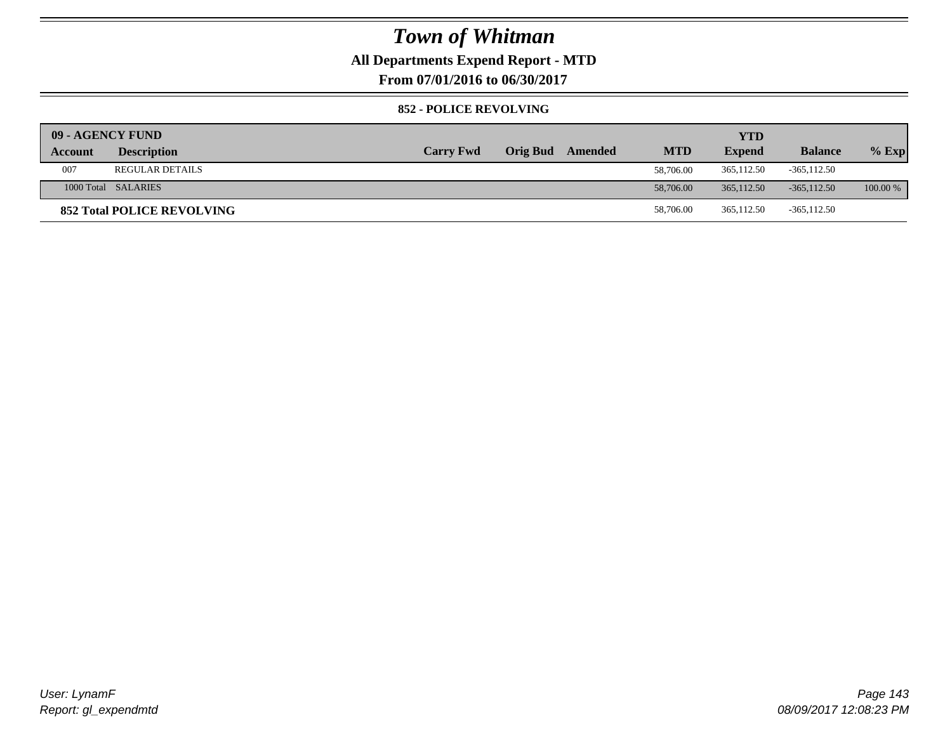### **All Departments Expend Report - MTD**

**From 07/01/2016 to 06/30/2017**

### **852 - POLICE REVOLVING**

| 09 - AGENCY FUND |                                   |                  |                 |         |            | <b>YTD</b>    |                |            |
|------------------|-----------------------------------|------------------|-----------------|---------|------------|---------------|----------------|------------|
| Account          | <b>Description</b>                | <b>Carry Fwd</b> | <b>Orig Bud</b> | Amended | <b>MTD</b> | <b>Expend</b> | <b>Balance</b> | $%$ Exp    |
| 007              | <b>REGULAR DETAILS</b>            |                  |                 |         | 58,706.00  | 365,112.50    | $-365, 112.50$ |            |
|                  | 1000 Total SALARIES               |                  |                 |         | 58,706.00  | 365,112.50    | $-365,112,50$  | $100.00\%$ |
|                  | <b>852 Total POLICE REVOLVING</b> |                  |                 |         | 58,706.00  | 365,112.50    | $-365, 112.50$ |            |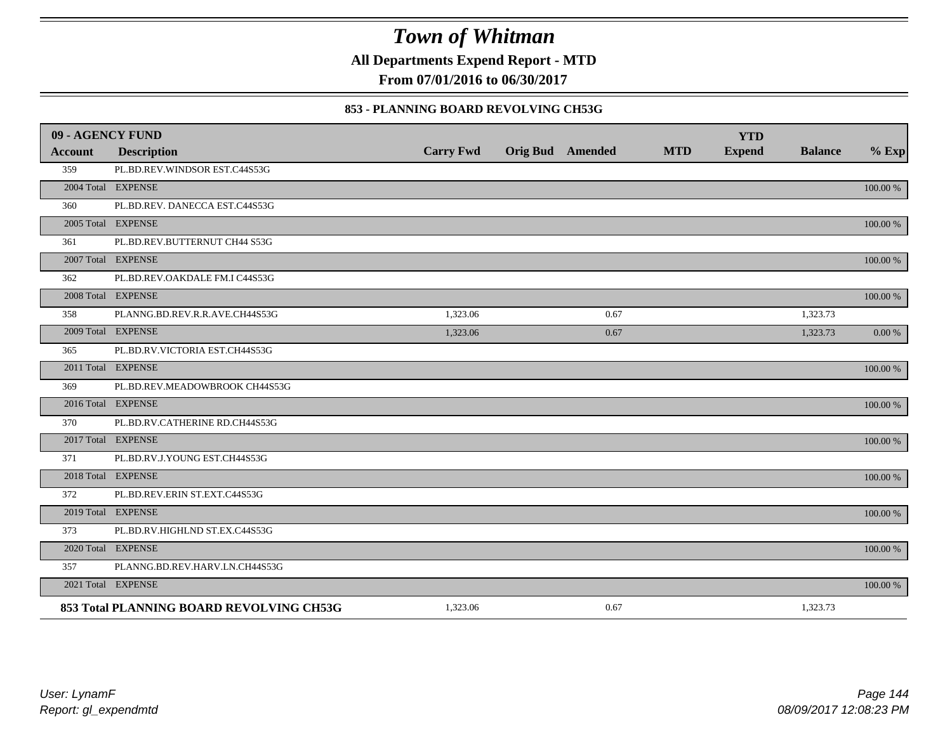**All Departments Expend Report - MTD**

**From 07/01/2016 to 06/30/2017**

### **853 - PLANNING BOARD REVOLVING CH53G**

| 09 - AGENCY FUND |                                          |                  |                         |            | <b>YTD</b>    |                |             |
|------------------|------------------------------------------|------------------|-------------------------|------------|---------------|----------------|-------------|
| <b>Account</b>   | <b>Description</b>                       | <b>Carry Fwd</b> | <b>Orig Bud</b> Amended | <b>MTD</b> | <b>Expend</b> | <b>Balance</b> | $%$ Exp     |
| 359              | PL.BD.REV.WINDSOR EST.C44S53G            |                  |                         |            |               |                |             |
|                  | 2004 Total EXPENSE                       |                  |                         |            |               |                | 100.00 %    |
| 360              | PL.BD.REV. DANECCA EST.C44S53G           |                  |                         |            |               |                |             |
|                  | 2005 Total EXPENSE                       |                  |                         |            |               |                | 100.00 %    |
| 361              | PL.BD.REV.BUTTERNUT CH44 S53G            |                  |                         |            |               |                |             |
|                  | 2007 Total EXPENSE                       |                  |                         |            |               |                | 100.00 %    |
| 362              | PL.BD.REV.OAKDALE FM.I C44S53G           |                  |                         |            |               |                |             |
|                  | 2008 Total EXPENSE                       |                  |                         |            |               |                | 100.00 %    |
| 358              | PLANNG.BD.REV.R.R.AVE.CH44S53G           | 1,323.06         | 0.67                    |            |               | 1,323.73       |             |
|                  | 2009 Total EXPENSE                       | 1,323.06         | 0.67                    |            |               | 1,323.73       | 0.00 %      |
| 365              | PL.BD.RV.VICTORIA EST.CH44S53G           |                  |                         |            |               |                |             |
|                  | 2011 Total EXPENSE                       |                  |                         |            |               |                | 100.00 %    |
| 369              | PL.BD.REV.MEADOWBROOK CH44S53G           |                  |                         |            |               |                |             |
|                  | 2016 Total EXPENSE                       |                  |                         |            |               |                | $100.00~\%$ |
| 370              | PL.BD.RV.CATHERINE RD.CH44S53G           |                  |                         |            |               |                |             |
|                  | 2017 Total EXPENSE                       |                  |                         |            |               |                | 100.00 %    |
| 371              | PL.BD.RV.J.YOUNG EST.CH44S53G            |                  |                         |            |               |                |             |
|                  | 2018 Total EXPENSE                       |                  |                         |            |               |                | 100.00 %    |
| 372              | PL.BD.REV.ERIN ST.EXT.C44S53G            |                  |                         |            |               |                |             |
|                  | 2019 Total EXPENSE                       |                  |                         |            |               |                | 100.00 %    |
| 373              | PL.BD.RV.HIGHLND ST.EX.C44S53G           |                  |                         |            |               |                |             |
|                  | 2020 Total EXPENSE                       |                  |                         |            |               |                | 100.00 %    |
| 357              | PLANNG.BD.REV.HARV.LN.CH44S53G           |                  |                         |            |               |                |             |
|                  | 2021 Total EXPENSE                       |                  |                         |            |               |                | 100.00 %    |
|                  | 853 Total PLANNING BOARD REVOLVING CH53G | 1,323.06         | 0.67                    |            |               | 1,323.73       |             |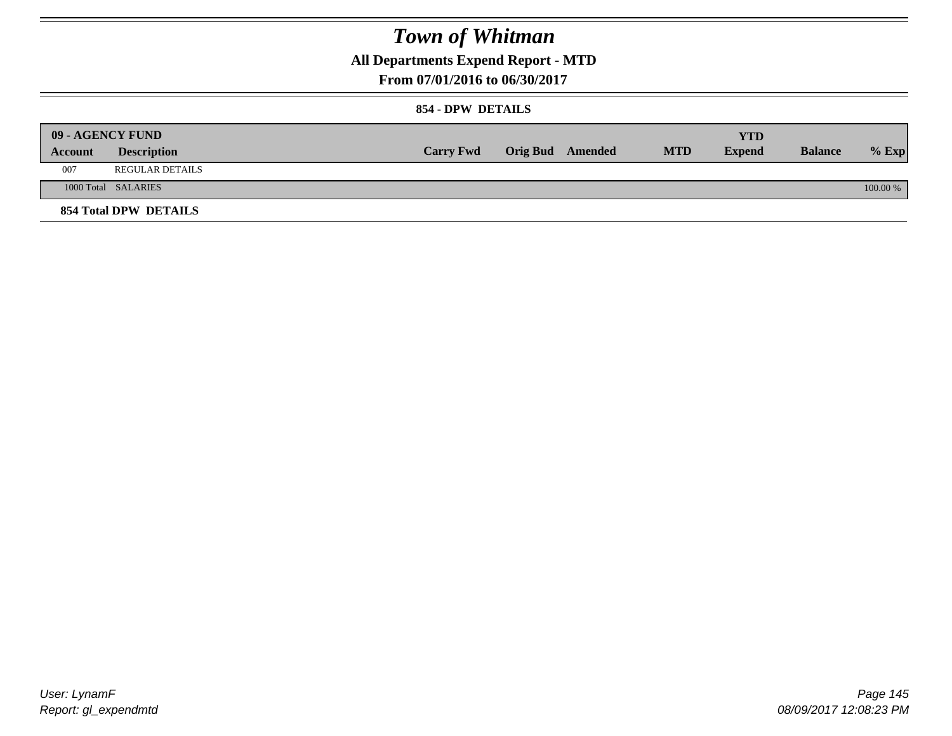## **All Departments Expend Report - MTD**

**From 07/01/2016 to 06/30/2017**

### **854 - DPW DETAILS**

|         | 09 - AGENCY FUND             |                  |                         |            | YTD           |                |            |
|---------|------------------------------|------------------|-------------------------|------------|---------------|----------------|------------|
| Account | <b>Description</b>           | <b>Carry Fwd</b> | <b>Orig Bud</b> Amended | <b>MTD</b> | <b>Expend</b> | <b>Balance</b> | $%$ Exp    |
| 007     | <b>REGULAR DETAILS</b>       |                  |                         |            |               |                |            |
|         | 1000 Total SALARIES          |                  |                         |            |               |                | $100.00\%$ |
|         | <b>854 Total DPW DETAILS</b> |                  |                         |            |               |                |            |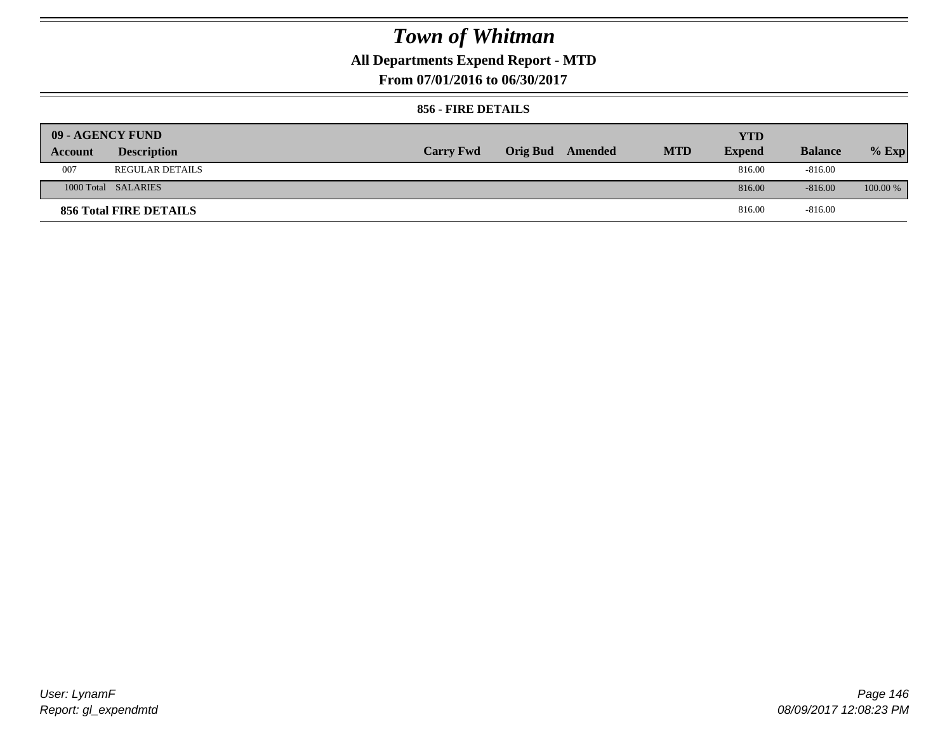## **All Departments Expend Report - MTD**

**From 07/01/2016 to 06/30/2017**

### **856 - FIRE DETAILS**

| 09 - AGENCY FUND |                        |                  |                         |            | <b>YTD</b>    |                |            |
|------------------|------------------------|------------------|-------------------------|------------|---------------|----------------|------------|
| Account          | <b>Description</b>     | <b>Carry Fwd</b> | <b>Orig Bud</b> Amended | <b>MTD</b> | <b>Expend</b> | <b>Balance</b> | $%$ Exp    |
| 007              | <b>REGULAR DETAILS</b> |                  |                         |            | 816.00        | $-816.00$      |            |
|                  | 1000 Total SALARIES    |                  |                         |            | 816.00        | $-816.00$      | $100.00\%$ |
|                  | 856 Total FIRE DETAILS |                  |                         |            | 816.00        | $-816.00$      |            |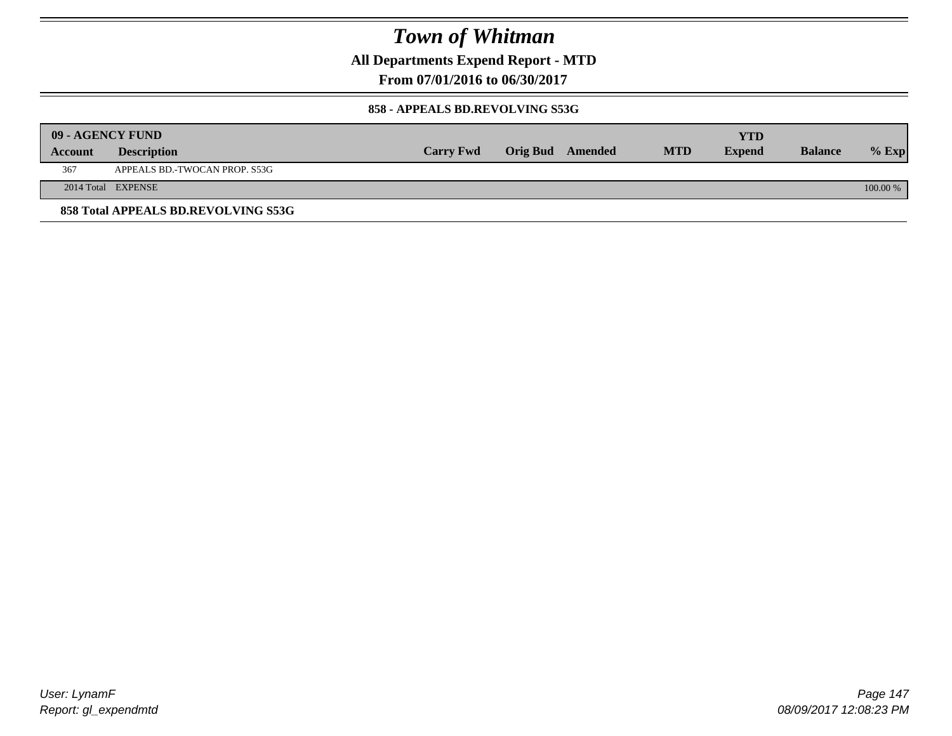**All Departments Expend Report - MTD**

**From 07/01/2016 to 06/30/2017**

#### **858 - APPEALS BD.REVOLVING S53G**

|         | 09 - AGENCY FUND                    |                  |                         |            | <b>YTD</b>    |                |            |
|---------|-------------------------------------|------------------|-------------------------|------------|---------------|----------------|------------|
| Account | <b>Description</b>                  | <b>Carry Fwd</b> | <b>Orig Bud</b> Amended | <b>MTD</b> | <b>Expend</b> | <b>Balance</b> | $%$ Exp    |
| 367     | APPEALS BD.-TWOCAN PROP. S53G       |                  |                         |            |               |                |            |
|         | 2014 Total EXPENSE                  |                  |                         |            |               |                | $100.00\%$ |
|         | 858 Total APPEALS BD.REVOLVING S53G |                  |                         |            |               |                |            |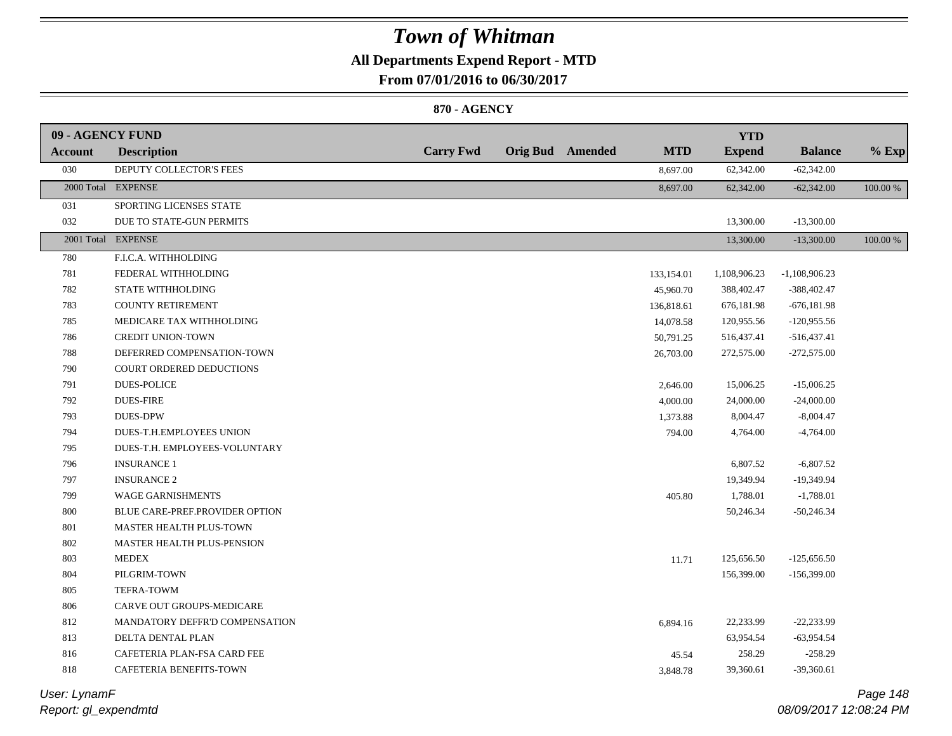## **All Departments Expend Report - MTD**

**From 07/01/2016 to 06/30/2017**

### **870 - AGENCY**

| 09 - AGENCY FUND |                                |                  |                         |            | <b>YTD</b>    |                 |          |
|------------------|--------------------------------|------------------|-------------------------|------------|---------------|-----------------|----------|
| Account          | <b>Description</b>             | <b>Carry Fwd</b> | <b>Orig Bud</b> Amended | <b>MTD</b> | <b>Expend</b> | <b>Balance</b>  | $%$ Exp  |
| 030              | DEPUTY COLLECTOR'S FEES        |                  |                         | 8,697.00   | 62,342.00     | $-62,342.00$    |          |
|                  | 2000 Total EXPENSE             |                  |                         | 8,697.00   | 62,342.00     | $-62,342.00$    | 100.00 % |
| 031              | SPORTING LICENSES STATE        |                  |                         |            |               |                 |          |
| 032              | DUE TO STATE-GUN PERMITS       |                  |                         |            | 13,300.00     | $-13,300.00$    |          |
|                  | 2001 Total EXPENSE             |                  |                         |            | 13,300.00     | $-13,300.00$    | 100.00 % |
| 780              | F.I.C.A. WITHHOLDING           |                  |                         |            |               |                 |          |
| 781              | FEDERAL WITHHOLDING            |                  |                         | 133,154.01 | 1,108,906.23  | $-1,108,906.23$ |          |
| 782              | STATE WITHHOLDING              |                  |                         | 45,960.70  | 388,402.47    | $-388,402.47$   |          |
| 783              | <b>COUNTY RETIREMENT</b>       |                  |                         | 136,818.61 | 676,181.98    | $-676,181.98$   |          |
| 785              | MEDICARE TAX WITHHOLDING       |                  |                         | 14,078.58  | 120,955.56    | $-120,955.56$   |          |
| 786              | <b>CREDIT UNION-TOWN</b>       |                  |                         | 50,791.25  | 516,437.41    | $-516,437.41$   |          |
| 788              | DEFERRED COMPENSATION-TOWN     |                  |                         | 26,703.00  | 272,575.00    | $-272,575.00$   |          |
| 790              | COURT ORDERED DEDUCTIONS       |                  |                         |            |               |                 |          |
| 791              | <b>DUES-POLICE</b>             |                  |                         | 2,646.00   | 15,006.25     | $-15,006.25$    |          |
| 792              | <b>DUES-FIRE</b>               |                  |                         | 4,000.00   | 24,000.00     | $-24,000.00$    |          |
| 793              | <b>DUES-DPW</b>                |                  |                         | 1,373.88   | 8,004.47      | $-8,004.47$     |          |
| 794              | DUES-T.H.EMPLOYEES UNION       |                  |                         | 794.00     | 4,764.00      | $-4,764.00$     |          |
| 795              | DUES-T.H. EMPLOYEES-VOLUNTARY  |                  |                         |            |               |                 |          |
| 796              | <b>INSURANCE 1</b>             |                  |                         |            | 6,807.52      | $-6,807.52$     |          |
| 797              | <b>INSURANCE 2</b>             |                  |                         |            | 19,349.94     | -19,349.94      |          |
| 799              | WAGE GARNISHMENTS              |                  |                         | 405.80     | 1,788.01      | $-1,788.01$     |          |
| $800\,$          | BLUE CARE-PREF.PROVIDER OPTION |                  |                         |            | 50,246.34     | $-50,246.34$    |          |
| 801              | MASTER HEALTH PLUS-TOWN        |                  |                         |            |               |                 |          |
| 802              | MASTER HEALTH PLUS-PENSION     |                  |                         |            |               |                 |          |
| 803              | <b>MEDEX</b>                   |                  |                         | 11.71      | 125,656.50    | $-125,656.50$   |          |
| 804              | PILGRIM-TOWN                   |                  |                         |            | 156,399.00    | $-156,399.00$   |          |
| 805              | TEFRA-TOWM                     |                  |                         |            |               |                 |          |
| 806              | CARVE OUT GROUPS-MEDICARE      |                  |                         |            |               |                 |          |
| 812              | MANDATORY DEFFR'D COMPENSATION |                  |                         | 6,894.16   | 22,233.99     | $-22,233.99$    |          |
| 813              | DELTA DENTAL PLAN              |                  |                         |            | 63,954.54     | $-63,954.54$    |          |
| 816              | CAFETERIA PLAN-FSA CARD FEE    |                  |                         | 45.54      | 258.29        | $-258.29$       |          |
| 818              | CAFETERIA BENEFITS-TOWN        |                  |                         | 3,848.78   | 39,360.61     | $-39,360.61$    |          |

*Report: gl\_expendmtd User: LynamF*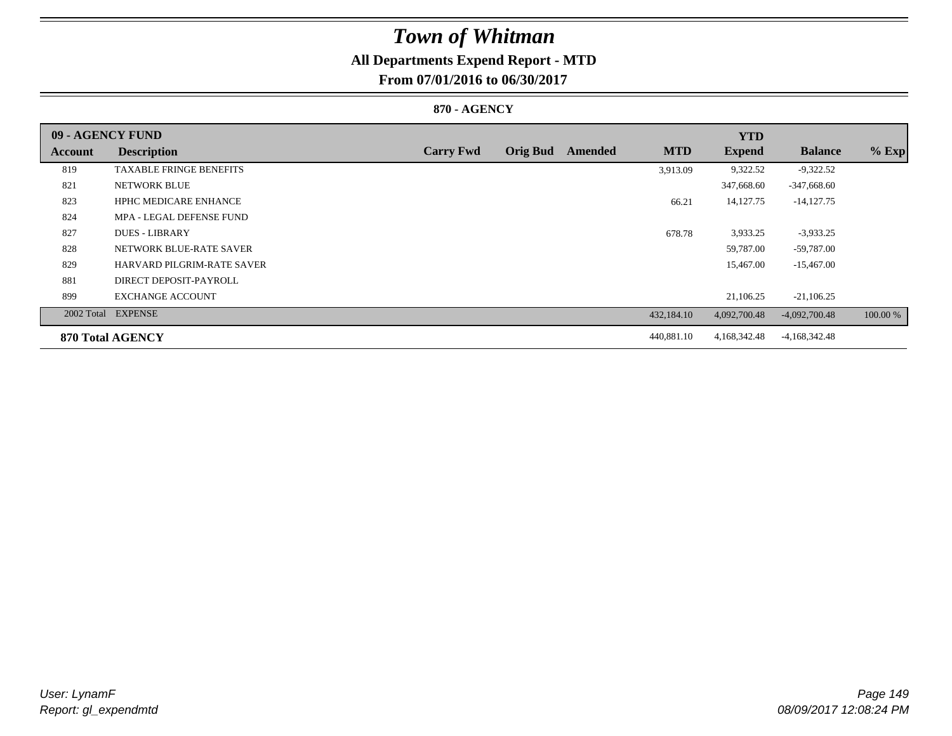## **All Departments Expend Report - MTD**

**From 07/01/2016 to 06/30/2017**

### **870 - AGENCY**

| 09 - AGENCY FUND |                                   |                  |                 |         |            | <b>YTD</b>    |                 |          |
|------------------|-----------------------------------|------------------|-----------------|---------|------------|---------------|-----------------|----------|
| Account          | <b>Description</b>                | <b>Carry Fwd</b> | <b>Orig Bud</b> | Amended | <b>MTD</b> | <b>Expend</b> | <b>Balance</b>  | $%$ Exp  |
| 819              | <b>TAXABLE FRINGE BENEFITS</b>    |                  |                 |         | 3,913.09   | 9,322.52      | $-9,322.52$     |          |
| 821              | NETWORK BLUE                      |                  |                 |         |            | 347,668.60    | $-347,668.60$   |          |
| 823              | <b>HPHC MEDICARE ENHANCE</b>      |                  |                 |         | 66.21      | 14, 127. 75   | $-14,127.75$    |          |
| 824              | MPA - LEGAL DEFENSE FUND          |                  |                 |         |            |               |                 |          |
| 827              | <b>DUES - LIBRARY</b>             |                  |                 |         | 678.78     | 3,933.25      | $-3,933.25$     |          |
| 828              | NETWORK BLUE-RATE SAVER           |                  |                 |         |            | 59,787.00     | -59,787.00      |          |
| 829              | <b>HARVARD PILGRIM-RATE SAVER</b> |                  |                 |         |            | 15,467.00     | $-15,467.00$    |          |
| 881              | DIRECT DEPOSIT-PAYROLL            |                  |                 |         |            |               |                 |          |
| 899              | <b>EXCHANGE ACCOUNT</b>           |                  |                 |         |            | 21,106.25     | $-21,106.25$    |          |
|                  | 2002 Total EXPENSE                |                  |                 |         | 432,184.10 | 4,092,700.48  | $-4,092,700.48$ | 100.00 % |
|                  | 870 Total AGENCY                  |                  |                 |         | 440,881.10 | 4,168,342.48  | $-4,168,342.48$ |          |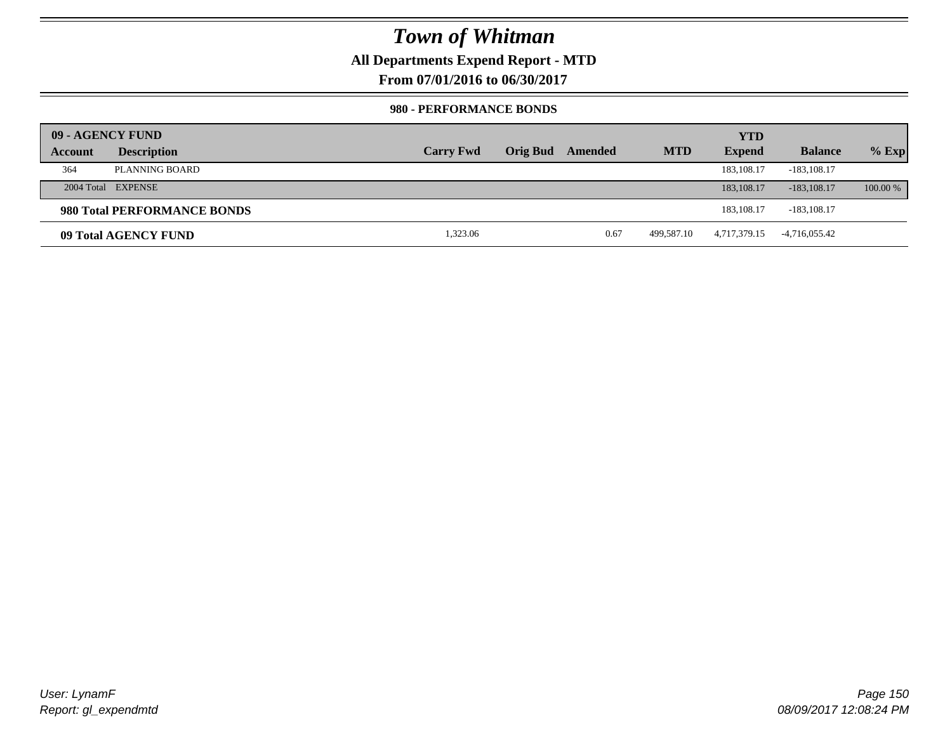## **All Departments Expend Report - MTD**

**From 07/01/2016 to 06/30/2017**

### **980 - PERFORMANCE BONDS**

|         | 09 - AGENCY FUND            |                  |                 |         |            | <b>YTD</b>    |                 |          |
|---------|-----------------------------|------------------|-----------------|---------|------------|---------------|-----------------|----------|
| Account | <b>Description</b>          | <b>Carry Fwd</b> | <b>Orig Bud</b> | Amended | <b>MTD</b> | <b>Expend</b> | <b>Balance</b>  | $%$ Exp  |
| 364     | PLANNING BOARD              |                  |                 |         |            | 183, 108, 17  | $-183, 108.17$  |          |
|         | 2004 Total EXPENSE          |                  |                 |         |            | 183, 108, 17  | $-183, 108, 17$ | 100.00 % |
|         | 980 Total PERFORMANCE BONDS |                  |                 |         |            | 183.108.17    | $-183, 108.17$  |          |
|         | 09 Total AGENCY FUND        | 1,323.06         |                 | 0.67    | 499.587.10 | 4,717,379.15  | -4,716,055.42   |          |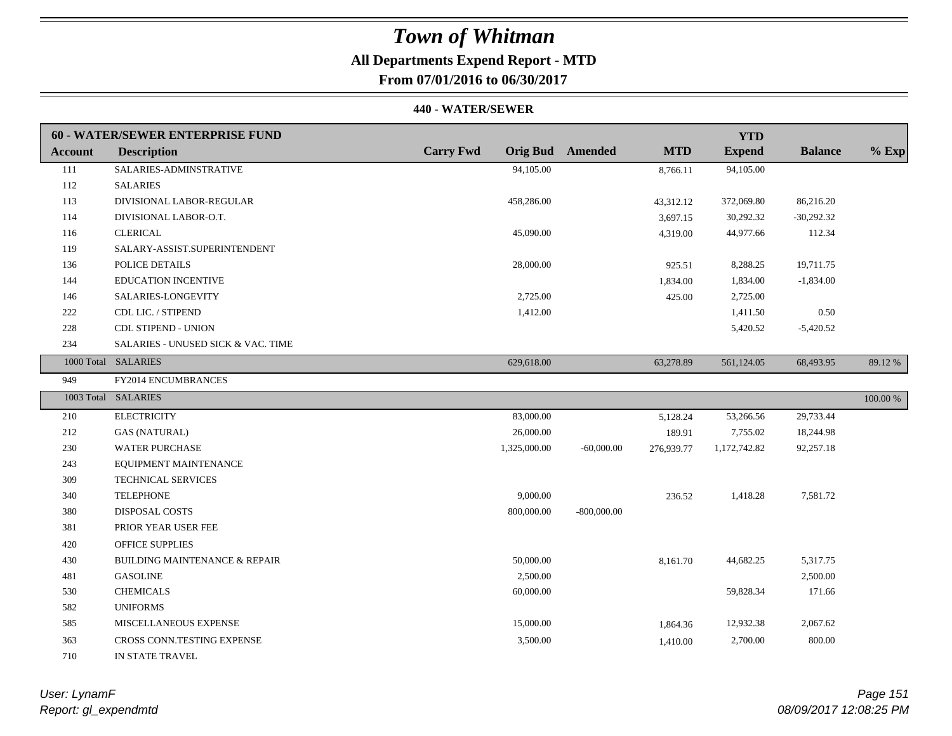## **All Departments Expend Report - MTD**

**From 07/01/2016 to 06/30/2017**

#### **440 - WATER/SEWER**

|                | <b>60 - WATER/SEWER ENTERPRISE FUND</b>  |                  |                         |            | <b>YTD</b>    |                |          |
|----------------|------------------------------------------|------------------|-------------------------|------------|---------------|----------------|----------|
| <b>Account</b> | <b>Description</b>                       | <b>Carry Fwd</b> | <b>Orig Bud</b> Amended | <b>MTD</b> | <b>Expend</b> | <b>Balance</b> | $%$ Exp  |
| 111            | SALARIES-ADMINSTRATIVE                   | 94,105.00        |                         | 8,766.11   | 94,105.00     |                |          |
| 112            | <b>SALARIES</b>                          |                  |                         |            |               |                |          |
| 113            | DIVISIONAL LABOR-REGULAR                 | 458,286.00       |                         | 43,312.12  | 372,069.80    | 86,216.20      |          |
| 114            | DIVISIONAL LABOR-O.T.                    |                  |                         | 3,697.15   | 30,292.32     | $-30,292.32$   |          |
| 116            | <b>CLERICAL</b>                          | 45,090.00        |                         | 4,319.00   | 44,977.66     | 112.34         |          |
| 119            | SALARY-ASSIST.SUPERINTENDENT             |                  |                         |            |               |                |          |
| 136            | POLICE DETAILS                           | 28,000.00        |                         | 925.51     | 8,288.25      | 19,711.75      |          |
| 144            | <b>EDUCATION INCENTIVE</b>               |                  |                         | 1,834.00   | 1,834.00      | $-1,834.00$    |          |
| 146            | SALARIES-LONGEVITY                       | 2,725.00         |                         | 425.00     | 2,725.00      |                |          |
| 222            | CDL LIC. / STIPEND                       | 1,412.00         |                         |            | 1,411.50      | 0.50           |          |
| 228            | <b>CDL STIPEND - UNION</b>               |                  |                         |            | 5,420.52      | $-5,420.52$    |          |
| 234            | SALARIES - UNUSED SICK & VAC. TIME       |                  |                         |            |               |                |          |
|                | 1000 Total SALARIES                      | 629,618.00       |                         | 63,278.89  | 561,124.05    | 68,493.95      | 89.12%   |
| 949            | FY2014 ENCUMBRANCES                      |                  |                         |            |               |                |          |
|                | 1003 Total SALARIES                      |                  |                         |            |               |                | 100.00 % |
| 210            | <b>ELECTRICITY</b>                       | 83,000.00        |                         | 5,128.24   | 53,266.56     | 29,733.44      |          |
| 212            | <b>GAS (NATURAL)</b>                     | 26,000.00        |                         | 189.91     | 7,755.02      | 18,244.98      |          |
| 230            | <b>WATER PURCHASE</b>                    | 1,325,000.00     | $-60,000.00$            | 276,939.77 | 1,172,742.82  | 92,257.18      |          |
| 243            | EQUIPMENT MAINTENANCE                    |                  |                         |            |               |                |          |
| 309            | TECHNICAL SERVICES                       |                  |                         |            |               |                |          |
| 340            | <b>TELEPHONE</b>                         | 9,000.00         |                         | 236.52     | 1,418.28      | 7,581.72       |          |
| 380            | DISPOSAL COSTS                           | 800,000.00       | $-800,000.00$           |            |               |                |          |
| 381            | PRIOR YEAR USER FEE                      |                  |                         |            |               |                |          |
| 420            | <b>OFFICE SUPPLIES</b>                   |                  |                         |            |               |                |          |
| 430            | <b>BUILDING MAINTENANCE &amp; REPAIR</b> | 50,000.00        |                         | 8,161.70   | 44,682.25     | 5,317.75       |          |
| 481            | <b>GASOLINE</b>                          | 2,500.00         |                         |            |               | 2,500.00       |          |
| 530            | <b>CHEMICALS</b>                         | 60,000.00        |                         |            | 59,828.34     | 171.66         |          |
| 582            | <b>UNIFORMS</b>                          |                  |                         |            |               |                |          |
| 585            | MISCELLANEOUS EXPENSE                    | 15,000.00        |                         | 1,864.36   | 12,932.38     | 2,067.62       |          |
| 363            | CROSS CONN.TESTING EXPENSE               | 3,500.00         |                         | 1,410.00   | 2,700.00      | 800.00         |          |
| 710            | IN STATE TRAVEL                          |                  |                         |            |               |                |          |

*Report: gl\_expendmtd User: LynamF*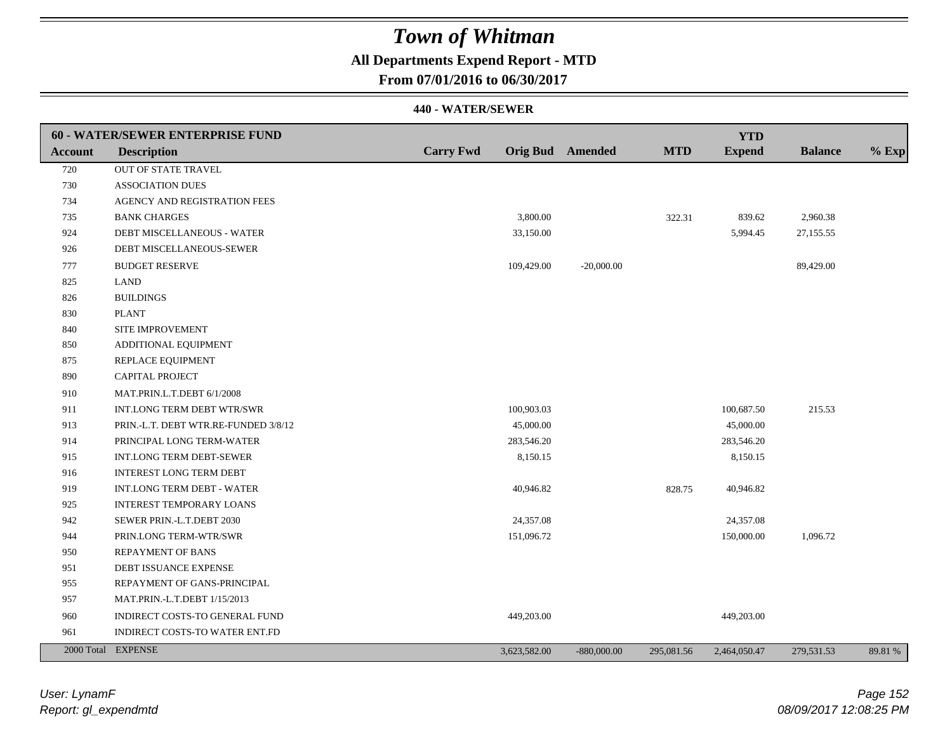## **All Departments Expend Report - MTD**

**From 07/01/2016 to 06/30/2017**

|                | 60 - WATER/SEWER ENTERPRISE FUND     |                  |                  |               |            | <b>YTD</b>    |                |         |
|----------------|--------------------------------------|------------------|------------------|---------------|------------|---------------|----------------|---------|
| <b>Account</b> | <b>Description</b>                   | <b>Carry Fwd</b> | Orig Bud Amended |               | <b>MTD</b> | <b>Expend</b> | <b>Balance</b> | $%$ Exp |
| 720            | OUT OF STATE TRAVEL                  |                  |                  |               |            |               |                |         |
| 730            | <b>ASSOCIATION DUES</b>              |                  |                  |               |            |               |                |         |
| 734            | AGENCY AND REGISTRATION FEES         |                  |                  |               |            |               |                |         |
| 735            | <b>BANK CHARGES</b>                  |                  | 3,800.00         |               | 322.31     | 839.62        | 2,960.38       |         |
| 924            | DEBT MISCELLANEOUS - WATER           |                  | 33,150.00        |               |            | 5,994.45      | 27,155.55      |         |
| 926            | DEBT MISCELLANEOUS-SEWER             |                  |                  |               |            |               |                |         |
| 777            | <b>BUDGET RESERVE</b>                |                  | 109,429.00       | $-20,000.00$  |            |               | 89,429.00      |         |
| 825            | <b>LAND</b>                          |                  |                  |               |            |               |                |         |
| 826            | <b>BUILDINGS</b>                     |                  |                  |               |            |               |                |         |
| 830            | <b>PLANT</b>                         |                  |                  |               |            |               |                |         |
| 840            | SITE IMPROVEMENT                     |                  |                  |               |            |               |                |         |
| 850            | ADDITIONAL EQUIPMENT                 |                  |                  |               |            |               |                |         |
| 875            | REPLACE EQUIPMENT                    |                  |                  |               |            |               |                |         |
| 890            | <b>CAPITAL PROJECT</b>               |                  |                  |               |            |               |                |         |
| 910            | MAT.PRIN.L.T.DEBT 6/1/2008           |                  |                  |               |            |               |                |         |
| 911            | INT.LONG TERM DEBT WTR/SWR           |                  | 100,903.03       |               |            | 100,687.50    | 215.53         |         |
| 913            | PRIN.-L.T. DEBT WTR.RE-FUNDED 3/8/12 |                  | 45,000.00        |               |            | 45,000.00     |                |         |
| 914            | PRINCIPAL LONG TERM-WATER            |                  | 283,546.20       |               |            | 283,546.20    |                |         |
| 915            | <b>INT.LONG TERM DEBT-SEWER</b>      |                  | 8,150.15         |               |            | 8,150.15      |                |         |
| 916            | <b>INTEREST LONG TERM DEBT</b>       |                  |                  |               |            |               |                |         |
| 919            | INT.LONG TERM DEBT - WATER           |                  | 40,946.82        |               | 828.75     | 40,946.82     |                |         |
| 925            | <b>INTEREST TEMPORARY LOANS</b>      |                  |                  |               |            |               |                |         |
| 942            | SEWER PRIN.-L.T.DEBT 2030            |                  | 24,357.08        |               |            | 24,357.08     |                |         |
| 944            | PRIN.LONG TERM-WTR/SWR               |                  | 151,096.72       |               |            | 150,000.00    | 1,096.72       |         |
| 950            | <b>REPAYMENT OF BANS</b>             |                  |                  |               |            |               |                |         |
| 951            | DEBT ISSUANCE EXPENSE                |                  |                  |               |            |               |                |         |
| 955            | REPAYMENT OF GANS-PRINCIPAL          |                  |                  |               |            |               |                |         |
| 957            | MAT.PRIN.-L.T.DEBT 1/15/2013         |                  |                  |               |            |               |                |         |
| 960            | INDIRECT COSTS-TO GENERAL FUND       |                  | 449,203.00       |               |            | 449,203.00    |                |         |
| 961            | INDIRECT COSTS-TO WATER ENT.FD       |                  |                  |               |            |               |                |         |
|                | 2000 Total EXPENSE                   |                  | 3,623,582.00     | $-880,000.00$ | 295,081.56 | 2,464,050.47  | 279,531.53     | 89.81 % |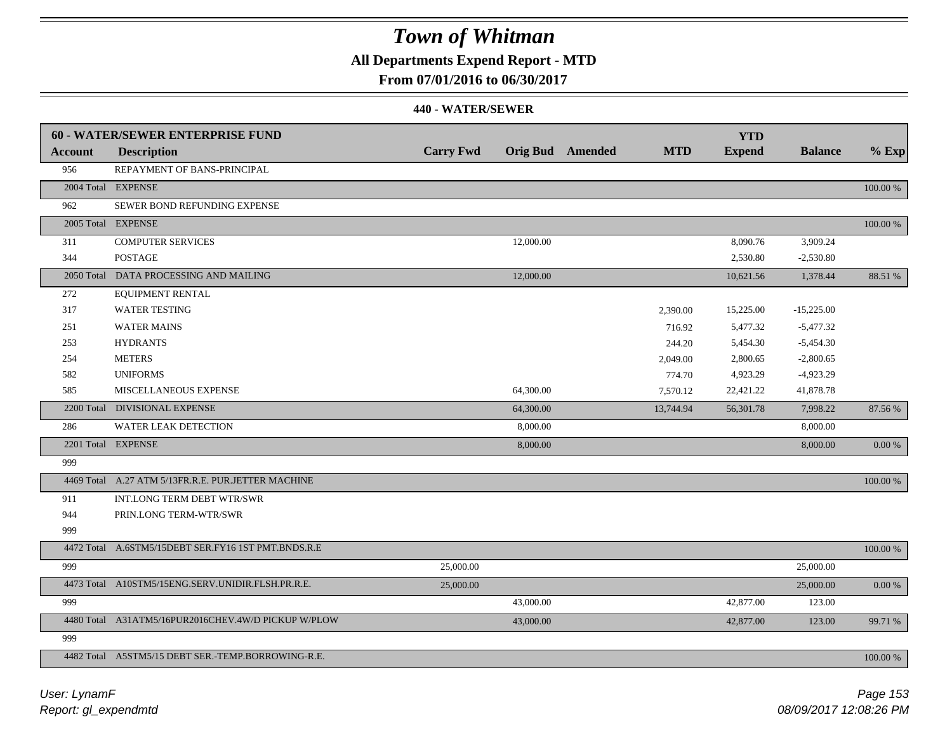## **All Departments Expend Report - MTD**

**From 07/01/2016 to 06/30/2017**

|                | <b>60 - WATER/SEWER ENTERPRISE FUND</b>             |                  |                         |            | <b>YTD</b>    |                |             |
|----------------|-----------------------------------------------------|------------------|-------------------------|------------|---------------|----------------|-------------|
| <b>Account</b> | <b>Description</b>                                  | <b>Carry Fwd</b> | <b>Orig Bud</b> Amended | <b>MTD</b> | <b>Expend</b> | <b>Balance</b> | $%$ Exp     |
| 956            | REPAYMENT OF BANS-PRINCIPAL                         |                  |                         |            |               |                |             |
|                | 2004 Total EXPENSE                                  |                  |                         |            |               |                | 100.00 %    |
| 962            | SEWER BOND REFUNDING EXPENSE                        |                  |                         |            |               |                |             |
|                | 2005 Total EXPENSE                                  |                  |                         |            |               |                | 100.00 %    |
| 311            | <b>COMPUTER SERVICES</b>                            |                  | 12,000.00               |            | 8,090.76      | 3,909.24       |             |
| 344            | <b>POSTAGE</b>                                      |                  |                         |            | 2,530.80      | $-2,530.80$    |             |
| 2050 Total     | DATA PROCESSING AND MAILING                         |                  | 12,000.00               |            | 10,621.56     | 1,378.44       | 88.51 %     |
| 272            | EQUIPMENT RENTAL                                    |                  |                         |            |               |                |             |
| 317            | <b>WATER TESTING</b>                                |                  |                         | 2,390.00   | 15,225.00     | $-15,225.00$   |             |
| 251            | <b>WATER MAINS</b>                                  |                  |                         | 716.92     | 5,477.32      | $-5,477.32$    |             |
| 253            | <b>HYDRANTS</b>                                     |                  |                         | 244.20     | 5,454.30      | $-5,454.30$    |             |
| 254            | <b>METERS</b>                                       |                  |                         | 2,049.00   | 2,800.65      | $-2,800.65$    |             |
| 582            | <b>UNIFORMS</b>                                     |                  |                         | 774.70     | 4,923.29      | $-4,923.29$    |             |
| 585            | MISCELLANEOUS EXPENSE                               |                  | 64,300.00               | 7,570.12   | 22,421.22     | 41,878.78      |             |
|                | 2200 Total DIVISIONAL EXPENSE                       |                  | 64,300.00               | 13,744.94  | 56,301.78     | 7,998.22       | 87.56 %     |
| 286            | <b>WATER LEAK DETECTION</b>                         |                  | 8,000.00                |            |               | 8,000.00       |             |
|                | 2201 Total EXPENSE                                  |                  | 8,000.00                |            |               | 8,000.00       | $0.00~\%$   |
| 999            |                                                     |                  |                         |            |               |                |             |
|                | 4469 Total A.27 ATM 5/13FR.R.E. PUR.JETTER MACHINE  |                  |                         |            |               |                | 100.00 %    |
| 911            | INT.LONG TERM DEBT WTR/SWR                          |                  |                         |            |               |                |             |
| 944            | PRIN.LONG TERM-WTR/SWR                              |                  |                         |            |               |                |             |
| 999            |                                                     |                  |                         |            |               |                |             |
|                | 4472 Total A.6STM5/15DEBT SER.FY16 1ST PMT.BNDS.R.E |                  |                         |            |               |                | $100.00~\%$ |
| 999            |                                                     | 25,000.00        |                         |            |               | 25,000.00      |             |
|                | 4473 Total A10STM5/15ENG.SERV.UNIDIR.FLSH.PR.R.E.   | 25,000.00        |                         |            |               | 25,000.00      | $0.00\,\%$  |
| 999            |                                                     |                  | 43,000.00               |            | 42,877.00     | 123.00         |             |
|                | 4480 Total A31ATM5/16PUR2016CHEV.4W/D PICKUP W/PLOW |                  | 43,000.00               |            | 42,877.00     | 123.00         | 99.71 %     |
| 999            |                                                     |                  |                         |            |               |                |             |
|                | 4482 Total A5STM5/15 DEBT SER.-TEMP.BORROWING-R.E.  |                  |                         |            |               |                | 100.00 %    |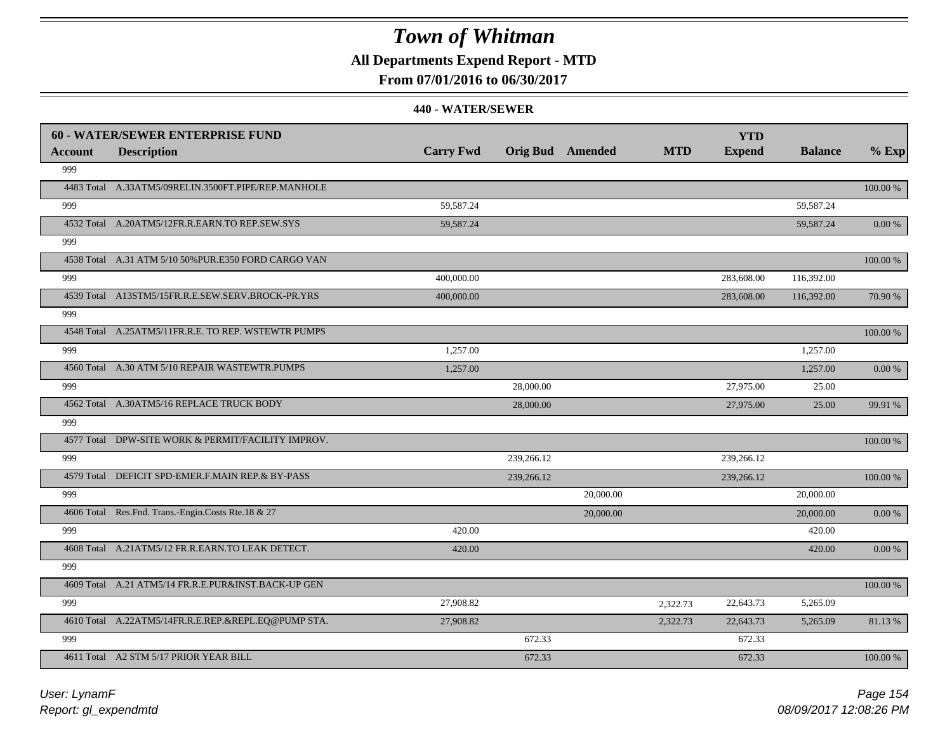## **All Departments Expend Report - MTD**

### **From 07/01/2016 to 06/30/2017**

|                | <b>60 - WATER/SEWER ENTERPRISE FUND</b>              |                  |            |                         |            | <b>YTD</b>    |                |          |
|----------------|------------------------------------------------------|------------------|------------|-------------------------|------------|---------------|----------------|----------|
| <b>Account</b> | <b>Description</b>                                   | <b>Carry Fwd</b> |            | <b>Orig Bud</b> Amended | <b>MTD</b> | <b>Expend</b> | <b>Balance</b> | $%$ Exp  |
| 999            |                                                      |                  |            |                         |            |               |                |          |
|                | 4483 Total A.33ATM5/09RELIN.3500FT.PIPE/REP.MANHOLE  |                  |            |                         |            |               |                | 100.00 % |
| 999            |                                                      | 59,587.24        |            |                         |            |               | 59,587.24      |          |
|                | 4532 Total A.20ATM5/12FR.R.EARN.TO REP.SEW.SYS       | 59,587.24        |            |                         |            |               | 59,587.24      | 0.00 %   |
| 999            |                                                      |                  |            |                         |            |               |                |          |
|                | 4538 Total A.31 ATM 5/10 50% PUR.E350 FORD CARGO VAN |                  |            |                         |            |               |                | 100.00 % |
| 999            |                                                      | 400,000.00       |            |                         |            | 283,608.00    | 116,392.00     |          |
|                | 4539 Total A13STM5/15FR.R.E.SEW.SERV.BROCK-PR.YRS    | 400,000.00       |            |                         |            | 283,608.00    | 116,392.00     | 70.90 %  |
| 999            |                                                      |                  |            |                         |            |               |                |          |
|                | 4548 Total A.25ATM5/11FR.R.E. TO REP. WSTEWTR PUMPS  |                  |            |                         |            |               |                | 100.00 % |
| 999            |                                                      | 1,257.00         |            |                         |            |               | 1,257.00       |          |
|                | 4560 Total A.30 ATM 5/10 REPAIR WASTEWTR.PUMPS       | 1,257.00         |            |                         |            |               | 1,257.00       | 0.00 %   |
| 999            |                                                      |                  | 28,000.00  |                         |            | 27,975.00     | 25.00          |          |
|                | 4562 Total A.30ATM5/16 REPLACE TRUCK BODY            |                  | 28,000.00  |                         |            | 27,975.00     | 25.00          | 99.91 %  |
| 999            |                                                      |                  |            |                         |            |               |                |          |
|                | 4577 Total DPW-SITE WORK & PERMIT/FACILITY IMPROV.   |                  |            |                         |            |               |                | 100.00 % |
| 999            |                                                      |                  | 239,266.12 |                         |            | 239,266.12    |                |          |
|                | 4579 Total DEFICIT SPD-EMER.F.MAIN REP.& BY-PASS     |                  | 239,266.12 |                         |            | 239,266.12    |                | 100.00 % |
| 999            |                                                      |                  |            | 20,000.00               |            |               | 20,000.00      |          |
|                | 4606 Total Res.Fnd. Trans.-Engin.Costs Rte.18 & 27   |                  |            | 20,000.00               |            |               | 20,000.00      | 0.00 %   |
| 999            |                                                      | 420.00           |            |                         |            |               | 420.00         |          |
|                | 4608 Total A.21ATM5/12 FR.R.EARN.TO LEAK DETECT.     | 420.00           |            |                         |            |               | 420.00         | 0.00 %   |
| 999            |                                                      |                  |            |                         |            |               |                |          |
|                | 4609 Total A.21 ATM5/14 FR.R.E.PUR&INST.BACK-UP GEN  |                  |            |                         |            |               |                | 100.00 % |
| 999            |                                                      | 27,908.82        |            |                         | 2,322.73   | 22,643.73     | 5,265.09       |          |
|                | 4610 Total A.22ATM5/14FR.R.E.REP.&REPL.EQ@PUMP STA.  | 27,908.82        |            |                         | 2,322.73   | 22,643.73     | 5,265.09       | 81.13%   |
| 999            |                                                      |                  | 672.33     |                         |            | 672.33        |                |          |
|                | 4611 Total A2 STM 5/17 PRIOR YEAR BILL               |                  | 672.33     |                         |            | 672.33        |                | 100.00 % |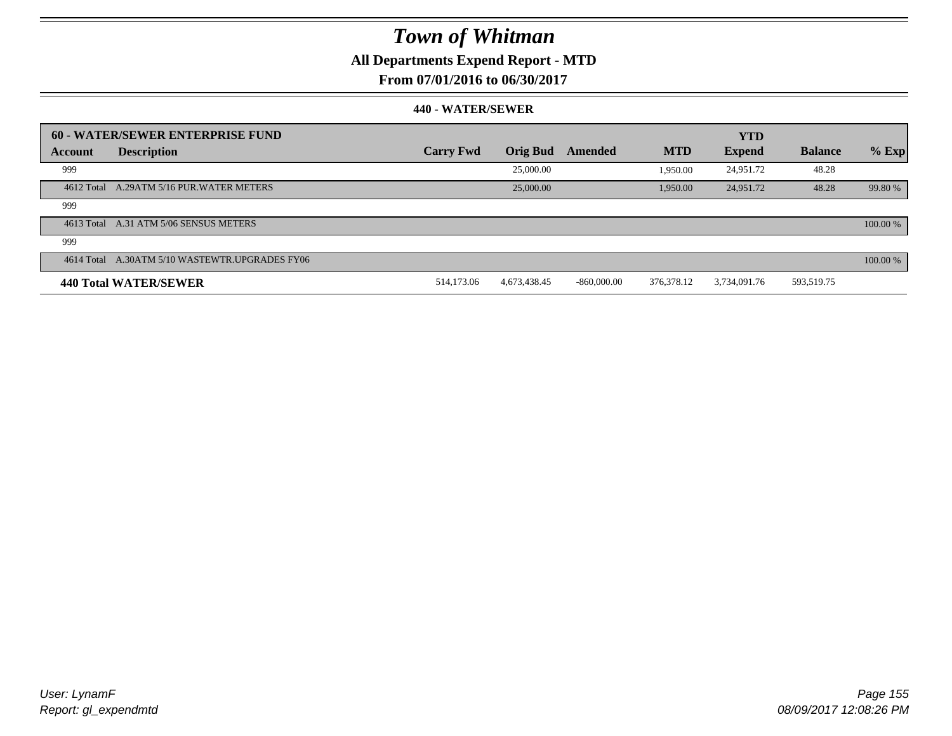## **All Departments Expend Report - MTD**

**From 07/01/2016 to 06/30/2017**

|         | 60 - WATER/SEWER ENTERPRISE FUND               |                  |                 |               |            | <b>YTD</b>    |                |          |
|---------|------------------------------------------------|------------------|-----------------|---------------|------------|---------------|----------------|----------|
| Account | <b>Description</b>                             | <b>Carry Fwd</b> | <b>Orig Bud</b> | Amended       | <b>MTD</b> | <b>Expend</b> | <b>Balance</b> | $%$ Exp  |
| 999     |                                                |                  | 25,000.00       |               | 1,950.00   | 24,951.72     | 48.28          |          |
|         | 4612 Total A.29ATM 5/16 PUR. WATER METERS      |                  | 25,000.00       |               | 1,950.00   | 24,951.72     | 48.28          | 99.80 %  |
| 999     |                                                |                  |                 |               |            |               |                |          |
|         | 4613 Total A.31 ATM 5/06 SENSUS METERS         |                  |                 |               |            |               |                | 100.00 % |
| 999     |                                                |                  |                 |               |            |               |                |          |
|         | 4614 Total A.30ATM 5/10 WASTEWTR.UPGRADES FY06 |                  |                 |               |            |               |                | 100.00 % |
|         | <b>440 Total WATER/SEWER</b>                   | 514,173.06       | 4,673,438.45    | $-860,000,00$ | 376.378.12 | 3.734.091.76  | 593,519.75     |          |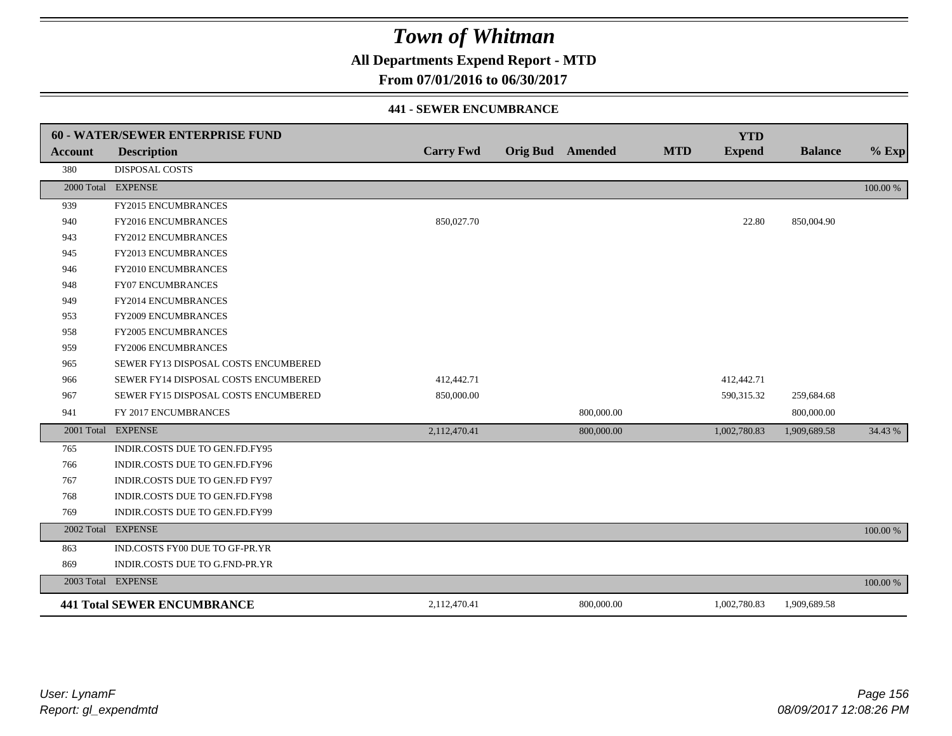## **All Departments Expend Report - MTD**

**From 07/01/2016 to 06/30/2017**

#### **441 - SEWER ENCUMBRANCE**

|                | <b>60 - WATER/SEWER ENTERPRISE FUND</b> |                  |                         |            | <b>YTD</b>    |                |          |
|----------------|-----------------------------------------|------------------|-------------------------|------------|---------------|----------------|----------|
| <b>Account</b> | <b>Description</b>                      | <b>Carry Fwd</b> | <b>Orig Bud</b> Amended | <b>MTD</b> | <b>Expend</b> | <b>Balance</b> | $%$ Exp  |
| 380            | DISPOSAL COSTS                          |                  |                         |            |               |                |          |
|                | 2000 Total EXPENSE                      |                  |                         |            |               |                | 100.00 % |
| 939            | FY2015 ENCUMBRANCES                     |                  |                         |            |               |                |          |
| 940            | FY2016 ENCUMBRANCES                     | 850,027.70       |                         |            | 22.80         | 850,004.90     |          |
| 943            | <b>FY2012 ENCUMBRANCES</b>              |                  |                         |            |               |                |          |
| 945            | FY2013 ENCUMBRANCES                     |                  |                         |            |               |                |          |
| 946            | <b>FY2010 ENCUMBRANCES</b>              |                  |                         |            |               |                |          |
| 948            | <b>FY07 ENCUMBRANCES</b>                |                  |                         |            |               |                |          |
| 949            | FY2014 ENCUMBRANCES                     |                  |                         |            |               |                |          |
| 953            | <b>FY2009 ENCUMBRANCES</b>              |                  |                         |            |               |                |          |
| 958            | FY2005 ENCUMBRANCES                     |                  |                         |            |               |                |          |
| 959            | FY2006 ENCUMBRANCES                     |                  |                         |            |               |                |          |
| 965            | SEWER FY13 DISPOSAL COSTS ENCUMBERED    |                  |                         |            |               |                |          |
| 966            | SEWER FY14 DISPOSAL COSTS ENCUMBERED    | 412,442.71       |                         |            | 412,442.71    |                |          |
| 967            | SEWER FY15 DISPOSAL COSTS ENCUMBERED    | 850,000.00       |                         |            | 590,315.32    | 259,684.68     |          |
| 941            | FY 2017 ENCUMBRANCES                    |                  | 800,000.00              |            |               | 800,000.00     |          |
|                | 2001 Total EXPENSE                      | 2,112,470.41     | 800,000.00              |            | 1,002,780.83  | 1,909,689.58   | 34.43 %  |
| 765            | INDIR.COSTS DUE TO GEN.FD.FY95          |                  |                         |            |               |                |          |
| 766            | INDIR.COSTS DUE TO GEN.FD.FY96          |                  |                         |            |               |                |          |
| 767            | INDIR.COSTS DUE TO GEN.FD FY97          |                  |                         |            |               |                |          |
| 768            | INDIR.COSTS DUE TO GEN.FD.FY98          |                  |                         |            |               |                |          |
| 769            | INDIR.COSTS DUE TO GEN.FD.FY99          |                  |                         |            |               |                |          |
|                | 2002 Total EXPENSE                      |                  |                         |            |               |                | 100.00 % |
| 863            | IND.COSTS FY00 DUE TO GF-PR.YR          |                  |                         |            |               |                |          |
| 869            | INDIR.COSTS DUE TO G.FND-PR.YR          |                  |                         |            |               |                |          |
|                | 2003 Total EXPENSE                      |                  |                         |            |               |                | 100.00 % |
|                | <b>441 Total SEWER ENCUMBRANCE</b>      | 2,112,470.41     | 800,000.00              |            | 1,002,780.83  | 1,909,689.58   |          |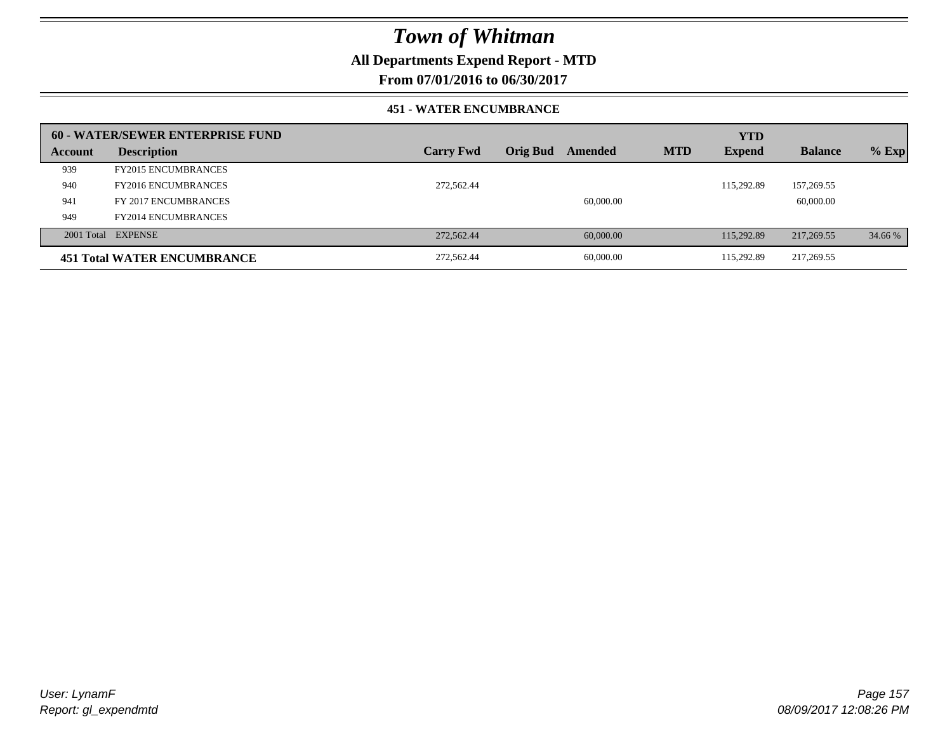## **All Departments Expend Report - MTD**

**From 07/01/2016 to 06/30/2017**

#### **451 - WATER ENCUMBRANCE**

|         | 60 - WATER/SEWER ENTERPRISE FUND   |                  |                 |           |            | <b>YTD</b>    |                |         |
|---------|------------------------------------|------------------|-----------------|-----------|------------|---------------|----------------|---------|
| Account | <b>Description</b>                 | <b>Carry Fwd</b> | <b>Orig Bud</b> | Amended   | <b>MTD</b> | <b>Expend</b> | <b>Balance</b> | $%$ Exp |
| 939     | <b>FY2015 ENCUMBRANCES</b>         |                  |                 |           |            |               |                |         |
| 940     | <b>FY2016 ENCUMBRANCES</b>         | 272,562.44       |                 |           |            | 115.292.89    | 157,269.55     |         |
| 941     | FY 2017 ENCUMBRANCES               |                  |                 | 60,000.00 |            |               | 60,000.00      |         |
| 949     | <b>FY2014 ENCUMBRANCES</b>         |                  |                 |           |            |               |                |         |
|         | 2001 Total EXPENSE                 | 272,562.44       |                 | 60,000,00 |            | 115,292.89    | 217,269.55     | 34.66 % |
|         | <b>451 Total WATER ENCUMBRANCE</b> | 272,562.44       |                 | 60,000.00 |            | 115.292.89    | 217,269.55     |         |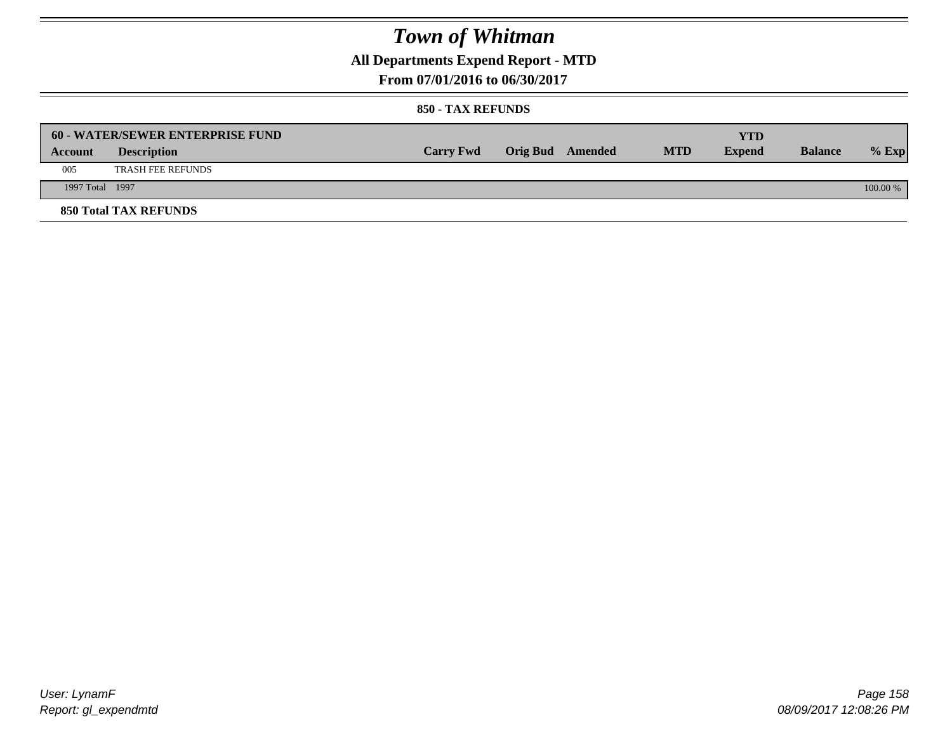## **All Departments Expend Report - MTD**

**From 07/01/2016 to 06/30/2017**

#### **850 - TAX REFUNDS**

|                 | <b>60 - WATER/SEWER ENTERPRISE FUND</b> |                  |                  |            | YTD           |                |            |
|-----------------|-----------------------------------------|------------------|------------------|------------|---------------|----------------|------------|
| Account         | <b>Description</b>                      | <b>Carry Fwd</b> | Orig Bud Amended | <b>MTD</b> | <b>Expend</b> | <b>Balance</b> | $%$ Exp    |
| 005             | <b>TRASH FEE REFUNDS</b>                |                  |                  |            |               |                |            |
| 1997 Total 1997 |                                         |                  |                  |            |               |                | $100.00\%$ |
|                 | <b>850 Total TAX REFUNDS</b>            |                  |                  |            |               |                |            |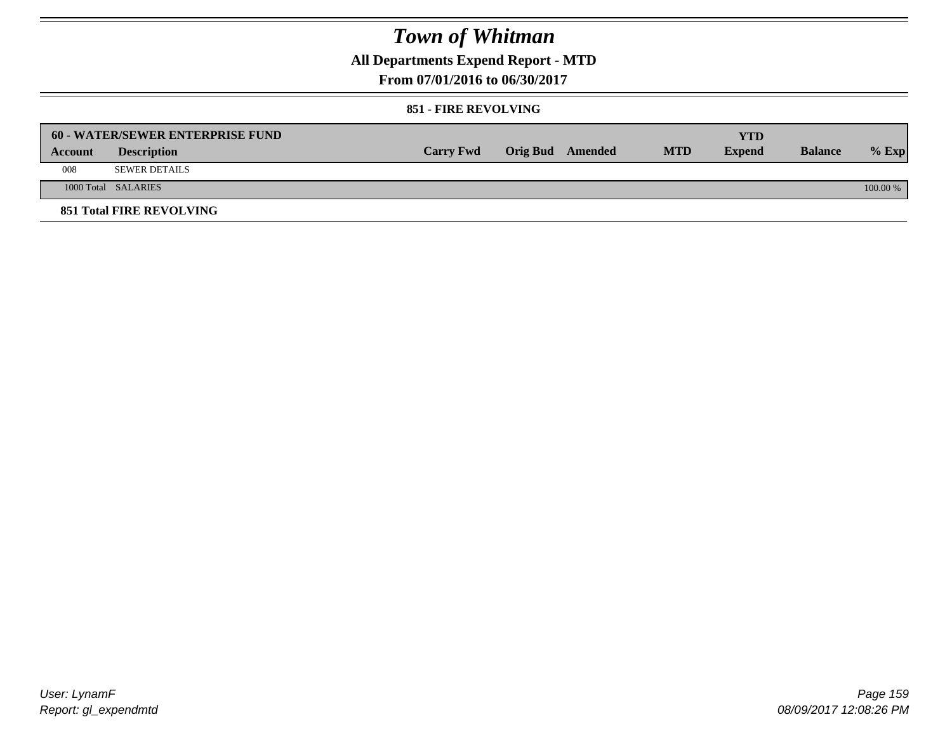## **All Departments Expend Report - MTD**

**From 07/01/2016 to 06/30/2017**

#### **851 - FIRE REVOLVING**

|         | 60 - WATER/SEWER ENTERPRISE FUND |                  |                  |            | <b>YTD</b>    |                |            |
|---------|----------------------------------|------------------|------------------|------------|---------------|----------------|------------|
| Account | <b>Description</b>               | <b>Carry Fwd</b> | Orig Bud Amended | <b>MTD</b> | <b>Expend</b> | <b>Balance</b> | $%$ Exp    |
| 008     | <b>SEWER DETAILS</b>             |                  |                  |            |               |                |            |
|         | 1000 Total SALARIES              |                  |                  |            |               |                | $100.00\%$ |
|         | <b>851 Total FIRE REVOLVING</b>  |                  |                  |            |               |                |            |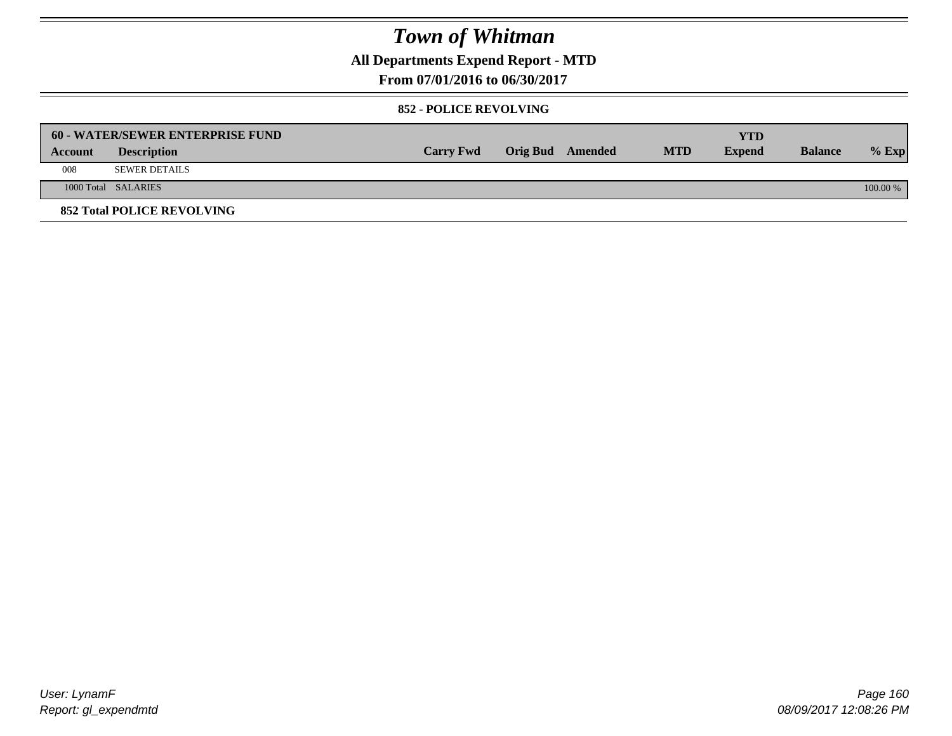## **All Departments Expend Report - MTD**

**From 07/01/2016 to 06/30/2017**

#### **852 - POLICE REVOLVING**

|         | 60 - WATER/SEWER ENTERPRISE FUND  |                  |                  |            | YTD           |                |            |
|---------|-----------------------------------|------------------|------------------|------------|---------------|----------------|------------|
| Account | <b>Description</b>                | <b>Carry Fwd</b> | Orig Bud Amended | <b>MTD</b> | <b>Expend</b> | <b>Balance</b> | $%$ Exp    |
| 008     | <b>SEWER DETAILS</b>              |                  |                  |            |               |                |            |
|         | 1000 Total SALARIES               |                  |                  |            |               |                | $100.00\%$ |
|         | <b>852 Total POLICE REVOLVING</b> |                  |                  |            |               |                |            |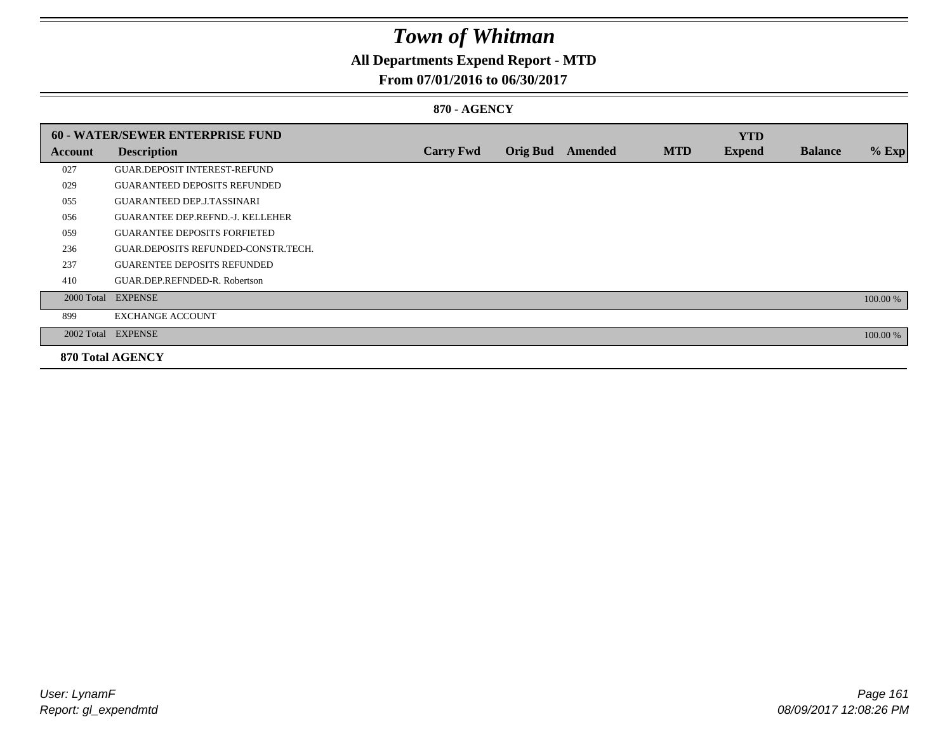## **All Departments Expend Report - MTD**

### **From 07/01/2016 to 06/30/2017**

### **870 - AGENCY**

|         | <b>60 - WATER/SEWER ENTERPRISE FUND</b> |                  |                 |                |            | <b>YTD</b>    |                |          |
|---------|-----------------------------------------|------------------|-----------------|----------------|------------|---------------|----------------|----------|
| Account | <b>Description</b>                      | <b>Carry Fwd</b> | <b>Orig Bud</b> | <b>Amended</b> | <b>MTD</b> | <b>Expend</b> | <b>Balance</b> | $%$ Exp  |
| 027     | <b>GUAR.DEPOSIT INTEREST-REFUND</b>     |                  |                 |                |            |               |                |          |
| 029     | <b>GUARANTEED DEPOSITS REFUNDED</b>     |                  |                 |                |            |               |                |          |
| 055     | <b>GUARANTEED DEP.J.TASSINARI</b>       |                  |                 |                |            |               |                |          |
| 056     | <b>GUARANTEE DEP.REFND.-J. KELLEHER</b> |                  |                 |                |            |               |                |          |
| 059     | <b>GUARANTEE DEPOSITS FORFIETED</b>     |                  |                 |                |            |               |                |          |
| 236     | GUAR.DEPOSITS REFUNDED-CONSTR.TECH.     |                  |                 |                |            |               |                |          |
| 237     | <b>GUARENTEE DEPOSITS REFUNDED</b>      |                  |                 |                |            |               |                |          |
| 410     | GUAR.DEP.REFNDED-R. Robertson           |                  |                 |                |            |               |                |          |
|         | 2000 Total EXPENSE                      |                  |                 |                |            |               |                | 100.00 % |
| 899     | <b>EXCHANGE ACCOUNT</b>                 |                  |                 |                |            |               |                |          |
|         | 2002 Total EXPENSE                      |                  |                 |                |            |               |                | 100.00 % |
|         | <b>870 Total AGENCY</b>                 |                  |                 |                |            |               |                |          |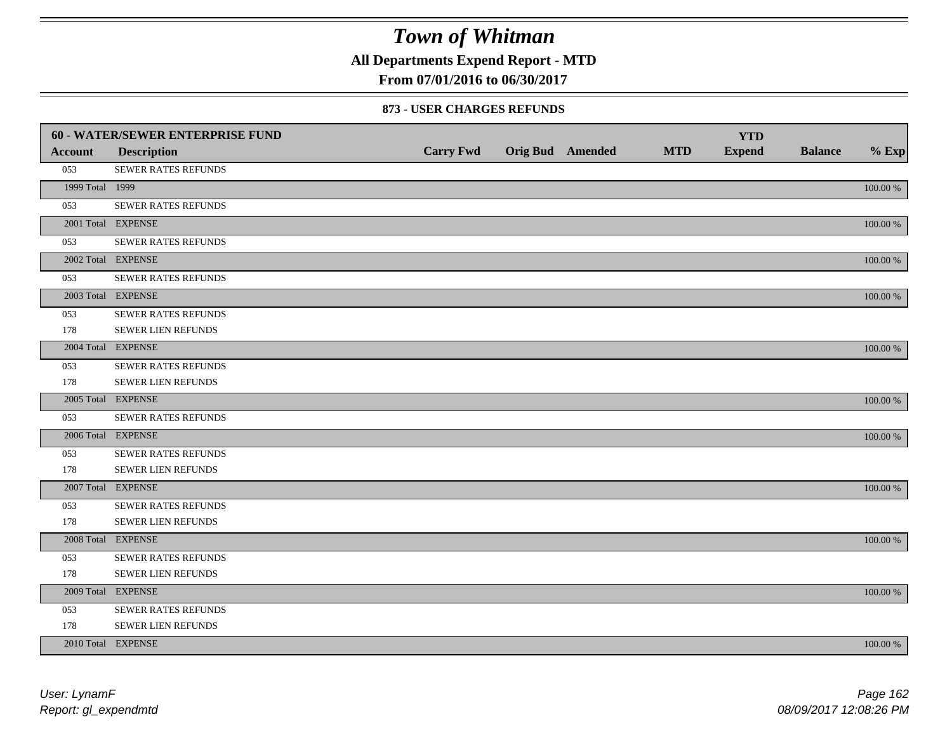**All Departments Expend Report - MTD**

**From 07/01/2016 to 06/30/2017**

#### **873 - USER CHARGES REFUNDS**

|                 | <b>60 - WATER/SEWER ENTERPRISE FUND</b> |                  |                         |            | <b>YTD</b>    |                |             |
|-----------------|-----------------------------------------|------------------|-------------------------|------------|---------------|----------------|-------------|
| <b>Account</b>  | <b>Description</b>                      | <b>Carry Fwd</b> | <b>Orig Bud</b> Amended | <b>MTD</b> | <b>Expend</b> | <b>Balance</b> | $%$ Exp     |
| 053             | SEWER RATES REFUNDS                     |                  |                         |            |               |                |             |
| 1999 Total 1999 |                                         |                  |                         |            |               |                | 100.00 %    |
| 053             | <b>SEWER RATES REFUNDS</b>              |                  |                         |            |               |                |             |
|                 | 2001 Total EXPENSE                      |                  |                         |            |               |                | $100.00~\%$ |
| 053             | SEWER RATES REFUNDS                     |                  |                         |            |               |                |             |
|                 | 2002 Total EXPENSE                      |                  |                         |            |               |                | $100.00~\%$ |
| 053             | <b>SEWER RATES REFUNDS</b>              |                  |                         |            |               |                |             |
|                 | 2003 Total EXPENSE                      |                  |                         |            |               |                | 100.00 %    |
| 053             | <b>SEWER RATES REFUNDS</b>              |                  |                         |            |               |                |             |
| 178             | SEWER LIEN REFUNDS                      |                  |                         |            |               |                |             |
|                 | 2004 Total EXPENSE                      |                  |                         |            |               |                | 100.00 %    |
| 053             | SEWER RATES REFUNDS                     |                  |                         |            |               |                |             |
| 178             | SEWER LIEN REFUNDS                      |                  |                         |            |               |                |             |
|                 | 2005 Total EXPENSE                      |                  |                         |            |               |                | 100.00 %    |
| 053             | SEWER RATES REFUNDS                     |                  |                         |            |               |                |             |
|                 | 2006 Total EXPENSE                      |                  |                         |            |               |                | 100.00 %    |
| 053             | SEWER RATES REFUNDS                     |                  |                         |            |               |                |             |
| 178             | <b>SEWER LIEN REFUNDS</b>               |                  |                         |            |               |                |             |
|                 | 2007 Total EXPENSE                      |                  |                         |            |               |                | $100.00~\%$ |
| 053             | SEWER RATES REFUNDS                     |                  |                         |            |               |                |             |
| 178             | SEWER LIEN REFUNDS                      |                  |                         |            |               |                |             |
|                 | 2008 Total EXPENSE                      |                  |                         |            |               |                | 100.00 %    |
| 053             | <b>SEWER RATES REFUNDS</b>              |                  |                         |            |               |                |             |
| 178             | SEWER LIEN REFUNDS                      |                  |                         |            |               |                |             |
|                 | 2009 Total EXPENSE                      |                  |                         |            |               |                | 100.00 %    |
| 053             | SEWER RATES REFUNDS                     |                  |                         |            |               |                |             |
| 178             | SEWER LIEN REFUNDS                      |                  |                         |            |               |                |             |
|                 | 2010 Total EXPENSE                      |                  |                         |            |               |                | 100.00 %    |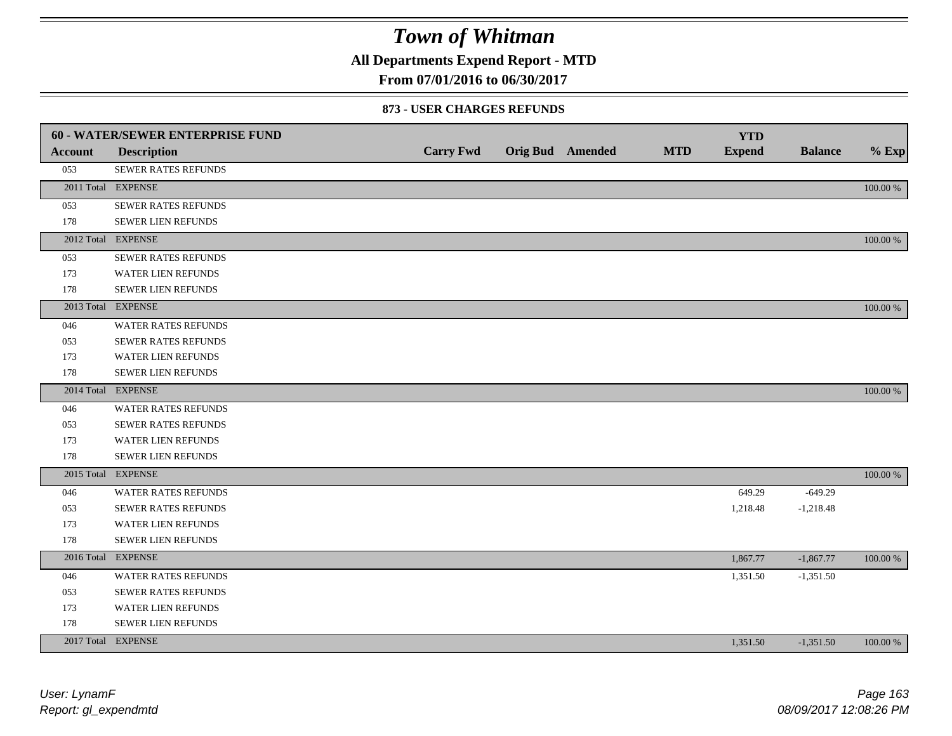**All Departments Expend Report - MTD**

### **From 07/01/2016 to 06/30/2017**

#### **873 - USER CHARGES REFUNDS**

|                | <b>60 - WATER/SEWER ENTERPRISE FUND</b> |                  |                         |            | <b>YTD</b>    |                |             |
|----------------|-----------------------------------------|------------------|-------------------------|------------|---------------|----------------|-------------|
| <b>Account</b> | <b>Description</b>                      | <b>Carry Fwd</b> | <b>Orig Bud</b> Amended | <b>MTD</b> | <b>Expend</b> | <b>Balance</b> | $%$ Exp     |
| 053            | SEWER RATES REFUNDS                     |                  |                         |            |               |                |             |
|                | 2011 Total EXPENSE                      |                  |                         |            |               |                | 100.00 %    |
| 053            | SEWER RATES REFUNDS                     |                  |                         |            |               |                |             |
| 178            | <b>SEWER LIEN REFUNDS</b>               |                  |                         |            |               |                |             |
|                | 2012 Total EXPENSE                      |                  |                         |            |               |                | 100.00 %    |
| 053            | SEWER RATES REFUNDS                     |                  |                         |            |               |                |             |
| 173            | WATER LIEN REFUNDS                      |                  |                         |            |               |                |             |
| 178            | SEWER LIEN REFUNDS                      |                  |                         |            |               |                |             |
|                | 2013 Total EXPENSE                      |                  |                         |            |               |                | 100.00 %    |
| 046            | <b>WATER RATES REFUNDS</b>              |                  |                         |            |               |                |             |
| 053            | <b>SEWER RATES REFUNDS</b>              |                  |                         |            |               |                |             |
| 173            | WATER LIEN REFUNDS                      |                  |                         |            |               |                |             |
| 178            | <b>SEWER LIEN REFUNDS</b>               |                  |                         |            |               |                |             |
|                | 2014 Total EXPENSE                      |                  |                         |            |               |                | 100.00 %    |
| 046            | <b>WATER RATES REFUNDS</b>              |                  |                         |            |               |                |             |
| 053            | SEWER RATES REFUNDS                     |                  |                         |            |               |                |             |
| 173            | <b>WATER LIEN REFUNDS</b>               |                  |                         |            |               |                |             |
| 178            | SEWER LIEN REFUNDS                      |                  |                         |            |               |                |             |
|                | 2015 Total EXPENSE                      |                  |                         |            |               |                | $100.00~\%$ |
| 046            | WATER RATES REFUNDS                     |                  |                         |            | 649.29        | $-649.29$      |             |
| 053            | <b>SEWER RATES REFUNDS</b>              |                  |                         |            | 1,218.48      | $-1,218.48$    |             |
| 173            | <b>WATER LIEN REFUNDS</b>               |                  |                         |            |               |                |             |
| 178            | SEWER LIEN REFUNDS                      |                  |                         |            |               |                |             |
|                | 2016 Total EXPENSE                      |                  |                         |            | 1,867.77      | $-1,867.77$    | 100.00 %    |
| 046            | WATER RATES REFUNDS                     |                  |                         |            | 1,351.50      | $-1,351.50$    |             |
| 053            | <b>SEWER RATES REFUNDS</b>              |                  |                         |            |               |                |             |
| 173            | WATER LIEN REFUNDS                      |                  |                         |            |               |                |             |
| 178            | <b>SEWER LIEN REFUNDS</b>               |                  |                         |            |               |                |             |
|                | 2017 Total EXPENSE                      |                  |                         |            | 1,351.50      | $-1,351.50$    | 100.00 %    |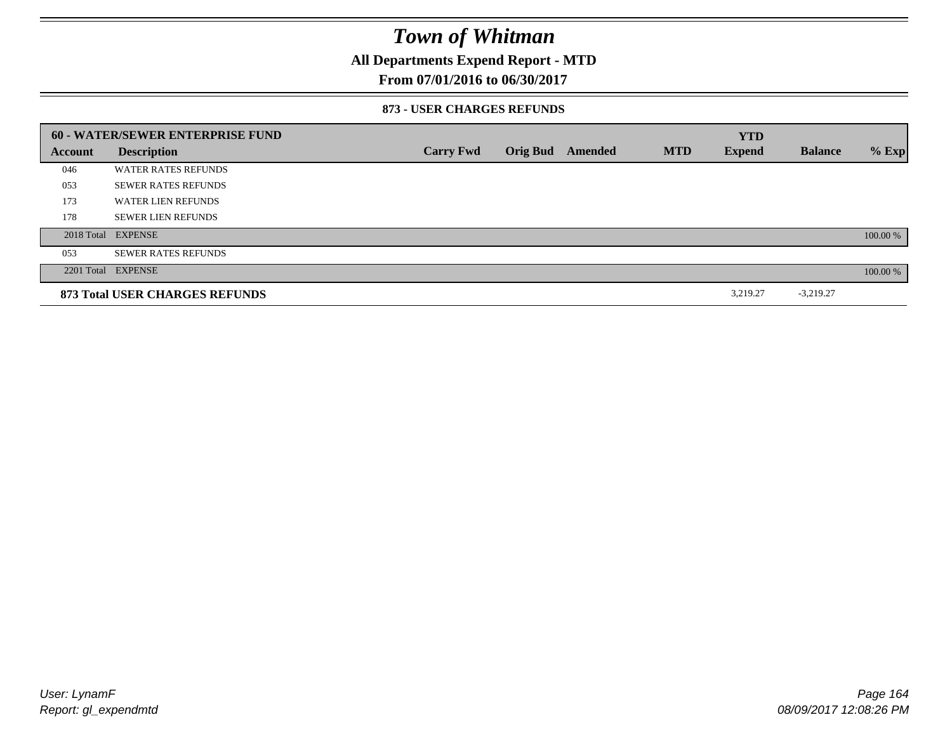## **All Departments Expend Report - MTD**

### **From 07/01/2016 to 06/30/2017**

#### **873 - USER CHARGES REFUNDS**

|         | 60 - WATER/SEWER ENTERPRISE FUND |                  |                 |         |            | <b>YTD</b>    |                |          |
|---------|----------------------------------|------------------|-----------------|---------|------------|---------------|----------------|----------|
| Account | <b>Description</b>               | <b>Carry Fwd</b> | <b>Orig Bud</b> | Amended | <b>MTD</b> | <b>Expend</b> | <b>Balance</b> | $%$ Exp  |
| 046     | <b>WATER RATES REFUNDS</b>       |                  |                 |         |            |               |                |          |
| 053     | <b>SEWER RATES REFUNDS</b>       |                  |                 |         |            |               |                |          |
| 173     | <b>WATER LIEN REFUNDS</b>        |                  |                 |         |            |               |                |          |
| 178     | <b>SEWER LIEN REFUNDS</b>        |                  |                 |         |            |               |                |          |
|         | 2018 Total EXPENSE               |                  |                 |         |            |               |                | 100.00 % |
| 053     | <b>SEWER RATES REFUNDS</b>       |                  |                 |         |            |               |                |          |
|         | 2201 Total EXPENSE               |                  |                 |         |            |               |                | 100.00 % |
|         | 873 Total USER CHARGES REFUNDS   |                  |                 |         |            | 3,219.27      | $-3,219.27$    |          |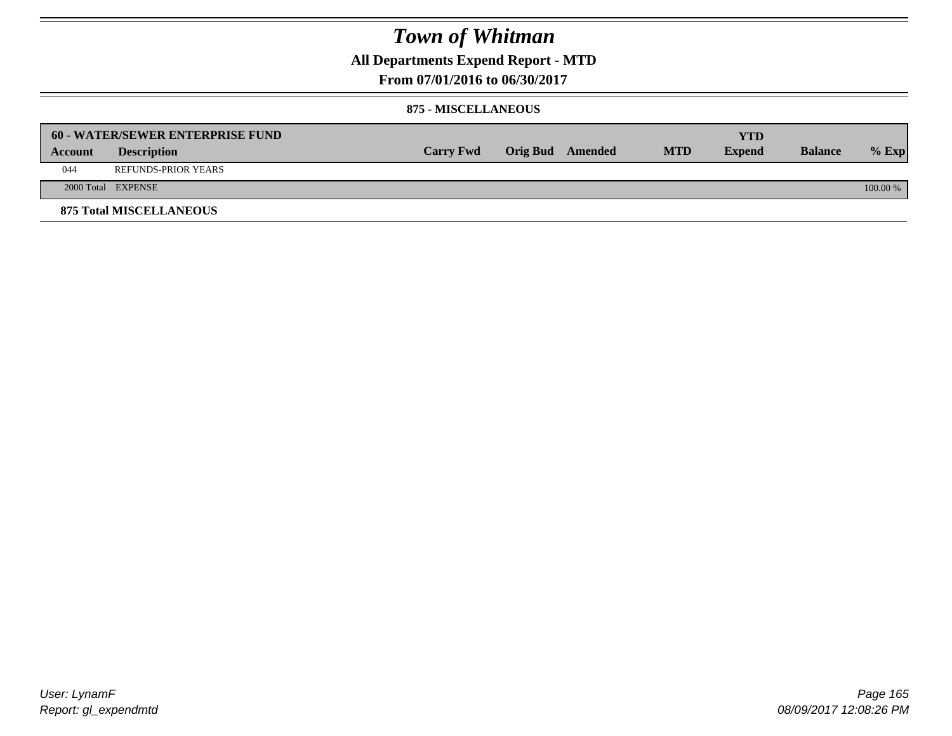## **All Departments Expend Report - MTD**

**From 07/01/2016 to 06/30/2017**

#### **875 - MISCELLANEOUS**

|         | <b>60 - WATER/SEWER ENTERPRISE FUND</b> |                  |                  |            | <b>YTD</b>    |                |            |
|---------|-----------------------------------------|------------------|------------------|------------|---------------|----------------|------------|
| Account | <b>Description</b>                      | <b>Carry Fwd</b> | Orig Bud Amended | <b>MTD</b> | <b>Expend</b> | <b>Balance</b> | $%$ Exp    |
| 044     | REFUNDS-PRIOR YEARS                     |                  |                  |            |               |                |            |
|         | 2000 Total EXPENSE                      |                  |                  |            |               |                | $100.00\%$ |
|         | <b>875 Total MISCELLANEOUS</b>          |                  |                  |            |               |                |            |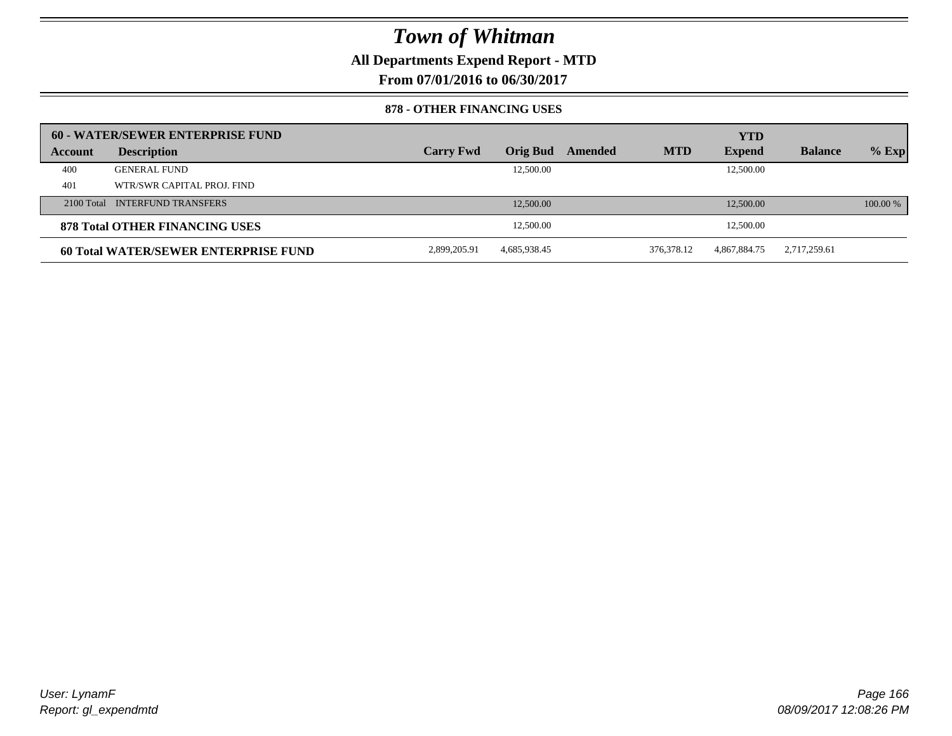**All Departments Expend Report - MTD**

**From 07/01/2016 to 06/30/2017**

#### **878 - OTHER FINANCING USES**

|         | 60 - WATER/SEWER ENTERPRISE FUND     |                  |                 |         |            | <b>YTD</b>    |                |          |
|---------|--------------------------------------|------------------|-----------------|---------|------------|---------------|----------------|----------|
| Account | <b>Description</b>                   | <b>Carry Fwd</b> | <b>Orig Bud</b> | Amended | <b>MTD</b> | <b>Expend</b> | <b>Balance</b> | $%$ Exp  |
| 400     | <b>GENERAL FUND</b>                  |                  | 12,500.00       |         |            | 12,500.00     |                |          |
| 401     | WTR/SWR CAPITAL PROJ. FIND           |                  |                 |         |            |               |                |          |
|         | 2100 Total INTERFUND TRANSFERS       |                  | 12,500.00       |         |            | 12,500.00     |                | 100.00 % |
|         | 878 Total OTHER FINANCING USES       |                  | 12,500.00       |         |            | 12,500.00     |                |          |
|         | 60 Total WATER/SEWER ENTERPRISE FUND | 2,899,205.91     | 4,685,938.45    |         | 376,378.12 | 4,867,884.75  | 2,717,259.61   |          |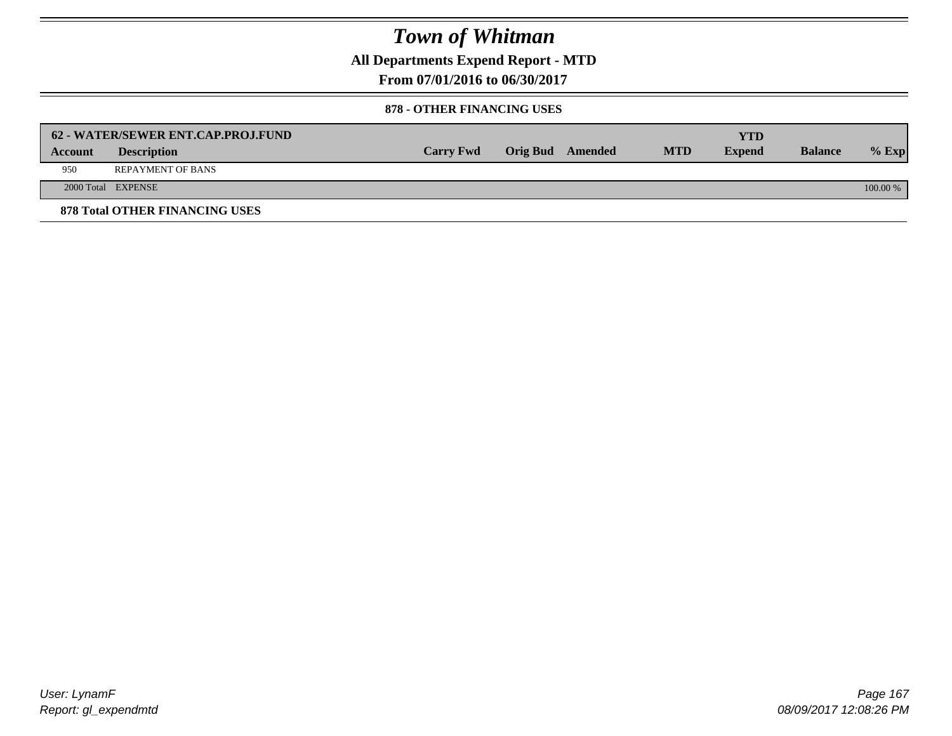**All Departments Expend Report - MTD**

**From 07/01/2016 to 06/30/2017**

#### **878 - OTHER FINANCING USES**

|         | 62 - WATER/SEWER ENT.CAP.PROJ.FUND    |                  |                  |            | <b>YTD</b>    |                |            |
|---------|---------------------------------------|------------------|------------------|------------|---------------|----------------|------------|
| Account | <b>Description</b>                    | <b>Carry Fwd</b> | Orig Bud Amended | <b>MTD</b> | <b>Expend</b> | <b>Balance</b> | $%$ Exp    |
| 950     | <b>REPAYMENT OF BANS</b>              |                  |                  |            |               |                |            |
|         | 2000 Total EXPENSE                    |                  |                  |            |               |                | $100.00\%$ |
|         | <b>878 Total OTHER FINANCING USES</b> |                  |                  |            |               |                |            |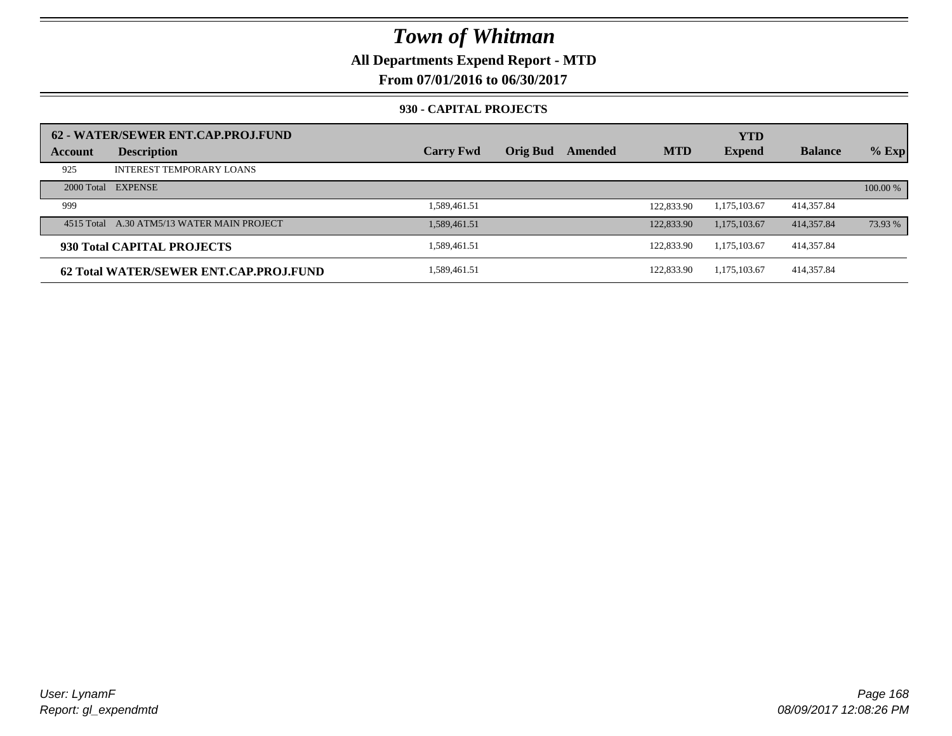## **All Departments Expend Report - MTD**

**From 07/01/2016 to 06/30/2017**

#### **930 - CAPITAL PROJECTS**

| Account | 62 - WATER/SEWER ENT.CAP.PROJ.FUND<br><b>Description</b> | <b>Carry Fwd</b> | <b>Orig Bud</b> | Amended | <b>MTD</b> | <b>YTD</b><br><b>Expend</b> | <b>Balance</b> | $%$ Exp  |
|---------|----------------------------------------------------------|------------------|-----------------|---------|------------|-----------------------------|----------------|----------|
|         |                                                          |                  |                 |         |            |                             |                |          |
| 925     | <b>INTEREST TEMPORARY LOANS</b>                          |                  |                 |         |            |                             |                |          |
|         | 2000 Total EXPENSE                                       |                  |                 |         |            |                             |                | 100.00 % |
| 999     |                                                          | 1,589,461.51     |                 |         | 122,833.90 | 1.175.103.67                | 414,357.84     |          |
|         | 4515 Total A.30 ATM5/13 WATER MAIN PROJECT               | 1.589.461.51     |                 |         | 122,833.90 | 1.175.103.67                | 414,357.84     | 73.93 %  |
|         | 930 Total CAPITAL PROJECTS                               | 1.589.461.51     |                 |         | 122,833.90 | 1,175,103.67                | 414,357.84     |          |
|         | 62 Total WATER/SEWER ENT.CAP.PROJ.FUND                   | 1,589,461.51     |                 |         | 122,833.90 | 1.175.103.67                | 414,357.84     |          |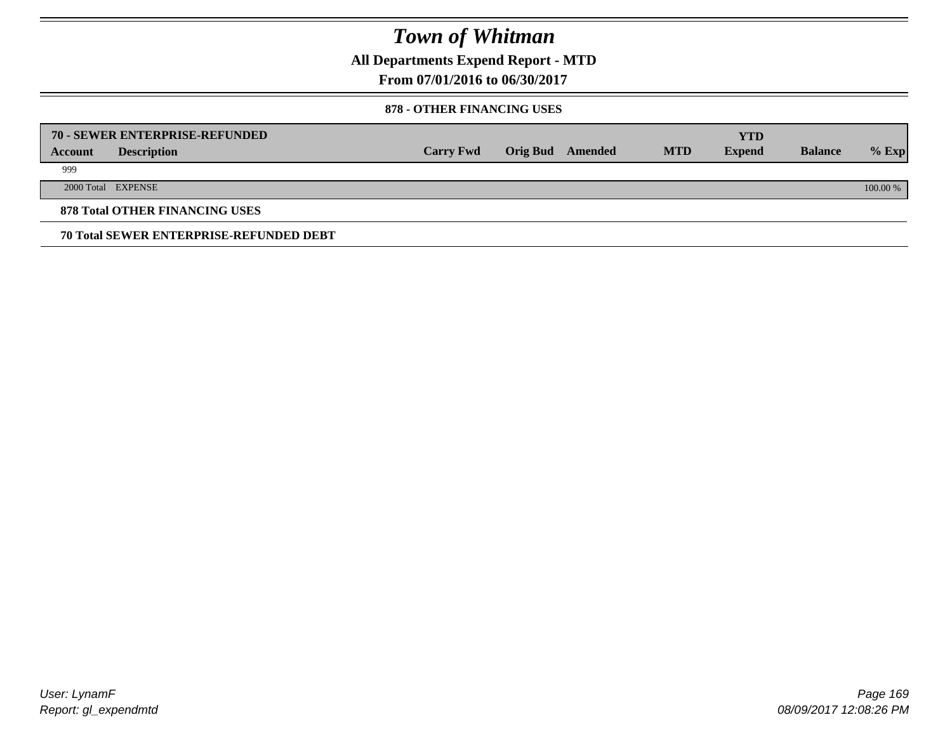**All Departments Expend Report - MTD**

**From 07/01/2016 to 06/30/2017**

#### **878 - OTHER FINANCING USES**

|         | 70 - SEWER ENTERPRISE-REFUNDED                 |                  |                 |         |            | <b>YTD</b>    |                |          |
|---------|------------------------------------------------|------------------|-----------------|---------|------------|---------------|----------------|----------|
| Account | <b>Description</b>                             | <b>Carry Fwd</b> | <b>Orig Bud</b> | Amended | <b>MTD</b> | <b>Expend</b> | <b>Balance</b> | $%$ Exp  |
| 999     |                                                |                  |                 |         |            |               |                |          |
|         | 2000 Total EXPENSE                             |                  |                 |         |            |               |                | 100.00 % |
|         | <b>878 Total OTHER FINANCING USES</b>          |                  |                 |         |            |               |                |          |
|         | <b>70 Total SEWER ENTERPRISE-REFUNDED DEBT</b> |                  |                 |         |            |               |                |          |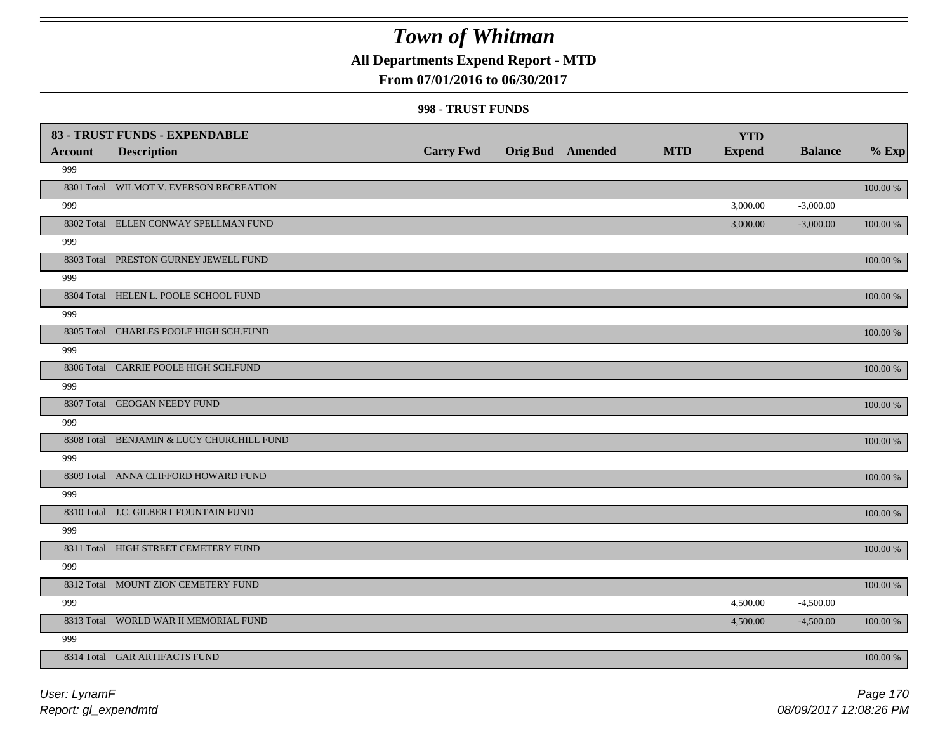## **All Departments Expend Report - MTD**

### **From 07/01/2016 to 06/30/2017**

#### **998 - TRUST FUNDS**

|         | 83 - TRUST FUNDS - EXPENDABLE             |                  |                         |            | <b>YTD</b>    |                |          |
|---------|-------------------------------------------|------------------|-------------------------|------------|---------------|----------------|----------|
| Account | <b>Description</b>                        | <b>Carry Fwd</b> | <b>Orig Bud</b> Amended | <b>MTD</b> | <b>Expend</b> | <b>Balance</b> | $%$ Exp  |
| 999     |                                           |                  |                         |            |               |                |          |
|         | 8301 Total WILMOT V. EVERSON RECREATION   |                  |                         |            |               |                | 100.00 % |
| 999     |                                           |                  |                         |            | 3,000.00      | $-3,000.00$    |          |
|         | 8302 Total ELLEN CONWAY SPELLMAN FUND     |                  |                         |            | 3,000.00      | $-3,000.00$    | 100.00 % |
| 999     |                                           |                  |                         |            |               |                |          |
|         | 8303 Total PRESTON GURNEY JEWELL FUND     |                  |                         |            |               |                | 100.00 % |
| 999     |                                           |                  |                         |            |               |                |          |
|         | 8304 Total HELEN L. POOLE SCHOOL FUND     |                  |                         |            |               |                | 100.00 % |
| 999     |                                           |                  |                         |            |               |                |          |
|         | 8305 Total CHARLES POOLE HIGH SCH.FUND    |                  |                         |            |               |                | 100.00 % |
| 999     |                                           |                  |                         |            |               |                |          |
|         | 8306 Total CARRIE POOLE HIGH SCH.FUND     |                  |                         |            |               |                | 100.00 % |
| 999     |                                           |                  |                         |            |               |                |          |
|         | 8307 Total GEOGAN NEEDY FUND              |                  |                         |            |               |                | 100.00 % |
| 999     |                                           |                  |                         |            |               |                |          |
|         | 8308 Total BENJAMIN & LUCY CHURCHILL FUND |                  |                         |            |               |                | 100.00 % |
| 999     |                                           |                  |                         |            |               |                |          |
|         | 8309 Total ANNA CLIFFORD HOWARD FUND      |                  |                         |            |               |                | 100.00 % |
| 999     |                                           |                  |                         |            |               |                |          |
|         | 8310 Total J.C. GILBERT FOUNTAIN FUND     |                  |                         |            |               |                | 100.00 % |
| 999     |                                           |                  |                         |            |               |                |          |
|         | 8311 Total HIGH STREET CEMETERY FUND      |                  |                         |            |               |                | 100.00 % |
| 999     |                                           |                  |                         |            |               |                |          |
|         | 8312 Total MOUNT ZION CEMETERY FUND       |                  |                         |            |               |                | 100.00 % |
| 999     |                                           |                  |                         |            | 4,500.00      | $-4,500.00$    |          |
|         | 8313 Total WORLD WAR II MEMORIAL FUND     |                  |                         |            | 4,500.00      | $-4,500.00$    | 100.00 % |
| 999     |                                           |                  |                         |            |               |                |          |
|         | 8314 Total GAR ARTIFACTS FUND             |                  |                         |            |               |                | 100.00 % |

*Report: gl\_expendmtd User: LynamF*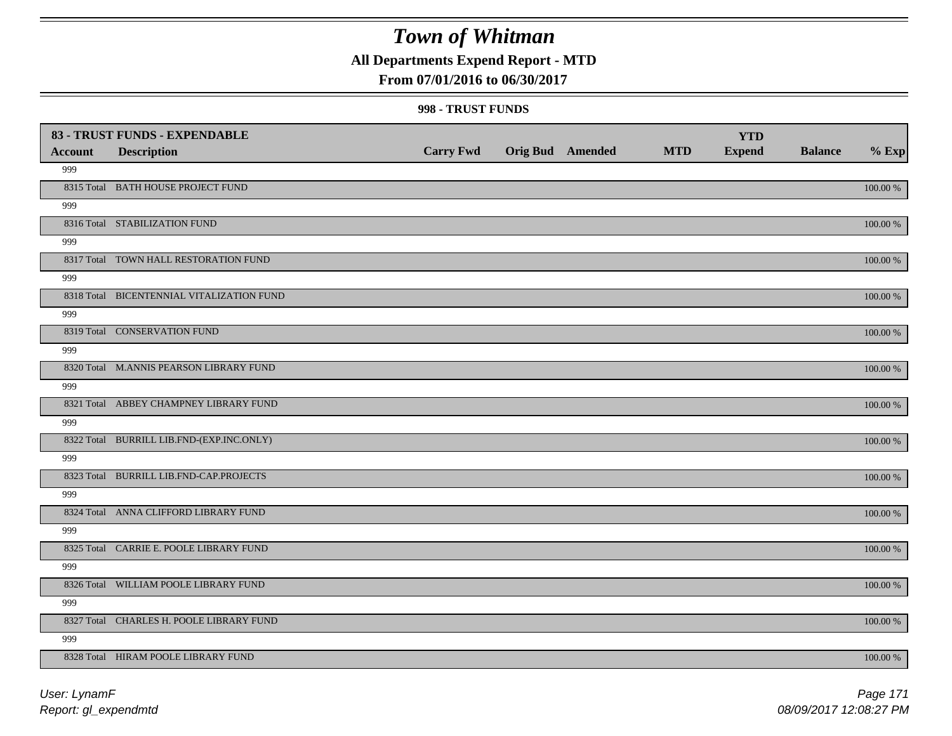## **All Departments Expend Report - MTD**

### **From 07/01/2016 to 06/30/2017**

#### **998 - TRUST FUNDS**

|                |                                           |                  |                         |            | <b>YTD</b>    |                |             |
|----------------|-------------------------------------------|------------------|-------------------------|------------|---------------|----------------|-------------|
| <b>Account</b> | <b>Description</b>                        | <b>Carry Fwd</b> | <b>Orig Bud Amended</b> | <b>MTD</b> | <b>Expend</b> | <b>Balance</b> | $%$ Exp     |
| 999            |                                           |                  |                         |            |               |                |             |
|                | 8315 Total BATH HOUSE PROJECT FUND        |                  |                         |            |               |                | $100.00~\%$ |
| 999            |                                           |                  |                         |            |               |                |             |
|                | 8316 Total STABILIZATION FUND             |                  |                         |            |               |                | 100.00 %    |
| 999            |                                           |                  |                         |            |               |                |             |
|                | 8317 Total TOWN HALL RESTORATION FUND     |                  |                         |            |               |                | 100.00 %    |
| 999            |                                           |                  |                         |            |               |                |             |
|                | 8318 Total BICENTENNIAL VITALIZATION FUND |                  |                         |            |               |                | 100.00 %    |
| 999            |                                           |                  |                         |            |               |                |             |
|                | 8319 Total CONSERVATION FUND              |                  |                         |            |               |                | 100.00 %    |
| 999            |                                           |                  |                         |            |               |                |             |
|                | 8320 Total M.ANNIS PEARSON LIBRARY FUND   |                  |                         |            |               |                | 100.00 %    |
| 999            |                                           |                  |                         |            |               |                |             |
|                | 8321 Total ABBEY CHAMPNEY LIBRARY FUND    |                  |                         |            |               |                | 100.00 %    |
| 999            |                                           |                  |                         |            |               |                |             |
|                | 8322 Total BURRILL LIB.FND-(EXP.INC.ONLY) |                  |                         |            |               |                | $100.00~\%$ |
| 999            |                                           |                  |                         |            |               |                |             |
|                | 8323 Total BURRILL LIB.FND-CAP.PROJECTS   |                  |                         |            |               |                | $100.00~\%$ |
| 999            |                                           |                  |                         |            |               |                |             |
|                | 8324 Total ANNA CLIFFORD LIBRARY FUND     |                  |                         |            |               |                | 100.00 %    |
| 999            |                                           |                  |                         |            |               |                |             |
|                | 8325 Total CARRIE E. POOLE LIBRARY FUND   |                  |                         |            |               |                | 100.00 %    |
| 999            |                                           |                  |                         |            |               |                |             |
|                | 8326 Total WILLIAM POOLE LIBRARY FUND     |                  |                         |            |               |                | 100.00 %    |
| 999            |                                           |                  |                         |            |               |                |             |
|                | 8327 Total CHARLES H. POOLE LIBRARY FUND  |                  |                         |            |               |                | 100.00 %    |
| 999            |                                           |                  |                         |            |               |                |             |
|                | 8328 Total HIRAM POOLE LIBRARY FUND       |                  |                         |            |               |                | 100.00 %    |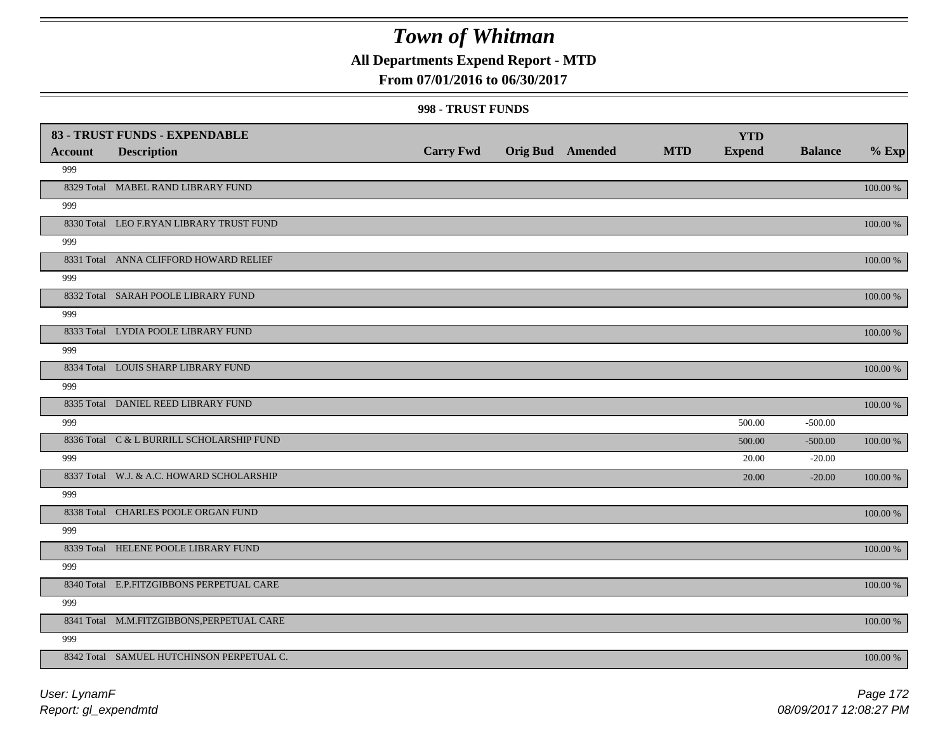## **All Departments Expend Report - MTD**

### **From 07/01/2016 to 06/30/2017**

#### **998 - TRUST FUNDS**

| <b>Account</b> | 83 - TRUST FUNDS - EXPENDABLE<br><b>Description</b> | <b>Carry Fwd</b> | Orig Bud Amended | <b>MTD</b> | <b>YTD</b><br><b>Expend</b> | <b>Balance</b> | $%$ Exp     |
|----------------|-----------------------------------------------------|------------------|------------------|------------|-----------------------------|----------------|-------------|
| 999            |                                                     |                  |                  |            |                             |                |             |
|                | 8329 Total MABEL RAND LIBRARY FUND                  |                  |                  |            |                             |                | 100.00 %    |
| 999            |                                                     |                  |                  |            |                             |                |             |
|                | 8330 Total LEO F.RYAN LIBRARY TRUST FUND            |                  |                  |            |                             |                | 100.00 %    |
| 999            |                                                     |                  |                  |            |                             |                |             |
|                | 8331 Total ANNA CLIFFORD HOWARD RELIEF              |                  |                  |            |                             |                | 100.00 %    |
| 999            |                                                     |                  |                  |            |                             |                |             |
|                | 8332 Total SARAH POOLE LIBRARY FUND                 |                  |                  |            |                             |                | 100.00 %    |
| 999            |                                                     |                  |                  |            |                             |                |             |
|                | 8333 Total LYDIA POOLE LIBRARY FUND                 |                  |                  |            |                             |                | 100.00 %    |
| 999            |                                                     |                  |                  |            |                             |                |             |
|                | 8334 Total LOUIS SHARP LIBRARY FUND                 |                  |                  |            |                             |                | 100.00 %    |
| 999            |                                                     |                  |                  |            |                             |                |             |
|                | 8335 Total DANIEL REED LIBRARY FUND                 |                  |                  |            |                             |                | 100.00 %    |
| 999            |                                                     |                  |                  |            | 500.00                      | $-500.00$      |             |
|                | 8336 Total C & L BURRILL SCHOLARSHIP FUND           |                  |                  |            | 500.00                      | $-500.00$      | 100.00 %    |
| 999            |                                                     |                  |                  |            | 20.00                       | $-20.00$       |             |
|                | 8337 Total W.J. & A.C. HOWARD SCHOLARSHIP           |                  |                  |            | 20.00                       | $-20.00$       | 100.00 %    |
| 999            |                                                     |                  |                  |            |                             |                |             |
|                | 8338 Total CHARLES POOLE ORGAN FUND                 |                  |                  |            |                             |                | 100.00 %    |
| 999            |                                                     |                  |                  |            |                             |                |             |
|                | 8339 Total HELENE POOLE LIBRARY FUND                |                  |                  |            |                             |                | $100.00~\%$ |
| 999            |                                                     |                  |                  |            |                             |                |             |
|                | 8340 Total E.P.FITZGIBBONS PERPETUAL CARE           |                  |                  |            |                             |                | 100.00 %    |
| 999            |                                                     |                  |                  |            |                             |                |             |
|                | 8341 Total M.M.FITZGIBBONS, PERPETUAL CARE          |                  |                  |            |                             |                | 100.00 %    |
| 999            |                                                     |                  |                  |            |                             |                |             |
|                | 8342 Total SAMUEL HUTCHINSON PERPETUAL C.           |                  |                  |            |                             |                | 100.00 %    |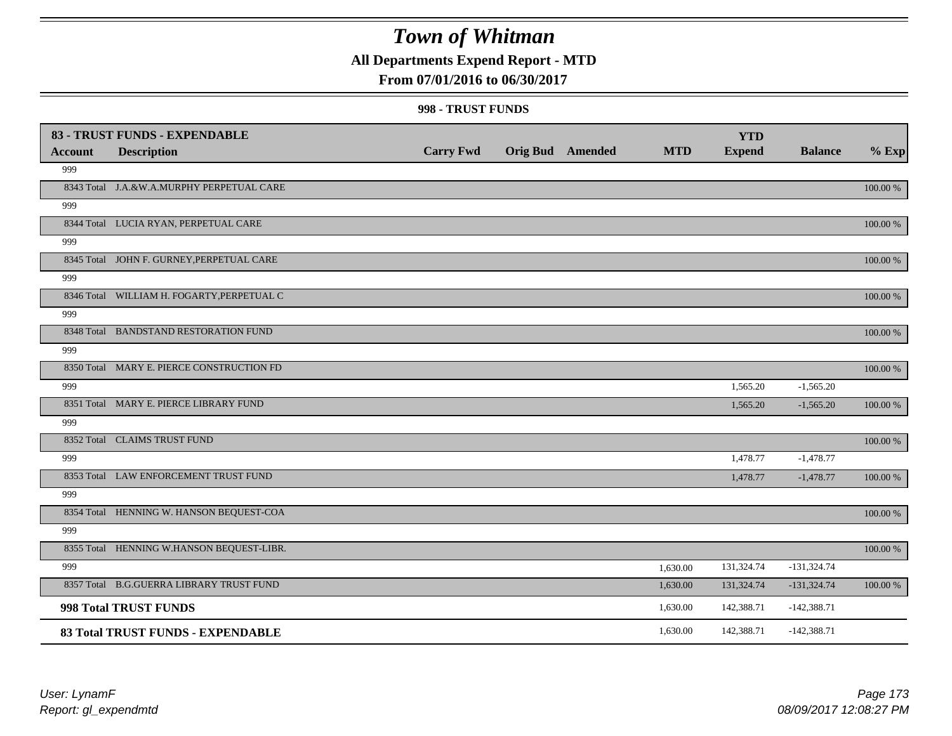## **All Departments Expend Report - MTD**

### **From 07/01/2016 to 06/30/2017**

#### **998 - TRUST FUNDS**

|                | 83 - TRUST FUNDS - EXPENDABLE              |                  |                         |            | <b>YTD</b>    |                |             |
|----------------|--------------------------------------------|------------------|-------------------------|------------|---------------|----------------|-------------|
| <b>Account</b> | <b>Description</b>                         | <b>Carry Fwd</b> | <b>Orig Bud</b> Amended | <b>MTD</b> | <b>Expend</b> | <b>Balance</b> | $%$ Exp     |
| 999            |                                            |                  |                         |            |               |                |             |
|                | 8343 Total J.A.&W.A.MURPHY PERPETUAL CARE  |                  |                         |            |               |                | 100.00 %    |
| 999            |                                            |                  |                         |            |               |                |             |
|                | 8344 Total LUCIA RYAN, PERPETUAL CARE      |                  |                         |            |               |                | 100.00 %    |
| 999            |                                            |                  |                         |            |               |                |             |
|                | 8345 Total JOHN F. GURNEY, PERPETUAL CARE  |                  |                         |            |               |                | 100.00 %    |
| 999            |                                            |                  |                         |            |               |                |             |
|                | 8346 Total WILLIAM H. FOGARTY, PERPETUAL C |                  |                         |            |               |                | $100.00~\%$ |
| 999            |                                            |                  |                         |            |               |                |             |
|                | 8348 Total BANDSTAND RESTORATION FUND      |                  |                         |            |               |                | 100.00 %    |
| 999            |                                            |                  |                         |            |               |                |             |
|                | 8350 Total MARY E. PIERCE CONSTRUCTION FD  |                  |                         |            |               |                | 100.00 %    |
| 999            |                                            |                  |                         |            | 1,565.20      | $-1,565.20$    |             |
|                | 8351 Total MARY E. PIERCE LIBRARY FUND     |                  |                         |            | 1,565.20      | $-1,565.20$    | 100.00 %    |
| 999            |                                            |                  |                         |            |               |                |             |
|                | 8352 Total CLAIMS TRUST FUND               |                  |                         |            |               |                | 100.00 %    |
| 999            |                                            |                  |                         |            | 1,478.77      | $-1,478.77$    |             |
|                | 8353 Total LAW ENFORCEMENT TRUST FUND      |                  |                         |            | 1,478.77      | $-1,478.77$    | 100.00 %    |
| 999            |                                            |                  |                         |            |               |                |             |
|                | 8354 Total HENNING W. HANSON BEQUEST-COA   |                  |                         |            |               |                | 100.00 %    |
| 999            |                                            |                  |                         |            |               |                |             |
|                | 8355 Total HENNING W.HANSON BEQUEST-LIBR.  |                  |                         |            |               |                | 100.00 %    |
| 999            |                                            |                  |                         | 1,630.00   | 131,324.74    | $-131,324.74$  |             |
|                | 8357 Total B.G.GUERRA LIBRARY TRUST FUND   |                  |                         | 1,630.00   | 131,324.74    | $-131,324.74$  | $100.00~\%$ |
|                | 998 Total TRUST FUNDS                      |                  |                         | 1,630.00   | 142,388.71    | $-142,388.71$  |             |
|                | 83 Total TRUST FUNDS - EXPENDABLE          |                  |                         | 1,630.00   | 142,388.71    | $-142,388.71$  |             |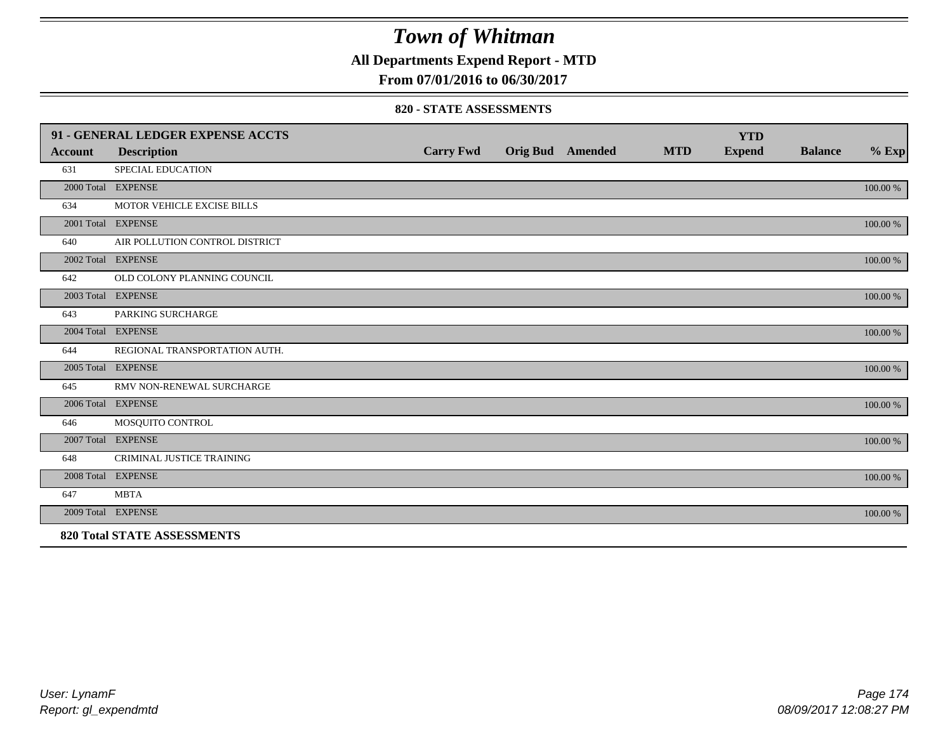## **All Departments Expend Report - MTD**

**From 07/01/2016 to 06/30/2017**

#### **820 - STATE ASSESSMENTS**

|                | 91 - GENERAL LEDGER EXPENSE ACCTS  |                  |                         |            | <b>YTD</b>    |                |          |
|----------------|------------------------------------|------------------|-------------------------|------------|---------------|----------------|----------|
| <b>Account</b> | <b>Description</b>                 | <b>Carry Fwd</b> | <b>Orig Bud</b> Amended | <b>MTD</b> | <b>Expend</b> | <b>Balance</b> | $%$ Exp  |
| 631            | SPECIAL EDUCATION                  |                  |                         |            |               |                |          |
|                | 2000 Total EXPENSE                 |                  |                         |            |               |                | 100.00 % |
| 634            | MOTOR VEHICLE EXCISE BILLS         |                  |                         |            |               |                |          |
|                | 2001 Total EXPENSE                 |                  |                         |            |               |                | 100.00 % |
| 640            | AIR POLLUTION CONTROL DISTRICT     |                  |                         |            |               |                |          |
|                | 2002 Total EXPENSE                 |                  |                         |            |               |                | 100.00 % |
| 642            | OLD COLONY PLANNING COUNCIL        |                  |                         |            |               |                |          |
|                | 2003 Total EXPENSE                 |                  |                         |            |               |                | 100.00 % |
| 643            | PARKING SURCHARGE                  |                  |                         |            |               |                |          |
|                | 2004 Total EXPENSE                 |                  |                         |            |               |                | 100.00 % |
| 644            | REGIONAL TRANSPORTATION AUTH.      |                  |                         |            |               |                |          |
|                | 2005 Total EXPENSE                 |                  |                         |            |               |                | 100.00 % |
| 645            | RMV NON-RENEWAL SURCHARGE          |                  |                         |            |               |                |          |
|                | 2006 Total EXPENSE                 |                  |                         |            |               |                | 100.00 % |
| 646            | MOSQUITO CONTROL                   |                  |                         |            |               |                |          |
|                | 2007 Total EXPENSE                 |                  |                         |            |               |                | 100.00 % |
| 648            | CRIMINAL JUSTICE TRAINING          |                  |                         |            |               |                |          |
|                | 2008 Total EXPENSE                 |                  |                         |            |               |                | 100.00 % |
| 647            | <b>MBTA</b>                        |                  |                         |            |               |                |          |
|                | 2009 Total EXPENSE                 |                  |                         |            |               |                | 100.00 % |
|                | <b>820 Total STATE ASSESSMENTS</b> |                  |                         |            |               |                |          |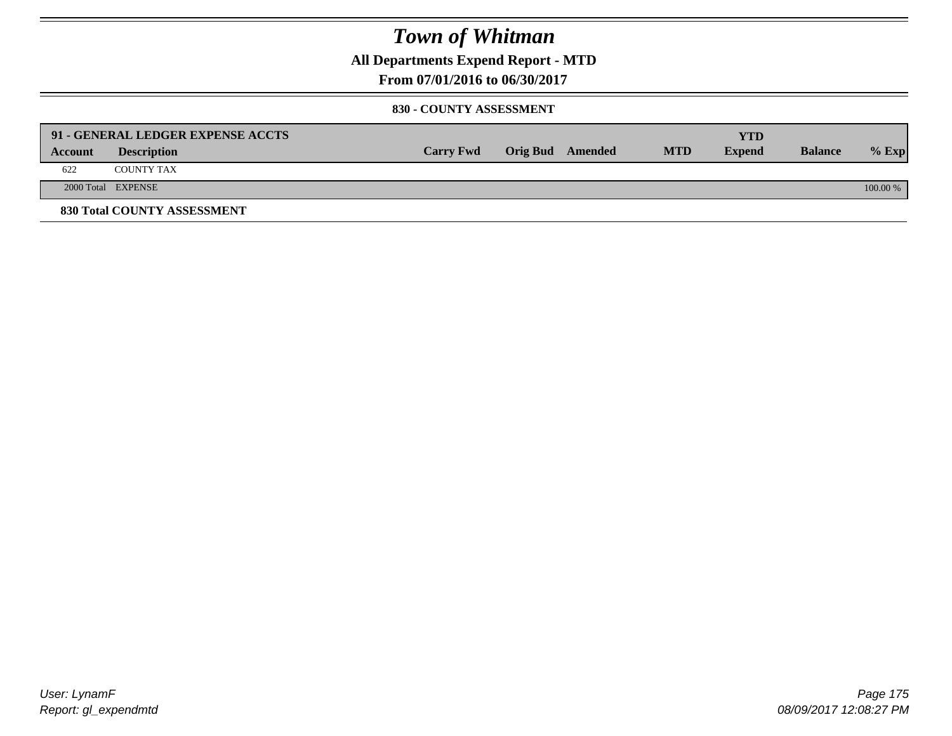**All Departments Expend Report - MTD**

**From 07/01/2016 to 06/30/2017**

#### **830 - COUNTY ASSESSMENT**

|         | 91 - GENERAL LEDGER EXPENSE ACCTS |                  |                         |            | YTD           |                |            |
|---------|-----------------------------------|------------------|-------------------------|------------|---------------|----------------|------------|
| Account | <b>Description</b>                | <b>Carry Fwd</b> | <b>Orig Bud</b> Amended | <b>MTD</b> | <b>Expend</b> | <b>Balance</b> | $%$ Exp    |
| 622     | <b>COUNTY TAX</b>                 |                  |                         |            |               |                |            |
|         | 2000 Total EXPENSE                |                  |                         |            |               |                | $100.00\%$ |
|         | 830 Total COUNTY ASSESSMENT       |                  |                         |            |               |                |            |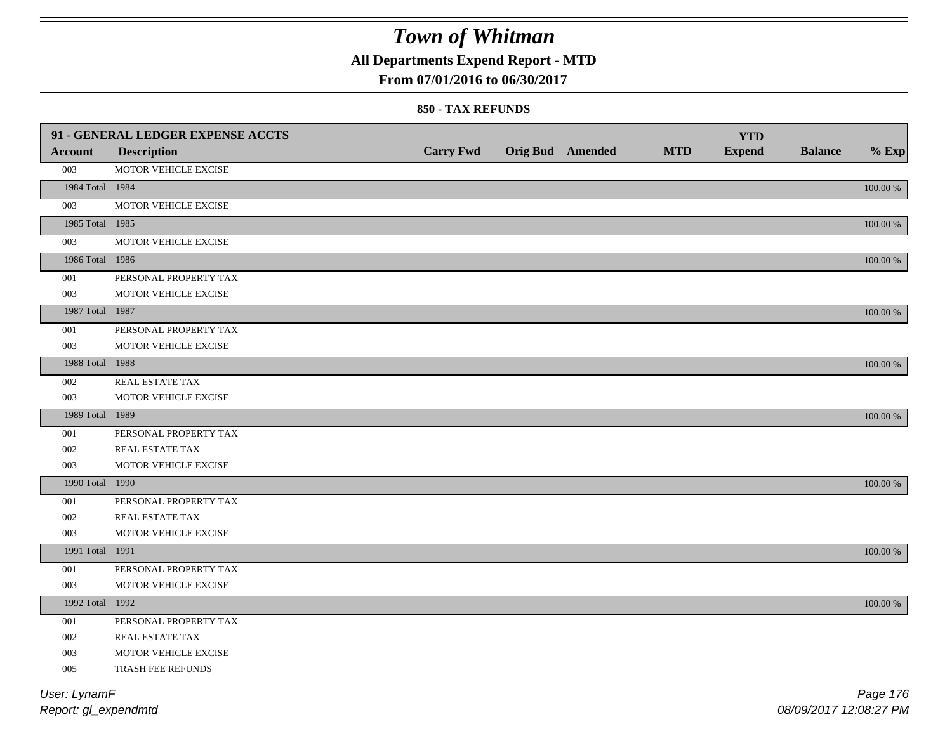## **All Departments Expend Report - MTD**

### **From 07/01/2016 to 06/30/2017**

#### **850 - TAX REFUNDS**

|                 | 91 - GENERAL LEDGER EXPENSE ACCTS | <b>Carry Fwd</b> | <b>Orig Bud</b> Amended | <b>MTD</b> | <b>YTD</b><br><b>Expend</b> | <b>Balance</b> | $%$ Exp  |
|-----------------|-----------------------------------|------------------|-------------------------|------------|-----------------------------|----------------|----------|
| Account         | <b>Description</b>                |                  |                         |            |                             |                |          |
| 003             | MOTOR VEHICLE EXCISE              |                  |                         |            |                             |                |          |
| 1984 Total 1984 |                                   |                  |                         |            |                             |                | 100.00 % |
| 003             | MOTOR VEHICLE EXCISE              |                  |                         |            |                             |                |          |
| 1985 Total 1985 |                                   |                  |                         |            |                             |                | 100.00 % |
| 003             | MOTOR VEHICLE EXCISE              |                  |                         |            |                             |                |          |
| 1986 Total 1986 |                                   |                  |                         |            |                             |                | 100.00 % |
| $001\,$         | PERSONAL PROPERTY TAX             |                  |                         |            |                             |                |          |
| 003             | MOTOR VEHICLE EXCISE              |                  |                         |            |                             |                |          |
| 1987 Total 1987 |                                   |                  |                         |            |                             |                | 100.00 % |
| 001             | PERSONAL PROPERTY TAX             |                  |                         |            |                             |                |          |
| 003             | MOTOR VEHICLE EXCISE              |                  |                         |            |                             |                |          |
| 1988 Total 1988 |                                   |                  |                         |            |                             |                | 100.00 % |
| 002             | REAL ESTATE TAX                   |                  |                         |            |                             |                |          |
| 003             | MOTOR VEHICLE EXCISE              |                  |                         |            |                             |                |          |
| 1989 Total 1989 |                                   |                  |                         |            |                             |                | 100.00 % |
| 001             | PERSONAL PROPERTY TAX             |                  |                         |            |                             |                |          |
| 002             | REAL ESTATE TAX                   |                  |                         |            |                             |                |          |
| 003             | MOTOR VEHICLE EXCISE              |                  |                         |            |                             |                |          |
| 1990 Total 1990 |                                   |                  |                         |            |                             |                | 100.00 % |
| 001             | PERSONAL PROPERTY TAX             |                  |                         |            |                             |                |          |
| 002             | REAL ESTATE TAX                   |                  |                         |            |                             |                |          |
| 003             | MOTOR VEHICLE EXCISE              |                  |                         |            |                             |                |          |
| 1991 Total 1991 |                                   |                  |                         |            |                             |                | 100.00 % |
| 001             | PERSONAL PROPERTY TAX             |                  |                         |            |                             |                |          |
| 003             | MOTOR VEHICLE EXCISE              |                  |                         |            |                             |                |          |
| 1992 Total 1992 |                                   |                  |                         |            |                             |                | 100.00 % |
| 001             | PERSONAL PROPERTY TAX             |                  |                         |            |                             |                |          |
| 002             | <b>REAL ESTATE TAX</b>            |                  |                         |            |                             |                |          |
| 003             | MOTOR VEHICLE EXCISE              |                  |                         |            |                             |                |          |
| 005             | TRASH FEE REFUNDS                 |                  |                         |            |                             |                |          |
| User: LynamF    |                                   |                  |                         |            |                             |                | Page 176 |

*Report: gl\_expendmtd*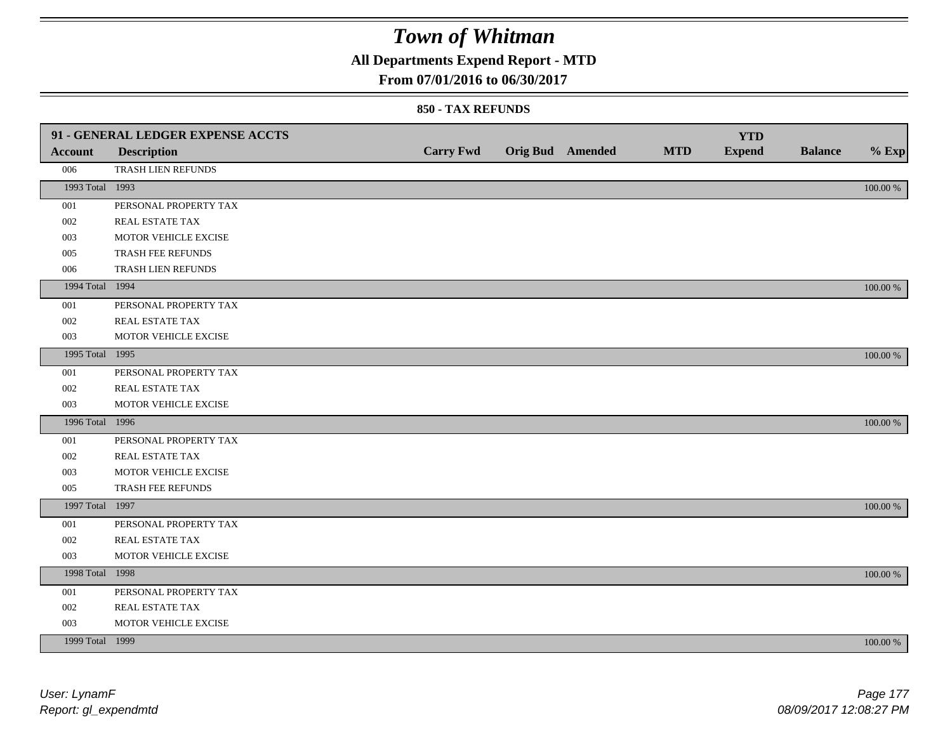## **All Departments Expend Report - MTD**

### **From 07/01/2016 to 06/30/2017**

#### **850 - TAX REFUNDS**

|                 | 91 - GENERAL LEDGER EXPENSE ACCTS |                  |                  |            | <b>YTD</b>    |                |             |
|-----------------|-----------------------------------|------------------|------------------|------------|---------------|----------------|-------------|
| <b>Account</b>  | <b>Description</b>                | <b>Carry Fwd</b> | Orig Bud Amended | <b>MTD</b> | <b>Expend</b> | <b>Balance</b> | $%$ Exp     |
| 006             | TRASH LIEN REFUNDS                |                  |                  |            |               |                |             |
| 1993 Total 1993 |                                   |                  |                  |            |               |                | $100.00~\%$ |
| 001             | PERSONAL PROPERTY TAX             |                  |                  |            |               |                |             |
| 002             | REAL ESTATE TAX                   |                  |                  |            |               |                |             |
| 003             | MOTOR VEHICLE EXCISE              |                  |                  |            |               |                |             |
| 005             | TRASH FEE REFUNDS                 |                  |                  |            |               |                |             |
| 006             | TRASH LIEN REFUNDS                |                  |                  |            |               |                |             |
| 1994 Total 1994 |                                   |                  |                  |            |               |                | 100.00 %    |
| 001             | PERSONAL PROPERTY TAX             |                  |                  |            |               |                |             |
| 002             | REAL ESTATE TAX                   |                  |                  |            |               |                |             |
| 003             | MOTOR VEHICLE EXCISE              |                  |                  |            |               |                |             |
| 1995 Total 1995 |                                   |                  |                  |            |               |                | 100.00 %    |
| 001             | PERSONAL PROPERTY TAX             |                  |                  |            |               |                |             |
| 002             | REAL ESTATE TAX                   |                  |                  |            |               |                |             |
| 003             | MOTOR VEHICLE EXCISE              |                  |                  |            |               |                |             |
| 1996 Total 1996 |                                   |                  |                  |            |               |                | 100.00 %    |
| 001             | PERSONAL PROPERTY TAX             |                  |                  |            |               |                |             |
| 002             | REAL ESTATE TAX                   |                  |                  |            |               |                |             |
| 003             | MOTOR VEHICLE EXCISE              |                  |                  |            |               |                |             |
| 005             | TRASH FEE REFUNDS                 |                  |                  |            |               |                |             |
| 1997 Total 1997 |                                   |                  |                  |            |               |                | 100.00 %    |
| 001             | PERSONAL PROPERTY TAX             |                  |                  |            |               |                |             |
| 002             | REAL ESTATE TAX                   |                  |                  |            |               |                |             |
| 003             | MOTOR VEHICLE EXCISE              |                  |                  |            |               |                |             |
| 1998 Total 1998 |                                   |                  |                  |            |               |                | 100.00 %    |
| 001             | PERSONAL PROPERTY TAX             |                  |                  |            |               |                |             |
| 002             | REAL ESTATE TAX                   |                  |                  |            |               |                |             |
| 003             | MOTOR VEHICLE EXCISE              |                  |                  |            |               |                |             |
| 1999 Total 1999 |                                   |                  |                  |            |               |                | 100.00 %    |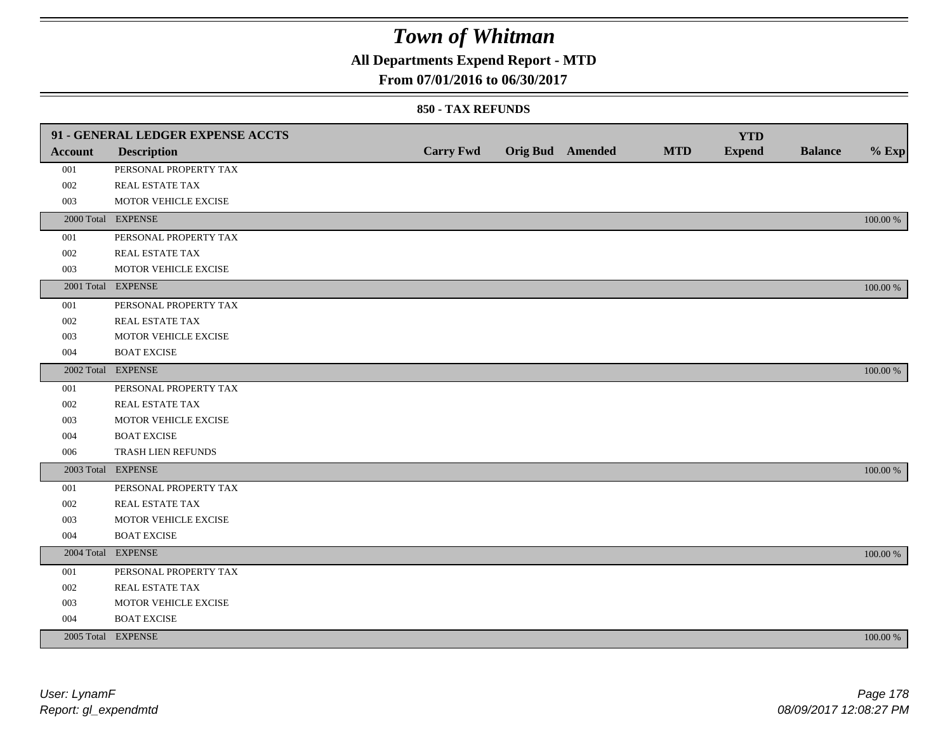## **All Departments Expend Report - MTD**

### **From 07/01/2016 to 06/30/2017**

#### **850 - TAX REFUNDS**

|                | 91 - GENERAL LEDGER EXPENSE ACCTS |                  |                         |            | <b>YTD</b>    |                |             |
|----------------|-----------------------------------|------------------|-------------------------|------------|---------------|----------------|-------------|
| <b>Account</b> | <b>Description</b>                | <b>Carry Fwd</b> | <b>Orig Bud</b> Amended | <b>MTD</b> | <b>Expend</b> | <b>Balance</b> | $%$ Exp     |
| 001            | PERSONAL PROPERTY TAX             |                  |                         |            |               |                |             |
| 002            | REAL ESTATE TAX                   |                  |                         |            |               |                |             |
| 003            | MOTOR VEHICLE EXCISE              |                  |                         |            |               |                |             |
|                | 2000 Total EXPENSE                |                  |                         |            |               |                | 100.00 %    |
| 001            | PERSONAL PROPERTY TAX             |                  |                         |            |               |                |             |
| 002            | REAL ESTATE TAX                   |                  |                         |            |               |                |             |
| 003            | MOTOR VEHICLE EXCISE              |                  |                         |            |               |                |             |
|                | 2001 Total EXPENSE                |                  |                         |            |               |                | 100.00 %    |
| 001            | PERSONAL PROPERTY TAX             |                  |                         |            |               |                |             |
| 002            | REAL ESTATE TAX                   |                  |                         |            |               |                |             |
| 003            | MOTOR VEHICLE EXCISE              |                  |                         |            |               |                |             |
| 004            | <b>BOAT EXCISE</b>                |                  |                         |            |               |                |             |
|                | 2002 Total EXPENSE                |                  |                         |            |               |                | 100.00 %    |
| 001            | PERSONAL PROPERTY TAX             |                  |                         |            |               |                |             |
| 002            | REAL ESTATE TAX                   |                  |                         |            |               |                |             |
| 003            | MOTOR VEHICLE EXCISE              |                  |                         |            |               |                |             |
| 004            | <b>BOAT EXCISE</b>                |                  |                         |            |               |                |             |
| 006            | TRASH LIEN REFUNDS                |                  |                         |            |               |                |             |
|                | 2003 Total EXPENSE                |                  |                         |            |               |                | 100.00 %    |
| 001            | PERSONAL PROPERTY TAX             |                  |                         |            |               |                |             |
| 002            | REAL ESTATE TAX                   |                  |                         |            |               |                |             |
| 003            | MOTOR VEHICLE EXCISE              |                  |                         |            |               |                |             |
| 004            | <b>BOAT EXCISE</b>                |                  |                         |            |               |                |             |
|                | 2004 Total EXPENSE                |                  |                         |            |               |                | 100.00 %    |
| 001            | PERSONAL PROPERTY TAX             |                  |                         |            |               |                |             |
| 002            | REAL ESTATE TAX                   |                  |                         |            |               |                |             |
| 003            | MOTOR VEHICLE EXCISE              |                  |                         |            |               |                |             |
| 004            | <b>BOAT EXCISE</b>                |                  |                         |            |               |                |             |
|                | 2005 Total EXPENSE                |                  |                         |            |               |                | $100.00~\%$ |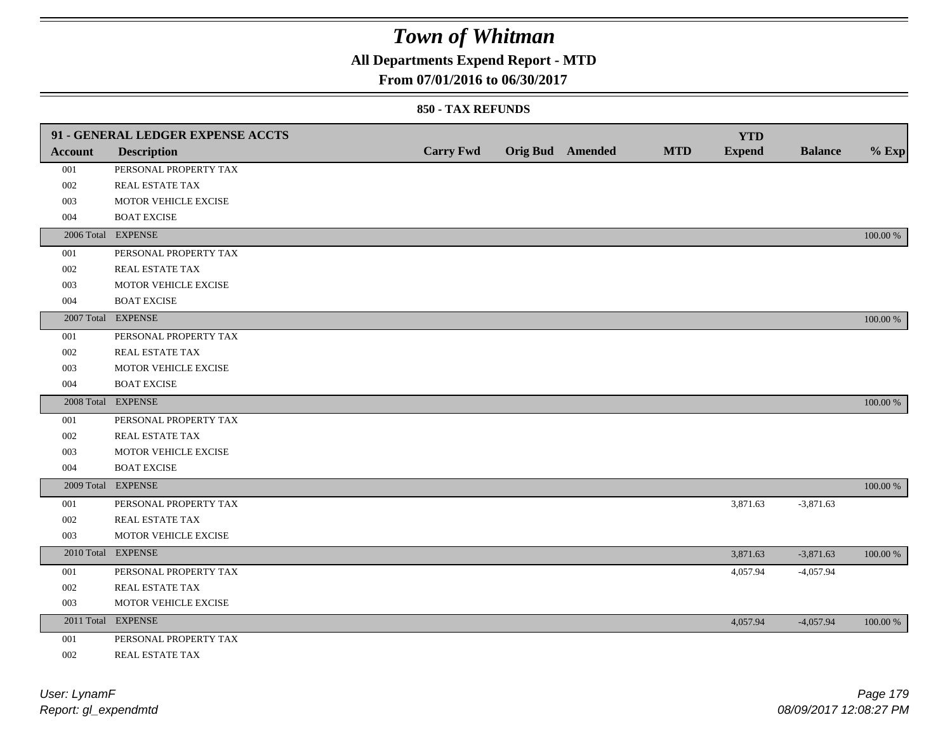## **All Departments Expend Report - MTD**

### **From 07/01/2016 to 06/30/2017**

#### **850 - TAX REFUNDS**

|                | 91 - GENERAL LEDGER EXPENSE ACCTS |                  |                  |            | <b>YTD</b>    |                |          |
|----------------|-----------------------------------|------------------|------------------|------------|---------------|----------------|----------|
| <b>Account</b> | <b>Description</b>                | <b>Carry Fwd</b> | Orig Bud Amended | <b>MTD</b> | <b>Expend</b> | <b>Balance</b> | $%$ Exp  |
| 001            | PERSONAL PROPERTY TAX             |                  |                  |            |               |                |          |
| 002            | REAL ESTATE TAX                   |                  |                  |            |               |                |          |
| 003            | MOTOR VEHICLE EXCISE              |                  |                  |            |               |                |          |
| 004            | <b>BOAT EXCISE</b>                |                  |                  |            |               |                |          |
|                | 2006 Total EXPENSE                |                  |                  |            |               |                | 100.00 % |
| 001            | PERSONAL PROPERTY TAX             |                  |                  |            |               |                |          |
| 002            | REAL ESTATE TAX                   |                  |                  |            |               |                |          |
| 003            | MOTOR VEHICLE EXCISE              |                  |                  |            |               |                |          |
| 004            | <b>BOAT EXCISE</b>                |                  |                  |            |               |                |          |
|                | 2007 Total EXPENSE                |                  |                  |            |               |                | 100.00 % |
| 001            | PERSONAL PROPERTY TAX             |                  |                  |            |               |                |          |
| 002            | REAL ESTATE TAX                   |                  |                  |            |               |                |          |
| 003            | MOTOR VEHICLE EXCISE              |                  |                  |            |               |                |          |
| 004            | <b>BOAT EXCISE</b>                |                  |                  |            |               |                |          |
|                | 2008 Total EXPENSE                |                  |                  |            |               |                | 100.00 % |
| 001            | PERSONAL PROPERTY TAX             |                  |                  |            |               |                |          |
| 002            | REAL ESTATE TAX                   |                  |                  |            |               |                |          |
| 003            | MOTOR VEHICLE EXCISE              |                  |                  |            |               |                |          |
| 004            | <b>BOAT EXCISE</b>                |                  |                  |            |               |                |          |
|                | 2009 Total EXPENSE                |                  |                  |            |               |                | 100.00 % |
| 001            | PERSONAL PROPERTY TAX             |                  |                  |            | 3,871.63      | $-3,871.63$    |          |
| 002            | REAL ESTATE TAX                   |                  |                  |            |               |                |          |
| 003            | MOTOR VEHICLE EXCISE              |                  |                  |            |               |                |          |
|                | 2010 Total EXPENSE                |                  |                  |            | 3,871.63      | $-3,871.63$    | 100.00 % |
| 001            | PERSONAL PROPERTY TAX             |                  |                  |            | 4,057.94      | $-4,057.94$    |          |
| 002            | REAL ESTATE TAX                   |                  |                  |            |               |                |          |
| 003            | MOTOR VEHICLE EXCISE              |                  |                  |            |               |                |          |
|                | 2011 Total EXPENSE                |                  |                  |            | 4,057.94      | $-4,057.94$    | 100.00 % |
| 001            | PERSONAL PROPERTY TAX             |                  |                  |            |               |                |          |
|                |                                   |                  |                  |            |               |                |          |

002 REAL ESTATE TAX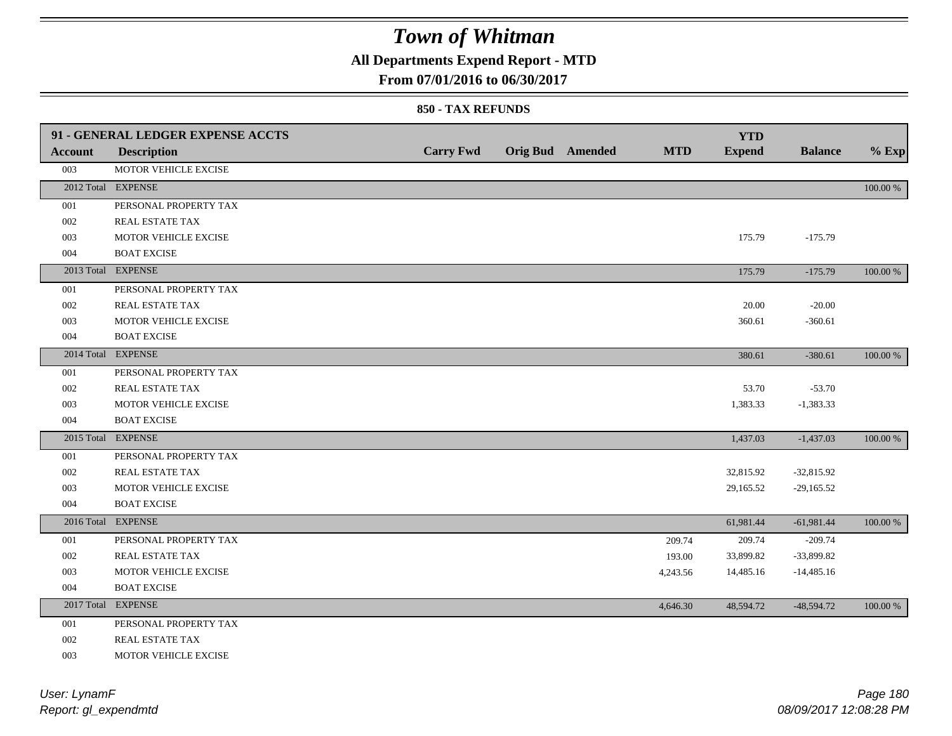## **All Departments Expend Report - MTD**

#### **From 07/01/2016 to 06/30/2017**

#### **850 - TAX REFUNDS**

| <b>Account</b> | 91 - GENERAL LEDGER EXPENSE ACCTS<br><b>Description</b> | <b>Carry Fwd</b> | <b>Orig Bud</b> Amended | <b>MTD</b> | <b>YTD</b><br><b>Expend</b> | <b>Balance</b> | $%$ Exp     |
|----------------|---------------------------------------------------------|------------------|-------------------------|------------|-----------------------------|----------------|-------------|
| 003            | MOTOR VEHICLE EXCISE                                    |                  |                         |            |                             |                |             |
|                | 2012 Total EXPENSE                                      |                  |                         |            |                             |                | 100.00 %    |
| 001            | PERSONAL PROPERTY TAX                                   |                  |                         |            |                             |                |             |
| 002            | REAL ESTATE TAX                                         |                  |                         |            |                             |                |             |
| 003            | MOTOR VEHICLE EXCISE                                    |                  |                         |            | 175.79                      | $-175.79$      |             |
| 004            | <b>BOAT EXCISE</b>                                      |                  |                         |            |                             |                |             |
|                | 2013 Total EXPENSE                                      |                  |                         |            | 175.79                      | $-175.79$      | 100.00 %    |
| 001            | PERSONAL PROPERTY TAX                                   |                  |                         |            |                             |                |             |
| 002            | REAL ESTATE TAX                                         |                  |                         |            | 20.00                       | $-20.00$       |             |
| 003            | MOTOR VEHICLE EXCISE                                    |                  |                         |            | 360.61                      | $-360.61$      |             |
| 004            | <b>BOAT EXCISE</b>                                      |                  |                         |            |                             |                |             |
|                | 2014 Total EXPENSE                                      |                  |                         |            | 380.61                      | $-380.61$      | 100.00 %    |
| 001            | PERSONAL PROPERTY TAX                                   |                  |                         |            |                             |                |             |
| 002            | REAL ESTATE TAX                                         |                  |                         |            | 53.70                       | $-53.70$       |             |
| 003            | MOTOR VEHICLE EXCISE                                    |                  |                         |            | 1,383.33                    | $-1,383.33$    |             |
| 004            | <b>BOAT EXCISE</b>                                      |                  |                         |            |                             |                |             |
| 2015 Total     | <b>EXPENSE</b>                                          |                  |                         |            | 1,437.03                    | $-1,437.03$    | 100.00 %    |
| 001            | PERSONAL PROPERTY TAX                                   |                  |                         |            |                             |                |             |
| 002            | REAL ESTATE TAX                                         |                  |                         |            | 32,815.92                   | $-32,815.92$   |             |
| 003            | MOTOR VEHICLE EXCISE                                    |                  |                         |            | 29,165.52                   | $-29,165.52$   |             |
| 004            | <b>BOAT EXCISE</b>                                      |                  |                         |            |                             |                |             |
|                | 2016 Total EXPENSE                                      |                  |                         |            | 61,981.44                   | $-61,981.44$   | $100.00~\%$ |
| 001            | PERSONAL PROPERTY TAX                                   |                  |                         | 209.74     | 209.74                      | $-209.74$      |             |
| 002            | <b>REAL ESTATE TAX</b>                                  |                  |                         | 193.00     | 33,899.82                   | $-33,899.82$   |             |
| 003            | MOTOR VEHICLE EXCISE                                    |                  |                         | 4,243.56   | 14,485.16                   | $-14,485.16$   |             |
| 004            | <b>BOAT EXCISE</b>                                      |                  |                         |            |                             |                |             |
|                | 2017 Total EXPENSE                                      |                  |                         | 4,646.30   | 48,594.72                   | $-48,594.72$   | 100.00 %    |
| 001            | PERSONAL PROPERTY TAX                                   |                  |                         |            |                             |                |             |
| 002            | REAL ESTATE TAX                                         |                  |                         |            |                             |                |             |

003 MOTOR VEHICLE EXCISE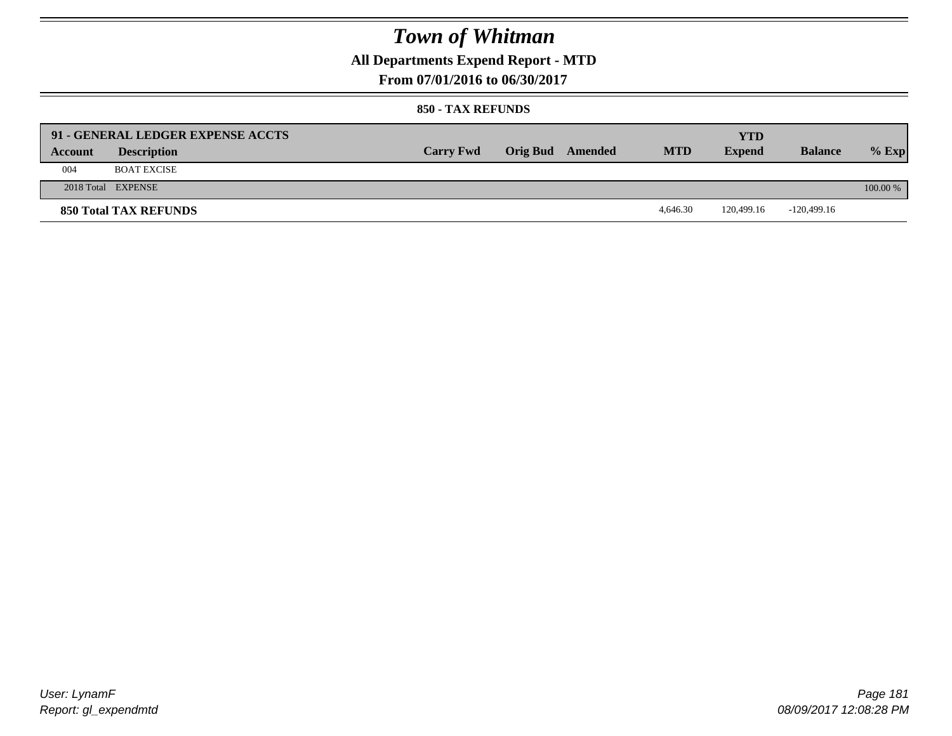### **All Departments Expend Report - MTD**

**From 07/01/2016 to 06/30/2017**

#### **850 - TAX REFUNDS**

| Account | 91 - GENERAL LEDGER EXPENSE ACCTS<br><b>Description</b> | <b>Carry Fwd</b> | Orig Bud Amended | <b>MTD</b> | <b>YTD</b><br><b>Expend</b> | <b>Balance</b> | $%$ Exp  |
|---------|---------------------------------------------------------|------------------|------------------|------------|-----------------------------|----------------|----------|
| 004     | <b>BOAT EXCISE</b>                                      |                  |                  |            |                             |                |          |
|         | 2018 Total EXPENSE                                      |                  |                  |            |                             |                | 100.00 % |
|         | <b>850 Total TAX REFUNDS</b>                            |                  |                  | 4.646.30   | 120.499.16                  | $-120,499.16$  |          |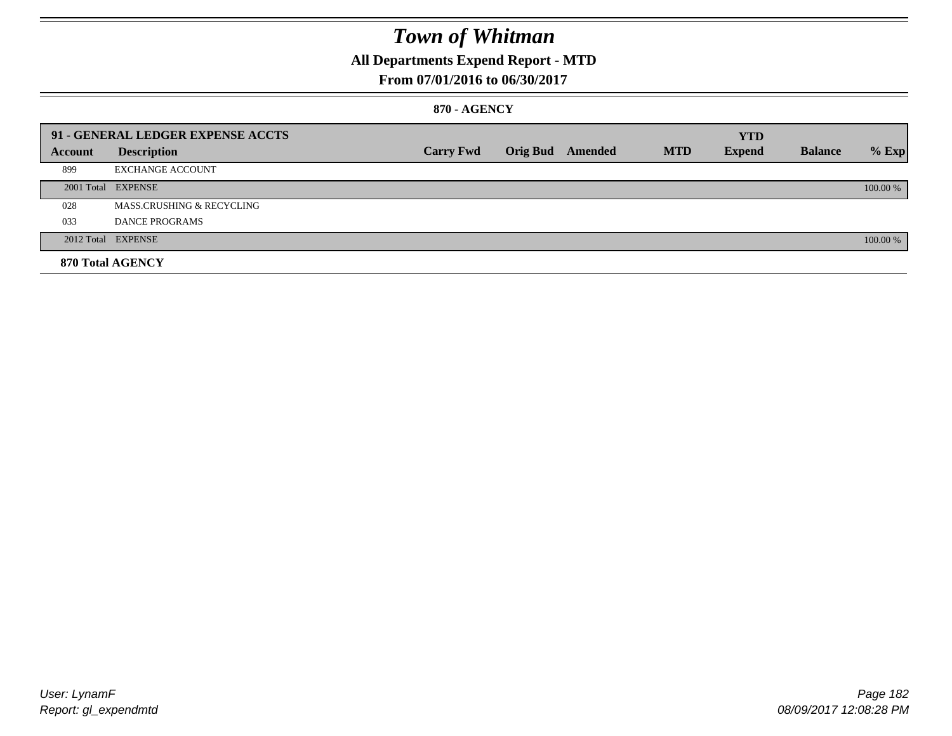### **All Departments Expend Report - MTD**

### **From 07/01/2016 to 06/30/2017**

#### **870 - AGENCY**

|         | 91 - GENERAL LEDGER EXPENSE ACCTS |                  |                  |            | <b>YTD</b>    |                |          |
|---------|-----------------------------------|------------------|------------------|------------|---------------|----------------|----------|
| Account | <b>Description</b>                | <b>Carry Fwd</b> | Orig Bud Amended | <b>MTD</b> | <b>Expend</b> | <b>Balance</b> | $%$ Exp  |
| 899     | <b>EXCHANGE ACCOUNT</b>           |                  |                  |            |               |                |          |
|         | 2001 Total EXPENSE                |                  |                  |            |               |                | 100.00 % |
| 028     | MASS.CRUSHING & RECYCLING         |                  |                  |            |               |                |          |
| 033     | <b>DANCE PROGRAMS</b>             |                  |                  |            |               |                |          |
|         | 2012 Total EXPENSE                |                  |                  |            |               |                | 100.00 % |
|         | 870 Total AGENCY                  |                  |                  |            |               |                |          |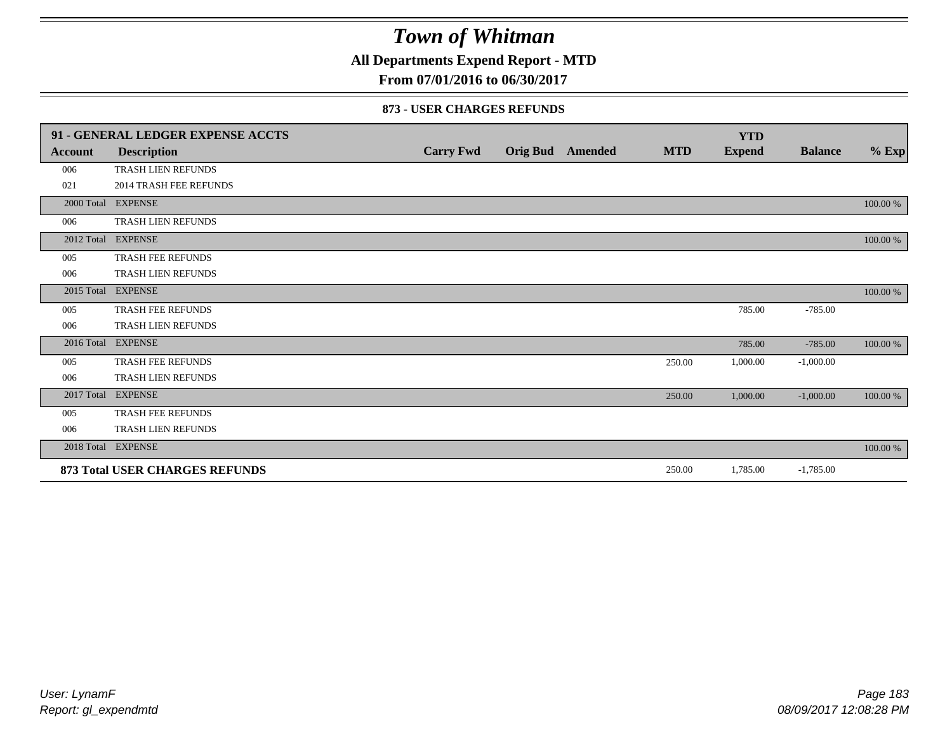**All Departments Expend Report - MTD**

**From 07/01/2016 to 06/30/2017**

#### **873 - USER CHARGES REFUNDS**

|            | 91 - GENERAL LEDGER EXPENSE ACCTS     |                  |                 |                |            | <b>YTD</b>    |                |          |
|------------|---------------------------------------|------------------|-----------------|----------------|------------|---------------|----------------|----------|
| Account    | <b>Description</b>                    | <b>Carry Fwd</b> | <b>Orig Bud</b> | <b>Amended</b> | <b>MTD</b> | <b>Expend</b> | <b>Balance</b> | $%$ Exp  |
| 006        | <b>TRASH LIEN REFUNDS</b>             |                  |                 |                |            |               |                |          |
| 021        | <b>2014 TRASH FEE REFUNDS</b>         |                  |                 |                |            |               |                |          |
|            | 2000 Total EXPENSE                    |                  |                 |                |            |               |                | 100.00 % |
| 006        | <b>TRASH LIEN REFUNDS</b>             |                  |                 |                |            |               |                |          |
| 2012 Total | <b>EXPENSE</b>                        |                  |                 |                |            |               |                | 100.00 % |
| 005        | TRASH FEE REFUNDS                     |                  |                 |                |            |               |                |          |
| 006        | <b>TRASH LIEN REFUNDS</b>             |                  |                 |                |            |               |                |          |
| 2015 Total | <b>EXPENSE</b>                        |                  |                 |                |            |               |                | 100.00 % |
| 005        | <b>TRASH FEE REFUNDS</b>              |                  |                 |                |            | 785.00        | $-785.00$      |          |
| 006        | TRASH LIEN REFUNDS                    |                  |                 |                |            |               |                |          |
|            | 2016 Total EXPENSE                    |                  |                 |                |            | 785.00        | $-785.00$      | 100.00 % |
| 005        | TRASH FEE REFUNDS                     |                  |                 |                | 250.00     | 1,000.00      | $-1,000.00$    |          |
| 006        | TRASH LIEN REFUNDS                    |                  |                 |                |            |               |                |          |
|            | 2017 Total EXPENSE                    |                  |                 |                | 250.00     | 1,000.00      | $-1,000.00$    | 100.00 % |
| 005        | <b>TRASH FEE REFUNDS</b>              |                  |                 |                |            |               |                |          |
| 006        | TRASH LIEN REFUNDS                    |                  |                 |                |            |               |                |          |
| 2018 Total | <b>EXPENSE</b>                        |                  |                 |                |            |               |                | 100.00 % |
|            | <b>873 Total USER CHARGES REFUNDS</b> |                  |                 |                | 250.00     | 1,785.00      | $-1,785.00$    |          |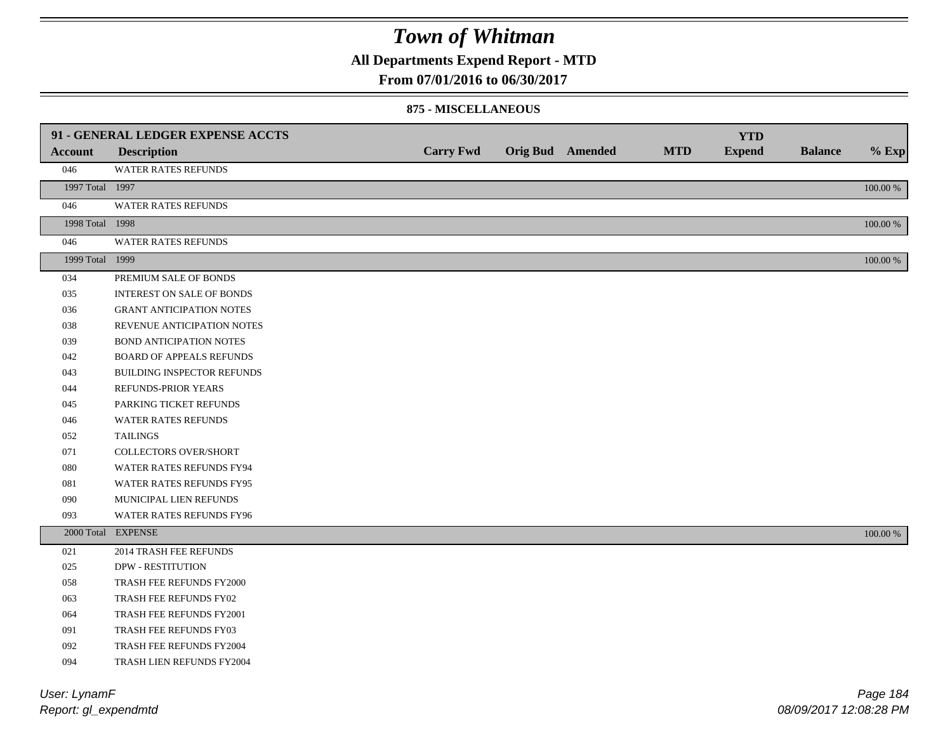### **All Departments Expend Report - MTD**

**From 07/01/2016 to 06/30/2017**

#### **875 - MISCELLANEOUS**

|                       | 91 - GENERAL LEDGER EXPENSE ACCTS |                  |                  |            | <b>YTD</b>    |                |                 |
|-----------------------|-----------------------------------|------------------|------------------|------------|---------------|----------------|-----------------|
| <b>Account</b>        | <b>Description</b>                | <b>Carry Fwd</b> | Orig Bud Amended | <b>MTD</b> | <b>Expend</b> | <b>Balance</b> | $%$ Exp         |
| 046                   | <b>WATER RATES REFUNDS</b>        |                  |                  |            |               |                |                 |
| 1997 Total 1997       |                                   |                  |                  |            |               |                | 100.00 %        |
| 046                   | <b>WATER RATES REFUNDS</b>        |                  |                  |            |               |                |                 |
| 1998 Total 1998       |                                   |                  |                  |            |               |                | 100.00 %        |
| 046                   | <b>WATER RATES REFUNDS</b>        |                  |                  |            |               |                |                 |
| 1999 Total 1999       |                                   |                  |                  |            |               |                | 100.00 %        |
| 034                   | PREMIUM SALE OF BONDS             |                  |                  |            |               |                |                 |
| 035                   | <b>INTEREST ON SALE OF BONDS</b>  |                  |                  |            |               |                |                 |
| 036                   | <b>GRANT ANTICIPATION NOTES</b>   |                  |                  |            |               |                |                 |
| 038                   | REVENUE ANTICIPATION NOTES        |                  |                  |            |               |                |                 |
| 039                   | <b>BOND ANTICIPATION NOTES</b>    |                  |                  |            |               |                |                 |
| 042                   | <b>BOARD OF APPEALS REFUNDS</b>   |                  |                  |            |               |                |                 |
| 043                   | BUILDING INSPECTOR REFUNDS        |                  |                  |            |               |                |                 |
| 044                   | REFUNDS-PRIOR YEARS               |                  |                  |            |               |                |                 |
| 045                   | PARKING TICKET REFUNDS            |                  |                  |            |               |                |                 |
| 046                   | <b>WATER RATES REFUNDS</b>        |                  |                  |            |               |                |                 |
| 052                   | <b>TAILINGS</b>                   |                  |                  |            |               |                |                 |
| 071                   | COLLECTORS OVER/SHORT             |                  |                  |            |               |                |                 |
| 080                   | WATER RATES REFUNDS FY94          |                  |                  |            |               |                |                 |
| 081                   | WATER RATES REFUNDS FY95          |                  |                  |            |               |                |                 |
| 090                   | MUNICIPAL LIEN REFUNDS            |                  |                  |            |               |                |                 |
| 093                   | WATER RATES REFUNDS FY96          |                  |                  |            |               |                |                 |
|                       | 2000 Total EXPENSE                |                  |                  |            |               |                | 100.00 %        |
| 021                   | 2014 TRASH FEE REFUNDS            |                  |                  |            |               |                |                 |
| 025                   | <b>DPW - RESTITUTION</b>          |                  |                  |            |               |                |                 |
| 058                   | TRASH FEE REFUNDS FY2000          |                  |                  |            |               |                |                 |
| 063                   | TRASH FEE REFUNDS FY02            |                  |                  |            |               |                |                 |
| 064                   | TRASH FEE REFUNDS FY2001          |                  |                  |            |               |                |                 |
| 091                   | TRASH FEE REFUNDS FY03            |                  |                  |            |               |                |                 |
| 092                   | TRASH FEE REFUNDS FY2004          |                  |                  |            |               |                |                 |
| 094                   | TRASH LIEN REFUNDS FY2004         |                  |                  |            |               |                |                 |
| $I$ loor $I$ upom $E$ |                                   |                  |                  |            |               |                | $D_{0.000}$ 40. |
|                       |                                   |                  |                  |            |               |                |                 |

*Report: gl\_expendmtd User: LynamF*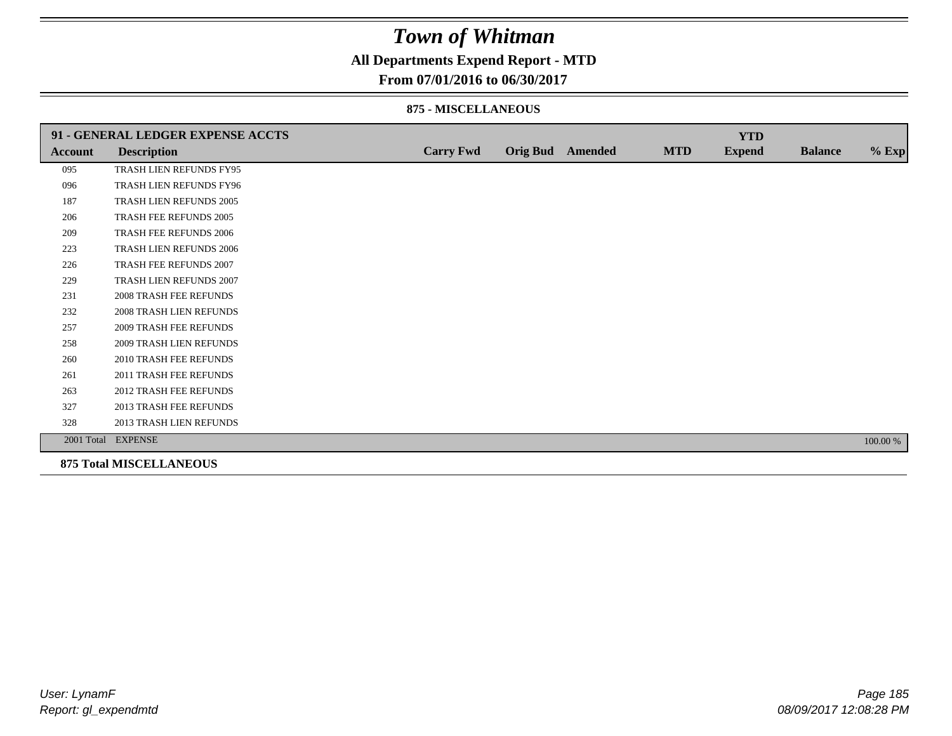### **All Departments Expend Report - MTD**

#### **From 07/01/2016 to 06/30/2017**

#### **875 - MISCELLANEOUS**

|                | 91 - GENERAL LEDGER EXPENSE ACCTS |                  |                  |            | <b>YTD</b>    |                |          |
|----------------|-----------------------------------|------------------|------------------|------------|---------------|----------------|----------|
| <b>Account</b> | <b>Description</b>                | <b>Carry Fwd</b> | Orig Bud Amended | <b>MTD</b> | <b>Expend</b> | <b>Balance</b> | $%$ Exp  |
| 095            | TRASH LIEN REFUNDS FY95           |                  |                  |            |               |                |          |
| 096            | TRASH LIEN REFUNDS FY96           |                  |                  |            |               |                |          |
| 187            | TRASH LIEN REFUNDS 2005           |                  |                  |            |               |                |          |
| 206            | TRASH FEE REFUNDS 2005            |                  |                  |            |               |                |          |
| 209            | TRASH FEE REFUNDS 2006            |                  |                  |            |               |                |          |
| 223            | TRASH LIEN REFUNDS 2006           |                  |                  |            |               |                |          |
| 226            | TRASH FEE REFUNDS 2007            |                  |                  |            |               |                |          |
| 229            | TRASH LIEN REFUNDS 2007           |                  |                  |            |               |                |          |
| 231            | 2008 TRASH FEE REFUNDS            |                  |                  |            |               |                |          |
| 232            | 2008 TRASH LIEN REFUNDS           |                  |                  |            |               |                |          |
| 257            | <b>2009 TRASH FEE REFUNDS</b>     |                  |                  |            |               |                |          |
| 258            | <b>2009 TRASH LIEN REFUNDS</b>    |                  |                  |            |               |                |          |
| 260            | 2010 TRASH FEE REFUNDS            |                  |                  |            |               |                |          |
| 261            | 2011 TRASH FEE REFUNDS            |                  |                  |            |               |                |          |
| 263            | <b>2012 TRASH FEE REFUNDS</b>     |                  |                  |            |               |                |          |
| 327            | <b>2013 TRASH FEE REFUNDS</b>     |                  |                  |            |               |                |          |
| 328            | 2013 TRASH LIEN REFUNDS           |                  |                  |            |               |                |          |
|                | 2001 Total EXPENSE                |                  |                  |            |               |                | 100.00 % |

**875 Total MISCELLANEOUS**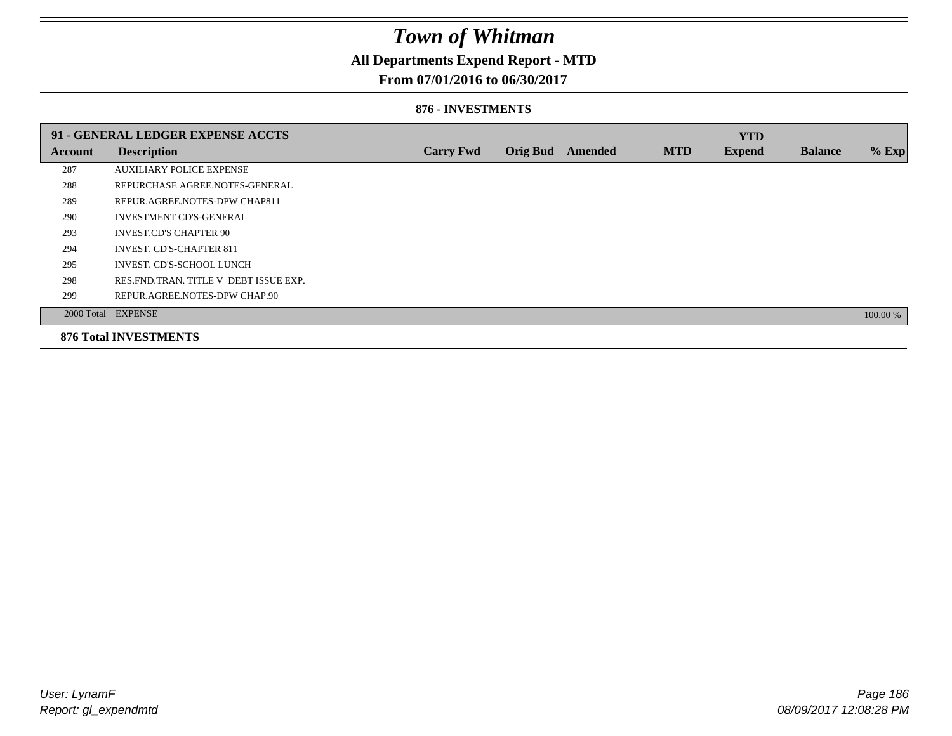### **All Departments Expend Report - MTD**

### **From 07/01/2016 to 06/30/2017**

#### **876 - INVESTMENTS**

|         | 91 - GENERAL LEDGER EXPENSE ACCTS       |                  |                 |                |            | <b>YTD</b>    |                |          |
|---------|-----------------------------------------|------------------|-----------------|----------------|------------|---------------|----------------|----------|
| Account | <b>Description</b>                      | <b>Carry Fwd</b> | <b>Orig Bud</b> | <b>Amended</b> | <b>MTD</b> | <b>Expend</b> | <b>Balance</b> | $%$ Exp  |
| 287     | <b>AUXILIARY POLICE EXPENSE</b>         |                  |                 |                |            |               |                |          |
| 288     | REPURCHASE AGREE.NOTES-GENERAL          |                  |                 |                |            |               |                |          |
| 289     | REPUR.AGREE.NOTES-DPW CHAP811           |                  |                 |                |            |               |                |          |
| 290     | <b>INVESTMENT CD'S-GENERAL</b>          |                  |                 |                |            |               |                |          |
| 293     | <b>INVEST.CD'S CHAPTER 90</b>           |                  |                 |                |            |               |                |          |
| 294     | <b>INVEST. CD'S-CHAPTER 811</b>         |                  |                 |                |            |               |                |          |
| 295     | INVEST. CD'S-SCHOOL LUNCH               |                  |                 |                |            |               |                |          |
| 298     | RES. FND. TRAN. TITLE V DEBT ISSUE EXP. |                  |                 |                |            |               |                |          |
| 299     | REPUR.AGREE.NOTES-DPW CHAP.90           |                  |                 |                |            |               |                |          |
|         | 2000 Total EXPENSE                      |                  |                 |                |            |               |                | 100.00 % |
|         | <b>876 Total INVESTMENTS</b>            |                  |                 |                |            |               |                |          |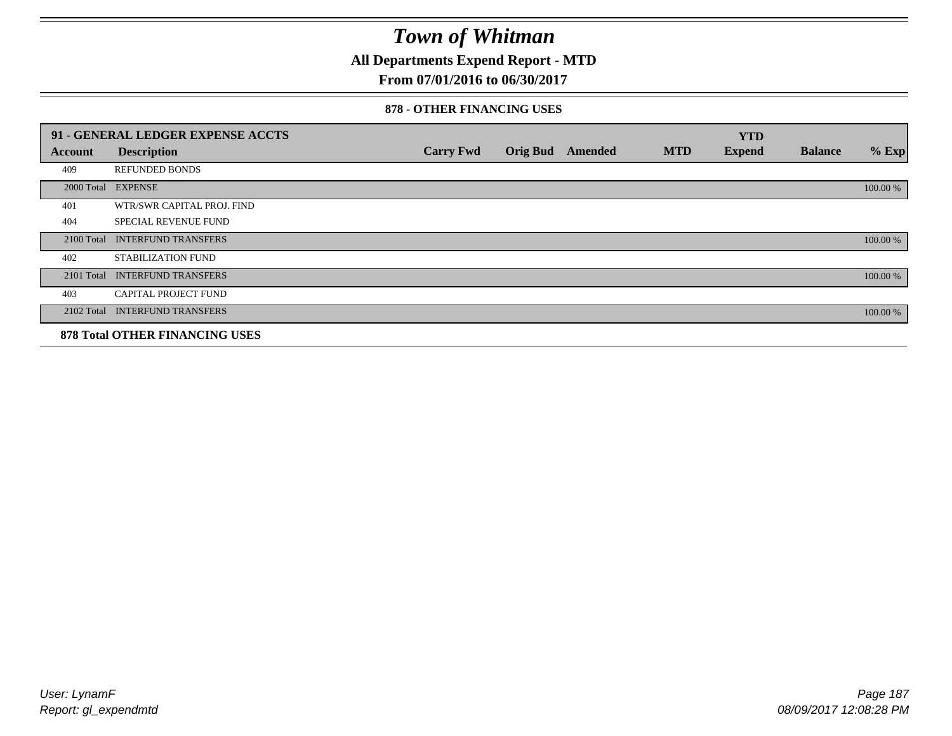**All Departments Expend Report - MTD**

### **From 07/01/2016 to 06/30/2017**

#### **878 - OTHER FINANCING USES**

|            | 91 - GENERAL LEDGER EXPENSE ACCTS     |                  |                 |         |            | <b>YTD</b>    |                |          |
|------------|---------------------------------------|------------------|-----------------|---------|------------|---------------|----------------|----------|
| Account    | <b>Description</b>                    | <b>Carry Fwd</b> | <b>Orig Bud</b> | Amended | <b>MTD</b> | <b>Expend</b> | <b>Balance</b> | $%$ Exp  |
| 409        | <b>REFUNDED BONDS</b>                 |                  |                 |         |            |               |                |          |
| 2000 Total | <b>EXPENSE</b>                        |                  |                 |         |            |               |                | 100.00 % |
| 401        | WTR/SWR CAPITAL PROJ. FIND            |                  |                 |         |            |               |                |          |
| 404        | <b>SPECIAL REVENUE FUND</b>           |                  |                 |         |            |               |                |          |
| 2100 Total | <b>INTERFUND TRANSFERS</b>            |                  |                 |         |            |               |                | 100.00 % |
| 402        | STABILIZATION FUND                    |                  |                 |         |            |               |                |          |
| 2101 Total | <b>INTERFUND TRANSFERS</b>            |                  |                 |         |            |               |                | 100.00 % |
| 403        | <b>CAPITAL PROJECT FUND</b>           |                  |                 |         |            |               |                |          |
|            | 2102 Total INTERFUND TRANSFERS        |                  |                 |         |            |               |                | 100.00 % |
|            | <b>878 Total OTHER FINANCING USES</b> |                  |                 |         |            |               |                |          |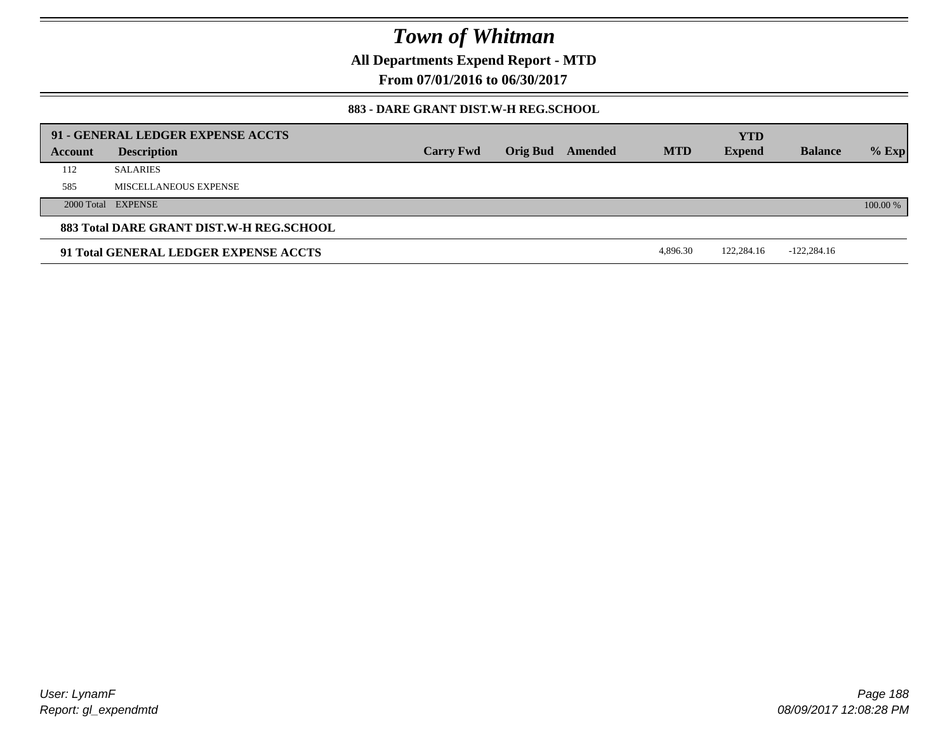**All Departments Expend Report - MTD**

**From 07/01/2016 to 06/30/2017**

### **883 - DARE GRANT DIST.W-H REG.SCHOOL**

|         | 91 - GENERAL LEDGER EXPENSE ACCTS        |                  |          |         |            | <b>YTD</b>    |                |          |
|---------|------------------------------------------|------------------|----------|---------|------------|---------------|----------------|----------|
| Account | <b>Description</b>                       | <b>Carry Fwd</b> | Orig Bud | Amended | <b>MTD</b> | <b>Expend</b> | <b>Balance</b> | $%$ Exp  |
| 112     | <b>SALARIES</b>                          |                  |          |         |            |               |                |          |
| 585     | MISCELLANEOUS EXPENSE                    |                  |          |         |            |               |                |          |
|         | 2000 Total EXPENSE                       |                  |          |         |            |               |                | 100.00 % |
|         | 883 Total DARE GRANT DIST.W-H REG.SCHOOL |                  |          |         |            |               |                |          |
|         | 91 Total GENERAL LEDGER EXPENSE ACCTS    |                  |          |         | 4,896.30   | 122,284.16    | $-122,284.16$  |          |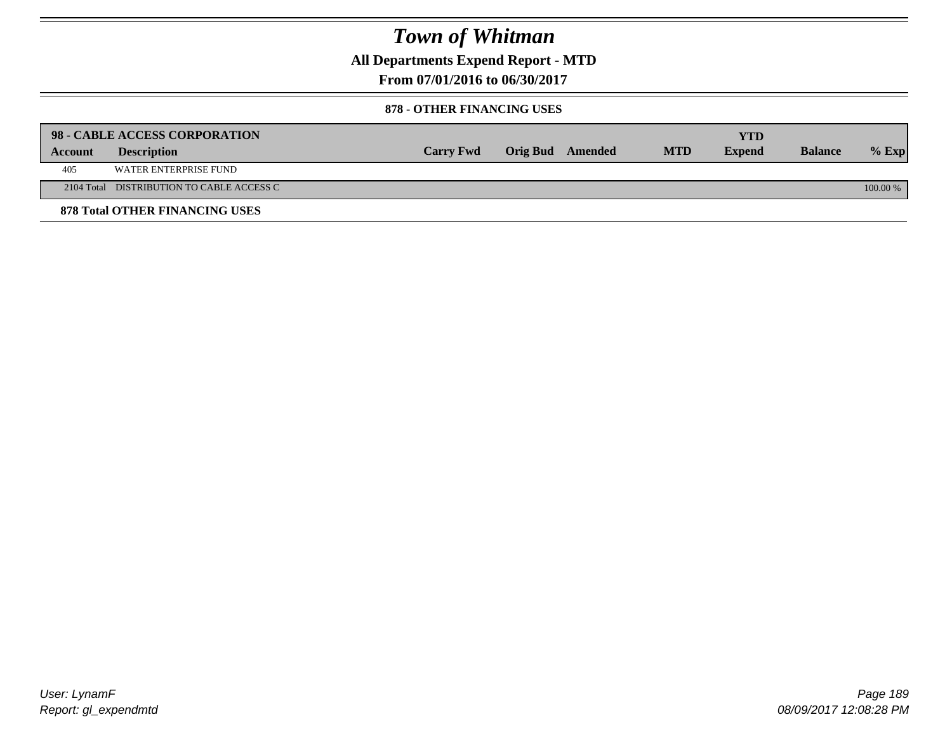**All Departments Expend Report - MTD**

**From 07/01/2016 to 06/30/2017**

#### **878 - OTHER FINANCING USES**

|         | 98 - CABLE ACCESS CORPORATION             |                  |                  |            | YTD           |                |          |
|---------|-------------------------------------------|------------------|------------------|------------|---------------|----------------|----------|
| Account | <b>Description</b>                        | <b>Carry Fwd</b> | Orig Bud Amended | <b>MTD</b> | <b>Expend</b> | <b>Balance</b> | $%$ Exp  |
| 405     | WATER ENTERPRISE FUND                     |                  |                  |            |               |                |          |
|         | 2104 Total DISTRIBUTION TO CABLE ACCESS C |                  |                  |            |               |                | 100.00 % |
|         | <b>878 Total OTHER FINANCING USES</b>     |                  |                  |            |               |                |          |